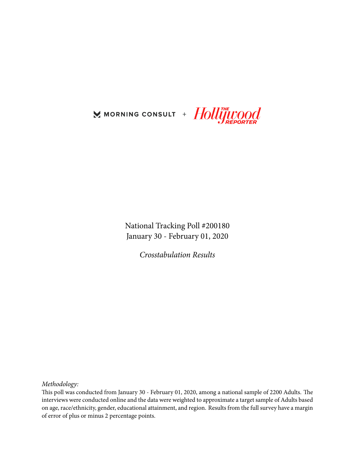

National Tracking Poll #200180 January 30 - February 01, 2020

*Crosstabulation Results*

*Methodology:*

This poll was conducted from January 30 - February 01, 2020, among a national sample of 2200 Adults. The interviews were conducted online and the data were weighted to approximate a target sample of Adults based on age, race/ethnicity, gender, educational attainment, and region. Results from the full survey have a margin of error of plus or minus 2 percentage points.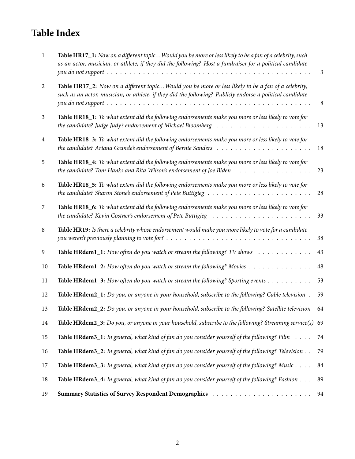# **Table Index**

| $\mathbf{1}$   | Table HR17_1: Now on a different topic Would you be more or less likely to be a fan of a celebrity, such<br>as an actor, musician, or athlete, if they did the following? Host a fundraiser for a political candidate | $\mathfrak{Z}$ |
|----------------|-----------------------------------------------------------------------------------------------------------------------------------------------------------------------------------------------------------------------|----------------|
| 2              | Table HR17_2: Now on a different topicWould you be more or less likely to be a fan of a celebrity,<br>such as an actor, musician, or athlete, if they did the following? Publicly endorse a political candidate       | 8              |
| $\mathfrak{Z}$ | Table HR18_1: To what extent did the following endorsements make you more or less likely to vote for                                                                                                                  | 13             |
| $\overline{4}$ | Table HR18_3: To what extent did the following endorsements make you more or less likely to vote for                                                                                                                  | 18             |
| 5              | Table HR18_4: To what extent did the following endorsements make you more or less likely to vote for                                                                                                                  | 23             |
| 6              | Table HR18_5: To what extent did the following endorsements make you more or less likely to vote for                                                                                                                  | 28             |
| 7              | Table HR18_6: To what extent did the following endorsements make you more or less likely to vote for                                                                                                                  | 33             |
| 8              | Table HR19: Is there a celebrity whose endorsement would make you more likely to vote for a candidate                                                                                                                 | 38             |
| 9              | Table HRdem1_1: How often do you watch or stream the following? TV shows                                                                                                                                              | 43             |
| 10             | Table HRdem1_2: How often do you watch or stream the following? Movies                                                                                                                                                | $\rm 48$       |
| 11             | Table HRdem1_3: How often do you watch or stream the following? Sporting events                                                                                                                                       | 53             |
| 12             | Table HRdem2_1: Do you, or anyone in your household, subscribe to the following? Cable television.                                                                                                                    | 59             |
| 13             | Table HRdem2_2: Do you, or anyone in your household, subscribe to the following? Satellite television                                                                                                                 | 64             |
| 14             | Table HRdem2_3: Do you, or anyone in your household, subscribe to the following? Streaming service(s) 69                                                                                                              |                |
| 15             | <b>Table HRdem3_1:</b> In general, what kind of fan do you consider yourself of the following? Film $\dots$ .                                                                                                         | 74             |
| 16             | Table HRdem3_2: In general, what kind of fan do you consider yourself of the following? Television                                                                                                                    | 79             |
| 17             | Table HRdem3_3: In general, what kind of fan do you consider yourself of the following? Music                                                                                                                         | 84             |
| 18             | Table HRdem3_4: In general, what kind of fan do you consider yourself of the following? Fashion                                                                                                                       | 89             |
| 19             |                                                                                                                                                                                                                       | 94             |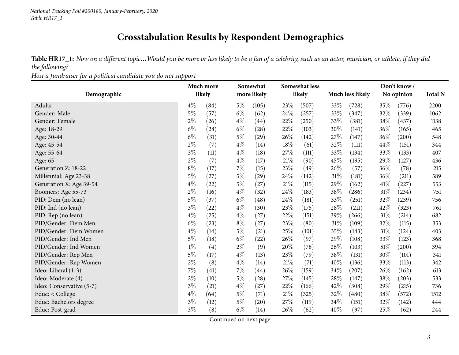## **Crosstabulation Results by Respondent Demographics**

Table HR17\_1: Now on a different topic... Would you be more or less likely to be a fan of a celebrity, such as an actor, musician, or athlete, if they did *the following?*

*Host <sup>a</sup> fundraiser for <sup>a</sup> political candidate you do not support*

<span id="page-2-0"></span>

|                          |       | Much more |       | Somewhat           |        | <b>Somewhat less</b> |        |                         |        | Don't know / |                |
|--------------------------|-------|-----------|-------|--------------------|--------|----------------------|--------|-------------------------|--------|--------------|----------------|
| Demographic              |       | likely    |       | more likely        |        | likely               |        | <b>Much less likely</b> |        | No opinion   | <b>Total N</b> |
| Adults                   | $4\%$ | (84)      | $5\%$ | (105)              | 23%    | (507)                | 33\%   | (728)                   | 35\%   | (776)        | 2200           |
| Gender: Male             | $5\%$ | (57)      | $6\%$ | (62)               | 24%    | (257)                | 33%    | (347)                   | 32%    | (339)        | 1062           |
| Gender: Female           | $2\%$ | (26)      | $4\%$ | (44)               | 22%    | (250)                | 33\%   | (381)                   | 38\%   | (437)        | 1138           |
| Age: 18-29               | $6\%$ | (28)      | $6\%$ | (28)               | 22%    | (103)                | 30%    | (141)                   | 36%    | (165)        | 465            |
| Age: 30-44               | $6\%$ | (31)      | $5\%$ | $^{(29)}$          | 26%    | (142)                | 27\%   | (147)                   | 36\%   | (200)        | 548            |
| Age: 45-54               | $2\%$ | (7)       | $4\%$ | (14)               | 18%    | (61)                 | 32%    | (111)                   | 44%    | (151)        | 344            |
| Age: 55-64               | $3\%$ | (11)      | $4\%$ | (18)               | 27%    | (111)                | 33\%   | (134)                   | 33\%   | (133)        | 407            |
| Age: 65+                 | $2\%$ | (7)       | $4\%$ | (17)               | $21\%$ | (90)                 | 45%    | (195)                   | 29%    | (127)        | 436            |
| Generation Z: 18-22      | $8\%$ | (17)      | $7\%$ | (15)               | 23%    | (49)                 | $26\%$ | (57)                    | 36%    | (78)         | 215            |
| Millennial: Age 23-38    | $5\%$ | (27)      | $5\%$ | (29)               | 24%    | (142)                | 31%    | (181)                   | 36%    | (211)        | 589            |
| Generation X: Age 39-54  | $4\%$ | (22)      | $5\%$ | (27)               | 21%    | (115)                | 29%    | (162)                   | $41\%$ | (227)        | 553            |
| Boomers: Age 55-73       | $2\%$ | (16)      | $4\%$ | (32)               | 24%    | (183)                | 38%    | (286)                   | $31\%$ | (234)        | 751            |
| PID: Dem (no lean)       | $5\%$ | (37)      | $6\%$ | $\left( 48\right)$ | 24%    | (181)                | 33\%   | (251)                   | 32%    | (239)        | 756            |
| PID: Ind (no lean)       | $3\%$ | (22)      | $4\%$ | (30)               | 23%    | (175)                | 28%    | (211)                   | 42%    | (323)        | 761            |
| PID: Rep (no lean)       | $4\%$ | (25)      | $4\%$ | (27)               | 22%    | (151)                | 39%    | (266)                   | $31\%$ | (214)        | 682            |
| PID/Gender: Dem Men      | $6\%$ | (23)      | $8\%$ | (27)               | 23%    | (80)                 | $31\%$ | (109)                   | 32%    | (115)        | 353            |
| PID/Gender: Dem Women    | $4\%$ | (14)      | $5\%$ | (21)               | 25%    | (101)                | 35%    | (143)                   | $31\%$ | (124)        | 403            |
| PID/Gender: Ind Men      | $5\%$ | (18)      | $6\%$ | (22)               | 26%    | (97)                 | 29%    | (108)                   | 33\%   | (123)        | 368            |
| PID/Gender: Ind Women    | $1\%$ | (4)       | $2\%$ | (9)                | 20%    | (78)                 | 26\%   | (103)                   | $51\%$ | (200)        | 394            |
| PID/Gender: Rep Men      | $5\%$ | (17)      | $4\%$ | (13)               | 23%    | (79)                 | 38%    | (131)                   | 30%    | (101)        | 341            |
| PID/Gender: Rep Women    | $2\%$ | (8)       | $4\%$ | (14)               | $21\%$ | (71)                 | 40%    | (136)                   | 33%    | (113)        | 342            |
| Ideo: Liberal (1-3)      | $7\%$ | (41)      | $7\%$ | (44)               | 26%    | (159)                | 34\%   | (207)                   | 26\%   | (162)        | 613            |
| Ideo: Moderate (4)       | $2\%$ | (10)      | $5\%$ | (28)               | 27%    | (145)                | 28%    | (147)                   | 38%    | (203)        | 533            |
| Ideo: Conservative (5-7) | $3\%$ | (21)      | $4\%$ | (27)               | 22%    | (166)                | 42%    | (308)                   | 29%    | (215)        | 736            |
| Educ: < College          | $4\%$ | (64)      | $5\%$ | (71)               | $21\%$ | (325)                | 32%    | (480)                   | 38\%   | (572)        | 1512           |
| Educ: Bachelors degree   | $3\%$ | (12)      | $5\%$ | (20)               | 27\%   | (119)                | 34\%   | (151)                   | 32%    | (142)        | 444            |
| Educ: Post-grad          | $3\%$ | (8)       | $6\%$ | (14)               | 26%    | (62)                 | 40%    | (97)                    | 25\%   | (62)         | 244            |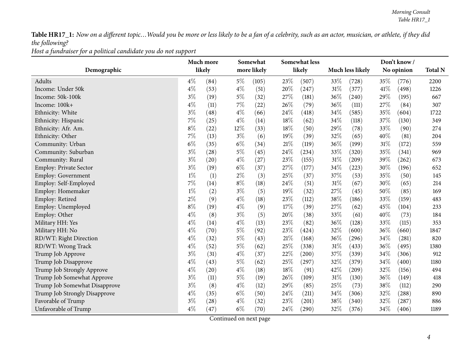*Host <sup>a</sup> fundraiser for <sup>a</sup> political candidate you do not support*

|                               |       | Much more |       | Somewhat    |        | Somewhat less |     |                         |        | Don't know/ |                |
|-------------------------------|-------|-----------|-------|-------------|--------|---------------|-----|-------------------------|--------|-------------|----------------|
| Demographic                   |       | likely    |       | more likely |        | likely        |     | <b>Much less likely</b> |        | No opinion  | <b>Total N</b> |
| Adults                        | $4\%$ | (84)      | $5\%$ | (105)       | 23%    | (507)         | 33% | (728)                   | 35%    | (776)       | 2200           |
| Income: Under 50k             | $4\%$ | (53)      | $4\%$ | (51)        | 20%    | (247)         | 31% | (377)                   | 41\%   | (498)       | 1226           |
| Income: 50k-100k              | $3\%$ | (19)      | $5\%$ | (32)        | 27%    | (181)         | 36% | (240)                   | 29%    | (195)       | 667            |
| Income: 100k+                 | $4\%$ | (11)      | 7%    | (22)        | 26%    | (79)          | 36% | (111)                   | 27%    | (84)        | 307            |
| Ethnicity: White              | $3\%$ | (48)      | $4\%$ | (66)        | 24%    | (418)         | 34% | (585)                   | 35%    | (604)       | 1722           |
| Ethnicity: Hispanic           | 7%    | (25)      | $4\%$ | (14)        | 18%    | (62)          | 34% | (118)                   | 37%    | (130)       | 349            |
| Ethnicity: Afr. Am.           | $8\%$ | (22)      | 12%   | (33)        | 18%    | (50)          | 29% | (78)                    | 33%    | (90)        | 274            |
| Ethnicity: Other              | 7%    | (13)      | $3\%$ | (6)         | 19%    | (39)          | 32% | (65)                    | 40%    | (81)        | 204            |
| Community: Urban              | $6\%$ | (35)      | $6\%$ | (34)        | $21\%$ | (119)         | 36% | (199)                   | $31\%$ | (172)       | 559            |
| Community: Suburban           | $3\%$ | (28)      | $5\%$ | (45)        | 24%    | (234)         | 33% | (320)                   | 35%    | (341)       | 969            |
| Community: Rural              | $3\%$ | (20)      | $4\%$ | (27)        | 23%    | (155)         | 31% | (209)                   | 39%    | (262)       | 673            |
| Employ: Private Sector        | $3\%$ | (19)      | $6\%$ | (37)        | 27%    | (177)         | 34% | (223)                   | 30%    | (196)       | 652            |
| Employ: Government            | $1\%$ | (1)       | $2\%$ | (3)         | 25%    | (37)          | 37% | (53)                    | 35%    | (50)        | 145            |
| Employ: Self-Employed         | 7%    | (14)      | $8\%$ | (18)        | 24\%   | (51)          | 31% | (67)                    | 30%    | (65)        | 214            |
| Employ: Homemaker             | $1\%$ | (2)       | $3\%$ | (5)         | 19%    | (32)          | 27% | (45)                    | 50%    | (85)        | 169            |
| Employ: Retired               | $2\%$ | (9)       | $4\%$ | (18)        | 23%    | (112)         | 38% | (186)                   | 33%    | (159)       | 483            |
| Employ: Unemployed            | $8\%$ | (19)      | $4\%$ | (9)         | 17%    | (39)          | 27% | (62)                    | 45%    | (104)       | 233            |
| Employ: Other                 | $4\%$ | (8)       | $3\%$ | (5)         | 20%    | (38)          | 33% | (61)                    | 40%    | (73)        | 184            |
| Military HH: Yes              | $4\%$ | (14)      | $4\%$ | (13)        | 23%    | (82)          | 36% | (128)                   | 33%    | (115)       | 353            |
| Military HH: No               | $4\%$ | (70)      | $5\%$ | (92)        | 23%    | (424)         | 32% | (600)                   | $36\%$ | (660)       | 1847           |
| RD/WT: Right Direction        | $4\%$ | (32)      | $5\%$ | (43)        | $21\%$ | (168)         | 36% | (296)                   | 34%    | (281)       | 820            |
| RD/WT: Wrong Track            | $4\%$ | (52)      | $5\%$ | (62)        | 25%    | (338)         | 31% | (433)                   | 36%    | (495)       | 1380           |
| Trump Job Approve             | $3\%$ | (31)      | $4\%$ | (37)        | 22%    | (200)         | 37% | (339)                   | 34%    | (306)       | 912            |
| Trump Job Disapprove          | $4\%$ | (43)      | $5\%$ | (62)        | 25%    | (297)         | 32% | (379)                   | 34%    | (400)       | 1180           |
| Trump Job Strongly Approve    | $4\%$ | (20)      | $4\%$ | (18)        | 18%    | (91)          | 42% | (209)                   | 32%    | (156)       | 494            |
| Trump Job Somewhat Approve    | $3\%$ | (11)      | $5\%$ | (19)        | 26%    | (109)         | 31% | (130)                   | 36%    | (149)       | 418            |
| Trump Job Somewhat Disapprove | $3\%$ | (8)       | $4\%$ | (12)        | 29%    | (85)          | 25% | (73)                    | 38%    | (112)       | 290            |
| Trump Job Strongly Disapprove | $4\%$ | (35)      | $6\%$ | (50)        | 24%    | (211)         | 34% | (306)                   | 32%    | (288)       | 890            |
| Favorable of Trump            | $3\%$ | (28)      | $4\%$ | (32)        | 23%    | (201)         | 38% | (340)                   | 32%    | (287)       | 886            |
| Unfavorable of Trump          | $4\%$ | (47)      | $6\%$ | (70)        | 24\%   | (290)         | 32% | (376)                   | $34\%$ | (406)       | 1189           |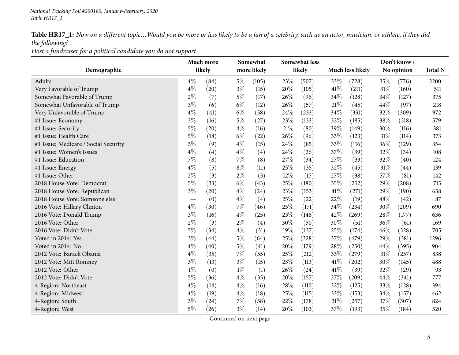*Host <sup>a</sup> fundraiser for <sup>a</sup> political candidate you do not support*

|                                      |       | Much more |       | Somewhat    |        | <b>Somewhat less</b> |      |                         |      | Don't know/ |                |
|--------------------------------------|-------|-----------|-------|-------------|--------|----------------------|------|-------------------------|------|-------------|----------------|
| Demographic                          |       | likely    |       | more likely |        | likely               |      | <b>Much less likely</b> |      | No opinion  | <b>Total N</b> |
| Adults                               | $4\%$ | (84)      | $5\%$ | (105)       | 23%    | (507)                | 33%  | (728)                   | 35%  | (776)       | 2200           |
| Very Favorable of Trump              | $4\%$ | (20)      | $3\%$ | (15)        | 20%    | (105)                | 41\% | (211)                   | 31%  | (160)       | 511            |
| Somewhat Favorable of Trump          | $2\%$ | (7)       | $5\%$ | (17)        | 26%    | (96)                 | 34\% | (128)                   | 34%  | (127)       | 375            |
| Somewhat Unfavorable of Trump        | $3\%$ | (6)       | $6\%$ | (12)        | 26%    | (57)                 | 21%  | (45)                    | 44%  | (97)        | 218            |
| Very Unfavorable of Trump            | $4\%$ | (41)      | $6\%$ | (58)        | 24%    | (233)                | 34%  | (331)                   | 32%  | (309)       | 972            |
| #1 Issue: Economy                    | $3\%$ | (16)      | $5\%$ | (27)        | 23%    | (133)                | 32%  | (185)                   | 38%  | (218)       | 579            |
| #1 Issue: Security                   | $5\%$ | (20)      | $4\%$ | (16)        | $21\%$ | (80)                 | 39%  | (149)                   | 30%  | (116)       | 381            |
| #1 Issue: Health Care                | $5\%$ | (18)      | $6\%$ | (22)        | 26%    | (96)                 | 33%  | (123)                   | 31%  | (114)       | 373            |
| #1 Issue: Medicare / Social Security | $3\%$ | (9)       | $4\%$ | (15)        | 24%    | (85)                 | 33%  | (116)                   | 36%  | (129)       | 354            |
| #1 Issue: Women's Issues             | $4\%$ | (4)       | $4\%$ | (4)         | 24%    | (26)                 | 37%  | (39)                    | 32%  | (34)        | 108            |
| #1 Issue: Education                  | 7%    | (8)       | $7\%$ | (8)         | 27%    | (34)                 | 27%  | (33)                    | 32%  | (40)        | 124            |
| #1 Issue: Energy                     | $4\%$ | (5)       | $8\%$ | (11)        | 25%    | (35)                 | 32%  | (45)                    | 31%  | (44)        | 139            |
| #1 Issue: Other                      | $2\%$ | (3)       | $2\%$ | (3)         | 12%    | (17)                 | 27%  | (38)                    | 57%  | (81)        | 142            |
| 2018 House Vote: Democrat            | $5\%$ | (33)      | $6\%$ | (43)        | 25%    | (180)                | 35%  | (252)                   | 29%  | (208)       | 715            |
| 2018 House Vote: Republican          | $3\%$ | (20)      | $4\%$ | (24)        | 23%    | (153)                | 41\% | (271)                   | 29%  | (190)       | 658            |
| 2018 House Vote: Someone else        |       | (0)       | $4\%$ | (4)         | 25%    | (22)                 | 22%  | (19)                    | 48\% | (42)        | 87             |
| 2016 Vote: Hillary Clinton           | $4\%$ | (30)      | $7\%$ | (46)        | 25%    | (171)                | 34\% | (234)                   | 30%  | (209)       | 690            |
| 2016 Vote: Donald Trump              | $3\%$ | (16)      | $4\%$ | (25)        | 23%    | (148)                | 42%  | (269)                   | 28%  | (177)       | 636            |
| 2016 Vote: Other                     | $2\%$ | (3)       | $2\%$ | (4)         | 30%    | (50)                 | 30%  | (51)                    | 36%  | (61)        | 169            |
| 2016 Vote: Didn't Vote               | $5\%$ | (34)      | $4\%$ | (31)        | 19%    | (137)                | 25%  | (174)                   | 46%  | (328)       | 705            |
| Voted in 2014: Yes                   | $3\%$ | (44)      | $5\%$ | (64)        | 25%    | (328)                | 37%  | (479)                   | 29%  | (381)       | 1296           |
| Voted in 2014: No                    | $4\%$ | (40)      | $5\%$ | (41)        | 20%    | (179)                | 28%  | (250)                   | 44\% | (395)       | 904            |
| 2012 Vote: Barack Obama              | $4\%$ | (35)      | $7\%$ | (55)        | 25%    | (212)                | 33%  | (279)                   | 31%  | (257)       | 838            |
| 2012 Vote: Mitt Romney               | $3\%$ | (13)      | $3\%$ | (15)        | 23%    | (113)                | 41%  | $\left( 202\right)$     | 30%  | (145)       | 488            |
| 2012 Vote: Other                     | $1\%$ | (0)       | $1\%$ | (1)         | 26%    | (24)                 | 41\% | (39)                    | 32%  | (29)        | 93             |
| 2012 Vote: Didn't Vote               | $5\%$ | (36)      | $4\%$ | (35)        | 20%    | (157)                | 27%  | (209)                   | 44%  | (341)       | 777            |
| 4-Region: Northeast                  | $4\%$ | (14)      | $4\%$ | (16)        | 28%    | (110)                | 32%  | (125)                   | 33%  | (128)       | 394            |
| 4-Region: Midwest                    | $4\%$ | (19)      | $4\%$ | (18)        | 25%    | (115)                | 33%  | (153)                   | 34%  | (157)       | 462            |
| 4-Region: South                      | $3\%$ | (24)      | $7\%$ | (58)        | 22%    | (178)                | 31%  | (257)                   | 37%  | (307)       | 824            |
| 4-Region: West                       | $5\%$ | (26)      | $3\%$ | (14)        | 20%    | (103)                | 37%  | (193)                   | 35%  | (184)       | 520            |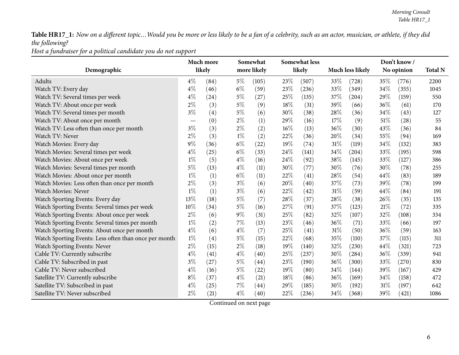*Host <sup>a</sup> fundraiser for <sup>a</sup> political candidate you do not support*

| Demographic                                           |       | Much more<br>likely |       | Somewhat<br>more likely |        | Somewhat less<br>likely |        | Much less likely |      | Don't know /<br>No opinion | <b>Total N</b> |
|-------------------------------------------------------|-------|---------------------|-------|-------------------------|--------|-------------------------|--------|------------------|------|----------------------------|----------------|
|                                                       |       |                     |       |                         |        |                         |        |                  |      |                            |                |
| Adults                                                | $4\%$ | (84)                | $5\%$ | (105)                   | 23\%   | (507)                   | 33%    | (728)            | 35%  | (776)                      | 2200           |
| Watch TV: Every day                                   | $4\%$ | (46)                | $6\%$ | (59)                    | 23%    | (236)                   | 33%    | (349)            | 34%  | (355)                      | 1045           |
| Watch TV: Several times per week                      | $4\%$ | (24)                | $5\%$ | (27)                    | 25%    | (135)                   | 37\%   | (204)            | 29%  | (159)                      | 550            |
| Watch TV: About once per week                         | $2\%$ | (3)                 | $5\%$ | (9)                     | 18%    | (31)                    | 39%    | (66)             | 36%  | (61)                       | 170            |
| Watch TV: Several times per month                     | $3\%$ | (4)                 | $5\%$ | (6)                     | 30%    | (38)                    | 28%    | (36)             | 34\% | (43)                       | 127            |
| Watch TV: About once per month                        |       | (0)                 | $2\%$ | (1)                     | 29%    | (16)                    | 17%    | (9)              | 51\% | (28)                       | 55             |
| Watch TV: Less often than once per month              | $3\%$ | (3)                 | $2\%$ | (2)                     | 16%    | (13)                    | 36\%   | (30)             | 43%  | (36)                       | 84             |
| Watch TV: Never                                       | $2\%$ | (3)                 | $1\%$ | (2)                     | 22%    | (36)                    | 20%    | (34)             | 55\% | (94)                       | 169            |
| Watch Movies: Every day                               | $9\%$ | (36)                | $6\%$ | (22)                    | 19%    | (74)                    | 31%    | (119)            | 34%  | (132)                      | 383            |
| Watch Movies: Several times per week                  | $4\%$ | (25)                | $6\%$ | (33)                    | 24%    | (141)                   | 34\%   | (204)            | 33%  | (195)                      | 598            |
| Watch Movies: About once per week                     | $1\%$ | (5)                 | $4\%$ | (16)                    | $24\%$ | (92)                    | 38%    | (145)            | 33%  | (127)                      | 386            |
| Watch Movies: Several times per month                 | $5\%$ | (13)                | $4\%$ | (11)                    | 30%    | (77)                    | 30%    | (76)             | 30%  | (78)                       | 255            |
| Watch Movies: About once per month                    | $1\%$ | (1)                 | $6\%$ | (11)                    | 22%    | (41)                    | 28%    | (54)             | 44\% | (83)                       | 189            |
| Watch Movies: Less often than once per month          | $2\%$ | (3)                 | $3\%$ | (6)                     | 20%    | (40)                    | 37%    | (73)             | 39%  | (78)                       | 199            |
| Watch Movies: Never                                   | $1\%$ | (1)                 | $3\%$ | (6)                     | 22%    | (42)                    | $31\%$ | (59)             | 44\% | (84)                       | 191            |
| Watch Sporting Events: Every day                      | 13%   | (18)                | $5\%$ | (7)                     | 28%    | (37)                    | 28%    | (38)             | 26%  | (35)                       | 135            |
| Watch Sporting Events: Several times per week         | 10%   | (34)                | $5\%$ | (16)                    | 27%    | (91)                    | 37\%   | (123)            | 21%  | (72)                       | 335            |
| Watch Sporting Events: About once per week            | $2\%$ | (6)                 | $9\%$ | (31)                    | 25%    | (82)                    | 32%    | (107)            | 32%  | (108)                      | 334            |
| Watch Sporting Events: Several times per month        | $1\%$ | (2)                 | $7\%$ | (13)                    | 23\%   | (46)                    | 36\%   | (71)             | 33\% | (66)                       | 197            |
| Watch Sporting Events: About once per month           | $4\%$ | (6)                 | $4\%$ | (7)                     | 25%    | (41)                    | $31\%$ | (50)             | 36%  | (59)                       | 163            |
| Watch Sporting Events: Less often than once per month | $1\%$ | (4)                 | $5\%$ | (15)                    | $22\%$ | (68)                    | 35%    | (110)            | 37%  | (115)                      | 311            |
| Watch Sporting Events: Never                          | $2\%$ | (15)                | $2\%$ | (18)                    | 19%    | (140)                   | 32%    | (230)            | 44%  | (321)                      | 723            |
| Cable TV: Currently subscribe                         | $4\%$ | (41)                | $4\%$ | (40)                    | 25%    | (237)                   | 30%    | (284)            | 36%  | (339)                      | 941            |
| Cable TV: Subscribed in past                          | $3\%$ | (27)                | $5\%$ | $\left( 44\right)$      | 23%    | (190)                   | 36\%   | (300)            | 33%  | (270)                      | 830            |
| Cable TV: Never subscribed                            | $4\%$ | (16)                | $5\%$ | (22)                    | 19%    | (80)                    | 34%    | (144)            | 39%  | (167)                      | 429            |
| Satellite TV: Currently subscribe                     | $8\%$ | (37)                | $4\%$ | (21)                    | 18%    | (86)                    | 36%    | (169)            | 34\% | (158)                      | 472            |
| Satellite TV: Subscribed in past                      | $4\%$ | (25)                | $7\%$ | (44)                    | 29%    | (185)                   | 30%    | (192)            | 31%  | (197)                      | 642            |
| Satellite TV: Never subscribed                        | $2\%$ | (21)                | $4\%$ | (40)                    | 22%    | (236)                   | 34\%   | (368)            | 39%  | (421)                      | 1086           |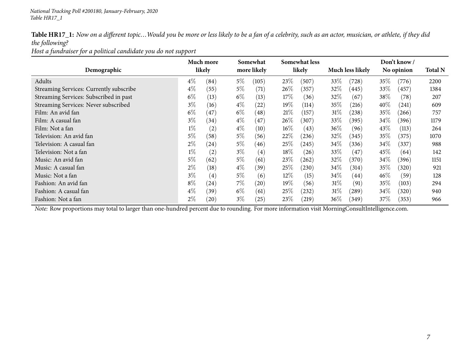*Host <sup>a</sup> fundraiser for <sup>a</sup> political candidate you do not support*

|                                         |       | Much more          |       | Somewhat          |        | <b>Somewhat less</b> |                         |       |            | Don't know/ |                |
|-----------------------------------------|-------|--------------------|-------|-------------------|--------|----------------------|-------------------------|-------|------------|-------------|----------------|
| Demographic                             |       | likely             |       | more likely       |        | likely               | <b>Much less likely</b> |       | No opinion |             | <b>Total N</b> |
| Adults                                  | $4\%$ | (84)               | $5\%$ | (105)             | 23%    | (507)                | 33\%                    | (728) | 35%        | (776)       | 2200           |
| Streaming Services: Currently subscribe | $4\%$ | (55)               | $5\%$ | (71)              | 26\%   | (357)                | $32\%$                  | (445) | 33\%       | (457)       | 1384           |
| Streaming Services: Subscribed in past  | $6\%$ | (13)               | $6\%$ | (13)              | 17\%   | (36)                 | 32%                     | (67)  | 38%        | (78)        | 207            |
| Streaming Services: Never subscribed    | $3\%$ | (16)               | $4\%$ | (22)              | $19\%$ | (114)                | $35\%$                  | (216) | $40\%$     | (241)       | 609            |
| Film: An avid fan                       | $6\%$ | (47)               | $6\%$ | (48)              | 21%    | (157)                | $31\%$                  | (238) | 35\%       | (266)       | 757            |
| Film: A casual fan                      | $3\%$ | (34)               | $4\%$ | (47)              | 26\%   | (307)                | 33\%                    | (395) | $34\%$     | (396)       | 1179           |
| Film: Not a fan                         | $1\%$ | (2)                | $4\%$ | $\left(10\right)$ | $16\%$ | (43)                 | 36%                     | (96)  | 43\%       | (113)       | 264            |
| Television: An avid fan                 | $5\%$ | (58)               | $5\%$ | (56)              | 22%    | (236)                | 32%                     | (345) | 35%        | (375)       | 1070           |
| Television: A casual fan                | $2\%$ | $\left( 24\right)$ | $5\%$ | (46)              | 25%    | (245)                | $34\%$                  | (336) | 34%        | (337)       | 988            |
| Television: Not a fan                   | $1\%$ | (2)                | $3\%$ | $\left( 4\right)$ | 18%    | (26)                 | 33\%                    | (47)  | 45%        | (64)        | 142            |
| Music: An avid fan                      | $5\%$ | (62)               | $5\%$ | (61)              | 23%    | (262)                | 32%                     | (370) | $34\%$     | (396)       | 1151           |
| Music: A casual fan                     | $2\%$ | (18)               | $4\%$ | (39)              | 25%    | (230)                | 34\%                    | (314) | 35\%       | (320)       | 921            |
| Music: Not a fan                        | $3\%$ | (4)                | $5\%$ | (6)               | $12\%$ | (15)                 | 34%                     | (44)  | $46\%$     | (59)        | 128            |
| Fashion: An avid fan                    | $8\%$ | (24)               | $7\%$ | (20)              | $19\%$ | (56)                 | 31%                     | (91)  | $35\%$     | (103)       | 294            |
| Fashion: A casual fan                   | $4\%$ | (39)               | $6\%$ | (61)              | 25%    | (232)                | 31%                     | (289) | $34\%$     | (320)       | 940            |
| Fashion: Not a fan                      | 2%    | (20)               | $3\%$ | (25)              | 23%    | (219)                | 36\%                    | (349) | 37\%       | (353)       | 966            |

*Note:* Row proportions may total to larger than one-hundred percen<sup>t</sup> due to rounding. For more information visit [MorningConsultIntelligence.com](https://morningconsultintelligence.com).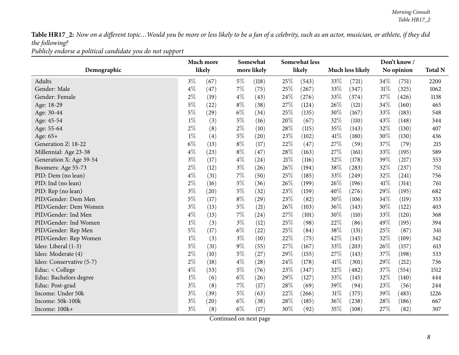*Publicly endorse <sup>a</sup> political candidate you do not support*

<span id="page-7-0"></span>

|                          |       | Much more |       | Somewhat           |        | <b>Somewhat less</b> |      |                         |      | Don't know/ |                |
|--------------------------|-------|-----------|-------|--------------------|--------|----------------------|------|-------------------------|------|-------------|----------------|
| Demographic              |       | likely    |       | more likely        |        | likely               |      | <b>Much less likely</b> |      | No opinion  | <b>Total N</b> |
| Adults                   | $3\%$ | (67)      | $5\%$ | (118)              | 25%    | (543)                | 33%  | (721)                   | 34%  | (751)       | 2200           |
| Gender: Male             | $4\%$ | (47)      | 7%    | (75)               | 25%    | (267)                | 33%  | (347)                   | 31%  | (325)       | 1062           |
| Gender: Female           | $2\%$ | (19)      | $4\%$ | (43)               | 24%    | (276)                | 33%  | (374)                   | 37%  | (426)       | 1138           |
| Age: 18-29               | $5\%$ | (22)      | $8\%$ | (38)               | 27%    | (124)                | 26\% | (121)                   | 34%  | (160)       | 465            |
| Age: 30-44               | $5\%$ | (29)      | $6\%$ | (34)               | 25%    | (135)                | 30%  | (167)                   | 33%  | (183)       | 548            |
| Age: 45-54               | $1\%$ | (3)       | $5\%$ | (16)               | 20%    | (67)                 | 32%  | (110)                   | 43%  | (148)       | 344            |
| Age: 55-64               | $2\%$ | (8)       | $2\%$ | (10)               | 28%    | (115)                | 35%  | (143)                   | 32%  | (130)       | 407            |
| Age: 65+                 | $1\%$ | (4)       | $5\%$ | (20)               | 23%    | (102)                | 41\% | (180)                   | 30%  | (130)       | 436            |
| Generation Z: 18-22      | $6\%$ | (13)      | $8\%$ | (17)               | 22%    | (47)                 | 27%  | (59)                    | 37%  | (79)        | 215            |
| Millennial: Age 23-38    | $4\%$ | (23)      | $8\%$ | (47)               | 28%    | (163)                | 27%  | (161)                   | 33%  | (195)       | 589            |
| Generation X: Age 39-54  | $3\%$ | (17)      | $4\%$ | (24)               | $21\%$ | (116)                | 32%  | (178)                   | 39%  | (217)       | 553            |
| Boomers: Age 55-73       | $2\%$ | (12)      | $3\%$ | (26)               | 26%    | (194)                | 38%  | (283)                   | 32%  | (237)       | 751            |
| PID: Dem (no lean)       | $4\%$ | (31)      | $7\%$ | (50)               | 25%    | (185)                | 33%  | (249)                   | 32%  | (241)       | 756            |
| PID: Ind (no lean)       | $2\%$ | (16)      | $5\%$ | (36)               | 26%    | (199)                | 26\% | (196)                   | 41\% | (314)       | 761            |
| PID: Rep (no lean)       | $3\%$ | (20)      | $5\%$ | (32)               | 23%    | (159)                | 40%  | (276)                   | 29%  | (195)       | 682            |
| PID/Gender: Dem Men      | $5\%$ | (17)      | $8\%$ | (29)               | 23%    | (82)                 | 30%  | (106)                   | 34%  | (119)       | 353            |
| PID/Gender: Dem Women    | $3\%$ | (13)      | $5\%$ | (21)               | 26%    | (103)                | 36%  | (143)                   | 30%  | (122)       | 403            |
| PID/Gender: Ind Men      | $4\%$ | (13)      | 7%    | (24)               | 27%    | (101)                | 30%  | (110)                   | 33%  | (120)       | 368            |
| PID/Gender: Ind Women    | $1\%$ | (3)       | $3\%$ | (12)               | 25%    | (98)                 | 22%  | (86)                    | 49%  | (195)       | 394            |
| PID/Gender: Rep Men      | $5\%$ | (17)      | $6\%$ | (22)               | 25%    | (84)                 | 38%  | (131)                   | 25%  | (87)        | 341            |
| PID/Gender: Rep Women    | $1\%$ | (3)       | $3\%$ | (10)               | 22%    | (75)                 | 42%  | (145)                   | 32%  | (109)       | 342            |
| Ideo: Liberal (1-3)      | $5\%$ | (31)      | $9\%$ | (55)               | 27%    | (167)                | 33%  | (203)                   | 26%  | (157)       | 613            |
| Ideo: Moderate (4)       | $2\%$ | (10)      | $5\%$ | (27)               | 29%    | (155)                | 27%  | (143)                   | 37%  | (198)       | 533            |
| Ideo: Conservative (5-7) | $2\%$ | (18)      | $4\%$ | $\left( 28\right)$ | 24\%   | (178)                | 41\% | (301)                   | 29%  | (212)       | 736            |
| Educ: < College          | $4\%$ | (53)      | $5\%$ | (76)               | 23%    | (347)                | 32%  | (482)                   | 37%  | (554)       | 1512           |
| Educ: Bachelors degree   | $1\%$ | (6)       | $6\%$ | (26)               | 29%    | (127)                | 33%  | (145)                   | 32%  | (140)       | 444            |
| Educ: Post-grad          | $3\%$ | (8)       | $7\%$ | (17)               | 28\%   | (69)                 | 39%  | (94)                    | 23%  | (56)        | 244            |
| Income: Under 50k        | $3\%$ | (39)      | $5\%$ | (63)               | 22%    | (266)                | 31%  | (375)                   | 39%  | (483)       | 1226           |
| Income: 50k-100k         | $3\%$ | (20)      | $6\%$ | (38)               | 28%    | (185)                | 36%  | (238)                   | 28%  | (186)       | 667            |
| Income: 100k+            | $3\%$ | (8)       | $6\%$ | (17)               | 30%    | (92)                 | 35%  | (108)                   | 27%  | (82)        | 307            |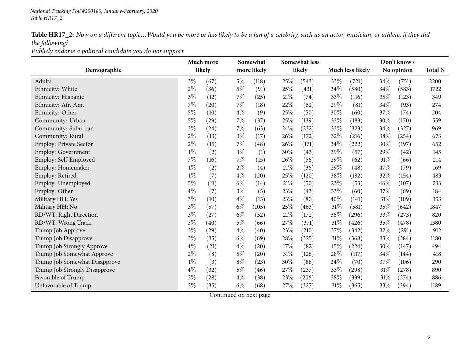*Publicly endorse <sup>a</sup> political candidate you do not support*

|                               |       | Much more |       | Somewhat           |        | <b>Somewhat less</b> |        |                  |        | Don't know / |                |
|-------------------------------|-------|-----------|-------|--------------------|--------|----------------------|--------|------------------|--------|--------------|----------------|
| Demographic                   |       | likely    |       | more likely        |        | likely               |        | Much less likely |        | No opinion   | <b>Total N</b> |
| Adults                        | $3\%$ | (67)      | $5\%$ | (118)              | 25\%   | (543)                | 33\%   | (721)            | 34%    | (751)        | 2200           |
| Ethnicity: White              | $2\%$ | (36)      | $5\%$ | (91)               | $25\%$ | (431)                | 34\%   | (580)            | 34\%   | (583)        | 1722           |
| Ethnicity: Hispanic           | $3\%$ | (12)      | $7\%$ | (25)               | $21\%$ | (74)                 | 33\%   | (116)            | 35%    | (123)        | 349            |
| Ethnicity: Afr. Am.           | 7%    | (20)      | $7\%$ | (18)               | 22\%   | (62)                 | 29%    | (81)             | 34%    | (93)         | 274            |
| Ethnicity: Other              | $5\%$ | (10)      | $4\%$ | (9)                | 25%    | (50)                 | 30%    | (60)             | 37%    | (74)         | 204            |
| Community: Urban              | $5\%$ | (29)      | $7\%$ | (37)               | $25\%$ | (139)                | 33%    | (183)            | 30%    | (170)        | 559            |
| Community: Suburban           | $3\%$ | (24)      | $7\%$ | (63)               | 24\%   | (232)                | 33%    | (323)            | $34\%$ | (327)        | 969            |
| Community: Rural              | $2\%$ | (13)      | $3\%$ | (17)               | $26\%$ | (172)                | 32%    | (216)            | 38\%   | (254)        | 673            |
| Employ: Private Sector        | $2\%$ | (15)      | $7\%$ | (48)               | 26\%   | (171)                | 34\%   | (222)            | $30\%$ | (197)        | 652            |
| Employ: Government            | $1\%$ | (2)       | $1\%$ | (1)                | $30\%$ | (43)                 | 39%    | (57)             | 29%    | (42)         | 145            |
| Employ: Self-Employed         | 7%    | (16)      | $7\%$ | (15)               | 26\%   | (56)                 | 29%    | (62)             | $31\%$ | (66)         | 214            |
| Employ: Homemaker             | $1\%$ | (2)       | $2\%$ | (4)                | $21\%$ | (36)                 | 29\%   | (48)             | 47\%   | (79)         | 169            |
| Employ: Retired               | $1\%$ | (7)       | $4\%$ | $\left( 20\right)$ | $25\%$ | (120)                | 38\%   | (182)            | 32%    | (154)        | 483            |
| Employ: Unemployed            | $5\%$ | (11)      | $6\%$ | (14)               | $21\%$ | (50)                 | 23\%   | (53)             | 46%    | (107)        | 233            |
| Employ: Other                 | $4\%$ | (7)       | $3\%$ | (5)                | 23%    | (43)                 | 33%    | (60)             | 37%    | (69)         | 184            |
| Military HH: Yes              | $3\%$ | (10)      | $4\%$ | (13)               | 23\%   | (80)                 | 40%    | (141)            | $31\%$ | (109)        | 353            |
| Military HH: No               | $3\%$ | (57)      | $6\%$ | (105)              | $25\%$ | (463)                | $31\%$ | (581)            | 35%    | (642)        | 1847           |
| RD/WT: Right Direction        | $3\%$ | (27)      | $6\%$ | (52)               | $21\%$ | (172)                | 36%    | (296)            | 33%    | (273)        | 820            |
| RD/WT: Wrong Track            | $3\%$ | (40)      | $5\%$ | (66)               | 27%    | (371)                | 31%    | (426)            | 35%    | (478)        | 1380           |
| Trump Job Approve             | $3\%$ | (29)      | $4\%$ | (40)               | $23\%$ | (210)                | 37%    | (342)            | 32%    | (291)        | 912            |
| Trump Job Disapprove          | $3\%$ | (35)      | $6\%$ | (69)               | 28\%   | (325)                | 31%    | (368)            | 33%    | (384)        | 1180           |
| Trump Job Strongly Approve    | $4\%$ | (21)      | $4\%$ | $\left( 20\right)$ | $17\%$ | (82)                 | 45%    | (224)            | 30%    | (147)        | 494            |
| Trump Job Somewhat Approve    | $2\%$ | (8)       | $5\%$ | $\left( 20\right)$ | $31\%$ | (128)                | 28%    | (117)            | 34%    | (144)        | 418            |
| Trump Job Somewhat Disapprove | $1\%$ | (3)       | $8\%$ | (23)               | 30%    | (88)                 | 24\%   | (70)             | 37%    | (106)        | 290            |
| Trump Job Strongly Disapprove | $4\%$ | (32)      | $5\%$ | (46)               | $27\%$ | (237)                | 33%    | (298)            | 31%    | (278)        | 890            |
| Favorable of Trump            | $3\%$ | (28)      | $4\%$ | (38)               | $23\%$ | (206)                | 38%    | (339)            | $31\%$ | (274)        | 886            |
| Unfavorable of Trump          | $3\%$ | (35)      | $6\%$ | (68)               | $27\%$ | (327)                | $31\%$ | (365)            | 33%    | (394)        | 1189           |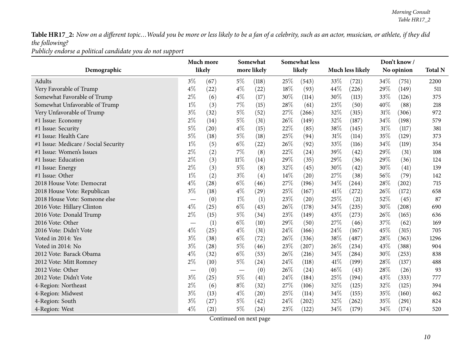*Publicly endorse <sup>a</sup> political candidate you do not support*

|                                      |       | Much more |        | Somewhat    |      | <b>Somewhat less</b> |      |                         |      | Don't know/ |                |
|--------------------------------------|-------|-----------|--------|-------------|------|----------------------|------|-------------------------|------|-------------|----------------|
| Demographic                          |       | likely    |        | more likely |      | likely               |      | <b>Much less likely</b> |      | No opinion  | <b>Total N</b> |
| Adults                               | $3\%$ | (67)      | $5\%$  | (118)       | 25%  | (543)                | 33%  | (721)                   | 34%  | (751)       | 2200           |
| Very Favorable of Trump              | $4\%$ | (22)      | $4\%$  | (22)        | 18%  | (93)                 | 44%  | (226)                   | 29%  | (149)       | 511            |
| Somewhat Favorable of Trump          | $2\%$ | (6)       | $4\%$  | (17)        | 30%  | (114)                | 30%  | (113)                   | 33%  | (126)       | 375            |
| Somewhat Unfavorable of Trump        | $1\%$ | (3)       | $7\%$  | (15)        | 28%  | (61)                 | 23%  | (50)                    | 40%  | (88)        | 218            |
| Very Unfavorable of Trump            | $3\%$ | (32)      | $5\%$  | (52)        | 27%  | (266)                | 32%  | (315)                   | 31%  | (306)       | 972            |
| #1 Issue: Economy                    | $2\%$ | (14)      | $5\%$  | (31)        | 26%  | (149)                | 32%  | (187)                   | 34%  | (198)       | 579            |
| #1 Issue: Security                   | $5\%$ | (20)      | $4\%$  | (15)        | 22%  | (85)                 | 38%  | (145)                   | 31%  | (117)       | 381            |
| #1 Issue: Health Care                | $5\%$ | (18)      | $5\%$  | (18)        | 25%  | (94)                 | 31%  | (114)                   | 35%  | (129)       | 373            |
| #1 Issue: Medicare / Social Security | $1\%$ | (5)       | $6\%$  | (22)        | 26%  | (92)                 | 33%  | (116)                   | 34%  | (119)       | 354            |
| #1 Issue: Women's Issues             | $2\%$ | (2)       | $7\%$  | (8)         | 22%  | (24)                 | 39%  | (42)                    | 29%  | (31)        | 108            |
| #1 Issue: Education                  | $2\%$ | (3)       | $11\%$ | (14)        | 29%  | (35)                 | 29%  | (36)                    | 29%  | (36)        | 124            |
| #1 Issue: Energy                     | $2\%$ | (3)       | $5\%$  | (8)         | 32%  | (45)                 | 30%  | (42)                    | 30%  | (41)        | 139            |
| #1 Issue: Other                      | $1\%$ | (2)       | $3\%$  | (4)         | 14%  | (20)                 | 27%  | (38)                    | 56%  | (79)        | 142            |
| 2018 House Vote: Democrat            | $4\%$ | (28)      | $6\%$  | (46)        | 27%  | (196)                | 34\% | (244)                   | 28%  | (202)       | 715            |
| 2018 House Vote: Republican          | $3\%$ | (18)      | $4\%$  | (29)        | 25%  | (167)                | 41\% | (272)                   | 26%  | (172)       | 658            |
| 2018 House Vote: Someone else        |       | (0)       | $1\%$  | (1)         | 23%  | (20)                 | 25%  | (21)                    | 52%  | (45)        | 87             |
| 2016 Vote: Hillary Clinton           | $4\%$ | (25)      | $6\%$  | (43)        | 26\% | (178)                | 34%  | (235)                   | 30%  | (208)       | 690            |
| 2016 Vote: Donald Trump              | $2\%$ | (15)      | $5\%$  | (34)        | 23%  | (149)                | 43%  | (273)                   | 26%  | (165)       | 636            |
| 2016 Vote: Other                     |       | (1)       | $6\%$  | (10)        | 29%  | (50)                 | 27\% | (46)                    | 37%  | (62)        | 169            |
| 2016 Vote: Didn't Vote               | $4\%$ | (25)      | $4\%$  | (31)        | 24%  | (166)                | 24%  | (167)                   | 45%  | (315)       | 705            |
| Voted in 2014: Yes                   | $3\%$ | (38)      | $6\%$  | (72)        | 26%  | (336)                | 38%  | (487)                   | 28%  | (363)       | 1296           |
| Voted in 2014: No                    | $3\%$ | (28)      | $5\%$  | (46)        | 23%  | (207)                | 26%  | (234)                   | 43%  | (388)       | 904            |
| 2012 Vote: Barack Obama              | $4\%$ | (32)      | $6\%$  | (53)        | 26%  | (216)                | 34\% | (284)                   | 30%  | (253)       | 838            |
| 2012 Vote: Mitt Romney               | $2\%$ | (10)      | $5\%$  | (24)        | 24\% | (118)                | 41\% | (199)                   | 28%  | (137)       | 488            |
| 2012 Vote: Other                     |       | (0)       |        | (0)         | 26%  | (24)                 | 46\% | (43)                    | 28%  | (26)        | 93             |
| 2012 Vote: Didn't Vote               | $3\%$ | (25)      | $5\%$  | (41)        | 24%  | (184)                | 25%  | (194)                   | 43%  | (333)       | 777            |
| 4-Region: Northeast                  | $2\%$ | (6)       | $8\%$  | (32)        | 27%  | (106)                | 32%  | (125)                   | 32%  | (125)       | 394            |
| 4-Region: Midwest                    | $3\%$ | (13)      | $4\%$  | (20)        | 25%  | (114)                | 34%  | (155)                   | 35%  | (160)       | 462            |
| 4-Region: South                      | $3\%$ | (27)      | $5\%$  | (42)        | 24%  | (202)                | 32%  | (262)                   | 35%  | (291)       | 824            |
| 4-Region: West                       | $4\%$ | (21)      | $5\%$  | (24)        | 23%  | (122)                | 34\% | (179)                   | 34\% | (174)       | 520            |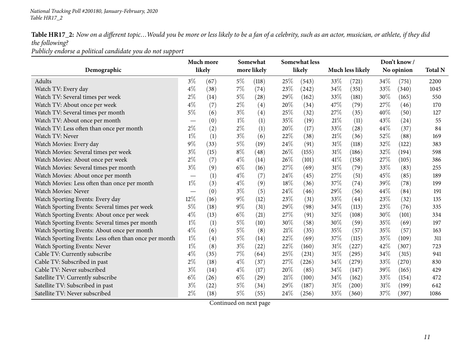*Publicly endorse <sup>a</sup> political candidate you do not support*

|                                                       |                 | Much more |       | Somewhat           |        | <b>Somewhat less</b> |      |                         |      | Don't know/ |                |
|-------------------------------------------------------|-----------------|-----------|-------|--------------------|--------|----------------------|------|-------------------------|------|-------------|----------------|
| Demographic                                           | likely<br>$3\%$ |           |       | more likely        |        | likely               |      | <b>Much less likely</b> |      | No opinion  | <b>Total N</b> |
| Adults                                                |                 | (67)      | $5\%$ | (118)              | 25%    | (543)                | 33%  | (721)                   | 34\% | (751)       | 2200           |
| Watch TV: Every day                                   | $4\%$           | (38)      | $7\%$ | (74)               | 23%    | (242)                | 34%  | (351)                   | 33%  | (340)       | 1045           |
| Watch TV: Several times per week                      | $2\%$           | (14)      | $5\%$ | $\left( 28\right)$ | 29%    | (162)                | 33%  | (181)                   | 30%  | (165)       | 550            |
| Watch TV: About once per week                         | $4\%$           | (7)       | $2\%$ | (4)                | 20%    | (34)                 | 47%  | (79)                    | 27%  | (46)        | 170            |
| Watch TV: Several times per month                     | 5%              | (6)       | $3\%$ | (4)                | 25%    | (32)                 | 27%  | (35)                    | 40%  | (50)        | 127            |
| Watch TV: About once per month                        |                 | (0)       | $1\%$ | (1)                | 35%    | (19)                 | 21%  | (11)                    | 43%  | (24)        | 55             |
| Watch TV: Less often than once per month              | $2\%$           | (2)       | $2\%$ | (1)                | 20%    | (17)                 | 33%  | (28)                    | 44%  | (37)        | 84             |
| Watch TV: Never                                       | $1\%$           | (1)       | $3\%$ | (6)                | 22%    | (38)                 | 21%  | (36)                    | 52%  | (88)        | 169            |
| Watch Movies: Every day                               | 9%              | (33)      | $5\%$ | (19)               | 24%    | (91)                 | 31%  | (118)                   | 32%  | (122)       | 383            |
| Watch Movies: Several times per week                  | $3\%$           | (15)      | $8\%$ | (48)               | 26%    | (155)                | 31%  | (186)                   | 32%  | (194)       | 598            |
| Watch Movies: About once per week                     | $2\%$           | (7)       | $4\%$ | (14)               | 26%    | (101)                | 41\% | (158)                   | 27%  | (105)       | 386            |
| Watch Movies: Several times per month                 | $3\%$           | (9)       | $6\%$ | (16)               | 27%    | (69)                 | 31%  | (79)                    | 33%  | (83)        | 255            |
| Watch Movies: About once per month                    |                 | (1)       | $4\%$ | (7)                | 24%    | (45)                 | 27%  | (51)                    | 45%  | (85)        | 189            |
| Watch Movies: Less often than once per month          | $1\%$           | (3)       | $4\%$ | (9)                | 18%    | (36)                 | 37%  | (74)                    | 39%  | (78)        | 199            |
| <b>Watch Movies: Never</b>                            |                 | (0)       | $3\%$ | (5)                | 24%    | (46)                 | 29%  | (56)                    | 44%  | (84)        | 191            |
| Watch Sporting Events: Every day                      | 12%             | (16)      | $9\%$ | (12)               | 23%    | (31)                 | 33%  | (44)                    | 23%  | (32)        | 135            |
| Watch Sporting Events: Several times per week         | $5\%$           | (18)      | $9\%$ | (31)               | 29%    | (98)                 | 34%  | (113)                   | 23%  | (76)        | 335            |
| Watch Sporting Events: About once per week            | $4\%$           | (13)      | $6\%$ | (21)               | 27%    | (91)                 | 32%  | (108)                   | 30%  | (101)       | 334            |
| Watch Sporting Events: Several times per month        | $1\%$           | (1)       | $5\%$ | (10)               | 30%    | (58)                 | 30%  | (59)                    | 35%  | (69)        | 197            |
| Watch Sporting Events: About once per month           | $4\%$           | (6)       | $5\%$ | (8)                | 21%    | (35)                 | 35%  | (57)                    | 35%  | (57)        | 163            |
| Watch Sporting Events: Less often than once per month | $1\%$           | (4)       | $5\%$ | (14)               | 22%    | (69)                 | 37%  | (115)                   | 35%  | (109)       | 311            |
| Watch Sporting Events: Never                          | $1\%$           | (8)       | $3\%$ | (22)               | 22%    | (160)                | 31%  | (227)                   | 42%  | (307)       | 723            |
| Cable TV: Currently subscribe                         | $4\%$           | (35)      | $7\%$ | (64)               | 25%    | (231)                | 31%  | (295)                   | 34%  | (315)       | 941            |
| Cable TV: Subscribed in past                          | $2\%$           | (18)      | $4\%$ | (37)               | $27\%$ | (226)                | 34%  | (279)                   | 33%  | (270)       | 830            |
| Cable TV: Never subscribed                            | $3\%$           | (14)      | $4\%$ | (17)               | 20%    | (85)                 | 34%  | (147)                   | 39%  | (165)       | 429            |
| Satellite TV: Currently subscribe                     | $6\%$           | (26)      | $6\%$ | (29)               | 21%    | (100)                | 34%  | (162)                   | 33%  | (154)       | 472            |
| Satellite TV: Subscribed in past                      | $3\%$           | (22)      | $5\%$ | (34)               | 29%    | (187)                | 31%  | (200)                   | 31%  | (199)       | 642            |
| Satellite TV: Never subscribed                        | $2\%$           | (18)      | $5\%$ | (55)               | 24%    | (256)                | 33%  | (360)                   | 37%  | (397)       | 1086           |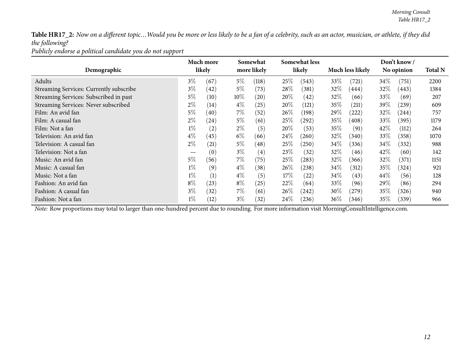*Publicly endorse <sup>a</sup> political candidate you do not support*

|                                         |       | Much more |        | Somewhat          |      | <b>Somewhat less</b> |                         |                    |            | Don't know / |                |
|-----------------------------------------|-------|-----------|--------|-------------------|------|----------------------|-------------------------|--------------------|------------|--------------|----------------|
| Demographic                             |       | likely    |        | more likely       |      | likely               | <b>Much less likely</b> |                    | No opinion |              | <b>Total N</b> |
| Adults                                  | $3\%$ | (67)      | $5\%$  | (118)             | 25%  | (543)                | 33\%                    | (721)              | 34\%       | (751)        | 2200           |
| Streaming Services: Currently subscribe | $3\%$ | (42)      | $5\%$  | (73)              | 28\% | (381)                | $32\%$                  | (444)              | $32\%$     | (443)        | 1384           |
| Streaming Services: Subscribed in past  | $5\%$ | (10)      | $10\%$ | (20)              | 20%  | (42)                 | $32\%$                  | (66)               | $33\%$     | (69)         | 207            |
| Streaming Services: Never subscribed    | $2\%$ | (14)      | $4\%$  | (25)              | 20%  | (121)                | 35\%                    | (211)              | 39 $\%$    | (239)        | 609            |
| Film: An avid fan                       | $5\%$ | (40)      | $7\%$  | (52)              | 26\% | (198)                | 29\%                    | $\left(222\right)$ | $32\%$     | (244)        | 757            |
| Film: A casual fan                      | $2\%$ | (24)      | $5\%$  | (61)              | 25%  | (292)                | 35\%                    | (408)              | 33\%       | (395)        | 1179           |
| Film: Not a fan                         | $1\%$ | (2)       | $2\%$  | (5)               | 20%  | (53)                 | 35\%                    | (91)               | 42\%       | (112)        | 264            |
| Television: An avid fan                 | $4\%$ | (45)      | $6\%$  | (66)              | 24\% | (260)                | 32\%                    | (340)              | 33\%       | (358)        | 1070           |
| Television: A casual fan                | $2\%$ | (21)      | $5\%$  | (48)              | 25%  | (250)                | $34\%$                  | (336)              | $34\%$     | (332)        | 988            |
| Television: Not a fan                   |       | (0)       | $3\%$  | $\left( 4\right)$ | 23\% | (32)                 | 32\%                    | (46)               | 42\%       | (60)         | 142            |
| Music: An avid fan                      | $5\%$ | (56)      | $7\%$  | (75)              | 25%  | (283)                | $32\%$                  | (366)              | $32\%$     | (371)        | 1151           |
| Music: A casual fan                     | $1\%$ | (9)       | $4\%$  | (38)              | 26\% | (238)                | $34\%$                  | (312)              | 35%        | (324)        | 921            |
| Music: Not a fan                        | $1\%$ | (1)       | $4\%$  | (5)               | 17%  | (22)                 | $34\%$                  | (43)               | $44\%$     | (56)         | 128            |
| Fashion: An avid fan                    | $8\%$ | (23)      | $8\%$  | (25)              | 22\% | (64)                 | 33\%                    | (96)               | 29\%       | (86)         | 294            |
| Fashion: A casual fan                   | $3\%$ | (32)      | $7\%$  | (61)              | 26\% | (242)                | $30\%$                  | (279)              | $35\%$     | (326)        | 940            |
| Fashion: Not a fan                      | $1\%$ | (12)      | $3\%$  | (32)              | 24\% | (236)                | $36\%$                  | (346)              | $35\%$     | (339)        | 966            |

*Note:* Row proportions may total to larger than one-hundred percen<sup>t</sup> due to rounding. For more information visit [MorningConsultIntelligence.com](https://morningconsultintelligence.com).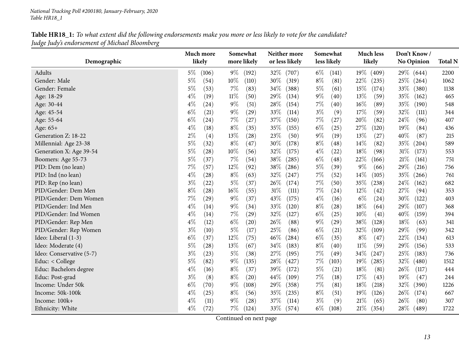<span id="page-12-0"></span>

| Demographic              | Much more<br>likely         | Somewhat<br>more likely | Neither more<br>or less likely | Somewhat<br>less likely | <b>Much less</b><br>likely | Don't Know/<br>No Opinion | <b>Total N</b> |
|--------------------------|-----------------------------|-------------------------|--------------------------------|-------------------------|----------------------------|---------------------------|----------------|
|                          |                             |                         |                                |                         |                            |                           |                |
| Adults                   | $5\%$<br>(106)              | $9\%$<br>(192)          | 32%<br>(707)                   | $6\%$<br>(141)          | $19\%$<br>(409)            | 29\% (644)                | 2200           |
| Gender: Male             | $5\%$<br>(54)               | $10\%$<br>(110)         | 30%<br>(319)                   | $8\%$<br>(81)           | 22\%<br>(235)              | $25\%$<br>(264)           | 1062           |
| Gender: Female           | $5\%$<br>(53)               | $7\%$<br>(83)           | 34\%<br>(388)                  | $5\%$<br>(61)           | $15\%$<br>(174)            | $33\%$<br>(380)           | 1138           |
| Age: 18-29               | $4\%$<br>(19)               | $11\%$<br>(50)          | 29%<br>(134)                   | $9\%$<br>(40)           | 13%<br>(59)                | $35\%$<br>(162)           | 465            |
| Age: 30-44               | $4\%$<br>(24)               | $9\%$<br>(51)           | 28\%<br>(154)                  | $7\%$<br>(40)           | 16%<br>(89)                | 35%<br>(190)              | 548            |
| Age: 45-54               | $6\%$<br>(21)               | $9\%$<br>(29)           | 33%<br>(114)                   | $3\%$<br>(9)            | 17%<br>(59)                | 32%<br>(111)              | 344            |
| Age: 55-64               | $6\%$<br>(24)               | $7\%$<br>(27)           | 37%<br>(150)                   | $7\%$<br>(27)           | 20%<br>(82)                | 24%<br>(96)               | 407            |
| Age: 65+                 | $4\%$<br>(18)               | $8\%$<br>(35)           | 35%<br>(155)                   | $6\%$<br>(25)           | 27\%<br>(120)              | 19%<br>(84)               | 436            |
| Generation Z: 18-22      | $2\%$<br>(4)                | 13%<br>(28)             | 23%<br>(50)                    | $9\%$<br>(19)           | 13%<br>(27)                | 40%<br>(87)               | 215            |
| Millennial: Age 23-38    | $5\%$<br>(32)               | $8\%$<br>(47)           | 30%<br>(178)                   | $8\%$<br>(48)           | 14\%<br>(82)               | 35\%<br>(204)             | 589            |
| Generation X: Age 39-54  | 5%<br>(28)                  | $10\%$<br>(56)          | 32%<br>(175)                   | $4\%$<br>(22)           | 18%<br>(98)                | 31%<br>(173)              | 553            |
| Boomers: Age 55-73       | $5\%$<br>(37)               | $7\%$<br>(54)           | $38\%$<br>(285)                | $6\%$<br>(48)           | 22\%<br>(166)              | $21\%$<br>(161)           | 751            |
| PID: Dem (no lean)       | 7%<br>(57)                  | $12\%$<br>(92)          | 38\%<br>(286)                  | $5\%$<br>(39)           | $9\%$<br>(66)              | 29%<br>(216)              | 756            |
| PID: Ind (no lean)       | $4\%$<br>(28)               | $8\%$<br>(63)           | 32%<br>(247)                   | $7\%$<br>(52)           | 14\%<br>(105)              | 35\%<br>(266)             | 761            |
| PID: Rep (no lean)       | $3\%$<br>(22)               | $5\%$<br>(37)           | 26%<br>(174)                   | $7\%$<br>(50)           | 35%<br>(238)               | 24\%<br>(162)             | 682            |
| PID/Gender: Dem Men      | $8\%$<br>(28)               | $16\%$<br>(55)          | 31%<br>(111)                   | $7\%$<br>(24)           | 12%<br>(42)                | 27%<br>(94)               | 353            |
| PID/Gender: Dem Women    | $7\%$<br>$\left( 29\right)$ | $9\%$<br>(37)           | 43%<br>(175)                   | $4\%$<br>(16)           | $6\%$<br>(24)              | 30%<br>(122)              | 403            |
| PID/Gender: Ind Men      | $4\%$<br>(14)               | $9\%$<br>(34)           | 33%<br>(120)                   | $8\%$<br>(28)           | 18%<br>(64)                | 29%<br>(107)              | 368            |
| PID/Gender: Ind Women    | $4\%$<br>(14)               | $7\%$<br>(29)           | 32%<br>(127)                   | $6\%$<br>(25)           | $10\%$<br>(41)             | 40\%<br>(159)             | 394            |
| PID/Gender: Rep Men      | $4\%$<br>(12)               | $6\%$<br>(20)           | 26\%<br>(88)                   | $9\%$<br>(29)           | 38%<br>(128)               | 18%<br>(63)               | 341            |
| PID/Gender: Rep Women    | $3\%$<br>(10)               | $5\%$<br>(17)           | 25%<br>(86)                    | $6\%$<br>(21)           | 32%<br>(109)               | 29%<br>(99)               | 342            |
| Ideo: Liberal (1-3)      | $6\%$<br>(37)               | $12\%$<br>(75)          | 46\%<br>(284)                  | $6\%$<br>(35)           | $8\%$<br>(47)              | 22\%<br>(134)             | 613            |
| Ideo: Moderate (4)       | $5\%$<br>(28)               | 13\%<br>(67)            | 34%<br>(183)                   | $8\%$<br>(40)           | $11\%$<br>(59)             | 29%<br>(156)              | 533            |
| Ideo: Conservative (5-7) | $3\%$<br>(23)               | $5\%$<br>(38)           | 27%<br>(195)                   | $7\%$<br>(49)           | 34%<br>(247)               | 25%<br>(183)              | 736            |
| Educ: < College          | $5\%$<br>(82)               | $9\%$<br>(135)          | 28\%<br>(427)                  | $7\%$<br>(103)          | $19\%$<br>(285)            | 32%<br>(480)              | 1512           |
| Educ: Bachelors degree   | $4\%$<br>(16)               | $8\%$<br>(37)           | 39%<br>(172)                   | $5\%$<br>(21)           | 18%<br>(81)                | 26%<br>(117)              | 444            |
| Educ: Post-grad          | $3\%$<br>(8)                | $8\%$<br>(20)           | 44\%<br>(109)                  | $7\%$<br>(18)           | 17%<br>(43)                | 19%<br>(47)               | 244            |
| Income: Under 50k        | $6\%$<br>(70)               | $9\%$<br>(108)          | 29%<br>(358)                   | $7\%$<br>(81)           | $18\%$<br>(218)            | 32%<br>(390)              | 1226           |
| Income: 50k-100k         | $4\%$<br>(25)               | $8\%$<br>(56)           | $35\%$<br>(235)                | $8\%$<br>(51)           | $19\%$<br>(126)            | 26\%<br>(174)             | 667            |
| Income: 100k+            | $4\%$<br>(11)               | $9\%$<br>(28)           | 37%<br>(114)                   | $3\%$<br>(9)            | 21%<br>(65)                | 26%<br>(80)               | 307            |
| Ethnicity: White         | $4\%$<br>(72)               | $7\%$<br>(124)          | 33%<br>(574)                   | $6\%$<br>(108)          | 21%<br>(354)               | $28\%$<br>(489)           | 1722           |
|                          |                             |                         |                                |                         |                            |                           |                |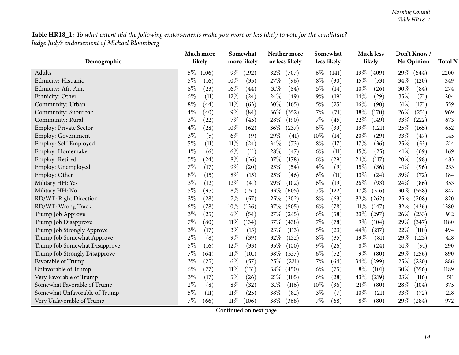| Demographic                   | Much more<br>likely | Somewhat<br>more likely | Neither more<br>or less likely | Somewhat<br>less likely | <b>Much less</b><br>likely | Don't Know/<br>No Opinion | <b>Total N</b> |
|-------------------------------|---------------------|-------------------------|--------------------------------|-------------------------|----------------------------|---------------------------|----------------|
|                               |                     |                         |                                |                         |                            |                           |                |
| Adults                        | (106)<br>$5\%$      | $9\%$<br>(192)          | 32%<br>(707)                   | $6\%$<br>(141)          | $19\%$<br>(409)            | 29%<br>(644)              | 2200           |
| Ethnicity: Hispanic           | $5\%$<br>(16)       | $10\%$<br>(35)          | 27%<br>(96)                    | $8\%$<br>(30)           | 15%<br>(53)                | 34%<br>(120)              | 349            |
| Ethnicity: Afr. Am.           | $8\%$<br>(23)       | $16\%$<br>(44)          | 31%<br>(84)                    | $5\%$<br>(14)           | 10%<br>(26)                | 30%<br>(84)               | 274            |
| Ethnicity: Other              | $6\%$<br>(11)       | 12%<br>(24)             | 24%<br>(49)                    | $9\%$<br>(19)           | 14%<br>(29)                | 35%<br>(71)               | 204            |
| Community: Urban              | $8\%$<br>(44)       | $11\%$<br>(63)          | 30%<br>(165)                   | $5\%$<br>(25)           | 16%<br>(90)                | 31%<br>(171)              | 559            |
| Community: Suburban           | $4\%$<br>(40)       | $9\%$<br>(84)           | 36%<br>(352)                   | 7%<br>(71)              | 18%<br>(170)               | 26%<br>(251)              | 969            |
| Community: Rural              | $3\%$<br>(22)       | 7%<br>(45)              | 28%<br>(190)                   | 7%<br>(45)              | 22%<br>(149)               | 33%<br>(222)              | 673            |
| <b>Employ: Private Sector</b> | 4%<br>(28)          | $10\%$<br>(62)          | 36%<br>(237)                   | $6\%$<br>(39)           | 19%<br>(121)               | 25%<br>(165)              | 652            |
| <b>Employ: Government</b>     | $3\%$<br>(5)        | $6\%$<br>(9)            | 29%<br>(41)                    | 10%<br>(14)             | 20%<br>(29)                | 33%<br>(47)               | 145            |
| Employ: Self-Employed         | $5\%$<br>(11)       | $11\%$<br>(24)          | 34%<br>(73)                    | $8\%$<br>(17)           | 17%<br>(36)                | 25%<br>(53)               | 214            |
| Employ: Homemaker             | $4\%$<br>(6)        | $6\%$<br>(11)           | 28%<br>(47)                    | $6\%$<br>(11)           | 15%<br>(25)                | 41%<br>(69)               | 169            |
| Employ: Retired               | $5\%$<br>(24)       | $8\%$<br>(36)           | 37%<br>(178)                   | $6\%$<br>(29)           | 24%<br>(117)               | 20%<br>(98)               | 483            |
| Employ: Unemployed            | 7%<br>(17)          | $9\%$<br>(20)           | 23%<br>(54)                    | $4\%$<br>(9)            | 15%<br>(36)                | 41%<br>(96)               | 233            |
| Employ: Other                 | $8\%$<br>(15)       | $8\%$<br>(15)           | 25%<br>(46)                    | $6\%$<br>(11)           | 13%<br>(24)                | 39%<br>(72)               | 184            |
| Military HH: Yes              | $3\%$<br>(12)       | 12%<br>(41)             | 29%<br>(102)                   | $6\%$<br>(19)           | 26%<br>(93)                | 24%<br>(86)               | 353            |
| Military HH: No               | $5\%$<br>(95)       | $8\%$<br>(151)          | 33%<br>(605)                   | 7%<br>(122)             | 17%<br>(316)               | 30%<br>(558)              | 1847           |
| RD/WT: Right Direction        | $3\%$<br>(28)       | 7%<br>(57)              | 25%<br>(202)                   | $8\%$<br>(63)           | 32%<br>(262)               | 25%<br>(208)              | 820            |
| RD/WT: Wrong Track            | $6\%$<br>(78)       | $10\%$<br>(136)         | 37%<br>(505)                   | $6\%$<br>(78)           | $11\%$<br>(147)            | 32%<br>(436)              | 1380           |
| Trump Job Approve             | $3\%$<br>(25)       | $6\%$<br>(54)           | 27%<br>(245)                   | $6\%$<br>(58)           | 33%<br>(297)               | 26%<br>(233)              | 912            |
| Trump Job Disapprove          | 7%<br>(80)          | $11\%$<br>(134)         | 37%<br>(438)                   | 7%<br>(78)              | $9\%$<br>(104)             | 29%<br>(347)              | 1180           |
| Trump Job Strongly Approve    | $3\%$<br>(17)       | $3\%$<br>(15)           | 23%<br>(113)                   | $5\%$<br>(23)           | 44%<br>(217)               | 22%<br>(110)              | 494            |
| Trump Job Somewhat Approve    | $2\%$<br>(8)        | $9\%$<br>(39)           | 32%<br>(132)                   | $8\%$<br>(35)           | 19%<br>(81)                | 29%<br>(123)              | 418            |
| Trump Job Somewhat Disapprove | 5%<br>(16)          | 12%<br>(33)             | 35%<br>(100)                   | 9%<br>(26)              | $8\%$<br>(24)              | 31%<br>(91)               | 290            |
| Trump Job Strongly Disapprove | 7%<br>(64)          | $11\%$<br>(101)         | 38%<br>(337)                   | $6\%$<br>(52)           | $9\%$<br>(80)              | 29%<br>(256)              | 890            |
| Favorable of Trump            | $3\%$<br>(25)       | $6\%$<br>(57)           | 25%<br>(221)                   | $7\%$<br>(64)           | 34%<br>(299)               | 25%<br>(220)              | 886            |
| Unfavorable of Trump          | $6\%$<br>(77)       | $11\%$<br>(131)         | 38%<br>(450)                   | $6\%$<br>(75)           | $8\%$<br>(101)             | 30%<br>(356)              | 1189           |
| Very Favorable of Trump       | $3\%$<br>(17)       | $5\%$<br>(26)           | 21%<br>(105)                   | $6\%$<br>(28)           | 43%<br>(219)               | 23%<br>(116)              | 511            |
| Somewhat Favorable of Trump   | $2\%$<br>(8)        | $8\%$<br>(32)           | 31%<br>(116)                   | 10%<br>(36)             | 21%<br>(80)                | 28%<br>(104)              | 375            |
| Somewhat Unfavorable of Trump | 5%<br>(11)          | 11%<br>(25)             | 38%<br>(82)                    | $3\%$<br>(7)            | 10%<br>(21)                | 33%<br>(72)               | 218            |
| Very Unfavorable of Trump     | $7\%$<br>(66)       | $11\%$<br>(106)         | 38\%<br>(368)                  | $7\%$<br>(68)           | $8\%$<br>(80)              | 29%<br>(284)              | 972            |

Continued on next page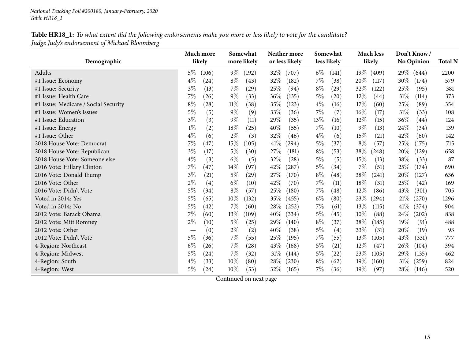| Demographic                          | Much more<br>likely         | Somewhat<br>more likely     | Neither more<br>or less likely | Somewhat<br>less likely | <b>Much less</b><br>likely | Don't Know/<br><b>No Opinion</b> | <b>Total N</b> |
|--------------------------------------|-----------------------------|-----------------------------|--------------------------------|-------------------------|----------------------------|----------------------------------|----------------|
|                                      |                             |                             |                                |                         |                            |                                  |                |
| Adults                               | $5\%$<br>(106)              | $9\%$<br>(192)              | 32\%<br>(707)                  | $6\%$<br>(141)          | $19\%$<br>(409)            | $29\%$<br>(644)                  | 2200           |
| #1 Issue: Economy                    | $4\%$<br>(24)               | $8\%$<br>(43)               | 32%<br>(182)                   | $7\%$<br>(38)           | 20%<br>(117)               | 30%<br>(174)                     | 579            |
| #1 Issue: Security                   | $3\%$<br>(13)               | $7\%$<br>(29)               | 25\%<br>(94)                   | $8\%$<br>(29)           | 32\%<br>(122)              | 25%<br>(95)                      | 381            |
| #1 Issue: Health Care                | 7%<br>(26)                  | $9\%$<br>(33)               | 36\%<br>(135)                  | $5\%$<br>(20)           | $12\%$<br>(44)             | 31%<br>(114)                     | 373            |
| #1 Issue: Medicare / Social Security | $8\%$<br>(28)               | $11\%$<br>(38)              | 35%<br>(123)                   | $4\%$<br>(16)           | 17%<br>(60)                | 25%<br>(89)                      | 354            |
| #1 Issue: Women's Issues             | $5\%$<br>(5)                | $9\%$<br>(9)                | 33\%<br>(36)                   | $7\%$<br>(7)            | $16\%$<br>(17)             | 31%<br>(33)                      | 108            |
| #1 Issue: Education                  | $3\%$<br>(3)                | $9\%$<br>(11)               | 29%<br>(35)                    | 13\%<br>(16)            | 12%<br>(15)                | 36%<br>(44)                      | 124            |
| #1 Issue: Energy                     | $1\%$<br>(2)                | $18\%$<br>(25)              | 40%<br>(55)                    | $7\%$<br>(10)           | $9\%$<br>(13)              | 24\%<br>(34)                     | 139            |
| #1 Issue: Other                      | $4\%$<br>(6)                | $2\%$<br>(3)                | 32%<br>(46)                    | $4\%$<br>(6)            | 15%<br>(21)                | 42%<br>(60)                      | 142            |
| 2018 House Vote: Democrat            | $7\%$<br>(47)               | 15%<br>(105)                | 41%<br>(294)                   | $5\%$<br>(37)           | $8\%$<br>(57)              | 25%<br>(175)                     | 715            |
| 2018 House Vote: Republican          | $3\%$<br>(17)               | $5\%$<br>(30)               | 27%<br>(181)                   | $8\%$<br>(53)           | 38\%<br>(248)              | 20%<br>(129)                     | 658            |
| 2018 House Vote: Someone else        | $4\%$<br>(3)                | $6\%$<br>(5)                | 32%<br>(28)                    | $5\%$<br>(5)            | $15\%$<br>(13)             | 38%<br>(33)                      | 87             |
| 2016 Vote: Hillary Clinton           | $7\%$<br>(47)               | $14\%$<br>(97)              | 42\%<br>(287)                  | $5\%$<br>(34)           | $7\%$<br>(51)              | 25\%<br>(174)                    | 690            |
| 2016 Vote: Donald Trump              | $3\%$<br>(21)               | $5\%$<br>$\left( 29\right)$ | 27%<br>(170)                   | $8\%$<br>(48)           | 38%<br>(241)               | 20%<br>(127)                     | 636            |
| 2016 Vote: Other                     | $2\%$<br>(4)                | $6\%$<br>(10)               | 42%<br>(70)                    | $7\%$<br>(11)           | $18\%$<br>(31)             | 25%<br>(42)                      | 169            |
| 2016 Vote: Didn't Vote               | $5\%$<br>(34)               | $8\%$<br>(57)               | 25\%<br>(180)                  | $7\%$<br>(48)           | 12%<br>(86)                | 43%<br>(301)                     | 705            |
| Voted in 2014: Yes                   | $5\%$<br>(65)               | $10\%$<br>(132)             | 35%<br>(455)                   | $6\%$<br>(80)           | 23\%<br>(294)              | 21%<br>(270)                     | 1296           |
| Voted in 2014: No                    | $5\%$<br>(42)               | $7\%$<br>(60)               | 28\%<br>(252)                  | $7\%$<br>(61)           | $13\%$<br>(115)            | 41\%<br>(374)                    | 904            |
| 2012 Vote: Barack Obama              | 7%<br>(60)                  | 13%<br>(109)                | 40%<br>(334)                   | $5\%$<br>(45)           | 10%<br>(88)                | 24\%<br>(202)                    | 838            |
| 2012 Vote: Mitt Romney               | $2\%$<br>(10)               | $5\%$<br>(25)               | 29\%<br>(140)                  | $8\%$<br>(37)           | 38\%<br>(185)              | 19%<br>(91)                      | 488            |
| 2012 Vote: Other                     | (0)                         | $2\%$<br>(2)                | 40%<br>(38)                    | $5\%$<br>(4)            | 33\%<br>(31)               | 20%<br>(19)                      | 93             |
| 2012 Vote: Didn't Vote               | $5\%$<br>(36)               | $7\%$<br>(55)               | 25%<br>(195)                   | $7\%$<br>(55)           | 13\%<br>(105)              | 43%<br>(331)                     | 777            |
| 4-Region: Northeast                  | $6\%$<br>(26)               | $7\%$<br>(28)               | 43\%<br>(168)                  | $5\%$<br>(21)           | $12\%$<br>(47)             | 26\%<br>(104)                    | 394            |
| 4-Region: Midwest                    | $5\%$<br>(24)               | $7\%$<br>(32)               | $31\%$<br>(144)                | $5\%$<br>(22)           | 23\%<br>(105)              | 29%<br>(135)                     | 462            |
| 4-Region: South                      | $4\%$<br>(33)               | $10\%$<br>(80)              | 28\%<br>(230)                  | $8\%$<br>(62)           | $19\%$<br>(160)            | $31\%$<br>(259)                  | 824            |
| 4-Region: West                       | $5\%$<br>$\left( 24\right)$ | $10\%$<br>(53)              | 32%<br>(165)                   | $7\%$<br>(36)           | $19\%$<br>(97)             | 28\%<br>(146)                    | 520            |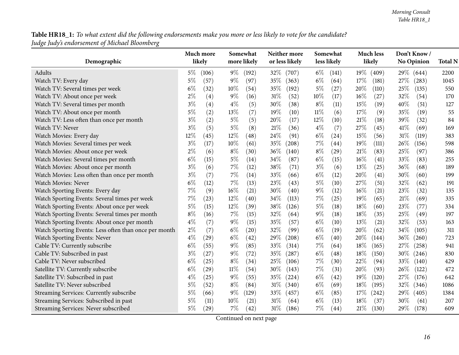|                                                       | Much more |                    |        | Somewhat    |        | Neither more   |        | Somewhat    |        | <b>Much less</b> |      | Don't Know/ |                |
|-------------------------------------------------------|-----------|--------------------|--------|-------------|--------|----------------|--------|-------------|--------|------------------|------|-------------|----------------|
| Demographic                                           | likely    |                    |        | more likely |        | or less likely |        | less likely |        | likely           |      | No Opinion  | <b>Total N</b> |
| Adults                                                | $5\%$     | (106)              | $9\%$  | (192)       | 32\%   | (707)          | $6\%$  | (141)       | $19\%$ | (409)            | 29\% | (644)       | 2200           |
| Watch TV: Every day                                   | $5\%$     | (57)               | $9\%$  | (97)        | 35%    | (363)          | $6\%$  | (64)        | 17%    | (181)            | 27%  | (283)       | 1045           |
| Watch TV: Several times per week                      | $6\%$     | (32)               | $10\%$ | (54)        | 35%    | (192)          | $5\%$  | (27)        | 20%    | (110)            | 25%  | (135)       | 550            |
| Watch TV: About once per week                         | $2\%$     | (4)                | $9\%$  | (16)        | 31%    | (52)           | 10%    | (17)        | 16%    | (27)             | 32%  | (54)        | 170            |
| Watch TV: Several times per month                     | $3\%$     | (4)                | $4\%$  | (5)         | 30%    | (38)           | $8\%$  | (11)        | 15%    | (19)             | 40%  | (51)        | 127            |
| Watch TV: About once per month                        | $5\%$     | (2)                | 13%    | (7)         | 19%    | (10)           | $11\%$ | (6)         | 17%    | (9)              | 35%  | (19)        | 55             |
| Watch TV: Less often than once per month              | $3\%$     | (2)                | $5\%$  | (5)         | 20%    | (17)           | 12%    | (10)        | 21%    | (18)             | 39%  | (32)        | 84             |
| Watch TV: Never                                       | $3\%$     | (5)                | $5\%$  | (8)         | 21%    | (36)           | $4\%$  | (7)         | 27%    | (45)             | 41\% | (69)        | 169            |
| Watch Movies: Every day                               | 12%       | (45)               | 12%    | (48)        | 24%    | (91)           | $6\%$  | (24)        | $15\%$ | (56)             | 31%  | (119)       | 383            |
| Watch Movies: Several times per week                  | $3\%$     | (17)               | 10%    | (61)        | 35%    | (208)          | 7%     | (44)        | 19%    | (111)            | 26%  | (156)       | 598            |
| Watch Movies: About once per week                     | $2\%$     | (6)                | $8\%$  | (30)        | 36%    | (140)          | $8\%$  | (29)        | 21%    | (83)             | 25%  | (97)        | 386            |
| Watch Movies: Several times per month                 | $6\%$     | (15)               | $5\%$  | (14)        | 34%    | (87)           | $6\%$  | (15)        | 16%    | (41)             | 33%  | (83)        | 255            |
| Watch Movies: About once per month                    | $3\%$     | (6)                | $7\%$  | (12)        | 38%    | (71)           | $3\%$  | (6)         | 13%    | (25)             | 36%  | (68)        | 189            |
| Watch Movies: Less often than once per month          | $3\%$     | (7)                | $7\%$  | (14)        | 33%    | (66)           | $6\%$  | (12)        | 20%    | (41)             | 30%  | (60)        | 199            |
| Watch Movies: Never                                   | $6\%$     | (12)               | 7%     | (13)        | 23%    | (43)           | $5\%$  | (10)        | 27%    | (51)             | 32%  | (62)        | 191            |
| Watch Sporting Events: Every day                      | 7%        | (9)                | 16%    | (21)        | 30%    | (40)           | $9\%$  | (12)        | 16%    | (21)             | 23%  | (32)        | 135            |
| Watch Sporting Events: Several times per week         | 7%        | (23)               | $12\%$ | (40)        | 34%    | (113)          | $7\%$  | (25)        | 19%    | (65)             | 21%  | (69)        | 335            |
| Watch Sporting Events: About once per week            | $5\%$     | (15)               | $12\%$ | (39)        | 38%    | (126)          | $5\%$  | (18)        | 18%    | (60)             | 23%  | (77)        | 334            |
| Watch Sporting Events: Several times per month        | $8\%$     | (16)               | $7\%$  | (15)        | 32%    | (64)           | $9\%$  | (18)        | 18%    | (35)             | 25%  | (49)        | 197            |
| Watch Sporting Events: About once per month           | $4\%$     | (7)                | $9\%$  | (15)        | 35%    | (57)           | $6\%$  | (10)        | 13%    | (21)             | 32%  | (53)        | 163            |
| Watch Sporting Events: Less often than once per month | $2\%$     | (7)                | $6\%$  | (20)        | 32%    | (99)           | $6\%$  | (19)        | 20%    | (62)             | 34%  | (105)       | 311            |
| Watch Sporting Events: Never                          | $4\%$     | (29)               | $6\%$  | (42)        | 29%    | (208)          | $6\%$  | (40)        | 20%    | (144)            | 36%  | (260)       | 723            |
| Cable TV: Currently subscribe                         | $6\%$     | (55)               | $9\%$  | (85)        | 33%    | (314)          | $7\%$  | (64)        | 18%    | (165)            | 27%  | (258)       | 941            |
| Cable TV: Subscribed in past                          | $3\%$     | (27)               | $9\%$  | (72)        | 35%    | (287)          | $6\%$  | (48)        | 18%    | (150)            | 30%  | (246)       | 830            |
| Cable TV: Never subscribed                            | $6\%$     | (25)               | $8\%$  | (34)        | 25%    | (106)          | 7%     | (30)        | 22%    | (94)             | 33%  | (140)       | 429            |
| Satellite TV: Currently subscribe                     | $6\%$     | $\left( 29\right)$ | $11\%$ | (54)        | 30%    | (143)          | $7\%$  | (31)        | 20%    | (93)             | 26%  | (122)       | 472            |
| Satellite TV: Subscribed in past                      | $4\%$     | (25)               | $9\%$  | (55)        | 35%    | (224)          | $6\%$  | (42)        | 19%    | (120)            | 27%  | (176)       | 642            |
| Satellite TV: Never subscribed                        | $5\%$     | (52)               | $8\%$  | (84)        | 31%    | (340)          | $6\%$  | (69)        | 18%    | (195)            | 32%  | (346)       | 1086           |
| Streaming Services: Currently subscribe               | $5\%$     | (66)               | $9\%$  | (129)       | 33%    | (457)          | $6\%$  | (85)        | 17%    | (242)            | 29%  | (405)       | 1384           |
| Streaming Services: Subscribed in past                | 5%        | (11)               | 10%    | (21)        | 31%    | (64)           | $6\%$  | (13)        | 18%    | (37)             | 30%  | (61)        | 207            |
| Streaming Services: Never subscribed                  | $5\%$     | (29)               | 7%     | (42)        | $31\%$ | (186)          | $7\%$  | (44)        | 21%    | (130)            | 29%  | (178)       | 609            |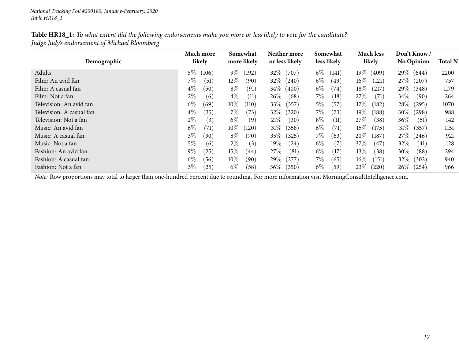| Table HR18_1: To what extent did the following endorsements make you more or less likely to vote for the candidate? |
|---------------------------------------------------------------------------------------------------------------------|
| Judge Judy's endorsement of Michael Bloomberg                                                                       |

| Demographic              | Much more<br>likely | Somewhat<br>more likely | Neither more<br>or less likely | Somewhat<br>less likely | <b>Much less</b><br>likely   | Don't Know/<br><b>No Opinion</b> | <b>Total N</b> |
|--------------------------|---------------------|-------------------------|--------------------------------|-------------------------|------------------------------|----------------------------------|----------------|
| Adults                   | $5\%$<br>(106)      | $9\%$<br>(192)          | $32\%$<br>(707)                | $6\%$<br>(141)          | $19\%$<br>(409)              | 29\% (644)                       | 2200           |
| Film: An avid fan        | $7\%$<br>(51)       | $12\%$<br>(90)          | $32\%$<br>(240)                | $6\%$<br>(49)           | $16\%$<br>$\left(121\right)$ | $27\%$ (<br>(207)                | 757            |
| Film: A casual fan       | $4\%$<br>(50)       | $8\%$<br>(91)           | $34\%$<br>(400)                | $6\%$<br>(74)           | $18\%$<br>(217)              | $29\%$ (<br>(348)                | 1179           |
| Film: Not a fan          | $2\%$<br>(6)        | $4\%$<br>(11)           | $26\%$<br>(68)                 | $7\%$<br>(18)           | 27%<br>$\left( 71\right)$    | $34\%$<br>(90)                   | 264            |
| Television: An avid fan  | $6\%$<br>(69)       | $10\%$<br>(110)         | $33\%$<br>(357)                | $5\%$<br>(57            | $17\%$<br>(182)              | $28\%$<br>(295)                  | 1070           |
| Television: A casual fan | $4\%$<br>(35)       | $7\%$<br>(73)           | $32\%$<br>(320)                | $7\%$<br>(73)           | $19\%$<br>(188)              | $30\%$ (<br>(298)                | 988            |
| Television: Not a fan    | $2\%$<br>(3)        | $6\%$<br>(9)            | 21%<br>(30)                    | $8\%$<br>(11)           | 27%<br>(38)                  | $36\%$<br>(51)                   | 142            |
| Music: An avid fan       | $6\%$<br>(71)       | $10\%$<br>(120)         | 31%<br>(358)                   | $6\%$<br>(71)           | $15\%$<br>(175)              | $31\%$<br>(357)                  | 1151           |
| Music: A casual fan      | $3\%$<br>(30)       | $8\%$<br>(70)           | $35\%$<br>(325)                | $7\%$<br>(63)           | $20\%$<br>(187               | $27\%$<br>(246)                  | 921            |
| Music: Not a fan         | $5\%$<br>(6)        | $2\%$<br>(3)            | $19\%$<br>(24)                 | $6\%$<br>(7)            | $37\%$<br>(47)               | $32\%$<br>(41)                   | 128            |
| Fashion: An avid fan     | $9\%$<br>25)        | $15\%$<br>(44)          | 27%<br>(81)                    | $6\%$<br>(17)           | $13\%$<br>(38)               | $30\%$<br>(88)                   | 294            |
| Fashion: A casual fan    | $6\%$<br>(56)       | $10\%$<br>(90)          | $29\%$<br>(277)                | $7\%$<br>(65)           | $16\%$<br>(151)              | $32\%$<br>(302)                  | 940            |
| Fashion: Not a fan       | $3\%$<br>25         | $6\%$<br>(58)           | $36\%$<br>(350)                | $6\%$<br>(59)           | $23\%$<br>(220)              | $26\%$<br>(254)                  | 966            |

*Note:* Row proportions may total to larger than one-hundred percen<sup>t</sup> due to rounding. For more information visit [MorningConsultIntelligence.com](https://morningconsultintelligence.com).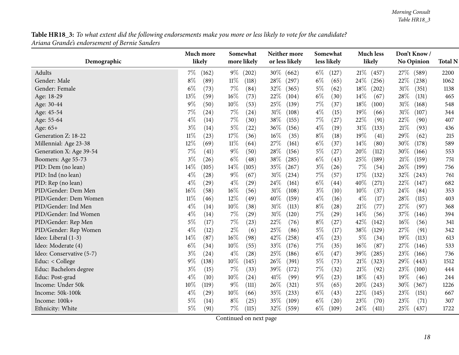**Table HR18\_3:** To what extent did the following endorsements make you more or less likely to vote for the candidate? *Ariana Grande's endorsement of Bernie Sanders*

<span id="page-17-0"></span>

|                          | Much more      | Somewhat        | Neither more    | Somewhat       | <b>Much less</b> | Don't Know/       |                |
|--------------------------|----------------|-----------------|-----------------|----------------|------------------|-------------------|----------------|
| Demographic              | likely         | more likely     | or less likely  | less likely    | likely           | <b>No Opinion</b> | <b>Total N</b> |
| Adults                   | 7%<br>(162)    | $9\%$<br>(202)  | $30\%$<br>(662) | $6\%$<br>(127) | 21%<br>(457)     | 27\%<br>(589)     | 2200           |
| Gender: Male             | $8\%$<br>(89)  | $11\%$<br>(118) | 28%<br>(297)    | $6\%$<br>(65)  | 24\%<br>(256)    | 22%<br>(238)      | 1062           |
| Gender: Female           | $6\%$<br>(73)  | $7\%$<br>(84)   | 32%<br>(365)    | $5\%$<br>(62)  | 18%<br>(202)     | 31%<br>(351)      | 1138           |
| Age: 18-29               | 13%<br>(59)    | 16%<br>(73)     | 22%<br>(104)    | $6\%$<br>(30)  | 14%<br>(67)      | 28%<br>(131)      | 465            |
| Age: 30-44               | 9%<br>(50)     | 10%<br>(53)     | 25%<br>(139)    | 7%<br>(37)     | 18%<br>(100)     | 31%<br>(168)      | 548            |
| Age: 45-54               | 7%<br>(24)     | $7\%$<br>(24)   | $31\%$<br>(108) | $4\%$<br>(15)  | 19%<br>(66)      | 31%<br>(107)      | 344            |
| Age: 55-64               | $4\%$<br>(14)  | $7\%$<br>(30)   | $38\%$<br>(155) | $7\%$<br>(27)  | 22%<br>(91)      | 22%<br>(90)       | 407            |
| Age: 65+                 | $3\%$<br>(14)  | $5\%$<br>(22)   | 36%<br>(156)    | $4\%$<br>(19)  | $31\%$<br>(133)  | 21\%<br>(93)      | 436            |
| Generation Z: 18-22      | $11\%$<br>(23) | 17%<br>(36)     | 16%<br>(35)     | $8\%$<br>(18)  | 19%<br>(41)      | 29%<br>(62)       | 215            |
| Millennial: Age 23-38    | 12%<br>(69)    | $11\%$<br>(64)  | 27%<br>(161)    | $6\%$<br>(37)  | 14%<br>(80)      | 30%<br>(178)      | 589            |
| Generation X: Age 39-54  | 7%<br>(41)     | $9\%$<br>(50)   | 28%<br>(156)    | $5\%$<br>(27)  | 20%<br>(112)     | 30%<br>(166)      | 553            |
| Boomers: Age 55-73       | $3\%$<br>(26)  | $6\%$<br>(48)   | 38%<br>(285)    | $6\%$<br>(43)  | 25%<br>(189)     | 21%<br>(159)      | 751            |
| PID: Dem (no lean)       | 14%<br>(105)   | 14%<br>(105)    | 35%<br>(267)    | $3\%$<br>(26)  | $7\%$<br>(54)    | 26%<br>(199)      | 756            |
| PID: Ind (no lean)       | 4%<br>(28)     | $9\%$<br>(67)   | $31\%$<br>(234) | $7\%$<br>(57)  | 17%<br>(132)     | 32%<br>(243)      | 761            |
| PID: Rep (no lean)       | $4\%$<br>(29)  | $4\%$<br>(29)   | 24%<br>(161)    | $6\%$<br>(44)  | 40%<br>(271)     | 22%<br>(147)      | 682            |
| PID/Gender: Dem Men      | 16%<br>(58)    | 16%<br>(56)     | 31%<br>(108)    | $3\%$<br>(10)  | 10%<br>(37)      | 24%<br>(84)       | 353            |
| PID/Gender: Dem Women    | 11%<br>(46)    | 12%<br>(49)     | 40%<br>(159)    | $4\%$<br>(16)  | $4\%$<br>(17)    | 28%<br>(115)      | 403            |
| PID/Gender: Ind Men      | $4\%$<br>(14)  | $10\%$<br>(38)  | $31\%$<br>(113) | $8\%$<br>(28)  | $21\%$<br>(77)   | 27%<br>(97)       | 368            |
| PID/Gender: Ind Women    | $4\%$<br>(14)  | 7%<br>(29)      | 31%<br>(120)    | $7\%$<br>(29)  | 14%<br>(56)      | 37%<br>(146)      | 394            |
| PID/Gender: Rep Men      | 5%<br>(17)     | 7%<br>(23)      | 22%<br>(76)     | $8\%$<br>(27)  | 42%<br>(142)     | 16%<br>(56)       | 341            |
| PID/Gender: Rep Women    | $4\%$<br>(12)  | $2\%$<br>(6)    | 25%<br>(86)     | $5\%$<br>(17)  | 38%<br>(129)     | 27%<br>(91)       | 342            |
| Ideo: Liberal (1-3)      | 14%<br>(87)    | 16%<br>(98)     | 42%<br>(258)    | $4\%$<br>(23)  | 5%<br>(34)       | 19%<br>(113)      | 613            |
| Ideo: Moderate (4)       | $6\%$<br>(34)  | 10%<br>(55)     | 33%<br>(176)    | 7%<br>(35)     | 16%<br>(87)      | 27%<br>(146)      | 533            |
| Ideo: Conservative (5-7) | $3\%$<br>(24)  | $4\%$<br>(28)   | 25%<br>(186)    | $6\%$<br>(47)  | 39%<br>(285)     | 23%<br>(166)      | 736            |
| Educ: < College          | $9\%$<br>(138) | 10%<br>(145)    | 26%<br>(391)    | $5\%$<br>(73)  | $21\%$<br>(323)  | 29%<br>(443)      | 1512           |
| Educ: Bachelors degree   | $3\%$<br>(15)  | $7\%$<br>(33)   | 39%<br>(172)    | $7\%$<br>(32)  | 21%<br>(92)      | 23%<br>(100)      | 444            |
| Educ: Post-grad          | $4\%$<br>(10)  | $10\%$<br>(24)  | 41\%<br>(99)    | $9\%$<br>(23)  | 18%<br>(43)      | 19%<br>(46)       | 244            |
| Income: Under 50k        | 10%<br>(119)   | $9\%$<br>(111)  | 26\%<br>(321)   | $5\%$<br>(65)  | 20%<br>(243)     | 30%<br>(367)      | 1226           |
| Income: 50k-100k         | $4\%$<br>(29)  | 10%<br>(66)     | 35%<br>(233)    | $6\%$<br>(43)  | 22%<br>(145)     | 23%<br>(151)      | 667            |
| Income: 100k+            | 5%<br>(14)     | $8\%$<br>(25)   | 35%<br>(109)    | $6\%$<br>(20)  | 23%<br>(70)      | 23%<br>(71)       | 307            |
| Ethnicity: White         | $5\%$<br>(91)  | 7%<br>(115)     | 32%<br>(559)    | $6\%$<br>(109) | 24\%<br>(411)    | 25\%<br>(437)     | 1722           |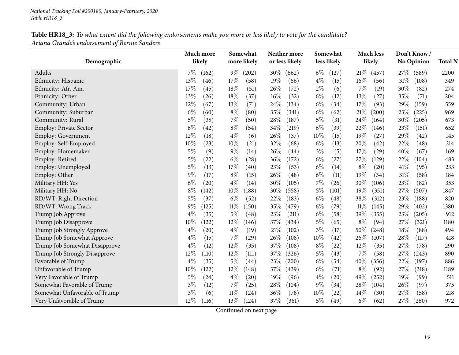| Table HR18_3: To what extent did the following endorsements make you more or less likely to vote for the candidate? |  |
|---------------------------------------------------------------------------------------------------------------------|--|
| Ariana Grande's endorsement of Bernie Sanders                                                                       |  |

|                               |        | Much more          |        | Somewhat           |        | Neither more   |        | Somewhat    |        | <b>Much less</b> |        | Don't Know/       |                |
|-------------------------------|--------|--------------------|--------|--------------------|--------|----------------|--------|-------------|--------|------------------|--------|-------------------|----------------|
| Demographic                   | likely |                    |        | more likely        |        | or less likely |        | less likely |        | likely           |        | <b>No Opinion</b> | <b>Total N</b> |
| Adults                        | $7\%$  | (162)              | $9\%$  | (202)              | 30\%   | (662)          | $6\%$  | (127)       | 21%    | (457)            | 27\%   | (589)             | 2200           |
| Ethnicity: Hispanic           | 13%    | (46)               | 17%    | (58)               | 19%    | (66)           | $4\%$  | (15)        | $16\%$ | (56)             | $31\%$ | (108)             | 349            |
| Ethnicity: Afr. Am.           | 17%    | (45)               | 18%    | (51)               | 26%    | (72)           | $2\%$  | (6)         | 7%     | (19)             | 30%    | (82)              | 274            |
| Ethnicity: Other              | 13%    | (26)               | $18\%$ | (37)               | $16\%$ | (32)           | $6\%$  | (12)        | 13\%   | (27)             | 35%    | (71)              | 204            |
| Community: Urban              | 12%    | (67)               | $13\%$ | (71)               | 24%    | (134)          | $6\%$  | (34)        | 17%    | (93)             | 29%    | (159)             | 559            |
| Community: Suburban           | $6\%$  | (60)               | $8\%$  | (80)               | 35%    | (341)          | $6\%$  | (62)        | 21%    | (200)            | 23\%   | (225)             | 969            |
| Community: Rural              | $5\%$  | (35)               | $7\%$  | (50)               | 28%    | (187)          | $5\%$  | (31)        | 24\%   | (164)            | 30%    | (205)             | 673            |
| Employ: Private Sector        | $6\%$  | (42)               | $8\%$  | (54)               | 34%    | (219)          | $6\%$  | (39)        | 22%    | (146)            | 23%    | (151)             | 652            |
| Employ: Government            | 12%    | (18)               | $4\%$  | (6)                | 26%    | (37)           | 10%    | (15)        | 19%    | (27)             | 29%    | (42)              | 145            |
| Employ: Self-Employed         | 10%    | (23)               | $10\%$ | (21)               | 32%    | (68)           | $6\%$  | (13)        | 20%    | (42)             | 22%    | (48)              | 214            |
| Employ: Homemaker             | $5\%$  | (9)                | $9\%$  | (14)               | 26%    | (44)           | $3\%$  | (5)         | 17%    | (29)             | 40%    | (67)              | 169            |
| Employ: Retired               | $5\%$  | (22)               | $6\%$  | $\left( 28\right)$ | 36\%   | (172)          | $6\%$  | (27)        | 27%    | (129)            | 22%    | (104)             | 483            |
| Employ: Unemployed            | $5\%$  | (13)               | 17%    | (40)               | 23%    | (53)           | $6\%$  | (14)        | $8\%$  | (20)             | 41\%   | (95)              | 233            |
| Employ: Other                 | 9%     | (17)               | $8\%$  | (15)               | 26\%   | (48)           | $6\%$  | (11)        | $19\%$ | (34)             | 31%    | (58)              | 184            |
| Military HH: Yes              | $6\%$  | (20)               | $4\%$  | (14)               | 30%    | (105)          | $7\%$  | (26)        | 30%    | (106)            | 23%    | (82)              | 353            |
| Military HH: No               | $8\%$  | (142)              | $10\%$ | (188)              | 30%    | (558)          | $5\%$  | (101)       | 19%    | (351)            | 27%    | (507)             | 1847           |
| RD/WT: Right Direction        | $5\%$  | (37)               | $6\%$  | (52)               | 22\%   | (183)          | $6\%$  | (48)        | 38\%   | (312)            | 23%    | (188)             | 820            |
| RD/WT: Wrong Track            | $9\%$  | (125)              | $11\%$ | (150)              | 35%    | (479)          | $6\%$  | (79)        | $11\%$ | (145)            | 29\%   | (402)             | 1380           |
| Trump Job Approve             | $4\%$  | (35)               | 5%     | (48)               | 23%    | (211)          | $6\%$  | (58)        | 39\%   | (355)            | 23%    | (205)             | 912            |
| Trump Job Disapprove          | 10%    | (122)              | $12\%$ | (146)              | 37\%   | (434)          | $5\%$  | (65)        | $8\%$  | (94)             | 27%    | (321)             | 1180           |
| Trump Job Strongly Approve    | $4\%$  | $\left( 20\right)$ | $4\%$  | (19)               | 21%    | (102)          | $3\%$  | (17)        | $50\%$ | (248)            | 18%    | (88)              | 494            |
| Trump Job Somewhat Approve    | $4\%$  | (15)               | $7\%$  | (29)               | 26%    | (108)          | $10\%$ | (42)        | 26\%   | (107)            | 28%    | (117)             | 418            |
| Trump Job Somewhat Disapprove | $4\%$  | (12)               | 12%    | (35)               | 37%    | (108)          | $8\%$  | (22)        | 12%    | (35)             | 27%    | (78)              | 290            |
| Trump Job Strongly Disapprove | 12%    | (110)              | 12%    | (111)              | 37\%   | (326)          | $5\%$  | (43)        | 7%     | (58)             | 27\%   | (243)             | 890            |
| Favorable of Trump            | $4\%$  | (35)               | $5\%$  | (44)               | 23\%   | (200)          | $6\%$  | (54)        | 40%    | (356)            | 22%    | (197)             | 886            |
| Unfavorable of Trump          | 10%    | (122)              | 12%    | (148)              | 37%    | (439)          | $6\%$  | (71)        | $8\%$  | (92)             | 27%    | (318)             | 1189           |
| Very Favorable of Trump       | $5\%$  | (24)               | $4\%$  | (20)               | 19%    | (96)           | $4\%$  | (20)        | 49%    | (252)            | 19%    | (99)              | 511            |
| Somewhat Favorable of Trump   | $3\%$  | (12)               | $7\%$  | (25)               | 28\%   | (104)          | $9\%$  | (34)        | 28%    | (104)            | 26%    | (97)              | 375            |
| Somewhat Unfavorable of Trump | $3\%$  | (6)                | $11\%$ | (24)               | 36%    | (78)           | $10\%$ | (22)        | $14\%$ | (30)             | 27%    | (58)              | 218            |
| Very Unfavorable of Trump     | $12\%$ | (116)              | $13\%$ | (124)              | 37\%   | (361)          | $5\%$  | (49)        | $6\%$  | (62)             | 27\%   | (260)             | 972            |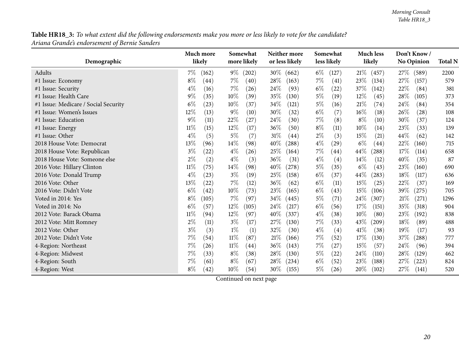Table HR18\_3: To what extent did the following endorsements make you more or less likely to vote for the candidate? *Ariana Grande's endorsement of Bernie Sanders*

|                                      |        | Much more |        | Somewhat         |        | Neither more   |       | Somewhat    |        | <b>Much less</b>    |        | Don't Know/ |                |
|--------------------------------------|--------|-----------|--------|------------------|--------|----------------|-------|-------------|--------|---------------------|--------|-------------|----------------|
| Demographic                          |        | likely    |        | more likely      |        | or less likely |       | less likely |        | likely              |        | No Opinion  | <b>Total N</b> |
| Adults                               | 7%     | (162)     | $9\%$  | (202)            | $30\%$ | (662)          | $6\%$ | (127)       | 21%    | (457)               | 27\%   | (589)       | 2200           |
| #1 Issue: Economy                    | $8\%$  | (44)      | $7\%$  | (40)             | 28\%   | (163)          | 7%    | (41)        | 23\%   | (134)               | 27%    | (157)       | 579            |
| #1 Issue: Security                   | $4\%$  | (16)      | $7\%$  | (26)             | 24%    | (93)           | $6\%$ | (22)        | $37\%$ | (142)               | 22%    | (84)        | 381            |
| #1 Issue: Health Care                | $9\%$  | (35)      | $10\%$ | (39)             | 35%    | (130)          | $5\%$ | (19)        | 12%    | (45)                | 28%    | (105)       | 373            |
| #1 Issue: Medicare / Social Security | $6\%$  | (23)      | $10\%$ | (37)             | 34%    | (121)          | $5\%$ | (16)        | 21%    | (74)                | 24\%   | (84)        | 354            |
| #1 Issue: Women's Issues             | 12%    | (13)      | $9\%$  | (10)             | 30%    | (32)           | $6\%$ | (7)         | 16%    | (18)                | 26%    | (28)        | 108            |
| #1 Issue: Education                  | $9\%$  | (11)      | 22\%   | (27)             | 24%    | (30)           | $7\%$ | (8)         | $8\%$  | (10)                | 30%    | (37)        | 124            |
| #1 Issue: Energy                     | $11\%$ | (15)      | $12\%$ | (17)             | 36%    | (50)           | $8\%$ | (11)        | 10%    | (14)                | 23%    | (33)        | 139            |
| #1 Issue: Other                      | $4\%$  | (5)       | $5\%$  | (7)              | $31\%$ | (44)           | $2\%$ | (3)         | 15%    | (21)                | 44%    | (62)        | 142            |
| 2018 House Vote: Democrat            | 13%    | (96)      | $14\%$ | (98)             | 40%    | (288)          | $4\%$ | (29)        | $6\%$  | (44)                | 22%    | (160)       | 715            |
| 2018 House Vote: Republican          | $3\%$  | (22)      | $4\%$  | (26)             | 25\%   | (164)          | $7\%$ | (44)        | $44\%$ | $\left( 288\right)$ | $17\%$ | (114)       | 658            |
| 2018 House Vote: Someone else        | $2\%$  | (2)       | $4\%$  | (3)              | 36%    | (31)           | $4\%$ | (4)         | 14\%   | (12)                | 40%    | (35)        | 87             |
| 2016 Vote: Hillary Clinton           | $11\%$ | (75)      | $14\%$ | (98)             | $40\%$ | (278)          | $5\%$ | (35)        | $6\%$  | (43)                | 23\%   | (160)       | 690            |
| 2016 Vote: Donald Trump              | $4\%$  | (23)      | $3\%$  | (19)             | 25%    | (158)          | $6\%$ | (37)        | 44\%   | (283)               | 18%    | (117)       | 636            |
| 2016 Vote: Other                     | 13%    | (22)      | $7\%$  | (12)             | 36%    | (62)           | $6\%$ | (11)        | 15%    | (25)                | 22%    | (37)        | 169            |
| 2016 Vote: Didn't Vote               | $6\%$  | (42)      | $10\%$ | (73)             | 23\%   | (165)          | $6\%$ | (43)        | $15\%$ | (106)               | 39%    | (275)       | 705            |
| Voted in 2014: Yes                   | $8\%$  | (105)     | 7%     | (97)             | 34\%   | (445)          | $5\%$ | (71)        | 24\%   | (307)               | 21%    | (271)       | 1296           |
| Voted in 2014: No                    | $6\%$  | (57)      | $12\%$ | (105)            | 24\%   | (217)          | $6\%$ | (56)        | 17%    | (151)               | 35%    | (318)       | 904            |
| 2012 Vote: Barack Obama              | $11\%$ | (94)      | $12\%$ | (97)             | 40%    | (337)          | $4\%$ | (38)        | 10%    | (80)                | 23%    | (192)       | 838            |
| 2012 Vote: Mitt Romney               | $2\%$  | (11)      | $3\%$  | (17)             | 27%    | (130)          | 7%    | (33)        | 43%    | (209)               | 18%    | (89)        | 488            |
| 2012 Vote: Other                     | $3\%$  | (3)       | $1\%$  | $\left(1\right)$ | 32%    | (30)           | $4\%$ | (4)         | 41\%   | (38)                | 19%    | (17)        | 93             |
| 2012 Vote: Didn't Vote               | 7%     | (54)      | $11\%$ | (87)             | 21\%   | (166)          | $7\%$ | (52)        | $17\%$ | (130)               | 37%    | (288)       | 777            |
| 4-Region: Northeast                  | 7%     | (26)      | $11\%$ | (44)             | 36%    | (143)          | $7\%$ | (27)        | 15%    | (57)                | 24%    | (96)        | 394            |
| 4-Region: Midwest                    | 7%     | (33)      | $8\%$  | (38)             | 28%    | (130)          | $5\%$ | (22)        | 24%    | (110)               | 28%    | (129)       | 462            |
| 4-Region: South                      | 7%     | (61)      | $8\%$  | (67)             | 28\%   | (234)          | $6\%$ | (52)        | 23%    | (188)               | 27%    | (223)       | 824            |
| 4-Region: West                       | $8\%$  | (42)      | $10\%$ | (54)             | $30\%$ | (155)          | $5\%$ | (26)        | 20%    | (102)               | 27%    | (141)       | 520            |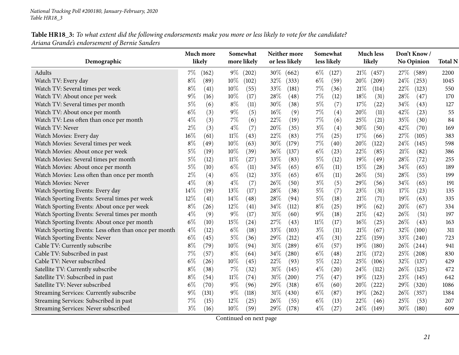### Table HR18\_3: To what extent did the following endorsements make you more or less likely to vote for the candidate? *Ariana Grande's endorsement of Bernie Sanders*

| Demographic                                           | Much more<br>likely | Somewhat<br>more likely | Neither more<br>or less likely | Somewhat<br>less likely | <b>Much less</b><br>likely | Don't Know/<br>No Opinion | <b>Total N</b> |
|-------------------------------------------------------|---------------------|-------------------------|--------------------------------|-------------------------|----------------------------|---------------------------|----------------|
| Adults                                                | $7\%$<br>(162)      | $9\%$<br>(202)          | 30\%<br>(662)                  | $6\%$<br>(127)          | 21%<br>(457)               | 27\%<br>(589)             | 2200           |
| Watch TV: Every day                                   | $8\%$<br>(89)       | 10%<br>(102)            | 32%<br>(333)                   | $6\%$<br>(59)           | 20%<br>(209)               | 24\%<br>(253)             | 1045           |
| Watch TV: Several times per week                      | $8\%$<br>(41)       | $10\%$<br>(55)          | 33%<br>(181)                   | $7\%$<br>(36)           | 21%<br>(114)               | 22%<br>(123)              | 550            |
| Watch TV: About once per week                         | $9\%$<br>(16)       | 10%<br>(17)             | 28%<br>(48)                    | $7\%$<br>(12)           | 18%<br>(31)                | 28%<br>(47)               | 170            |
| Watch TV: Several times per month                     | $5\%$<br>(6)        | $8\%$<br>(11)           | 30%<br>(38)                    | $5\%$<br>(7)            | 17%<br>(22)                | 34%<br>(43)               | 127            |
| Watch TV: About once per month                        | $6\%$<br>(3)        | $9\%$<br>(5)            | $16\%$<br>(9)                  | $7\%$<br>(4)            | 20%<br>(11)                | 42%<br>(23)               | 55             |
| Watch TV: Less often than once per month              | $4\%$<br>(3)        | $7\%$<br>(6)            | 22%<br>(19)                    | $7\%$<br>(6)            | 25%<br>(21)                | 35%<br>(30)               | 84             |
| Watch TV: Never                                       | $2\%$<br>(3)        | $4\%$<br>(7)            | 20%<br>(35)                    | $3\%$<br>(4)            | 30%<br>(50)                | 42%<br>(70)               | 169            |
| Watch Movies: Every day                               | 16%<br>(61)         | $11\%$<br>(43)          | 22%<br>(83)                    | $7\%$<br>(25)           | 17%<br>(66)                | 27\%<br>(105)             | 383            |
| Watch Movies: Several times per week                  | $8\%$<br>(49)       | 10%<br>(63)             | 30%<br>(179)                   | $7\%$<br>(40)           | 20%<br>(122)               | 24\%<br>(145)             | 598            |
| Watch Movies: About once per week                     | 5%<br>(19)          | 10%<br>(39)             | 36%<br>(137)                   | $6\%$<br>(23)           | 22%<br>(85)                | 21%<br>(82)               | 386            |
| Watch Movies: Several times per month                 | $5\%$<br>(12)       | $11\%$<br>(27)          | 33%<br>(83)                    | $5\%$<br>(12)           | 19%<br>(49)                | 28%<br>(72)               | 255            |
| Watch Movies: About once per month                    | $5\%$<br>(10)       | $6\%$<br>(11)           | 34%<br>(65)                    | $6\%$<br>(11)           | 15%<br>(28)                | 34%<br>(65)               | 189            |
| Watch Movies: Less often than once per month          | $2\%$<br>(4)        | $6\%$<br>(12)           | 33%<br>(65)                    | $6\%$<br>(11)           | 26%<br>(51)                | 28%<br>(55)               | 199            |
| Watch Movies: Never                                   | $4\%$<br>(8)        | $4\%$<br>(7)            | 26%<br>(50)                    | $3\%$<br>(5)            | 29%<br>(56)                | 34%<br>(65)               | 191            |
| Watch Sporting Events: Every day                      | 14%<br>(19)         | 13%<br>(17)             | 28%<br>(38)                    | $5\%$<br>(7)            | 23%<br>(31)                | 17%<br>(23)               | 135            |
| Watch Sporting Events: Several times per week         | $12\%$<br>(41)      | 14%<br>(48)             | 28%<br>(94)                    | $5\%$<br>(18)           | $21\%$<br>(71)             | 19%<br>(63)               | 335            |
| Watch Sporting Events: About once per week            | $8\%$<br>(26)       | $12\%$<br>(41)          | 34%<br>(112)                   | $8\%$<br>(25)           | 19%<br>(62)                | 20%<br>(67)               | 334            |
| Watch Sporting Events: Several times per month        | $4\%$<br>(9)        | $9\%$<br>(17)           | 31%<br>(60)                    | $9\%$<br>(18)           | 21\%<br>(42)               | 26%<br>(51)               | 197            |
| Watch Sporting Events: About once per month           | $6\%$<br>(10)       | 15%<br>(24)             | 27\%<br>(43)                   | $11\%$<br>(17)          | $16\%$<br>(25)             | 26%<br>(43)               | 163            |
| Watch Sporting Events: Less often than once per month | $4\%$<br>(12)       | $6\%$<br>(18)           | 33%<br>(103)                   | $3\%$<br>(11)           | $21\%$<br>(67)             | 32%<br>(100)              | 311            |
| Watch Sporting Events: Never                          | $6\%$<br>(45)       | $5\%$<br>(36)           | 29%<br>(212)                   | $4\%$<br>(31)           | 22\%<br>(159)              | 33\%<br>(240)             | 723            |
| Cable TV: Currently subscribe                         | $8\%$<br>(79)       | 10%<br>(94)             | 31%<br>(289)                   | $6\%$<br>(57)           | $19\%$<br>(180)            | $26\%$<br>(244)           | 941            |
| Cable TV: Subscribed in past                          | 7%<br>(57)          | $8\%$<br>(64)           | 34\%<br>(280)                  | $6\%$<br>(48)           | 21%<br>(172)               | 25%<br>(208)              | 830            |
| Cable TV: Never subscribed                            | $6\%$<br>(26)       | 10%<br>(45)             | 22%<br>(93)                    | $5\%$<br>(22)           | 25%<br>(106)               | 32%<br>(137)              | 429            |
| Satellite TV: Currently subscribe                     | $8\%$<br>(38)       | $7\%$<br>(32)           | $31\%$<br>(145)                | $4\%$<br>(20)           | 24\%<br>(112)              | 26\%<br>(125)             | 472            |
| Satellite TV: Subscribed in past                      | $8\%$<br>(54)       | $11\%$<br>(74)          | $31\%$<br>(200)                | $7\%$<br>(47)           | $19\%$<br>(123)            | 23%<br>(145)              | 642            |
| Satellite TV: Never subscribed                        | $6\%$<br>(70)       | $9\%$<br>(96)           | 29%<br>(318)                   | $6\%$<br>(60)           | 20%<br>(222)               | 29\%<br>(320)             | 1086           |
| Streaming Services: Currently subscribe               | 9%<br>(131)         | $9\%$<br>(118)          | $31\%$<br>(430)                | $6\%$<br>(87)           | $19\%$<br>(262)            | 26\%<br>(357)             | 1384           |
| Streaming Services: Subscribed in past                | 7%<br>(15)          | $12\%$<br>(25)          | 26%<br>(55)                    | $6\%$<br>(13)           | 22%<br>(46)                | 25%<br>(53)               | 207            |
| Streaming Services: Never subscribed                  | $3\%$<br>(16)       | $10\%$<br>(59)          | 29%<br>(178)                   | $4\%$<br>(27)           | $24\%$<br>(149)            | $30\%$<br>(180)           | 609            |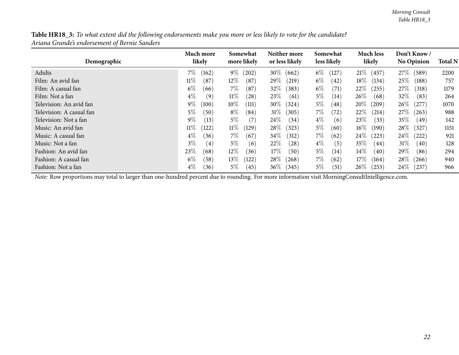| Table HR18_3: To what extent did the following endorsements make you more or less likely to vote for the candidate? |  |
|---------------------------------------------------------------------------------------------------------------------|--|
| Ariana Grande's endorsement of Bernie Sanders                                                                       |  |

| Demographic              | Much more<br>likely        | Somewhat<br>more likely | Neither more<br>or less likely | Somewhat<br>less likely   | <b>Much less</b><br>likely | Don't Know/<br><b>No Opinion</b> | <b>Total N</b> |
|--------------------------|----------------------------|-------------------------|--------------------------------|---------------------------|----------------------------|----------------------------------|----------------|
| Adults                   | $7\%$<br>(162)             | $9\%$<br>(202)          | $30\%$<br>(662)                | $6\%$<br>$\overline{127}$ | $21\%$<br>(457)            | $27\%$<br>(589)                  | 2200           |
| Film: An avid fan        | $11\%$<br>(87)             | $12\%$<br>(87)          | 29%<br>(219)                   | $6\%$<br>(42)             | $18\%$<br>(134)            | $25\%$<br>(188)                  | 757            |
| Film: A casual fan       | $6\%$<br>(66)              | $7\%$<br>(87)           | $32\%$<br>(383)                | $6\%$<br>(71)             | $22\%$<br>(255)            | $27\%$<br>(318)                  | 1179           |
| Film: Not a fan          | $4\%$<br>$\left(9\right)$  | $11\%$<br>(28)          | 23\%<br>(61)                   | $5\%$<br>(14)             | $26\%$<br>(68)             | $32\%$<br>(83)                   | 264            |
| Television: An avid fan  | $9\%$<br>(100)             | $10\%$<br>(111)         | $30\%$<br>(324)                | $5\%$<br>(48)             | $20\%$<br>(209)            | $26\%$<br>(277)                  | 1070           |
| Television: A casual fan | $5\%$<br>(50)              | $8\%$<br>(84)           | 31%<br>(305)                   | $7\%$<br>(72)             | $22\%$<br>(214)            | $27\%$<br>(263)                  | 988            |
| Television: Not a fan    | $9\%$<br>(13)              | $5\%$<br>(7)            | $24\%$<br>(34)                 | $4\%$<br>(6)              | 23\%<br>(33)               | $35\%$<br>(49)                   | 142            |
| Music: An avid fan       | $11\%$<br>(122)            | $11\%$<br>(129)         | $28\%$<br>(323)                | $5\%$<br>(60)             | $16\%$<br>(190)            | $28\%$<br>(327)                  | 1151           |
| Music: A casual fan      | $4\%$<br>(36)              | $7\%$<br>(67)           | $34\%$<br>(312)                | $7\%$<br>(62)             | $24\%$<br>(223)            | $24\%$<br>(222)                  | 921            |
| Music: Not a fan         | $3\%$<br>$\left( 4\right)$ | $5\%$<br>(6)            | $22\%$<br>(28)                 | $4\%$<br>(5)              | $35\%$<br>(44)             | $31\%$<br>(40)                   | 128            |
| Fashion: An avid fan     | 23\%<br>(68)               | $12\%$<br>(36)          | 17%<br>(50)                    | $5\%$<br>(14)             | $14\%$<br>(40)             | $29\%$<br>(86)                   | 294            |
| Fashion: A casual fan    | $6\%$<br>(58)              | $13\%$<br>(122)         | $28\%$<br>(268)                | $7\%$<br>(62)             | $17\%$<br>(164)            | $28\%$<br>(266)                  | 940            |
| Fashion: Not a fan       | $4\%$<br>(36)              | $5\%$<br>(45)           | $36\%$<br>(345)                | $5\%$<br>(51)             | $26\%$<br>(253)            | $24\%$<br>(237)                  | 966            |

*Note:* Row proportions may total to larger than one-hundred percen<sup>t</sup> due to rounding. For more information visit [MorningConsultIntelligence.com](https://morningconsultintelligence.com).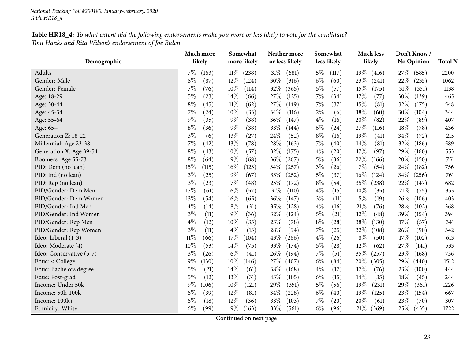| Table HR18_4: To what extent did the following endorsements make you more or less likely to vote for the candidate? |  |
|---------------------------------------------------------------------------------------------------------------------|--|
| Tom Hanks and Rita Wilson's endorsement of Joe Biden                                                                |  |

<span id="page-22-0"></span>

|                          | Much more      | Somewhat        | Neither more    | Somewhat       | <b>Much less</b> | Don't Know/       |                |
|--------------------------|----------------|-----------------|-----------------|----------------|------------------|-------------------|----------------|
| Demographic              | likely         | more likely     | or less likely  | less likely    | likely           | <b>No Opinion</b> | <b>Total N</b> |
| Adults                   | $7\%$<br>(163) | $11\%$<br>(238) | $31\%$<br>(681) | $5\%$<br>(117) | 19%<br>(416)     | 27\%<br>(585)     | 2200           |
| Gender: Male             | $8\%$<br>(87)  | $12\%$<br>(124) | 30%<br>(316)    | $6\%$<br>(60)  | 23\%<br>(241)    | 22%<br>(235)      | 1062           |
| Gender: Female           | 7%<br>(76)     | $10\%$<br>(114) | $32\%$<br>(365) | $5\%$<br>(57)  | 15%<br>(175)     | $31\%$<br>(351)   | 1138           |
| Age: 18-29               | $5\%$<br>(23)  | $14\%$<br>(66)  | 27\%<br>(125)   | $7\%$<br>(34)  | 17%<br>(77)      | 30%<br>(139)      | 465            |
| Age: 30-44               | $8\%$<br>(45)  | $11\%$<br>(62)  | 27\%<br>(149)   | $7\%$<br>(37)  | 15%<br>(81)      | 32%<br>(175)      | 548            |
| Age: 45-54               | $7\%$<br>(24)  | 10%<br>(33)     | 34%<br>(116)    | $2\%$<br>(6)   | 18%<br>(60)      | 30%<br>(104)      | 344            |
| Age: 55-64               | $9\%$<br>(35)  | $9\%$<br>(38)   | 36%<br>(147)    | $4\%$<br>(16)  | 20%<br>(82)      | 22%<br>(89)       | 407            |
| Age: 65+                 | $8\%$<br>(36)  | $9\%$<br>(38)   | 33\%<br>(144)   | $6\%$<br>(24)  | 27\%<br>(116)    | 18%<br>(78)       | 436            |
| Generation Z: 18-22      | $3\%$<br>(6)   | $13\%$<br>(27)  | 24%<br>(52)     | $8\%$<br>(16)  | 19%<br>(41)      | 34%<br>(72)       | 215            |
| Millennial: Age 23-38    | 7%<br>(42)     | 13%<br>(78)     | 28\%<br>(163)   | $7\%$<br>(40)  | 14%<br>(81)      | 32%<br>(186)      | 589            |
| Generation X: Age 39-54  | $8\%$<br>(43)  | 10%<br>(57)     | 32%<br>(175)    | $4\%$<br>(20)  | 17%<br>(97)      | 29%<br>(160)      | 553            |
| Boomers: Age 55-73       | $8\%$<br>(64)  | $9\%$<br>(68)   | 36\%<br>(267)   | $5\%$<br>(36)  | 22%<br>(166)     | 20%<br>(150)      | 751            |
| PID: Dem (no lean)       | 15%<br>(115)   | $16\%$<br>(123) | $34\%$<br>(257) | $3\%$<br>(26)  | $7\%$<br>(54)    | 24%<br>(182)      | 756            |
| PID: Ind (no lean)       | $3\%$<br>(25)  | $9\%$<br>(67)   | 33%<br>(252)    | $5\%$<br>(37)  | 16%<br>(124)     | 34%<br>(256)      | 761            |
| PID: Rep (no lean)       | $3\%$<br>(23)  | $7\%$<br>(48)   | 25%<br>(172)    | $8\%$<br>(54)  | 35\%<br>(238)    | 22%<br>(147)      | 682            |
| PID/Gender: Dem Men      | 17%<br>(61)    | $16\%$<br>(57)  | 31%<br>(110)    | $4\%$<br>(15)  | 10%<br>(35)      | 21%<br>(75)       | 353            |
| PID/Gender: Dem Women    | 13%<br>(54)    | $16\%$<br>(65)  | 36\%<br>(147)   | $3\%$<br>(11)  | 5%<br>(19)       | 26%<br>(106)      | 403            |
| PID/Gender: Ind Men      | $4\%$<br>(14)  | $8\%$<br>(31)   | 35%<br>(128)    | $4\%$<br>(16)  | 21%<br>(76)      | 28%<br>(102)      | 368            |
| PID/Gender: Ind Women    | $3\%$<br>(11)  | $9\%$<br>(36)   | 32%<br>(124)    | $5\%$<br>(21)  | 12%<br>(48)      | 39%<br>(154)      | 394            |
| PID/Gender: Rep Men      | $4\%$<br>(12)  | $10\%$<br>(35)  | 23%<br>(78)     | $8\%$<br>(28)  | 38%<br>(130)     | 17%<br>(57)       | 341            |
| PID/Gender: Rep Women    | $3\%$<br>(11)  | $4\%$<br>(13)   | 28\%<br>(94)    | $7\%$<br>(25)  | 32%<br>(108)     | 26%<br>(90)       | 342            |
| Ideo: Liberal (1-3)      | $11\%$<br>(66) | 17%<br>(104)    | 43%<br>(266)    | $4\%$<br>(26)  | $8\%$<br>(50)    | 17%<br>(102)      | 613            |
| Ideo: Moderate (4)       | 10%<br>(53)    | 14\%<br>(75)    | 33%<br>(174)    | $5\%$<br>(28)  | 12%<br>(62)      | 27%<br>(141)      | 533            |
| Ideo: Conservative (5-7) | $3\%$<br>(26)  | $6\%$<br>(41)   | 26%<br>(194)    | $7\%$<br>(51)  | 35%<br>(257)     | 23%<br>(168)      | 736            |
| Educ: < College          | $9\%$<br>(130) | $10\%$<br>(146) | 27\%<br>(407)   | $6\%$<br>(84)  | 20%<br>(305)     | 29%<br>(440)      | 1512           |
| Educ: Bachelors degree   | $5\%$<br>(21)  | 14%<br>(61)     | 38%<br>(168)    | $4\%$<br>(17)  | 17%<br>(76)      | 23%<br>(100)      | 444            |
| Educ: Post-grad          | $5\%$<br>(12)  | 13%<br>(31)     | 43%<br>(105)    | $6\%$<br>(15)  | 14%<br>(35)      | 18%<br>(45)       | 244            |
| Income: Under 50k        | $9\%$<br>(106) | $10\%$<br>(121) | 29%<br>(351)    | $5\%$<br>(56)  | 19%<br>(231)     | 29%<br>(361)      | 1226           |
| Income: 50k-100k         | $6\%$<br>(39)  | $12\%$<br>(81)  | 34\%<br>(228)   | $6\%$<br>(40)  | $19\%$<br>(125)  | 23%<br>(154)      | 667            |
| Income: 100k+            | $6\%$<br>(18)  | $12\%$<br>(36)  | 33%<br>(103)    | 7%<br>(20)     | 20%<br>(61)      | 23%<br>(70)       | 307            |
| Ethnicity: White         | $6\%$<br>(99)  | $9\%$<br>(163)  | 33\%<br>(561)   | $6\%$<br>(96)  | 21%<br>(369)     | 25\%<br>(435)     | 1722           |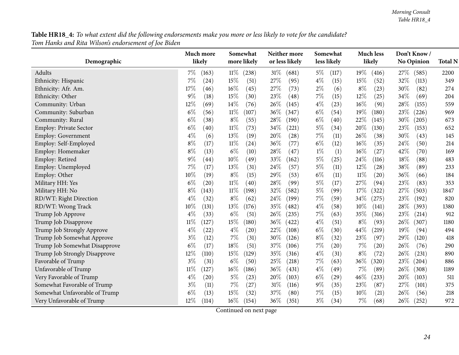Table HR18\_4: To what extent did the following endorsements make you more or less likely to vote for the candidate? *Tom Hanks and Rita Wilson's endorsement of Joe Biden*

|                               | Much more       | Somewhat        | Neither more   | Somewhat       | <b>Much less</b> | Don't Know/   |                |
|-------------------------------|-----------------|-----------------|----------------|----------------|------------------|---------------|----------------|
| Demographic                   | likely          | more likely     | or less likely | less likely    | likely           | No Opinion    | <b>Total N</b> |
| Adults                        | $7\%$<br>(163)  | $11\%$<br>(238) | 31%<br>(681)   | $5\%$<br>(117) | $19\%$<br>(416)  | 27\%<br>(585) | 2200           |
| Ethnicity: Hispanic           | 7%<br>(24)      | 15%<br>(51)     | 27%<br>(95)    | $4\%$<br>(15)  | 15%<br>(52)      | 32%<br>(113)  | 349            |
| Ethnicity: Afr. Am.           | 17%<br>(46)     | $16\%$<br>(45)  | 27%<br>(73)    | $2\%$<br>(6)   | $8\%$<br>(23)    | 30%<br>(82)   | 274            |
| Ethnicity: Other              | 9%<br>(18)      | 15%<br>(30)     | 23%<br>(48)    | 7%<br>(15)     | 12%<br>(25)      | 34%<br>(69)   | 204            |
| Community: Urban              | 12%<br>(69)     | $14\%$<br>(76)  | 26%<br>(145)   | $4\%$<br>(23)  | 16%<br>(91)      | 28%<br>(155)  | 559            |
| Community: Suburban           | $6\%$<br>(56)   | $11\%$<br>(107) | 36%<br>(347)   | $6\%$<br>(54)  | 19%<br>(180)     | 23%<br>(226)  | 969            |
| Community: Rural              | $6\%$<br>(38)   | $8\%$<br>(55)   | 28%<br>(190)   | $6\%$<br>(40)  | 22%<br>(145)     | 30%<br>(205)  | 673            |
| Employ: Private Sector        | $6\%$<br>(40)   | $11\%$<br>(73)  | 34%<br>(221)   | $5\%$<br>(34)  | 20%<br>(130)     | 23%<br>(153)  | 652            |
| <b>Employ: Government</b>     | $4\%$<br>(6)    | 13%<br>(19)     | 20%<br>(28)    | $7\%$<br>(11)  | 26%<br>(38)      | 30%<br>(43)   | 145            |
| Employ: Self-Employed         | 8%<br>(17)      | $11\%$<br>(24)  | 36%<br>(77)    | $6\%$<br>(12)  | 16%<br>(35)      | 24%<br>(50)   | 214            |
| Employ: Homemaker             | 8%<br>(13)      | $6\%$<br>(10)   | 28%<br>(47)    | $1\%$<br>(1)   | 16%<br>(27)      | 42%<br>(70)   | 169            |
| Employ: Retired               | 9%<br>(44)      | 10%<br>(49)     | 33%<br>(162)   | $5\%$<br>(25)  | 24%<br>(116)     | 18%<br>(88)   | 483            |
| Employ: Unemployed            | 7%<br>(17)      | 13%<br>(31)     | 24%<br>(57)    | $5\%$<br>(11)  | 12%<br>(28)      | 38%<br>(89)   | 233            |
| Employ: Other                 | 10%<br>(19)     | $8\%$<br>(15)   | 29%<br>(53)    | $6\%$<br>(11)  | $11\%$<br>(20)   | 36%<br>(66)   | 184            |
| Military HH: Yes              | $6\%$<br>(20)   | $11\%$<br>(40)  | 28%<br>(99)    | $5\%$<br>(17)  | 27%<br>(94)      | 23%<br>(83)   | 353            |
| Military HH: No               | $8\%$<br>(143)  | $11\%$<br>(198) | 32%<br>(582)   | $5\%$<br>(99)  | 17%<br>(322)     | 27%<br>(503)  | 1847           |
| RD/WT: Right Direction        | $4\%$<br>(32)   | $8\%$<br>(62)   | 24%<br>(199)   | $7\%$<br>(59)  | 34%<br>(275)     | 23%<br>(192)  | 820            |
| RD/WT: Wrong Track            | 10%<br>(131)    | 13%<br>(176)    | 35%<br>(482)   | $4\%$<br>(58)  | 10%<br>(141)     | 28\%<br>(393) | 1380           |
| Trump Job Approve             | $4\%$<br>(33)   | $6\%$<br>(51)   | 26%<br>(235)   | 7%<br>(63)     | 35%<br>(316)     | 23%<br>(214)  | 912            |
| Trump Job Disapprove          | $11\%$<br>(127) | 15%<br>(180)    | 36%<br>(422)   | $4\%$<br>(51)  | $8\%$<br>(93)    | 26%<br>(307)  | 1180           |
| Trump Job Strongly Approve    | $4\%$<br>(22)   | $4\%$<br>(20)   | 22%<br>(108)   | $6\%$<br>(30)  | 44%<br>(219)     | 19%<br>(94)   | 494            |
| Trump Job Somewhat Approve    | $3\%$<br>(12)   | 7%<br>(31)      | 30%<br>(126)   | $8\%$<br>(32)  | 23%<br>(97)      | 29%<br>(120)  | 418            |
| Trump Job Somewhat Disapprove | $6\%$<br>(17)   | 18%<br>(51)     | 37%<br>(106)   | 7%<br>(20)     | 7%<br>(20)       | 26%<br>(76)   | 290            |
| Trump Job Strongly Disapprove | 12%<br>(110)    | 15%<br>(129)    | 35%<br>(316)   | $4\%$<br>(31)  | $8\%$<br>(72)    | 26%<br>(231)  | 890            |
| Favorable of Trump            | $3\%$<br>(31)   | $6\%$<br>(50)   | 25%<br>(218)   | $7\%$<br>(63)  | 36%<br>(320)     | 23%<br>(204)  | 886            |
| Unfavorable of Trump          | $11\%$<br>(127) | 16%<br>(186)    | 36%<br>(431)   | $4\%$<br>(49)  | 7%<br>(89)       | 26%<br>(308)  | 1189           |
| Very Favorable of Trump       | $4\%$<br>(20)   | $5\%$<br>(23)   | 20%<br>(103)   | $6\%$<br>(29)  | 46%<br>(233)     | 20%<br>(103)  | 511            |
| Somewhat Favorable of Trump   | $3\%$<br>(11)   | $7\%$<br>(27)   | 31%<br>(116)   | $9\%$<br>(35)  | 23%<br>(87)      | 27%<br>(101)  | 375            |
| Somewhat Unfavorable of Trump | $6\%$<br>(13)   | 15%<br>(32)     | 37%<br>(80)    | 7%<br>(15)     | 10%<br>(21)      | 26%<br>(56)   | 218            |
| Very Unfavorable of Trump     | 12%<br>(114)    | $16\%$<br>(154) | 36%<br>(351)   | $3\%$<br>(34)  | 7%<br>(68)       | 26%<br>(252)  | 972            |

Continued on next page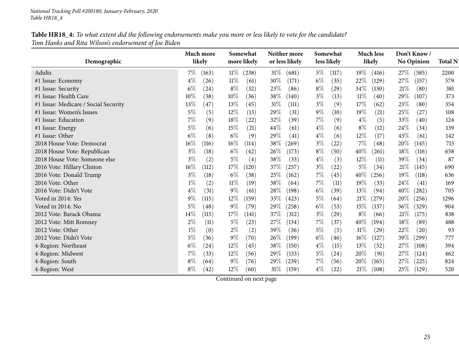| Table HR18_4: To what extent did the following endorsements make you more or less likely to vote for the candidate? |  |
|---------------------------------------------------------------------------------------------------------------------|--|
| Tom Hanks and Rita Wilson's endorsement of Joe Biden                                                                |  |

|                                      | Much more                   | Somewhat        | Neither more    | Somewhat       | <b>Much less</b>             | Don't Know/       |                |
|--------------------------------------|-----------------------------|-----------------|-----------------|----------------|------------------------------|-------------------|----------------|
| Demographic                          | likely                      | more likely     | or less likely  | less likely    | likely                       | <b>No Opinion</b> | <b>Total N</b> |
| Adults                               | $7\%$<br>(163)              | $11\%$<br>(238) | $31\%$<br>(681) | $5\%$<br>(117) | $19\%$<br>(416)              | 27\%<br>(585)     | 2200           |
| #1 Issue: Economy                    | $4\%$<br>(26)               | $11\%$<br>(61)  | 30%<br>(171)    | $6\%$<br>(35)  | 22\%<br>(129)                | 27%<br>(157)      | 579            |
| #1 Issue: Security                   | $6\%$<br>(24)               | $8\%$<br>(32)   | 23%<br>(86)     | $8\%$<br>(29)  | 34\%<br>(130)                | 21%<br>(80)       | 381            |
| #1 Issue: Health Care                | 10%<br>(38)                 | $10\%$<br>(36)  | 38%<br>(140)    | $3\%$<br>(13)  | $11\%$<br>(40)               | 29%<br>(107)      | 373            |
| #1 Issue: Medicare / Social Security | 13%<br>(47)                 | $13\%$<br>(45)  | 31%<br>(111)    | $3\%$<br>(9)   | 17%<br>(62)                  | 23%<br>(80)       | 354            |
| #1 Issue: Women's Issues             | 5%<br>(5)                   | $12\%$<br>(13)  | 29%<br>(31)     | $9\%$<br>(10)  | $19\%$<br>$\left( 21\right)$ | 25%<br>(27)       | 108            |
| #1 Issue: Education                  | 7%<br>(9)                   | 18%<br>(22)     | 32%<br>(39)     | $7\%$<br>(9)   | $4\%$<br>(5)                 | 33%<br>(40)       | 124            |
| #1 Issue: Energy                     | $5\%$<br>(6)                | 15%<br>(21)     | 44%<br>(61)     | $4\%$<br>(6)   | $8\%$<br>(12)                | 24\%<br>(34)      | 139            |
| #1 Issue: Other                      | $6\%$<br>(8)                | $6\%$<br>(9)    | 29%<br>(41)     | $4\%$<br>(6)   | $12\%$<br>(17)               | 43%<br>(61)       | 142            |
| 2018 House Vote: Democrat            | $16\%$<br>(116)             | $16\%$<br>(114) | 38\%<br>(269)   | $3\%$<br>(22)  | $7\%$<br>(48)                | 20%<br>(145)      | 715            |
| 2018 House Vote: Republican          | $3\%$<br>(18)               | $6\%$<br>(42)   | 26\%<br>(173)   | $8\%$<br>(50)  | 40%<br>(261)                 | 18%<br>(116)      | 658            |
| 2018 House Vote: Someone else        | $3\%$<br>(2)                | $5\%$<br>(4)    | 38\%<br>(33)    | $4\%$<br>(3)   | $12\%$<br>(11)               | 39%<br>(34)       | 87             |
| 2016 Vote: Hillary Clinton           | $16\%$<br>(112)             | $17\%$<br>(120) | 37%<br>(257)    | $3\%$<br>(22)  | $5\%$<br>(34)                | 21%<br>(145)      | 690            |
| 2016 Vote: Donald Trump              | $3\%$<br>(18)               | $6\%$<br>(38)   | 25%<br>(162)    | $7\%$<br>(45)  | 40%<br>(256)                 | 19%<br>(118)      | 636            |
| 2016 Vote: Other                     | $1\%$<br>(2)                | $11\%$<br>(19)  | 38%<br>(64)     | $7\%$<br>(11)  | $19\%$<br>(33)               | 24%<br>(41)       | 169            |
| 2016 Vote: Didn't Vote               | $4\%$<br>(31)               | $9\%$<br>(61)   | 28\%<br>(198)   | $6\%$<br>(39)  | 13\%<br>(94)                 | 40%<br>(282)      | 705            |
| Voted in 2014: Yes                   | $9\%$<br>(115)              | $12\%$<br>(159) | 33\%<br>(423)   | $5\%$<br>(64)  | 21%<br>(279)                 | 20%<br>(256)      | 1296           |
| Voted in 2014: No                    | $5\%$<br>$\left( 48\right)$ | $9\%$<br>(79)   | 29\%<br>(258)   | $6\%$<br>(53)  | $15\%$<br>(137)              | $36\%$<br>(329)   | 904            |
| 2012 Vote: Barack Obama              | $14\%$<br>(115)             | 17%<br>(141)    | 37%<br>(312)    | $3\%$<br>(29)  | $8\%$<br>(66)                | 21%<br>(175)      | 838            |
| 2012 Vote: Mitt Romney               | $2\%$<br>(11)               | $5\%$<br>(23)   | 27\%<br>(134)   | $7\%$<br>(37)  | $40\%$<br>(194)              | 18%<br>(89)       | 488            |
| 2012 Vote: Other                     | $1\%$<br>(0)                | $2\%$<br>(2)    | 39\%<br>(36)    | $5\%$<br>(5)   | 31%<br>(29)                  | 22%<br>(20)       | 93             |
| 2012 Vote: Didn't Vote               | $5\%$<br>(36)               | $9\%$<br>(70)   | 26\%<br>(199)   | $6\%$<br>(46)  | $16\%$<br>(127)              | 39%<br>(299)      | 777            |
| 4-Region: Northeast                  | $6\%$<br>(24)               | $12\%$<br>(45)  | 38\%<br>(150)   | $4\%$<br>(15)  | 13\%<br>(52)                 | $27\%$<br>(108)   | 394            |
| 4-Region: Midwest                    | 7%<br>(33)                  | $12\%$<br>(56)  | 29%<br>(133)    | $5\%$<br>(24)  | 20%<br>(91)                  | 27%<br>(124)      | 462            |
| 4-Region: South                      | $8\%$<br>(64)               | $9\%$<br>(76)   | 29%<br>(239)    | $7\%$<br>(56)  | 20%<br>(165)                 | 27\%<br>(225)     | 824            |
| 4-Region: West                       | $8\%$<br>(42)               | $12\%$<br>(60)  | $31\%$<br>(159) | $4\%$<br>(22)  | 21%<br>(108)                 | 25\%<br>(129)     | 520            |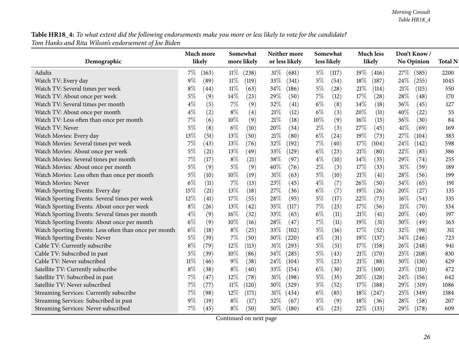Table HR18\_4: To what extent did the following endorsements make you more or less likely to vote for the candidate? *Tom Hanks and Rita Wilson's endorsement of Joe Biden*

|                                                       | Much more |       |        | Somewhat    |        | Neither more   |       | Somewhat    |        | <b>Much less</b> |      | Don't Know/ |                |
|-------------------------------------------------------|-----------|-------|--------|-------------|--------|----------------|-------|-------------|--------|------------------|------|-------------|----------------|
| Demographic                                           | likely    |       |        | more likely |        | or less likely |       | less likely |        | likely           |      | No Opinion  | <b>Total N</b> |
| Adults                                                | $7\%$     | (163) | $11\%$ | (238)       | 31%    | (681)          | $5\%$ | (117)       | $19\%$ | (416)            | 27\% | (585)       | 2200           |
| Watch TV: Every day                                   | 9%        | (89)  | $11\%$ | (119)       | 33%    | (341)          | $5\%$ | (54)        | 18%    | (187)            | 24%  | (255)       | 1045           |
| Watch TV: Several times per week                      | $8\%$     | (44)  | $11\%$ | (63)        | 34%    | (186)          | $5\%$ | (28)        | $21\%$ | (114)            | 21\% | (115)       | 550            |
| Watch TV: About once per week                         | 5%        | (9)   | 14%    | (23)        | 29%    | (50)           | 7%    | (12)        | 17%    | (28)             | 28%  | (48)        | 170            |
| Watch TV: Several times per month                     | $4\%$     | (5)   | 7%     | (9)         | 32%    | (41)           | $6\%$ | (8)         | 14%    | (18)             | 36%  | (45)        | 127            |
| Watch TV: About once per month                        | $4\%$     | (2)   | $8\%$  | (4)         | $21\%$ | (12)           | $6\%$ | (3)         | 20%    | (11)             | 40%  | (22)        | 55             |
| Watch TV: Less often than once per month              | $7\%$     | (6)   | $10\%$ | (9)         | $21\%$ | (18)           | 10%   | (9)         | 16%    | (13)             | 36%  | (30)        | 84             |
| Watch TV: Never                                       | $5\%$     | (8)   | $6\%$  | (10)        | 20%    | (34)           | $2\%$ | (3)         | 27\%   | (45)             | 41\% | (69)        | 169            |
| Watch Movies: Every day                               | 13%       | (51)  | 13%    | (50)        | $21\%$ | (80)           | $6\%$ | (24)        | 19%    | (73)             | 27%  | (104)       | 383            |
| Watch Movies: Several times per week                  | 7%        | (43)  | 13%    | (76)        | 32%    | (192)          | 7%    | (40)        | 17%    | (104)            | 24%  | (142)       | 598            |
| Watch Movies: About once per week                     | 5%        | (21)  | 13%    | (49)        | 33%    | (129)          | $6\%$ | (23)        | 21%    | (80)             | 22%  | (85)        | 386            |
| Watch Movies: Several times per month                 | 7%        | (17)  | $8\%$  | (21)        | 38%    | (97)           | $4\%$ | (10)        | 14%    | (35)             | 29%  | (74)        | 255            |
| Watch Movies: About once per month                    | $5\%$     | (9)   | $5\%$  | (9)         | 40%    | (76)           | $2\%$ | (3)         | 17%    | (33)             | 31%  | (59)        | 189            |
| Watch Movies: Less often than once per month          | $5\%$     | (10)  | 10%    | (19)        | $31\%$ | (63)           | $5\%$ | (10)        | $21\%$ | (41)             | 28%  | (56)        | 199            |
| Watch Movies: Never                                   | $6\%$     | (11)  | 7%     | (13)        | 23%    | (45)           | $4\%$ | (7)         | 26%    | (50)             | 34%  | (65)        | 191            |
| Watch Sporting Events: Every day                      | 15%       | (21)  | 13%    | (18)        | 27%    | (36)           | $6\%$ | (7)         | 19%    | (26)             | 20%  | (27)        | 135            |
| Watch Sporting Events: Several times per week         | 12%       | (41)  | 17%    | (55)        | 28%    | (95)           | $5\%$ | (17)        | 22%    | (73)             | 16%  | (54)        | 335            |
| Watch Sporting Events: About once per week            | $8\%$     | (26)  | 13%    | (42)        | 35%    | (117)          | 7%    | (23)        | 17%    | (56)             | 21%  | (70)        | 334            |
| Watch Sporting Events: Several times per month        | $4\%$     | (9)   | 16%    | (32)        | 33%    | (65)           | $6\%$ | (11)        | 21%    | (41)             | 20%  | (40)        | 197            |
| Watch Sporting Events: About once per month           | $6\%$     | (9)   | 10%    | (16)        | 28%    | (47)           | 7%    | (11)        | 19%    | (31)             | 30%  | (49)        | 163            |
| Watch Sporting Events: Less often than once per month | $6\%$     | (18)  | $8\%$  | (25)        | 33%    | (102)          | $5\%$ | (16)        | 17%    | (52)             | 32%  | (98)        | 311            |
| Watch Sporting Events: Never                          | $5\%$     | (39)  | 7%     | (50)        | 30%    | (220)          | $4\%$ | (31)        | 19%    | (137)            | 34%  | (246)       | 723            |
| Cable TV: Currently subscribe                         | $8\%$     | (79)  | 12%    | (113)       | $31\%$ | (293)          | $5\%$ | (51)        | 17%    | (158)            | 26%  | (248)       | 941            |
| Cable TV: Subscribed in past                          | $5\%$     | (39)  | 10%    | (86)        | 34%    | (285)          | $5\%$ | (43)        | 21%    | (170)            | 25%  | (208)       | 830            |
| Cable TV: Never subscribed                            | $11\%$    | (46)  | $9\%$  | (38)        | 24%    | (104)          | $5\%$ | (23)        | 21%    | (88)             | 30%  | (130)       | 429            |
| Satellite TV: Currently subscribe                     | $8\%$     | (38)  | $8\%$  | (40)        | 33%    | (154)          | $6\%$ | (30)        | $21\%$ | (100)            | 23%  | (110)       | 472            |
| Satellite TV: Subscribed in past                      | 7%        | (47)  | 12%    | (78)        | 31%    | (198)          | $5\%$ | (35)        | 20%    | (128)            | 24%  | (156)       | 642            |
| Satellite TV: Never subscribed                        | 7%        | (77)  | $11\%$ | (120)       | 30%    | (329)          | $5\%$ | (52)        | 17%    | (188)            | 29%  | (319)       | 1086           |
| Streaming Services: Currently subscribe               | 7%        | (98)  | 12%    | (171)       | 31%    | (434)          | $6\%$ | (85)        | 18%    | (247)            | 25%  | (349)       | 1384           |
| Streaming Services: Subscribed in past                | 9%        | (19)  | $8\%$  | (17)        | 32%    | (67)           | $5\%$ | (9)         | 18%    | (36)             | 28%  | (58)        | 207            |
| Streaming Services: Never subscribed                  | 7%        | (45)  | $8\%$  | (50)        | 30%    | (180)          | $4\%$ | (23)        | 22%    | (133)            | 29%  | (178)       | 609            |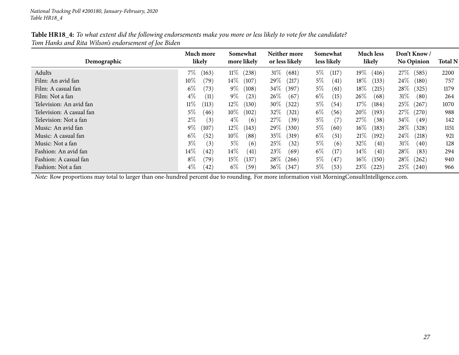| Table HR18_4: To what extent did the following endorsements make you more or less likely to vote for the candidate? |  |
|---------------------------------------------------------------------------------------------------------------------|--|
| Tom Hanks and Rita Wilson's endorsement of Joe Biden                                                                |  |

| Demographic              | Much more<br>likely | Somewhat<br>more likely | Neither more<br>or less likely | Somewhat<br>less likely | <b>Much less</b><br>likely | Don't Know/<br><b>No Opinion</b> | <b>Total N</b> |
|--------------------------|---------------------|-------------------------|--------------------------------|-------------------------|----------------------------|----------------------------------|----------------|
| Adults                   | $7\%$<br>(163)      | $11\%$<br>(238)         | $31\%$<br>(681)                | $5\%$<br>(117)          | $19\%$<br>(416)            | 27\%<br>(585)                    | 2200           |
| Film: An avid fan        | $10\%$<br>79)       | $14\%$<br>(107)         | $29\%$<br>(217)                | $5\%$<br>(41)           | $18\%$<br>(133)            | $24\%$<br>(180)                  | 757            |
| Film: A casual fan       | $6\%$<br>(73)       | $9\%$<br>(108)          | $34\%$<br>(397)                | $5\%$<br>(61)           | $18\%$<br>(215)            | $28\%$<br>(325)                  | 1179           |
| Film: Not a fan          | $4\%$<br>(11)       | $9\%$<br>(23)           | $26\%$<br>(67)                 | $6\%$<br>(15)           | 26\%<br>(68)               | $31\%$<br>(80)                   | 264            |
| Television: An avid fan  | $11\%$<br>(113)     | $12\%$<br>(130)         | $30\%$<br>(322)                | $5\%$<br>(54)           | $17\%$<br>(184)            | $25\%$<br>(267)                  | 1070           |
| Television: A casual fan | $5\%$<br>(46)       | $10\%$<br>(102)         | $32\%$<br>(321)                | $6\%$<br>(56)           | $20\%$<br>(193)            | 27\%<br>(270)                    | 988            |
| Television: Not a fan    | $2\%$<br>(3)        | $4\%$<br>(6)            | 27\%<br>(39)                   | $5\%$<br>(7)            | 27\%<br>(38)               | $34\%$<br>(49)                   | 142            |
| Music: An avid fan       | $9\%$<br>107        | $12\%$<br>(143)         | 29\%<br>(330)                  | $5\%$<br>(60)           | $16\%$<br>(183)            | $28\%$<br>(328)                  | 1151           |
| Music: A casual fan      | $6\%$<br>(52)       | $10\%$<br>(88)          | 35%<br>(319)                   | $6\%$<br>(51)           | 21%<br>(192)               | $24\%$<br>(218)                  | 921            |
| Music: Not a fan         | $3\%$<br>(3)        | $5\%$<br>(6)            | 25%<br>(32)                    | $5\%$<br>(6)            | $32\%$<br>(41)             | $31\%$<br>(40)                   | 128            |
| Fashion: An avid fan     | $14\%$<br>$^{(42)}$ | $14\%$<br>(41)          | 23\%<br>(69)                   | $6\%$<br>(17)           | $14\%$<br>(41)             | $28\%$<br>(83)                   | 294            |
| Fashion: A casual fan    | $8\%$<br>(79)       | $15\%$<br>(137)         | 28\%<br>(266)                  | $5\%$<br>(47)           | $16\%$<br>(150)            | $28\%$<br>(262)                  | 940            |
| Fashion: Not a fan       | $4\%$<br>(42)       | $6\%$<br>(59)           | $36\%$<br>347                  | $5\%$<br>(53)           | 23%<br>(225)               | $25\%$ (240)                     | 966            |

*Note:* Row proportions may total to larger than one-hundred percen<sup>t</sup> due to rounding. For more information visit [MorningConsultIntelligence.com](https://morningconsultintelligence.com).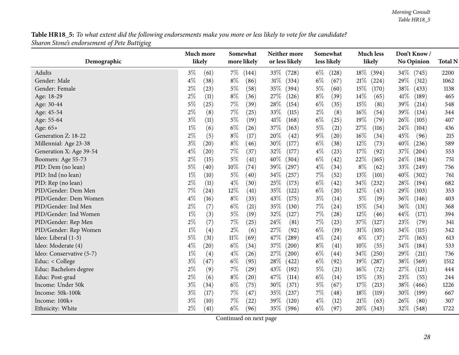${\bf Table\,HR18\_5:}$  To what extent did the following endorsements make you more or less likely to vote for the candidate? *Sharon Stone's endorsement of Pete Buttigieg*

<span id="page-27-0"></span>

|                          | Much more     | Somewhat       | Neither more   | Somewhat       | <b>Much less</b> | Don't Know/       |                |
|--------------------------|---------------|----------------|----------------|----------------|------------------|-------------------|----------------|
| Demographic              | likely        | more likely    | or less likely | less likely    | likely           | <b>No Opinion</b> | <b>Total N</b> |
| Adults                   | $3\%$<br>(61) | $7\%$<br>(144) | 33\%<br>(728)  | $6\%$<br>(128) | 18\%<br>(394)    | 34\%<br>(745)     | 2200           |
| Gender: Male             | $4\%$<br>(38) | $8\%$<br>(86)  | 31\%<br>(334)  | $6\%$<br>(67)  | $21\%$<br>(224)  | 29%<br>(312)      | 1062           |
| Gender: Female           | $2\%$<br>(23) | $5\%$<br>(58)  | 35%<br>(394)   | $5\%$<br>(60)  | 15%<br>(170)     | $38\%$<br>(433)   | 1138           |
| Age: 18-29               | $2\%$<br>(11) | $8\%$<br>(36)  | 27%<br>(126)   | $8\%$<br>(39)  | 14%<br>(65)      | 41\%<br>(189)     | 465            |
| Age: 30-44               | $5\%$<br>(25) | $7\%$<br>(39)  | 28%<br>(154)   | $6\%$<br>(35)  | 15%<br>(81)      | 39%<br>(214)      | 548            |
| Age: 45-54               | $2\%$<br>(8)  | $7\%$<br>(25)  | 33%<br>(115)   | $2\%$<br>(8)   | 16%<br>(54)      | 39%<br>(134)      | 344            |
| Age: 55-64               | $3\%$<br>(11) | $5\%$<br>(19)  | 41\%<br>(168)  | $6\%$<br>(25)  | 19%<br>(79)      | 26%<br>(105)      | 407            |
| Age: 65+                 | $1\%$<br>(6)  | $6\%$<br>(26)  | 37%<br>(163)   | $5\%$<br>(21)  | 27\%<br>(116)    | 24%<br>(104)      | 436            |
| Generation Z: 18-22      | $2\%$<br>(5)  | $8\%$<br>(17)  | 20%<br>(42)    | $9\%$<br>(20)  | 16%<br>(34)      | 45%<br>(96)       | 215            |
| Millennial: Age 23-38    | $3\%$<br>(20) | $8\%$<br>(46)  | 30%<br>(177)   | $6\%$<br>(38)  | 12%<br>(73)      | 40%<br>(236)      | 589            |
| Generation X: Age 39-54  | $4\%$<br>(20) | 7%<br>(37)     | 32%<br>(177)   | $4\%$<br>(23)  | 17%<br>(92)      | $37\%$<br>(204)   | 553            |
| Boomers: Age 55-73       | $2\%$<br>(15) | $5\%$<br>(41)  | 40%<br>(304)   | $6\%$<br>(42)  | 22%<br>(165)     | 24%<br>(184)      | 751            |
| PID: Dem (no lean)       | $5\%$<br>(40) | $10\%$<br>(74) | 39%<br>(297)   | $4\%$<br>(34)  | $8\%$<br>(62)    | 33%<br>(249)      | 756            |
| PID: Ind (no lean)       | $1\%$<br>(10) | $5\%$<br>(40)  | 34%<br>(257)   | $7\%$<br>(52)  | 13%<br>(101)     | 40%<br>(302)      | 761            |
| PID: Rep (no lean)       | $2\%$<br>(11) | $4\%$<br>(30)  | 25%<br>(173)   | $6\%$<br>(42)  | 34%<br>(232)     | 28%<br>(194)      | 682            |
| PID/Gender: Dem Men      | 7%<br>(24)    | 12%<br>(41)    | 35%<br>(122)   | $6\%$<br>(20)  | $12\%$<br>(43)   | 29%<br>(103)      | 353            |
| PID/Gender: Dem Women    | $4\%$<br>(16) | $8\%$<br>(33)  | 43%<br>(175)   | $3\%$<br>(14)  | $5\%$<br>(19)    | 36%<br>(146)      | 403            |
| PID/Gender: Ind Men      | $2\%$<br>(7)  | $6\%$<br>(21)  | 35%<br>(130)   | 7%<br>(24)     | 15%<br>(54)      | 36%<br>(131)      | 368            |
| PID/Gender: Ind Women    | $1\%$<br>(3)  | $5\%$<br>(19)  | 32%<br>(127)   | $7\%$<br>(28)  | 12%<br>(46)      | 44%<br>(171)      | 394            |
| PID/Gender: Rep Men      | $2\%$<br>(7)  | 7%<br>(25)     | 24\%<br>(81)   | 7%<br>(23)     | 37%<br>(127)     | 23%<br>(79)       | 341            |
| PID/Gender: Rep Women    | $1\%$<br>(4)  | $2\%$<br>(6)   | 27%<br>(92)    | $6\%$<br>(19)  | $31\%$<br>(105)  | 34%<br>(115)      | 342            |
| Ideo: Liberal (1-3)      | $5\%$<br>(31) | $11\%$<br>(69) | 47%<br>(289)   | $4\%$<br>(24)  | $6\%$<br>(37)    | 27%<br>(163)      | 613            |
| Ideo: Moderate (4)       | $4\%$<br>(20) | $6\%$<br>(34)  | 37%<br>(200)   | $8\%$<br>(41)  | 10%<br>(55)      | 34%<br>(184)      | 533            |
| Ideo: Conservative (5-7) | $1\%$<br>(4)  | $4\%$<br>(26)  | 27%<br>(200)   | $6\%$<br>(44)  | 34%<br>(250)     | 29%<br>(211)      | 736            |
| Educ: < College          | $3\%$<br>(47) | $6\%$<br>(95)  | 28%<br>(422)   | $6\%$<br>(92)  | 19%<br>(287)     | 38%<br>(569)      | 1512           |
| Educ: Bachelors degree   | $2\%$<br>(9)  | $7\%$<br>(29)  | 43%<br>(192)   | $5\%$<br>(21)  | $16\%$<br>(72)   | 27%<br>(121)      | 444            |
| Educ: Post-grad          | $2\%$<br>(6)  | $8\%$<br>(20)  | 47%<br>(114)   | $6\%$<br>(14)  | 15%<br>(35)      | 23%<br>(55)       | 244            |
| Income: Under 50k        | $3\%$<br>(34) | $6\%$<br>(75)  | 30%<br>(371)   | $5\%$<br>(67)  | 17%<br>(213)     | 38\%<br>(466)     | 1226           |
| Income: 50k-100k         | $3\%$<br>(17) | 7%<br>(47)     | 35%<br>(237)   | 7%<br>(48)     | 18%<br>(119)     | 30%<br>(199)      | 667            |
| Income: 100k+            | $3\%$<br>(10) | 7%<br>(22)     | 39%<br>(120)   | $4\%$<br>(12)  | 21%<br>(63)      | 26%<br>(80)       | 307            |
| Ethnicity: White         | $2\%$<br>(41) | $6\%$<br>(96)  | 35%<br>(596)   | $6\%$<br>(97)  | 20%<br>(343)     | 32%<br>(548)      | 1722           |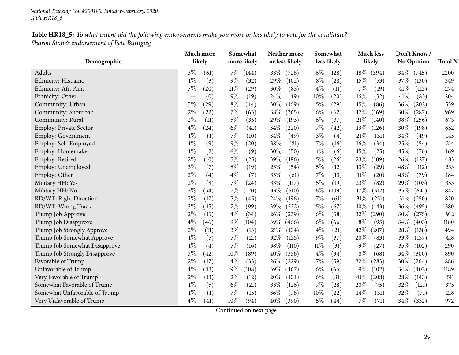| Table HR18_5: To what extent did the following endorsements make you more or less likely to vote for the candidate? |
|---------------------------------------------------------------------------------------------------------------------|
| Sharon Stone's endorsement of Pete Buttigieg                                                                        |

| Demographic                   | Much more<br>likely         | Somewhat<br>more likely | Neither more<br>or less likely | Somewhat<br>less likely | <b>Much less</b><br>likely | Don't Know/<br><b>No Opinion</b> | <b>Total N</b> |
|-------------------------------|-----------------------------|-------------------------|--------------------------------|-------------------------|----------------------------|----------------------------------|----------------|
| Adults                        | $3\%$<br>(61)               | $7\%$<br>(144)          | 33\%<br>(728)                  | $6\%$<br>(128)          | 18%<br>(394)               | 34\%<br>(745)                    | 2200           |
| Ethnicity: Hispanic           | $1\%$<br>(3)                | $9\%$<br>(32)           | 29%<br>(102)                   | $8\%$<br>(28)           | 15%<br>(53)                | $37\%$<br>(130)                  | 349            |
| Ethnicity: Afr. Am.           | 7%<br>(20)                  | $11\%$<br>(29)          | 30%<br>(83)                    | $4\%$<br>(11)           | 7%<br>(19)                 | 41%<br>(113)                     | 274            |
| Ethnicity: Other              | (0)                         | $9\%$<br>(19)           | 24%<br>(49)                    | 10%<br>(20)             | 16%<br>(32)                | 41%<br>(83)                      | 204            |
| Community: Urban              | $5\%$<br>$\left( 29\right)$ | $8\%$<br>(44)           | 30%<br>(169)                   | $5\%$<br>(29)           | 15%<br>(86)                | 36%<br>(202)                     | 559            |
| Community: Suburban           | $2\%$<br>(22)               | $7\%$<br>(65)           | 38%<br>(365)                   | $6\%$<br>(62)           | 17%<br>(169)               | 30%<br>(287)                     | 969            |
| Community: Rural              | $2\%$<br>(11)               | $5\%$<br>(35)           | 29%<br>(193)                   | $6\%$<br>(37)           | $21\%$<br>(140)            | 38%<br>(256)                     | 673            |
| Employ: Private Sector        | $4\%$<br>(24)               | $6\%$<br>(41)           | 34\%<br>(220)                  | $7\%$<br>(42)           | 19%<br>(126)               | 30%<br>(198)                     | 652            |
| Employ: Government            | $1\%$<br>(1)                | $7\%$<br>(10)           | 34\%<br>(49)                   | $3\%$<br>(4)            | 21%<br>(31)                | 34%<br>(49)                      | 145            |
| Employ: Self-Employed         | $4\%$<br>(9)                | $9\%$<br>(20)           | 38%<br>(81)                    | 7%<br>(16)              | 16%<br>(34)                | 25%<br>(54)                      | 214            |
| Employ: Homemaker             | $1\%$<br>(2)                | $6\%$<br>(9)            | 30%<br>(50)                    | $4\%$<br>(6)            | 15%<br>(25)                | 45%<br>(76)                      | 169            |
| Employ: Retired               | $2\%$<br>(10)               | $5\%$<br>(25)           | 39%<br>(186)                   | $5\%$<br>(26)           | 23%<br>(109)               | 26%<br>(127)                     | 483            |
| Employ: Unemployed            | $3\%$<br>(7)                | $8\%$<br>(19)           | 23%<br>(54)                    | $5\%$<br>(12)           | 13%<br>(29)                | 48%<br>(112)                     | 233            |
| Employ: Other                 | $2\%$<br>(4)                | $4\%$<br>(7)            | 33%<br>(61)                    | 7%<br>(13)              | $11\%$<br>(20)             | 43%<br>(79)                      | 184            |
| Military HH: Yes              | $2\%$<br>(8)                | $7\%$<br>(24)           | 33%<br>(117)                   | $5\%$<br>(19)           | 23%<br>(82)                | 29%<br>(103)                     | 353            |
| Military HH: No               | $3\%$<br>(54)               | 7%<br>(120)             | 33%<br>(610)                   | $6\%$<br>(109)          | 17\%<br>(312)              | 35%<br>(641)                     | 1847           |
| RD/WT: Right Direction        | $2\%$<br>(17)               | $5\%$<br>(45)           | 24\%<br>(196)                  | $7\%$<br>(61)           | 31%<br>(251)               | $31\%$<br>(250)                  | 820            |
| RD/WT: Wrong Track            | $3\%$<br>(45)               | 7%<br>(99)              | 39%<br>(532)                   | $5\%$<br>(67)           | 10%<br>(143)               | 36\%<br>(495)                    | 1380           |
| Trump Job Approve             | $2\%$<br>(15)               | $4\%$<br>(34)           | 26\%<br>(239)                  | $6\%$<br>(58)           | 32%<br>(290)               | 30%<br>(275)                     | 912            |
| Trump Job Disapprove          | $4\%$<br>(46)               | $9\%$<br>(104)          | 39%<br>(466)                   | $6\%$<br>(66)           | $8\%$<br>(95)              | 34%<br>(403)                     | 1180           |
| Trump Job Strongly Approve    | $2\%$<br>(11)               | $3\%$<br>(13)           | 21%<br>(104)                   | $4\%$<br>(21)           | 42%<br>(207)               | 28%<br>(138)                     | 494            |
| Trump Job Somewhat Approve    | $1\%$<br>(5)                | $5\%$<br>(21)           | 32%<br>(135)                   | $9\%$<br>(37)           | 20%<br>(83)                | 33%<br>(137)                     | 418            |
| Trump Job Somewhat Disapprove | $1\%$<br>(4)                | $5\%$<br>(16)           | 38%<br>(110)                   | $11\%$<br>(31)          | $9\%$<br>(27)              | 35%<br>(102)                     | 290            |
| Trump Job Strongly Disapprove | $5\%$<br>(42)               | $10\%$<br>(89)          | 40%<br>(356)                   | $4\%$<br>(34)           | $8\%$<br>(68)              | 34%<br>(300)                     | 890            |
| Favorable of Trump            | $2\%$<br>(17)               | $4\%$<br>(33)           | 26%<br>(229)                   | $7\%$<br>(59)           | 32%<br>(283)               | 30\%<br>(264)                    | 886            |
| Unfavorable of Trump          | $4\%$<br>(43)               | $9\%$<br>(108)          | 39%<br>(467)                   | $6\%$<br>(66)           | $9\%$<br>(102)             | 34%<br>(402)                     | 1189           |
| Very Favorable of Trump       | $2\%$<br>(13)               | $2\%$<br>(12)           | 20%<br>(104)                   | $6\%$<br>(31)           | 41\%<br>(208)              | 28%<br>(143)                     | 511            |
| Somewhat Favorable of Trump   | $1\%$<br>(5)                | $6\%$<br>(21)           | 33\%<br>(126)                  | $7\%$<br>(28)           | 20%<br>(75)                | 32%<br>(121)                     | 375            |
| Somewhat Unfavorable of Trump | $1\%$<br>(1)                | $7\%$<br>(15)           | 36%<br>(78)                    | $10\%$<br>(22)          | 14%<br>(31)                | 32%<br>(71)                      | 218            |
| Very Unfavorable of Trump     | $4\%$<br>(41)               | $10\%$<br>(94)          | $40\%$<br>(390)                | $5\%$<br>(44)           | 7%<br>(71)                 | 34\%<br>(332)                    | 972            |
|                               |                             |                         |                                |                         |                            |                                  |                |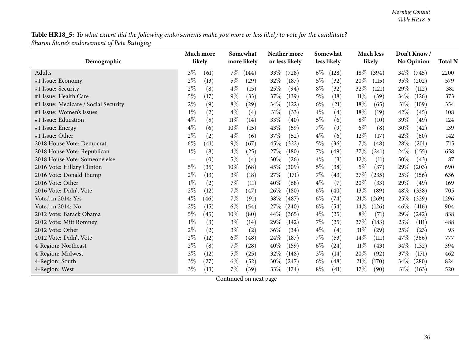Table HR18\_5: To what extent did the following endorsements make you more or less likely to vote for the candidate? *Sharon Stone's endorsement of Pete Buttigieg*

|                                      | Much more     | Somewhat       | Neither more    | Somewhat       | <b>Much less</b> | Don't Know/     |                |
|--------------------------------------|---------------|----------------|-----------------|----------------|------------------|-----------------|----------------|
| Demographic                          | likely        | more likely    | or less likely  | less likely    | likely           | No Opinion      | <b>Total N</b> |
| Adults                               | $3\%$<br>(61) | $7\%$<br>(144) | 33\%<br>(728)   | $6\%$<br>(128) | $18\%$<br>(394)  | $34\%$<br>(745) | 2200           |
| #1 Issue: Economy                    | $2\%$<br>(13) | $5\%$<br>(29)  | 32%<br>(187)    | $5\%$<br>(32)  | 20%<br>(115)     | 35\%<br>(202)   | 579            |
| #1 Issue: Security                   | $2\%$<br>(8)  | $4\%$<br>(15)  | 25\%<br>(94)    | $8\%$<br>(32)  | 32%<br>(121)     | 29%<br>(112)    | 381            |
| #1 Issue: Health Care                | 5%<br>(17)    | $9\%$<br>(33)  | 37%<br>(139)    | $5\%$<br>(18)  | $11\%$<br>(39)   | 34%<br>(126)    | 373            |
| #1 Issue: Medicare / Social Security | $2\%$<br>(9)  | $8\%$<br>(29)  | 34\%<br>(122)   | $6\%$<br>(21)  | 18%<br>(65)      | 31%<br>(109)    | 354            |
| #1 Issue: Women's Issues             | $1\%$<br>(2)  | $4\%$<br>(4)   | $31\%$<br>(33)  | $4\%$<br>(4)   | 18\%<br>(19)     | 42\%<br>(45)    | 108            |
| #1 Issue: Education                  | $4\%$<br>(5)  | $11\%$<br>(14) | 33%<br>(40)     | $5\%$<br>(6)   | $8\%$<br>(10)    | 39%<br>(49)     | 124            |
| #1 Issue: Energy                     | $4\%$<br>(6)  | $10\%$<br>(15) | 43%<br>(59)     | 7%<br>(9)      | $6\%$<br>(8)     | 30%<br>(42)     | 139            |
| #1 Issue: Other                      | $2\%$<br>(2)  | $4\%$<br>(6)   | 37%<br>(52)     | $4\%$<br>(6)   | 12%<br>(17)      | 42%<br>(60)     | 142            |
| 2018 House Vote: Democrat            | $6\%$<br>(41) | $9\%$<br>(67)  | 45%<br>(322)    | 5%<br>(36)     | 7%<br>(48)       | 28%<br>(201)    | 715            |
| 2018 House Vote: Republican          | $1\%$<br>(8)  | $4\%$<br>(25)  | 27\%<br>(180)   | $7\%$<br>(49)  | 37\%<br>(241)    | 24\%<br>(155)   | 658            |
| 2018 House Vote: Someone else        | (0)           | $5\%$<br>(4)   | 30%<br>(26)     | $4\%$<br>(3)   | 12%<br>(11)      | 50%<br>(43)     | 87             |
| 2016 Vote: Hillary Clinton           | $5\%$<br>(35) | $10\%$<br>(68) | 45\%<br>(309)   | 5%<br>(38)     | $5\%$<br>(37)    | 29%<br>(203)    | 690            |
| 2016 Vote: Donald Trump              | 2%<br>(13)    | $3\%$<br>(18)  | 27%<br>(171)    | 7%<br>(43)     | 37\%<br>(235)    | 25\%<br>(156)   | 636            |
| 2016 Vote: Other                     | $1\%$<br>(2)  | $7\%$<br>(11)  | 40%<br>(68)     | $4\%$<br>(7)   | 20%<br>(33)      | 29%<br>(49)     | 169            |
| 2016 Vote: Didn't Vote               | $2\%$<br>(12) | $7\%$<br>(47)  | 26\%<br>(180)   | $6\%$<br>(40)  | 13\%<br>(89)     | 48\%<br>(338)   | 705            |
| Voted in 2014: Yes                   | $4\%$<br>(46) | $7\%$<br>(91)  | 38\%<br>(487)   | $6\%$<br>(74)  | $21\%$<br>(269)  | 25%<br>(329)    | 1296           |
| Voted in 2014: No                    | $2\%$<br>(15) | $6\%$<br>(54)  | 27\%<br>(240)   | $6\%$<br>(54)  | $14\%$<br>(126)  | 46%<br>(416)    | 904            |
| 2012 Vote: Barack Obama              | 5%<br>(45)    | $10\%$<br>(80) | $44\%$<br>(365) | $4\%$<br>(35)  | $8\%$<br>(71)    | 29%<br>(242)    | 838            |
| 2012 Vote: Mitt Romney               | $1\%$<br>(3)  | $3\%$<br>(14)  | 29%<br>(142)    | 7%<br>(35)     | 37%<br>(183)     | 23%<br>(111)    | 488            |
| 2012 Vote: Other                     | $2\%$<br>(2)  | $3\%$<br>(2)   | 36%<br>(34)     | $4\%$<br>(4)   | $31\%$<br>(29)   | 25%<br>(23)     | 93             |
| 2012 Vote: Didn't Vote               | $2\%$<br>(12) | $6\%$<br>(48)  | 24\%<br>(187)   | $7\%$<br>(53)  | 14%<br>(111)     | 47\%<br>(366)   | 777            |
| 4-Region: Northeast                  | $2\%$<br>(8)  | $7\%$<br>(28)  | 40%<br>(159)    | $6\%$<br>(24)  | $11\%$<br>(43)   | 34\%<br>(132)   | 394            |
| 4-Region: Midwest                    | $3\%$<br>(12) | 5%<br>(25)     | 32%<br>(148)    | $3\%$<br>(14)  | 20%<br>(92)      | 37%<br>(171)    | 462            |
| 4-Region: South                      | $3\%$<br>(27) | $6\%$<br>(52)  | 30%<br>(247)    | $6\%$<br>(48)  | 21%<br>(170)     | 34%<br>(280)    | 824            |
| 4-Region: West                       | $3\%$<br>(13) | 7%<br>(39)     | 33\%<br>(174)   | $8\%$<br>(41)  | 17%<br>(90)      | $31\%$<br>(163) | 520            |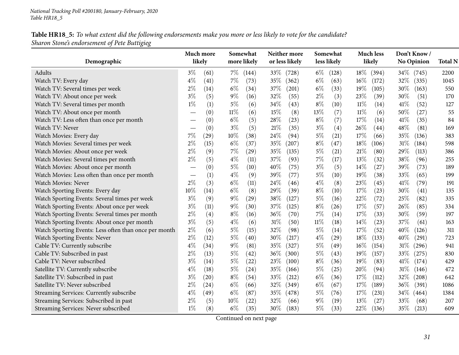#### Table HR18\_5: To what extent did the following endorsements make you more or less likely to vote for the candidate? *Sharon Stone's endorsement of Pete Buttigieg*

| Demographic                                           |       | Somewhat<br>Much more<br>likely<br>more likely |        | Neither more<br>or less likely | Somewhat<br>less likely |        | <b>Much less</b><br>likely |        |              | Don't Know/<br>No Opinion |              |                |
|-------------------------------------------------------|-------|------------------------------------------------|--------|--------------------------------|-------------------------|--------|----------------------------|--------|--------------|---------------------------|--------------|----------------|
|                                                       |       |                                                |        |                                |                         |        |                            |        |              |                           |              | <b>Total N</b> |
| Adults                                                | $3\%$ | (61)                                           | $7\%$  | (144)                          | $33\%$<br>(728)         | $6\%$  | (128)                      |        | $18\%$ (394) |                           | $34\%$ (745) | 2200           |
| Watch TV: Every day                                   | $4\%$ | (41)                                           | 7%     | (73)                           | 35%<br>(362)            | $6\%$  | (63)                       | $16\%$ | (172)        | 32%                       | (335)        | 1045           |
| Watch TV: Several times per week                      | $2\%$ | (14)                                           | $6\%$  | (34)                           | 37%<br>(201)            | $6\%$  | (33)                       | 19%    | (105)        | 30\%                      | (163)        | 550            |
| Watch TV: About once per week                         | $3\%$ | (5)                                            | $9\%$  | (16)                           | 32%<br>(55)             | $2\%$  | (3)                        | 23%    | (39)         | 30%                       | (51)         | 170            |
| Watch TV: Several times per month                     | $1\%$ | (1)                                            | $5\%$  | (6)                            | 34\%<br>(43)            | $8\%$  | (10)                       | $11\%$ | (14)         | 41\%                      | (52)         | 127            |
| Watch TV: About once per month                        |       | (0)                                            | $11\%$ | (6)                            | 15%<br>(8)              | $13\%$ | (7)                        | $11\%$ | (6)          | 50%                       | (27)         | 55             |
| Watch TV: Less often than once per month              |       | (0)                                            | $6\%$  | (5)                            | 28\%<br>(23)            | $8\%$  | (7)                        | 17%    | (14)         | 41\%                      | (35)         | 84             |
| Watch TV: Never                                       |       | (0)                                            | $3\%$  | (5)                            | 21%<br>(35)             | $3\%$  | (4)                        | 26%    | (44)         | 48%                       | (81)         | 169            |
| Watch Movies: Every day                               | $7\%$ | $^{(29)}$                                      | $10\%$ | (38)                           | 24%<br>(94)             | $5\%$  | (21)                       | 17%    | (66)         | 35%                       | (136)        | 383            |
| Watch Movies: Several times per week                  | $2\%$ | (15)                                           | $6\%$  | (37)                           | 35%<br>(207)            | $8\%$  | (47)                       | 18%    | (106)        | $31\%$                    | (184)        | 598            |
| Watch Movies: About once per week                     | $2\%$ | (9)                                            | 7%     | (29)                           | 35%<br>(135)            | $5\%$  | (21)                       | 21%    | (80)         | 29%                       | (113)        | 386            |
| Watch Movies: Several times per month                 | $2\%$ | (5)                                            | $4\%$  | (11)                           | 37%<br>(93)             | $7\%$  | (17)                       | 13%    | (32)         | 38%                       | (96)         | 255            |
| Watch Movies: About once per month                    |       | (0)                                            | $5\%$  | (10)                           | 40%<br>(75)             | $3\%$  | (5)                        | $14\%$ | (27)         | 39%                       | (73)         | 189            |
| Watch Movies: Less often than once per month          |       | (1)                                            | $4\%$  | (9)                            | 39\%<br>(77)            | $5\%$  | (10)                       | 19%    | (38)         | 33%                       | (65)         | 199            |
| Watch Movies: Never                                   | $2\%$ | (3)                                            | $6\%$  | (11)                           | 24\%<br>(46)            | $4\%$  | (8)                        | 23%    | (45)         | 41\%                      | (79)         | 191            |
| Watch Sporting Events: Every day                      | 10%   | (14)                                           | $6\%$  | (8)                            | 29%<br>(39)             | $8\%$  | (10)                       | 17%    | (23)         | 30%                       | (41)         | 135            |
| Watch Sporting Events: Several times per week         | $3\%$ | (9)                                            | $9\%$  | (29)                           | 38%<br>(127)            | $5\%$  | (16)                       | 22%    | (72)         | 25%                       | (82)         | 335            |
| Watch Sporting Events: About once per week            | $3\%$ | (11)                                           | $9\%$  | (30)                           | 37\%<br>(125)           | $8\%$  | (26)                       | 17%    | (57)         | 26\%                      | (85)         | 334            |
| Watch Sporting Events: Several times per month        | $2\%$ | (4)                                            | $8\%$  | (16)                           | 36%<br>(70)             | $7\%$  | (14)                       | 17%    | (33)         | 30%                       | (59)         | 197            |
| Watch Sporting Events: About once per month           | $3\%$ | (5)                                            | $4\%$  | (6)                            | $31\%$<br>(50)          | $11\%$ | (18)                       | 14%    | (23)         | 37%                       | (61)         | 163            |
| Watch Sporting Events: Less often than once per month | $2\%$ | (6)                                            | $5\%$  | (15)                           | 32%<br>(98)             | $5\%$  | (14)                       | 17%    | (52)         | 40%                       | (126)        | 311            |
| Watch Sporting Events: Never                          | $2\%$ | (12)                                           | $5\%$  | (40)                           | 30\%<br>(217)           | $4\%$  | (29)                       | 18%    | (133)        | 40%                       | (291)        | 723            |
| Cable TV: Currently subscribe                         | $4\%$ | (34)                                           | $9\%$  | (81)                           | 35%<br>(327)            | $5\%$  | (49)                       | $16\%$ | (154)        | $31\%$                    | (296)        | 941            |
| Cable TV: Subscribed in past                          | $2\%$ | (13)                                           | $5\%$  | (42)                           | 36\%<br>(300)           | $5\%$  | (43)                       | 19%    | (157)        | 33\%                      | (275)        | 830            |
| Cable TV: Never subscribed                            | $3\%$ | (14)                                           | 5%     | (22)                           | 23\%<br>(100)           | $8\%$  | (36)                       | 19%    | (83)         | 41\%                      | (174)        | 429            |
| Satellite TV: Currently subscribe                     | $4\%$ | (18)                                           | $5\%$  | (24)                           | 35%<br>(166)            | $5\%$  | (25)                       | 20%    | (94)         | 31%                       | (146)        | 472            |
| Satellite TV: Subscribed in past                      | $3\%$ | (20)                                           | $8\%$  | (54)                           | 33%<br>(212)            | $6\%$  | (36)                       | 17%    | (112)        | $32\%$                    | (208)        | 642            |
| Satellite TV: Never subscribed                        | $2\%$ | (24)                                           | $6\%$  | (66)                           | 32%<br>(349)            | $6\%$  | (67)                       | 17%    | (189)        | $36\%$                    | (391)        | 1086           |
| Streaming Services: Currently subscribe               | $4\%$ | (49)                                           | $6\%$  | (87)                           | 35%<br>(478)            | $5\%$  | (76)                       | 17%    | (231)        | 34%                       | (464)        | 1384           |
| Streaming Services: Subscribed in past                | $2\%$ | (5)                                            | 10%    | (22)                           | 32%<br>(66)             | $9\%$  | (19)                       | 13%    | (27)         | 33%                       | (68)         | 207            |
| Streaming Services: Never subscribed                  | $1\%$ | (8)                                            | $6\%$  | (35)                           | 30\%<br>(183)           | $5\%$  | (33)                       | 22\%   | (136)        | 35\%                      | (213)        | 609            |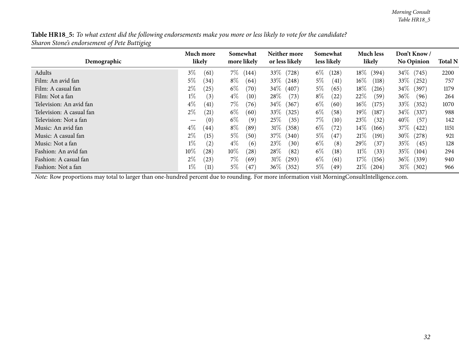Table HR18\_5: To what extent did the following endorsements make you more or less likely to vote for the candidate? *Sharon Stone's endorsement of Pete Buttigieg*

| Demographic              | Much more<br>likely | Somewhat<br>more likely | Neither more<br>or less likely | Somewhat<br>less likely | <b>Much less</b><br>likely    | Don't Know/<br><b>No Opinion</b> | <b>Total N</b> |
|--------------------------|---------------------|-------------------------|--------------------------------|-------------------------|-------------------------------|----------------------------------|----------------|
| Adults                   | $3\%$<br>(61)       | 7%<br>(144)             | 33\%<br>(728)                  | $6\%$<br>(128)          | $18\%$<br>(394)               | 34\% (745)                       | 2200           |
| Film: An avid fan        | $5\%$<br>(34)       | $8\%$<br>(64)           | $33\%$<br>(248)                | $5\%$<br>(41)           | $16\%$<br>(118)               | $33\%$<br>(252)                  | 757            |
| Film: A casual fan       | $2\%$<br>(25)       | $6\%$<br>(70)           | $34\%$<br>(407)                | $5\%$<br>(65)           | $18\%$<br>(216)               | $34\%$<br>(397)                  | 1179           |
| Film: Not a fan          | $1\%$<br>(3)        | $4\%$<br>(10)           | $28\%$<br>(73)                 | $8\%$<br>(22)           | $22\%$<br>(59)                | $36\%$<br>(96)                   | 264            |
| Television: An avid fan  | $4\%$<br>(41)       | $7\%$<br>(76)           | $34\%$<br>(367)                | $6\%$<br>(60)           | $16\%$<br>(175)               | 33\%<br>(352)                    | 1070           |
| Television: A casual fan | $2\%$<br>(21)       | $6\%$<br>(60)           | 33\%<br>(325)                  | $6\%$<br>(58)           | $19\%$<br>$\left( 187\right)$ | $34\%$<br>(337)                  | 988            |
| Television: Not a fan    | (0)<br>—            | $6\%$<br>(9)            | 25%<br>(35)                    | $7\%$<br>(10)           | 23%<br>(32)                   | $40\%$<br>(57)                   | 142            |
| Music: An avid fan       | $4\%$<br>(44)       | $8\%$<br>(89)           | $31\%$<br>(358)                | $6\%$<br>(72`           | $14\%$<br>(166)               | $37\%$<br>(422)                  | 1151           |
| Music: A casual fan      | $2\%$<br>(15)       | $5\%$<br>(50)           | 37\%<br>(340)                  | $5\%$<br>(47)           | 21%<br>(191)                  | $30\%$<br>(278)                  | 921            |
| Music: Not a fan         | $1\%$<br>(2)        | $4\%$<br>(6)            | 23%<br>(30)                    | $6\%$<br>(8)            | 29 $\%$<br>(37)               | $35\%$<br>(45)                   | 128            |
| Fashion: An avid fan     | 10%<br>$^{'}28)$    | $10\%$<br>(28)          | $28\%$<br>(82)                 | $6\%$<br>(18)           | $11\%$<br>(33)                | $35\%$<br>(104)                  | 294            |
| Fashion: A casual fan    | $2\%$<br>(23)       | $7\%$<br>(69)           | $31\%$<br>(293)                | $6\%$<br>(61)           | 17%<br>(156)                  | $36\%$<br>(339)                  | 940            |
| Fashion: Not a fan       | $1\%$<br>(11)       | $5\%$<br>(47)           | $36\%$<br>(352)                | $5\%$<br>(49            | $21\%$<br>(204)               | 31%<br>(302)                     | 966            |

*Note:* Row proportions may total to larger than one-hundred percen<sup>t</sup> due to rounding. For more information visit [MorningConsultIntelligence.com](https://morningconsultintelligence.com).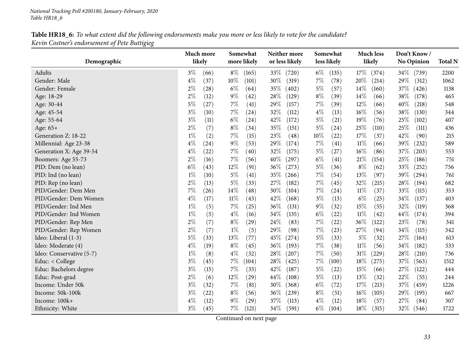| Table HR18_6: To what extent did the following endorsements make you more or less likely to vote for the candidate? |
|---------------------------------------------------------------------------------------------------------------------|
| Kevin Costner's endorsement of Pete Buttigieg                                                                       |

<span id="page-32-0"></span>

|                          | Much more |                    | Somewhat |             | Neither more   | Somewhat |             | <b>Much less</b> |        |                   | Don't Know/ |                |
|--------------------------|-----------|--------------------|----------|-------------|----------------|----------|-------------|------------------|--------|-------------------|-------------|----------------|
| Demographic              | likely    |                    |          | more likely | or less likely |          | less likely |                  | likely | <b>No Opinion</b> |             | <b>Total N</b> |
| Adults                   | $3\%$     | (66)               | $8\%$    | (165)       | 33\%<br>(720)  | $6\%$    | (135)       | $17\%$           | (374)  | $34\%$            | (739)       | 2200           |
| Gender: Male             | $4\%$     | (37)               | $10\%$   | (101)       | 30\%<br>(319)  | $7\%$    | (78)        | 20%              | (214)  | 29\%              | (312)       | 1062           |
| Gender: Female           | $2\%$     | $\left( 28\right)$ | $6\%$    | (64)        | 35%<br>(402)   | $5\%$    | (57)        | 14\%             | (160)  | 37\%              | (426)       | 1138           |
| Age: 18-29               | $2\%$     | (12)               | $9\%$    | (42)        | 28\%<br>(129)  | $8\%$    | (39)        | 14\%             | (66)   | 38\%              | (178)       | 465            |
| Age: 30-44               | $5\%$     | (27)               | $7\%$    | (41)        | 29%<br>(157)   | $7\%$    | (39)        | 12%              | (66)   | 40%               | (218)       | 548            |
| Age: 45-54               | $3\%$     | (10)               | $7\%$    | (24)        | 32%<br>(112)   | $4\%$    | (13)        | 16%              | (56)   | 38%               | (130)       | 344            |
| Age: 55-64               | $3\%$     | (11)               | $6\%$    | (24)        | 42\%<br>(172)  | $5\%$    | (21)        | 19%              | (76)   | 25%               | (102)       | 407            |
| Age: $65+$               | $2\%$     | (7)                | $8\%$    | (34)        | 35%<br>(151)   | $5\%$    | (24)        | 25%              | (110)  | 25\%              | (111)       | 436            |
| Generation Z: 18-22      | $1\%$     | (2)                | $7\%$    | (15)        | 23%<br>(48)    | $10\%$   | (22)        | 17%              | (37)   | 42%               | (90)        | 215            |
| Millennial: Age 23-38    | $4\%$     | (24)               | $9\%$    | (53)        | 29%<br>(174)   | $7\%$    | (41)        | $11\%$           | (66)   | 39%               | (232)       | 589            |
| Generation X: Age 39-54  | $4\%$     | (22)               | $7\%$    | (40)        | 32%<br>(175)   | $5\%$    | (27)        | $16\%$           | (86)   | 37%               | (203)       | 553            |
| Boomers: Age 55-73       | $2\%$     | (16)               | $7\%$    | (56)        | 40%<br>(297)   | $6\%$    | (41)        | 21%              | (154)  | 25\%              | (186)       | 751            |
| PID: Dem (no lean)       | $6\%$     | (43)               | $12\%$   | (91)        | 36\%<br>(273)  | $5\%$    | (36)        | $8\%$            | (62)   | 33\%              | (252)       | 756            |
| PID: Ind (no lean)       | $1\%$     | (10)               | $5\%$    | (41)        | 35%<br>(266)   | $7\%$    | (54)        | 13%              | (97)   | 39%               | (294)       | 761            |
| PID: Rep (no lean)       | $2\%$     | (13)               | $5\%$    | (33)        | 27\%<br>(182)  | $7\%$    | (45)        | 32%              | (215)  | 28%               | (194)       | 682            |
| PID/Gender: Dem Men      | 7%        | (26)               | $14\%$   | (48)        | 30%<br>(104)   | 7%       | (24)        | $11\%$           | (37)   | 33%               | (115)       | 353            |
| PID/Gender: Dem Women    | $4\%$     | (17)               | $11\%$   | (43)        | 42%<br>(168)   | $3\%$    | (13)        | $6\%$            | (25)   | 34%               | (137)       | 403            |
| PID/Gender: Ind Men      | $1\%$     | (5)                | $7\%$    | (25)        | 36\%<br>(131)  | $9\%$    | (32)        | 15%              | (55)   | 32%               | (119)       | 368            |
| PID/Gender: Ind Women    | $1\%$     | (5)                | $4\%$    | (16)        | 34\%<br>(135)  | $6\%$    | (22)        | $11\%$           | (42)   | 44\%              | (174)       | 394            |
| PID/Gender: Rep Men      | $2\%$     | (7)                | $8\%$    | (29)        | 24%<br>(83)    | $7\%$    | (22)        | 36%              | (122)  | 23%               | (78)        | 341            |
| PID/Gender: Rep Women    | $2\%$     | (7)                | $1\%$    | (5)         | 29%<br>(98)    | $7\%$    | (23)        | 27%              | (94)   | 34%               | (115)       | 342            |
| Ideo: Liberal (1-3)      | $5\%$     | (33)               | 13%      | (77)        | 45%<br>(274)   | $5\%$    | (33)        | $5\%$            | (32)   | 27%               | (164)       | 613            |
| Ideo: Moderate (4)       | $4\%$     | (19)               | $8\%$    | (45)        | 36%<br>(193)   | $7\%$    | (38)        | $11\%$           | (56)   | $34\%$            | (182)       | 533            |
| Ideo: Conservative (5-7) | $1\%$     | (8)                | $4\%$    | (32)        | 28\%<br>(207)  | $7\%$    | (50)        | $31\%$           | (229)  | 28\%              | (210)       | 736            |
| Educ: < College          | $3\%$     | (45)               | $7\%$    | (104)       | 28\%<br>(425)  | $7\%$    | (100)       | 18%              | (275)  | 37%               | (563)       | 1512           |
| Educ: Bachelors degree   | $3\%$     | (15)               | 7%       | (33)        | 42%<br>(187)   | $5\%$    | (22)        | 15%              | (66)   | 27%               | (122)       | 444            |
| Educ: Post-grad          | $2\%$     | (6)                | $12\%$   | (29)        | 44%<br>(108)   | $5\%$    | (13)        | 13%              | (32)   | 22%               | (55)        | 244            |
| Income: Under 50k        | $3\%$     | (32)               | $7\%$    | (81)        | 30\%<br>(368)  | $6\%$    | (72)        | 17%              | (213)  | 37\%              | (459)       | 1226           |
| Income: 50k-100k         | $3\%$     | (22)               | $8\%$    | (56)        | 36\%<br>(239)  | $8\%$    | (51)        | $16\%$           | (105)  | 29%               | (195)       | 667            |
| Income: 100k+            | $4\%$     | (12)               | $9\%$    | (29)        | 37%<br>(113)   | $4\%$    | (12)        | 18%              | (57)   | 27%               | (84)        | 307            |
| Ethnicity: White         | $3\%$     | (45)               | $7\%$    | (121)       | 34\%<br>(591)  | $6\%$    | (104)       | 18\%             | (315)  | 32\%              | (546)       | 1722           |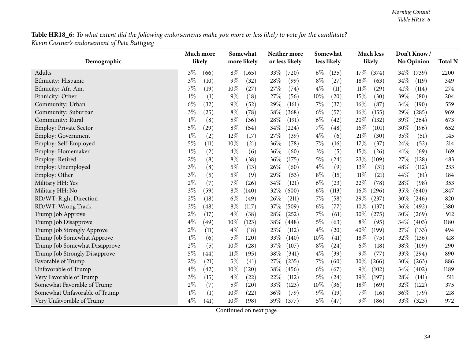${\bf Table\,HR18\_6}\!$  To what extent did the following endorsements make you more or less likely to vote for the candidate? *Kevin Costner's endorsement of Pete Buttigieg*

|                               | Much more<br>likely | Somewhat<br>more likely | Neither more<br>or less likely | Somewhat<br>less likely | <b>Much less</b><br>likely | Don't Know/<br><b>No Opinion</b> | <b>Total N</b> |
|-------------------------------|---------------------|-------------------------|--------------------------------|-------------------------|----------------------------|----------------------------------|----------------|
| Demographic                   |                     |                         |                                |                         |                            |                                  |                |
| Adults                        | $3\%$<br>(66)       | $8\%$<br>(165)          | 33\%<br>(720)                  | $6\%$<br>(135)          | 17%<br>(374)               | 34\%<br>(739)                    | 2200           |
| Ethnicity: Hispanic           | $3\%$<br>(10)       | $9\%$<br>(32)           | 28%<br>(99)                    | $8\%$<br>(27)           | 18%<br>(63)                | 34%<br>(119)                     | 349            |
| Ethnicity: Afr. Am.           | 7%<br>(19)          | $10\%$<br>(27)          | 27%<br>(74)                    | $4\%$<br>(11)           | $11\%$<br>(29)             | 41\%<br>(114)                    | 274            |
| Ethnicity: Other              | $1\%$<br>(1)        | $9\%$<br>(18)           | 27%<br>(56)                    | 10%<br>(20)             | 15%<br>(30)                | 39%<br>(80)                      | 204            |
| Community: Urban              | $6\%$<br>(32)       | $9\%$<br>(52)           | 29%<br>(161)                   | $7\%$<br>(37)           | 16%<br>(87)                | 34%<br>(190)                     | 559            |
| Community: Suburban           | $3\%$<br>(25)       | $8\%$<br>(78)           | 38%<br>(368)                   | $6\%$<br>(57)           | 16%<br>(155)               | 29%<br>(285)                     | 969            |
| Community: Rural              | $1\%$<br>(8)        | $5\%$<br>(36)           | 28%<br>(191)                   | $6\%$<br>(42)           | 20%<br>(132)               | 39%<br>(264)                     | 673            |
| Employ: Private Sector        | 5%<br>(29)          | $8\%$<br>(54)           | 34%<br>(224)                   | 7%<br>(48)              | 16%<br>(101)               | 30%<br>(196)                     | 652            |
| <b>Employ: Government</b>     | $1\%$<br>(2)        | $12\%$<br>(17)          | 27%<br>(39)                    | $4\%$<br>(6)            | 21%<br>(30)                | 35%<br>(51)                      | 145            |
| Employ: Self-Employed         | $5\%$<br>(11)       | $10\%$<br>(21)          | 36%<br>(78)                    | 7%<br>(16)              | 17%<br>(37)                | 24%<br>(52)                      | 214            |
| Employ: Homemaker             | $1\%$<br>(2)        | $4\%$<br>(6)            | 36%<br>(60)                    | $3\%$<br>(5)            | 15%<br>(26)                | 41\%<br>(69)                     | 169            |
| Employ: Retired               | $2\%$<br>(8)        | $8\%$<br>(38)           | 36%<br>(175)                   | $5\%$<br>(24)           | 23%<br>(109)               | 27%<br>(128)                     | 483            |
| Employ: Unemployed            | $3\%$<br>(8)        | $5\%$<br>(13)           | 26%<br>(60)                    | $4\%$<br>(9)            | 13%<br>(31)                | 48%<br>(112)                     | 233            |
| Employ: Other                 | $3\%$<br>(5)        | $5\%$<br>(9)            | 29%<br>(53)                    | $8\%$<br>(15)           | $11\%$<br>(21)             | 44%<br>(81)                      | 184            |
| Military HH: Yes              | $2\%$<br>(7)        | 7%<br>(26)              | 34%<br>(121)                   | $6\%$<br>(23)           | 22%<br>(78)                | 28%<br>(98)                      | 353            |
| Military HH: No               | $3\%$<br>(59)       | $8\%$<br>(140)          | 32%<br>(600)                   | $6\%$<br>(113)          | 16%<br>(296)               | 35%<br>(640)                     | 1847           |
| RD/WT: Right Direction        | $2\%$<br>(18)       | $6\%$<br>(49)           | 26%<br>(211)                   | $7\%$<br>(58)           | 29%<br>(237)               | 30%<br>(246)                     | 820            |
| RD/WT: Wrong Track            | $3\%$<br>(48)       | $8\%$<br>(117)          | 37%<br>(509)                   | $6\%$<br>(77)           | $10\%$<br>(137)            | 36%<br>(492)                     | 1380           |
| Trump Job Approve             | $2\%$<br>(17)       | $4\%$<br>(38)           | 28%<br>(252)                   | 7%<br>(61)              | 30%<br>(275)               | 30%<br>(269)                     | 912            |
| Trump Job Disapprove          | $4\%$<br>(49)       | $10\%$<br>(123)         | 38%<br>(448)                   | $5\%$<br>(63)           | $8\%$<br>(95)              | 34%<br>(403)                     | 1180           |
| Trump Job Strongly Approve    | $2\%$<br>(11)       | $4\%$<br>(18)           | 23%<br>(112)                   | $4\%$<br>(20)           | 40%<br>(199)               | 27%<br>(133)                     | 494            |
| Trump Job Somewhat Approve    | $1\%$<br>(6)        | $5\%$<br>(20)           | 33%<br>(140)                   | 10%<br>(41)             | 18%<br>(75)                | 32%<br>(136)                     | 418            |
| Trump Job Somewhat Disapprove | $2\%$<br>(5)        | 10%<br>(28)             | 37%<br>(107)                   | $8\%$<br>(24)           | $6\%$<br>(18)              | 38%<br>(109)                     | 290            |
| Trump Job Strongly Disapprove | $5\%$<br>(44)       | $11\%$<br>(95)          | 38%<br>(341)                   | $4\%$<br>(39)           | $9\%$<br>(77)              | 33%<br>(294)                     | 890            |
| Favorable of Trump            | $2\%$<br>(21)       | $5\%$<br>(41)           | 27%<br>(235)                   | $7\%$<br>(60)           | 30%<br>$^{'}266)$          | 30%<br>(263)                     | 886            |
| Unfavorable of Trump          | $4\%$<br>(42)       | 10%<br>(120)            | 38%<br>(456)                   | $6\%$<br>(67)           | 9%<br>(102)                | 34%<br>(402)                     | 1189           |
| Very Favorable of Trump       | $3\%$<br>(15)       | $4\%$<br>(22)           | 22%<br>(112)                   | $5\%$<br>(24)           | 39%<br>(197)               | 28%<br>(141)                     | 511            |
| Somewhat Favorable of Trump   | $2\%$<br>(7)        | $5\%$<br>(20)           | 33%<br>(123)                   | 10%<br>(36)             | 18%<br>(69)                | 32%<br>(122)                     | 375            |
| Somewhat Unfavorable of Trump | $1\%$<br>(1)        | $10\%$<br>(22)          | 36%<br>(79)                    | $9\%$<br>(19)           | 7%<br>(16)                 | 36%<br>(79)                      | 218            |
| Very Unfavorable of Trump     | $4\%$<br>(41)       | $10\%$<br>(98)          | 39\%<br>(377)                  | $5\%$<br>(47)           | $9\%$<br>(86)              | 33%<br>(323)                     | 972            |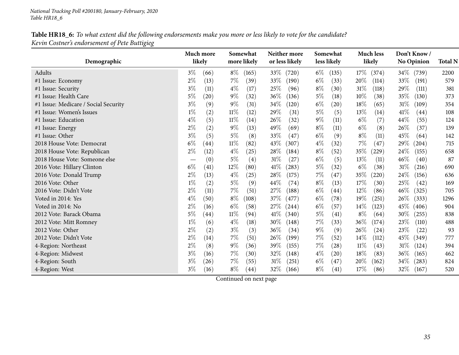#### Table HR18\_6: To what extent did the following endorsements make you more or less likely to vote for the candidate? *Kevin Costner's endorsement of Pete Buttigieg*

|                                      | Much more                              | Somewhat       | Neither more    | Somewhat       | <b>Much less</b> | Don't Know/       |                |
|--------------------------------------|----------------------------------------|----------------|-----------------|----------------|------------------|-------------------|----------------|
| Demographic                          | likely                                 | more likely    | or less likely  | less likely    | likely           | <b>No Opinion</b> | <b>Total N</b> |
| Adults                               | $3\%$<br>(66)                          | $8\%$<br>(165) | 33\%<br>(720)   | $6\%$<br>(135) | $17\%$<br>(374)  | $34\%$<br>(739)   | 2200           |
| #1 Issue: Economy                    | $2\%$<br>(13)                          | $7\%$<br>(39)  | 33\%<br>(190)   | $6\%$<br>(33)  | 20%<br>(114)     | 33%<br>(191)      | 579            |
| #1 Issue: Security                   | $3\%$<br>(11)                          | $4\%$<br>(17)  | 25\%<br>(96)    | $8\%$<br>(30)  | $31\%$<br>(118)  | 29%<br>(111)      | 381            |
| #1 Issue: Health Care                | $5\%$<br>(20)                          | $9\%$<br>(32)  | 36\%<br>(136)   | $5\%$<br>(18)  | 10%<br>(38)      | 35%<br>(130)      | 373            |
| #1 Issue: Medicare / Social Security | $3\%$<br>(9)                           | $9\%$<br>(31)  | 34\%<br>(120)   | $6\%$<br>(20)  | 18%<br>(65)      | 31%<br>(109)      | 354            |
| #1 Issue: Women's Issues             | $1\%$<br>(2)                           | $11\%$<br>(12) | 29%<br>(31)     | $5\%$<br>(5)   | 13%<br>(14)      | 41\%<br>(44)      | 108            |
| #1 Issue: Education                  | $4\%$<br>(5)                           | $11\%$<br>(14) | 26%<br>(32)     | $9\%$<br>(11)  | $6\%$<br>(7)     | 44%<br>(55)       | 124            |
| #1 Issue: Energy                     | $2\%$<br>(2)                           | $9\%$<br>(13)  | 49%<br>(69)     | $8\%$<br>(11)  | $6\%$<br>(8)     | 26%<br>(37)       | 139            |
| #1 Issue: Other                      | $3\%$<br>(5)                           | $5\%$<br>(8)   | 33%<br>(47)     | $6\%$<br>(9)   | $8\%$<br>(11)    | 45%<br>(64)       | 142            |
| 2018 House Vote: Democrat            | $6\%$<br>(44)                          | 11%<br>(82)    | 43\%<br>(307)   | $4\%$<br>(32)  | 7%<br>(47)       | 29\%<br>(204)     | 715            |
| 2018 House Vote: Republican          | $2\%$<br>(12)                          | $4\%$<br>(25)  | 28\%<br>(184)   | $8\%$<br>(52)  | 35%<br>(229)     | 24%<br>(155)      | 658            |
| 2018 House Vote: Someone else        | (0)<br>$\hspace{0.1mm}-\hspace{0.1mm}$ | $5\%$<br>(4)   | $31\%$<br>(27)  | $6\%$<br>(5)   | 13\%<br>(11)     | 46%<br>(40)       | 87             |
| 2016 Vote: Hillary Clinton           | $6\%$<br>(41)                          | $12\%$<br>(80) | 41\%<br>(283)   | $5\%$<br>(32)  | $6\%$<br>(38)    | $31\%$<br>(216)   | 690            |
| 2016 Vote: Donald Trump              | $2\%$<br>(13)                          | $4\%$<br>(25)  | 28%<br>(175)    | $7\%$<br>(47)  | $35\%$<br>(220)  | 24%<br>(156)      | 636            |
| 2016 Vote: Other                     | $1\%$<br>(2)                           | $5\%$<br>(9)   | 44%<br>(74)     | $8\%$<br>(13)  | 17%<br>(30)      | 25%<br>(42)       | 169            |
| 2016 Vote: Didn't Vote               | $2\%$<br>(11)                          | $7\%$<br>(51)  | 27\%<br>(188)   | $6\%$<br>(44)  | 12%<br>(86)      | 46%<br>(325)      | 705            |
| Voted in 2014: Yes                   | $4\%$<br>(50)                          | $8\%$<br>(108) | 37\%<br>(477)   | $6\%$<br>(78)  | $19\%$<br>(251)  | 26%<br>(333)      | 1296           |
| Voted in 2014: No                    | $2\%$<br>(16)                          | $6\%$<br>(58)  | 27\%<br>(244)   | $6\%$<br>(57)  | $14\%$<br>(123)  | 45\%<br>(406)     | 904            |
| 2012 Vote: Barack Obama              | $5\%$<br>$\left( 44\right)$            | $11\%$<br>(94) | 41%<br>(340)    | $5\%$<br>(41)  | $8\%$<br>(64)    | 30%<br>(255)      | 838            |
| 2012 Vote: Mitt Romney               | $1\%$<br>(6)                           | $4\%$<br>(18)  | 30\%<br>(148)   | $7\%$<br>(33)  | $36\%$<br>(174)  | 23%<br>(110)      | 488            |
| 2012 Vote: Other                     | $2\%$<br>(2)                           | $3\%$<br>(3)   | 36%<br>(34)     | $9\%$<br>(9)   | $26\%$<br>(24)   | 23\%<br>(22)      | 93             |
| 2012 Vote: Didn't Vote               | $2\%$<br>(14)                          | $7\%$<br>(51)  | 26\%<br>(199)   | $7\%$<br>(52)  | $14\%$<br>(112)  | 45%<br>(349)      | 777            |
| 4-Region: Northeast                  | $2\%$<br>(8)                           | $9\%$<br>(36)  | 39\%<br>(155)   | $7\%$<br>(28)  | $11\%$<br>(43)   | $31\%$<br>(124)   | 394            |
| 4-Region: Midwest                    | $3\%$<br>(16)                          | $7\%$<br>(30)  | 32%<br>(148)    | $4\%$<br>(20)  | 18\%<br>(83)     | 36%<br>(165)      | 462            |
| 4-Region: South                      | $3\%$<br>(26)                          | $7\%$<br>(55)  | $31\%$<br>(251) | $6\%$<br>(47)  | 20%<br>(162)     | 34%<br>(283)      | 824            |
| 4-Region: West                       | $3\%$<br>(16)                          | $8\%$<br>(44)  | 32%<br>(166)    | $8\%$<br>(41)  | 17%<br>(86)      | 32\%<br>(167)     | 520            |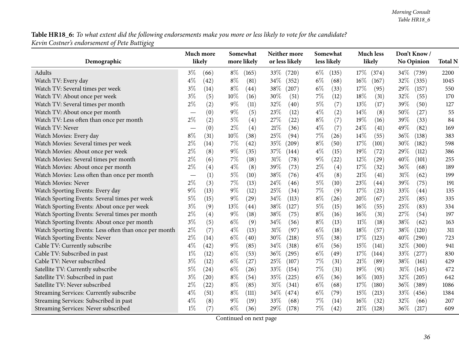${\bf Table\,HR18\_6}\!$  To what extent did the following endorsements make you more or less likely to vote for the candidate? *Kevin Costner's endorsement of Pete Buttigieg*

|                                                       | Much more |      |        | Somewhat    |        | Neither more   |       | Somewhat    |        | <b>Much less</b> |        | Don't Know/       |                |
|-------------------------------------------------------|-----------|------|--------|-------------|--------|----------------|-------|-------------|--------|------------------|--------|-------------------|----------------|
| Demographic                                           | likely    |      |        | more likely |        | or less likely |       | less likely |        | likely           |        | <b>No Opinion</b> | <b>Total N</b> |
| Adults                                                | $3\%$     | (66) | $8\%$  | (165)       | 33%    | (720)          | $6\%$ | (135)       | $17\%$ | (374)            | $34\%$ | (739)             | 2200           |
| Watch TV: Every day                                   | $4\%$     | (42) | $8\%$  | (81)        | 34%    | (352)          | $6\%$ | (68)        | $16\%$ | (167)            | 32%    | (335)             | 1045           |
| Watch TV: Several times per week                      | $3\%$     | (14) | $8\%$  | (44)        | 38%    | (207)          | $6\%$ | (33)        | 17%    | (95)             | 29%    | (157)             | 550            |
| Watch TV: About once per week                         | $3\%$     | (5)  | $10\%$ | (16)        | 30%    | (51)           | $7\%$ | (12)        | 18%    | (31)             | 32%    | (55)              | 170            |
| Watch TV: Several times per month                     | $2\%$     | (2)  | $9\%$  | (11)        | 32%    | (40)           | $5\%$ | (7)         | 13%    | (17)             | 39%    | (50)              | 127            |
| Watch TV: About once per month                        |           | (0)  | $9\%$  | (5)         | 23%    | (12)           | $4\%$ | (2)         | 14%    | (8)              | 50%    | (27)              | 55             |
| Watch TV: Less often than once per month              | $2\%$     | (2)  | $5\%$  | (4)         | 27%    | (22)           | $8\%$ | (7)         | 19%    | (16)             | 39%    | (33)              | 84             |
| Watch TV: Never                                       |           | (0)  | $2\%$  | (4)         | $21\%$ | (36)           | $4\%$ | (7)         | 24%    | (41)             | 49%    | (82)              | 169            |
| Watch Movies: Every day                               | $8\%$     | (31) | 10%    | (38)        | $25\%$ | (94)           | 7%    | (26)        | 14%    | (55)             | 36%    | (138)             | 383            |
| Watch Movies: Several times per week                  | $2\%$     | (14) | 7%     | (42)        | 35%    | (209)          | $8\%$ | (50)        | 17%    | (101)            | 30%    | (182)             | 598            |
| Watch Movies: About once per week                     | $2\%$     | (8)  | $9\%$  | (35)        | 37%    | (144)          | $4\%$ | (15)        | 19%    | (72)             | 29%    | (112)             | 386            |
| Watch Movies: Several times per month                 | $2\%$     | (6)  | $7\%$  | (18)        | $31\%$ | (78)           | $9\%$ | (22)        | 12%    | (29)             | 40%    | (101)             | 255            |
| Watch Movies: About once per month                    | $2\%$     | (4)  | $4\%$  | (8)         | 39%    | (73)           | $2\%$ | (4)         | 17%    | (32)             | 36%    | (68)              | 189            |
| Watch Movies: Less often than once per month          |           | (1)  | $5\%$  | (10)        | 38%    | (76)           | $4\%$ | (8)         | 21%    | (41)             | 31%    | (62)              | 199            |
| Watch Movies: Never                                   | $2\%$     | (3)  | $7\%$  | (13)        | 24%    | (46)           | $5\%$ | (10)        | 23%    | (44)             | 39%    | (75)              | 191            |
| Watch Sporting Events: Every day                      | 9%        | (13) | $9\%$  | (12)        | 25%    | (34)           | $7\%$ | (9)         | 17%    | (23)             | 33%    | (44)              | 135            |
| Watch Sporting Events: Several times per week         | 5%        | (15) | $9\%$  | (29)        | 34%    | (113)          | $8\%$ | (26)        | 20%    | (67)             | 25%    | (85)              | 335            |
| Watch Sporting Events: About once per week            | $3\%$     | (9)  | 13\%   | (44)        | 38%    | (127)          | 5%    | (15)        | 16%    | (55)             | 25%    | (83)              | 334            |
| Watch Sporting Events: Several times per month        | $2\%$     | (4)  | $9\%$  | (18)        | 38%    | (75)           | $8\%$ | (16)        | 16%    | (31)             | 27%    | (54)              | 197            |
| Watch Sporting Events: About once per month           | $3\%$     | (5)  | $6\%$  | (9)         | 34%    | (56)           | $8\%$ | (13)        | $11\%$ | (18)             | 38%    | (62)              | 163            |
| Watch Sporting Events: Less often than once per month | $2\%$     | (7)  | $4\%$  | (13)        | 31%    | (97)           | $6\%$ | (18)        | 18%    | (57)             | 38%    | (120)             | 311            |
| Watch Sporting Events: Never                          | $2\%$     | (14) | $6\%$  | (40)        | 30%    | (218)          | $5\%$ | (38)        | 17%    | (123)            | 40%    | (290)             | 723            |
| Cable TV: Currently subscribe                         | $4\%$     | (42) | $9\%$  | (85)        | 34%    | (318)          | $6\%$ | (56)        | 15%    | (141)            | 32%    | (300)             | 941            |
| Cable TV: Subscribed in past                          | $1\%$     | (12) | $6\%$  | (53)        | 36%    | (295)          | $6\%$ | (49)        | 17%    | (144)            | 33%    | (277)             | 830            |
| Cable TV: Never subscribed                            | $3\%$     | (12) | $6\%$  | (27)        | 25%    | (107)          | 7%    | (31)        | 21%    | (89)             | 38%    | (161)             | 429            |
| Satellite TV: Currently subscribe                     | $5\%$     | (24) | $6\%$  | (26)        | 33%    | (154)          | $7\%$ | (31)        | 19%    | (91)             | 31%    | (145)             | 472            |
| Satellite TV: Subscribed in past                      | $3\%$     | (20) | $8\%$  | (54)        | 35%    | (225)          | $6\%$ | (36)        | 16%    | (103)            | 32%    | (205)             | 642            |
| Satellite TV: Never subscribed                        | $2\%$     | (22) | $8\%$  | (85)        | 31%    | (341)          | $6\%$ | (68)        | 17%    | (180)            | 36%    | (389)             | 1086           |
| Streaming Services: Currently subscribe               | $4\%$     | (51) | $8\%$  | (111)       | 34%    | (474)          | $6\%$ | (79)        | 15%    | (213)            | 33%    | (456)             | 1384           |
| Streaming Services: Subscribed in past                | $4\%$     | (8)  | $9\%$  | (19)        | 33%    | (68)           | 7%    | (14)        | 16%    | (32)             | 32%    | (66)              | 207            |
| Streaming Services: Never subscribed                  | $1\%$     | (7)  | $6\%$  | (36)        | 29%    | (178)          | $7\%$ | (42)        | 21%    | (128)            | 36%    | (217)             | 609            |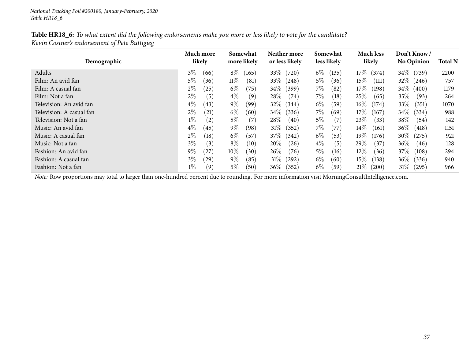| Table HR18_6: To what extent did the following endorsements make you more or less likely to vote for the candidate? |
|---------------------------------------------------------------------------------------------------------------------|
| Kevin Costner's endorsement of Pete Buttigieg                                                                       |

| Demographic              | Much more<br>likely        | Somewhat<br>more likely | Neither more<br>or less likely | Somewhat<br>less likely | <b>Much less</b><br>likely | Don't Know/<br><b>No Opinion</b> | <b>Total N</b> |
|--------------------------|----------------------------|-------------------------|--------------------------------|-------------------------|----------------------------|----------------------------------|----------------|
| Adults                   | $3\%$<br>(66)              | $8\%$<br>(165)          | 33\%<br>(720)                  | $6\%$<br>(135)          | $17\%$<br>(374)            | 34\% (739)                       | 2200           |
| Film: An avid fan        | $5\%$<br>(36)              | $11\%$<br>(81)          | $33\%$<br>(248)                | $5\%$<br>(36)           | $15\%$<br>(111)            | $32\%$ (246)                     | 757            |
| Film: A casual fan       | $2\%$<br>$^{'}25)$         | $6\%$<br>(75)           | $34\%$<br>(399)                | $7\%$<br>(82)           | $17\%$<br>(198)            | 34\% (400)                       | 1179           |
| Film: Not a fan          | $2\%$<br>(5)               | $4\%$<br>(9)            | $28\%$<br>(74)                 | $7\%$<br>(18)           | 25%<br>(65)                | $35\%$<br>(93)                   | 264            |
| Television: An avid fan  | $4\%$<br>(43)              | $9\%$<br>(99)           | $32\%$<br>(344)                | $6\%$<br>(59)           | $16\%$<br>(174)            | $33\%$<br>(351)                  | 1070           |
| Television: A casual fan | $2\%$<br>(21)              | $6\%$<br>(60)           | $34\%$<br>(336)                | $7\%$<br>(69)           | $17\%$<br>(167)            | 34\% (334)                       | 988            |
| Television: Not a fan    | $1\%$<br>$\left( 2\right)$ | $5\%$<br>(7)            | $28\%$<br>(40)                 | $5\%$<br>(7)            | 23%<br>(33)                | $38\%$<br>(54)                   | 142            |
| Music: An avid fan       | $4\%$<br>(45)              | $9\%$<br>(98)           | 31%<br>(352)                   | $7\%$<br>(77)           | $14\%$<br>(161)            | $36\%$<br>(418)                  | 1151           |
| Music: A casual fan      | $2\%$<br>(18)              | $6\%$<br>(57            | 37%<br>(342)                   | $6\%$<br>(53)           | $19\%$<br>(176)            | $30\%$<br>(275)                  | 921            |
| Music: Not a fan         | $3\%$<br>(3)               | $8\%$<br>(10)           | $20\%$<br>(26)                 | $4\%$<br>(5)            | $29\%$<br>(37)             | $36\%$<br>(46)                   | 128            |
| Fashion: An avid fan     | $9\%$<br>$^{'}27$          | $10\%$<br>(30)          | $26\%$<br>(76)                 | $5\%$<br>(16)           | $12\%$<br>(36)             | $37\%$<br>(108)                  | 294            |
| Fashion: A casual fan    | $3\%$<br>$^{'}29)$         | $9\%$<br>(85)           | 31%<br>(292)                   | $6\%$<br>(60)           | $15\%$<br>(138)            | $36\%$<br>(336)                  | 940            |
| Fashion: Not a fan       | $1\%$<br>$\left( 9\right)$ | $5\%$<br>(50)           | $36\%$<br>(352)                | $6\%$<br>(59)           | 21%<br>(200)               | $31\%$<br>(295)                  | 966            |

*Note:* Row proportions may total to larger than one-hundred percen<sup>t</sup> due to rounding. For more information visit [MorningConsultIntelligence.com](https://morningconsultintelligence.com).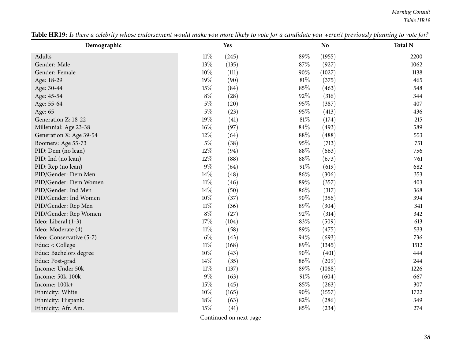*Morning Consult Table HR19*

| Demographic              |        | <b>Yes</b> |        | <b>No</b> | <b>Total N</b> |
|--------------------------|--------|------------|--------|-----------|----------------|
| Adults                   | $11\%$ | (245)      | 89%    | (1955)    | 2200           |
| Gender: Male             | 13%    | (135)      | 87%    | (927)     | 1062           |
| Gender: Female           | $10\%$ | (111)      | $90\%$ | (1027)    | 1138           |
| Age: 18-29               | 19%    | (90)       | $81\%$ | (375)     | 465            |
| Age: 30-44               | 15%    | (84)       | 85%    | (463)     | 548            |
| Age: 45-54               | $8\%$  | (28)       | 92%    | (316)     | 344            |
| Age: 55-64               | $5\%$  | (20)       | 95%    | (387)     | 407            |
| Age: 65+                 | $5\%$  | (23)       | 95%    | (413)     | 436            |
| Generation Z: 18-22      | 19%    | (41)       | $81\%$ | (174)     | 215            |
| Millennial: Age 23-38    | $16\%$ | (97)       | $84\%$ | (493)     | 589            |
| Generation X: Age 39-54  | $12\%$ | (64)       | $88\%$ | (488)     | 553            |
| Boomers: Age 55-73       | $5\%$  | (38)       | 95%    | (713)     | 751            |
| PID: Dem (no lean)       | $12\%$ | (94)       | 88%    | (663)     | 756            |
| PID: Ind (no lean)       | 12%    | (88)       | 88%    | (673)     | 761            |
| PID: Rep (no lean)       | $9\%$  | (64)       | $91\%$ | (619)     | 682            |
| PID/Gender: Dem Men      | $14\%$ | (48)       | 86%    | (306)     | 353            |
| PID/Gender: Dem Women    | $11\%$ | (46)       | 89%    | (357)     | 403            |
| PID/Gender: Ind Men      | 14\%   | (50)       | $86\%$ | (317)     | 368            |
| PID/Gender: Ind Women    | $10\%$ | (37)       | $90\%$ | (356)     | 394            |
| PID/Gender: Rep Men      | $11\%$ | (36)       | 89%    | (304)     | 341            |
| PID/Gender: Rep Women    | $8\%$  | (27)       | 92%    | (314)     | 342            |
| Ideo: Liberal (1-3)      | 17%    | (104)      | 83%    | (509)     | 613            |
| Ideo: Moderate (4)       | $11\%$ | (58)       | 89%    | (475)     | 533            |
| Ideo: Conservative (5-7) | $6\%$  | (43)       | 94%    | (693)     | 736            |
| Educ: < College          | $11\%$ | (168)      | 89%    | (1345)    | 1512           |
| Educ: Bachelors degree   | 10%    | (43)       | 90%    | (401)     | 444            |
| Educ: Post-grad          | 14\%   | (35)       | 86%    | (209)     | 244            |
| Income: Under 50k        | $11\%$ | (137)      | 89%    | (1088)    | 1226           |
| Income: 50k-100k         | $9\%$  | (63)       | 91%    | (604)     | 667            |
| Income: 100k+            | 15%    | (45)       | 85%    | (263)     | 307            |
| Ethnicity: White         | 10%    | (165)      | 90%    | (1557)    | 1722           |
| Ethnicity: Hispanic      | 18%    | (63)       | 82%    | (286)     | 349            |
| Ethnicity: Afr. Am.      | 15%    | (41)       | 85%    | (234)     | 274            |

Table HR19: Is there a celebrity whose endorsement would make you more likely to vote for a candidate you weren't previously planning to vote for?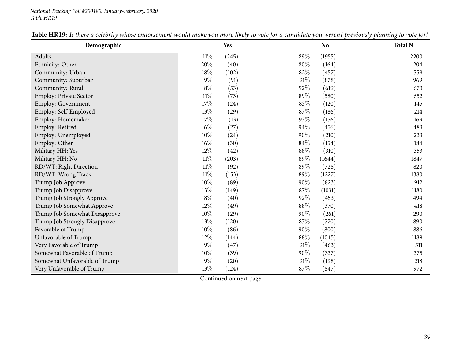| Demographic                   |        | Yes   |        | N <sub>o</sub> | <b>Total N</b> |
|-------------------------------|--------|-------|--------|----------------|----------------|
| <b>Adults</b>                 | $11\%$ | (245) | 89%    | (1955)         | 2200           |
| Ethnicity: Other              | 20%    | (40)  | $80\%$ | (164)          | 204            |
| Community: Urban              | 18\%   | (102) | 82%    | (457)          | 559            |
| Community: Suburban           | $9\%$  | (91)  | $91\%$ | (878)          | 969            |
| Community: Rural              | $8\%$  | (53)  | 92%    | (619)          | 673            |
| Employ: Private Sector        | $11\%$ | (73)  | 89%    | (580)          | 652            |
| <b>Employ: Government</b>     | $17\%$ | (24)  | 83%    | (120)          | 145            |
| Employ: Self-Employed         | 13%    | (29)  | 87%    | (186)          | 214            |
| Employ: Homemaker             | $7\%$  | (13)  | 93%    | (156)          | 169            |
| Employ: Retired               | $6\%$  | (27)  | 94%    | (456)          | 483            |
| Employ: Unemployed            | 10%    | (24)  | 90%    | (210)          | 233            |
| Employ: Other                 | 16%    | (30)  | 84%    | (154)          | 184            |
| Military HH: Yes              | 12%    | (42)  | 88%    | (310)          | 353            |
| Military HH: No               | $11\%$ | (203) | 89%    | (1644)         | 1847           |
| RD/WT: Right Direction        | $11\%$ | (92)  | 89%    | (728)          | 820            |
| RD/WT: Wrong Track            | $11\%$ | (153) | 89%    | (1227)         | 1380           |
| Trump Job Approve             | $10\%$ | (89)  | 90%    | (823)          | 912            |
| Trump Job Disapprove          | 13%    | (149) | $87\%$ | (1031)         | 1180           |
| Trump Job Strongly Approve    | $8\%$  | (40)  | 92%    | (453)          | 494            |
| Trump Job Somewhat Approve    | 12%    | (49)  | $88\%$ | (370)          | 418            |
| Trump Job Somewhat Disapprove | 10%    | (29)  | 90%    | (261)          | 290            |
| Trump Job Strongly Disapprove | 13%    | (120) | 87%    | (770)          | 890            |
| Favorable of Trump            | $10\%$ | (86)  | 90%    | (800)          | 886            |
| Unfavorable of Trump          | 12%    | (144) | 88%    | (1045)         | 1189           |
| Very Favorable of Trump       | $9\%$  | (47)  | $91\%$ | (463)          | 511            |
| Somewhat Favorable of Trump   | 10%    | (39)  | 90%    | (337)          | 375            |
| Somewhat Unfavorable of Trump | $9\%$  | (20)  | 91%    | (198)          | 218            |
| Very Unfavorable of Trump     | 13%    | (124) | 87%    | (847)          | 972            |

| Table HR.<br>. candidate vou •<br>make vou more<br>° endorsement<br>likelv<br>celebrit<br>whose<br>weren<br><i>breviousl</i> y<br>there<br>plannın<br>vote tor<br>uv.<br>would<br>' to | to vote for? |
|----------------------------------------------------------------------------------------------------------------------------------------------------------------------------------------|--------------|
|----------------------------------------------------------------------------------------------------------------------------------------------------------------------------------------|--------------|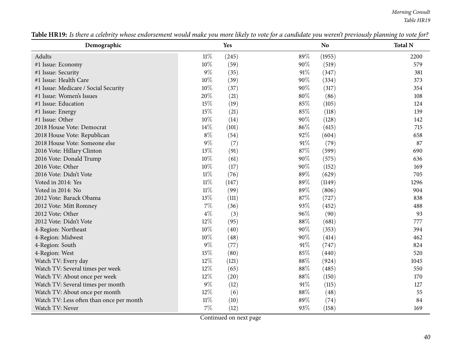*Morning Consult Table HR19*

| Demographic                              |        | Yes   |        | <b>No</b> | <b>Total N</b> |
|------------------------------------------|--------|-------|--------|-----------|----------------|
| Adults                                   | $11\%$ | (245) | 89%    | (1955)    | 2200           |
| #1 Issue: Economy                        | 10%    | (59)  | $90\%$ | (519)     | 579            |
| #1 Issue: Security                       | $9\%$  | (35)  | 91%    | (347)     | 381            |
| #1 Issue: Health Care                    | 10%    | (39)  | 90%    | (334)     | 373            |
| #1 Issue: Medicare / Social Security     | 10%    | (37)  | 90%    | (317)     | 354            |
| #1 Issue: Women's Issues                 | 20%    | (21)  | 80%    | (86)      | 108            |
| #1 Issue: Education                      | 15%    | (19)  | 85%    | (105)     | 124            |
| #1 Issue: Energy                         | 15%    | (21)  | 85%    | (118)     | 139            |
| #1 Issue: Other                          | 10%    | (14)  | 90%    | (128)     | 142            |
| 2018 House Vote: Democrat                | 14%    | (101) | 86%    | (615)     | 715            |
| 2018 House Vote: Republican              | $8\%$  | (54)  | 92%    | (604)     | 658            |
| 2018 House Vote: Someone else            | $9\%$  | (7)   | 91%    | (79)      | 87             |
| 2016 Vote: Hillary Clinton               | 13\%   | (91)  | 87%    | (599)     | 690            |
| 2016 Vote: Donald Trump                  | 10%    | (61)  | 90%    | (575)     | 636            |
| 2016 Vote: Other                         | 10%    | (17)  | 90%    | (152)     | 169            |
| 2016 Vote: Didn't Vote                   | $11\%$ | (76)  | 89%    | (629)     | 705            |
| Voted in 2014: Yes                       | $11\%$ | (147) | 89%    | (1149)    | 1296           |
| Voted in 2014: No                        | $11\%$ | (99)  | 89%    | (806)     | 904            |
| 2012 Vote: Barack Obama                  | 13%    | (111) | 87%    | (727)     | 838            |
| 2012 Vote: Mitt Romney                   | $7\%$  | (36)  | 93%    | (452)     | 488            |
| 2012 Vote: Other                         | $4\%$  | (3)   | 96%    | (90)      | 93             |
| 2012 Vote: Didn't Vote                   | 12%    | (95)  | 88%    | (681)     | 777            |
| 4-Region: Northeast                      | 10%    | (40)  | 90%    | (353)     | 394            |
| 4-Region: Midwest                        | $10\%$ | (48)  | 90%    | (414)     | 462            |
| 4-Region: South                          | $9\%$  | (77)  | 91%    | (747)     | 824            |
| 4-Region: West                           | 15%    | (80)  | 85%    | (440)     | 520            |
| Watch TV: Every day                      | $12\%$ | (121) | 88%    | (924)     | 1045           |
| Watch TV: Several times per week         | 12\%   | (65)  | 88%    | (485)     | 550            |
| Watch TV: About once per week            | 12\%   | (20)  | 88%    | (150)     | 170            |
| Watch TV: Several times per month        | $9\%$  | (12)  | 91%    | (115)     | 127            |
| Watch TV: About once per month           | 12%    | (6)   | 88%    | (48)      | 55             |
| Watch TV: Less often than once per month | $11\%$ | (10)  | 89%    | (74)      | 84             |
| Watch TV: Never                          | $7\%$  | (12)  | 93%    | (158)     | 169            |

Table HR19: Is there a celebrity whose endorsement would make you more likely to vote for a candidate you weren't previously planning to vote for?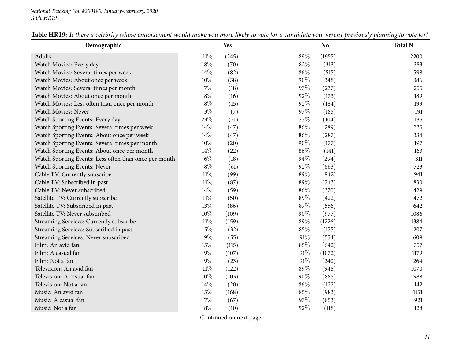| Demographic                                           |        | Yes   |        | <b>No</b> | <b>Total N</b> |
|-------------------------------------------------------|--------|-------|--------|-----------|----------------|
| Adults                                                | $11\%$ | (245) | 89%    | (1955)    | 2200           |
| Watch Movies: Every day                               | 18%    | (70)  | 82%    | (313)     | 383            |
| Watch Movies: Several times per week                  | 14\%   | (82)  | 86%    | (515)     | 598            |
| Watch Movies: About once per week                     | 10%    | (38)  | 90%    | (348)     | 386            |
| Watch Movies: Several times per month                 | $7\%$  | (18)  | 93%    | (237)     | 255            |
| Watch Movies: About once per month                    | $8\%$  | (16)  | 92%    | (173)     | 189            |
| Watch Movies: Less often than once per month          | $8\%$  | (15)  | 92%    | (184)     | 199            |
| <b>Watch Movies: Never</b>                            | $3\%$  | (7)   | 97%    | (185)     | 191            |
| Watch Sporting Events: Every day                      | 23%    | (31)  | 77%    | (104)     | 135            |
| Watch Sporting Events: Several times per week         | $14\%$ | (47)  | 86%    | (289)     | 335            |
| Watch Sporting Events: About once per week            | $14\%$ | (47)  | 86%    | (287)     | 334            |
| Watch Sporting Events: Several times per month        | 10%    | (20)  | 90%    | (177)     | 197            |
| Watch Sporting Events: About once per month           | 14%    | (22)  | 86%    | (141)     | 163            |
| Watch Sporting Events: Less often than once per month | $6\%$  | (18)  | 94%    | (294)     | 311            |
| Watch Sporting Events: Never                          | $8\%$  | (61)  | 92%    | (663)     | 723            |
| Cable TV: Currently subscribe                         | $11\%$ | (99)  | 89%    | (842)     | 941            |
| Cable TV: Subscribed in past                          | $11\%$ | (87)  | 89%    | (743)     | 830            |
| Cable TV: Never subscribed                            | 14\%   | (59)  | 86%    | (370)     | 429            |
| Satellite TV: Currently subscribe                     | $11\%$ | (50)  | 89%    | (422)     | 472            |
| Satellite TV: Subscribed in past                      | $13\%$ | (86)  | 87%    | (556)     | 642            |
| Satellite TV: Never subscribed                        | 10%    | (109) | 90%    | (977)     | 1086           |
| Streaming Services: Currently subscribe               | $11\%$ | (159) | 89%    | (1226)    | 1384           |
| Streaming Services: Subscribed in past                | 15%    | (32)  | 85%    | (175)     | 207            |
| Streaming Services: Never subscribed                  | $9\%$  | (55)  | $91\%$ | (554)     | 609            |
| Film: An avid fan                                     | $15\%$ | (115) | 85%    | (642)     | 757            |
| Film: A casual fan                                    | $9\%$  | (107) | 91%    | (1072)    | 1179           |
| Film: Not a fan                                       | $9\%$  | (23)  | 91%    | (240)     | 264            |
| Television: An avid fan                               | $11\%$ | (122) | 89%    | (948)     | 1070           |
| Television: A casual fan                              | 10%    | (103) | 90%    | (885)     | 988            |
| Television: Not a fan                                 | 14\%   | (20)  | 86%    | (122)     | 142            |
| Music: An avid fan                                    | $15\%$ | (168) | 85%    | (983)     | 1151           |
| Music: A casual fan                                   | $7\%$  | (67)  | 93%    | (853)     | 921            |
| Music: Not a fan                                      | $8\%$  | (10)  | 92%    | (118)     | 128            |

| y whose endorsement would make you more likely to vote for a candidate y<br>Table HR19:<br>planning to vote for?<br>. previously : |
|------------------------------------------------------------------------------------------------------------------------------------|
|------------------------------------------------------------------------------------------------------------------------------------|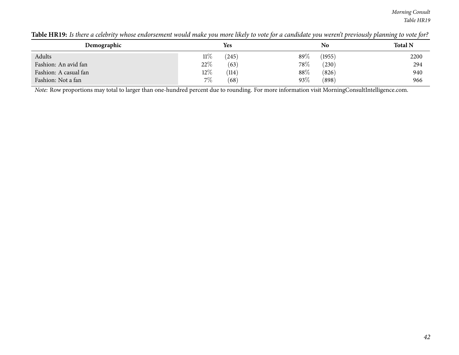*Morning Consult Table HR19*

| Demographic           |        | <b>Yes</b> |        | No     | <b>Total N</b> |
|-----------------------|--------|------------|--------|--------|----------------|
| Adults                | $11\%$ | (245)      | 89%    | (1955) | 2200           |
| Fashion: An avid fan  | 22%    | (63)       | $78\%$ | (230)  | 294            |
| Fashion: A casual fan | $12\%$ | (114)      | 88\%   | (826)  | 940            |
| Fashion: Not a fan    | $7\%$  | (68)       | $93\%$ | (898)  | 966            |

Table HR19: Is there a celebrity whose endorsement would make you more likely to vote for a candidate you weren't previously planning to vote for?

*Note:* Row proportions may total to larger than one-hundred percen<sup>t</sup> due to rounding. For more information visit [MorningConsultIntelligence.com](https://morningconsultintelligence.com).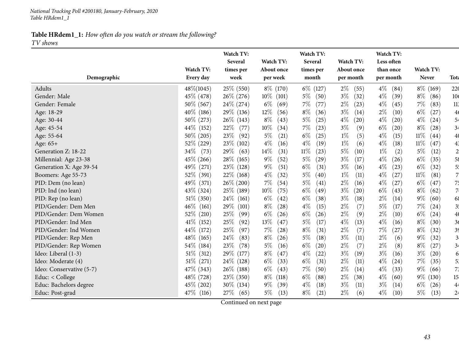*TV shows*

|                          |              | Watch TV:      |                | Watch TV:      |               | Watch TV:     |                |                         |
|--------------------------|--------------|----------------|----------------|----------------|---------------|---------------|----------------|-------------------------|
|                          |              | <b>Several</b> | Watch TV:      | Several        | Watch TV:     | Less often    |                |                         |
|                          | Watch TV:    | times per      | About once     | times per      | About once    | than once     | Watch TV:      |                         |
| Demographic              | Every day    | week           | per week       | month          | per month     | per month     | <b>Never</b>   | <b>Tota</b>             |
| Adults                   | 48\%(1045)   | 25% (550)      | 8\% (170)      | $6\%$ (127)    | $2\%$<br>(55) | $4\%$<br>(84) | $8\%$ (169)    | 220                     |
| Gender: Male             | 45\% (478)   | $26\%$ (276)   | $10\%$ (101)   | $5\%$<br>(50)  | $3\%$<br>(32) | $4\%$<br>(39) | $8\%$<br>(86)  | 10 <sub>6</sub>         |
| Gender: Female           | 50% (567)    | 24\% (274)     | $6\%$<br>(69)  | 7%<br>(77)     | $2\%$<br>(23) | $4\%$<br>(45) | $7\%$<br>(83)  | 113                     |
| Age: 18-29               | 40\% (186)   | 29\% (136)     | $12\%$<br>(56) | $8\%$<br>(36)  | $3\%$<br>(14) | $2\%$<br>(10) | $6\%$<br>(27)  | 4 <sub>6</sub>          |
| Age: 30-44               | 50\% (273)   | 26\% (143)     | $8\%$<br>(43)  | $5\%$<br>(25)  | $4\%$<br>(20) | $4\%$<br>(20) | $4\%$<br>(24)  | 54                      |
| Age: 45-54               | 44\% (152)   | 22%<br>(77)    | 10%<br>(34)    | 7%<br>(23)     | $3\%$<br>(9)  | $6\%$<br>(20) | $8\%$<br>(28)  | 34                      |
| Age: 55-64               | 50\% (205)   | 23\%<br>(92)   | $5\%$<br>(21)  | $6\%$<br>(25)  | $1\%$<br>(5)  | $4\%$<br>(15) | $11\%$<br>(44) | 40                      |
| Age: 65+                 | 52\% (229)   | 23\% (102)     | $4\%$<br>(16)  | $4\%$<br>(19)  | $1\%$<br>(6)  | $4\%$<br>(18) | 11%<br>(47)    | 4 <sup>3</sup>          |
| Generation Z: 18-22      | 34\% (73)    | 29%<br>(63)    | 14%<br>(31)    | $11\%$<br>(23) | 5%<br>(10)    | $1\%$<br>(2)  | $5\%$<br>(12)  | $\overline{2}$          |
| Millennial: Age 23-38    | 45\% (266)   | 28\% (165)     | $9\%$<br>(52)  | 5%<br>(29)     | $3\%$<br>(17) | $4\%$<br>(26) | $6\%$<br>(35)  | 58                      |
| Generation X: Age 39-54  | 49\% (271)   | $23\%$ (128)   | $9\%$<br>(51)  | $6\%$<br>(31)  | $3\%$<br>(16) | $4\%$<br>(23) | $6\%$<br>(32)  | 5 <sup>1</sup>          |
| Boomers: Age 55-73       | 52% (391)    | 22\% (168)     | $4\%$<br>(32)  | $5\%$<br>(40)  | $1\%$<br>(11) | $4\%$<br>(27) | $11\%$<br>(81) | 7.                      |
| PID: Dem (no lean)       | 49\% (371)   | 26\% (200)     | $7\%$<br>(54)  | $5\%$<br>(41)  | $2\%$<br>(16) | $4\%$<br>(27) | $6\%$<br>(47)  | 75                      |
| PID: Ind (no lean)       | 43\% (324)   | 25% (189)      | $10\%$<br>(75) | $6\%$<br>(49)  | $3\%$<br>(20) | $6\%$<br>(43) | $8\%$<br>(62)  | $\overline{7}$          |
| PID: Rep (no lean)       | 51\% (350)   | $24\%$ (161)   | $6\%$<br>(42)  | $6\%$<br>(38)  | $3\%$<br>(18) | $2\%$<br>(14) | $9\%$<br>(60)  | 68                      |
| PID/Gender: Dem Men      | $46\%$ (161) | 29\%<br>(101)  | $8\%$<br>(28)  | $4\%$<br>(15)  | $2\%$<br>(7)  | 5%<br>(17)    | 7%<br>(24)     | 3 <sup>1</sup>          |
| PID/Gender: Dem Women    | 52% (210)    | 25%<br>(99)    | $6\%$<br>(26)  | $6\%$<br>(26)  | $2\%$<br>(9)  | $2\%$<br>(10) | $6\%$<br>(24)  | 4 <sub>0</sub>          |
| PID/Gender: Ind Men      | $41\%$ (152) | 25%<br>(92)    | 13%<br>(47)    | $5\%$<br>(17)  | $4\%$<br>(13) | $4\%$<br>(16) | $8\%$<br>(30)  | 3 <sub>6</sub>          |
| PID/Gender: Ind Women    | 44\% (172)   | $25\%$<br>(97) | $7\%$<br>(28)  | $8\%$<br>(31)  | $2\%$<br>(7)  | $7\%$<br>(27) | $8\%$<br>(32)  | 39                      |
| PID/Gender: Rep Men      | 48\% (165)   | 24\%<br>(83)   | $8\%$<br>(26)  | $5\%$<br>(18)  | $3\%$<br>(11) | $2\%$<br>(6)  | $9\%$<br>(32)  | $\overline{\mathbf{3}}$ |
| PID/Gender: Rep Women    | 54\% (184)   | 23\%<br>(78)   | $5\%$<br>(16)  | $6\%$<br>(20)  | $2\%$<br>(7)  | $2\%$<br>(8)  | $8\%$<br>(27)  | 34                      |
| Ideo: Liberal (1-3)      | $51\%$ (312) | 29\% (177)     | $8\%$<br>(47)  | $4\%$<br>(22)  | $3\%$<br>(19) | $3\%$<br>(16) | $3\%$<br>(20)  | 6                       |
| Ideo: Moderate (4)       | $51\%$ (271) | 24\% (128)     | $6\%$<br>(33)  | $6\%$<br>(31)  | $2\%$<br>(11) | $4\%$<br>(24) | $7\%$<br>(35)  | 5.                      |
| Ideo: Conservative (5-7) | 47\% (343)   | 26\% (188)     | $6\%$<br>(43)  | $7\%$<br>(50)  | $2\%$<br>(14) | $4\%$<br>(33) | $9\%$<br>(66)  | 73                      |
| Educ: < College          | 48\% (728)   | $23\%$ (350)   | $8\%$<br>(118) | $6\%$<br>(88)  | $2\%$<br>(38) | $4\%$<br>(60) | $9\%$<br>(130) | 15 <sub>1</sub>         |
| Educ: Bachelors degree   | 45\% (202)   | 30\% (134)     | $9\%$<br>(39)  | $4\%$<br>(18)  | $3\%$<br>(11) | $3\%$<br>(14) | $6\%$<br>(26)  | 4 <sub>4</sub>          |
| Educ: Post-grad          | 47\% (116)   | $27\%$ (65)    | $5\%$<br>(13)  | $8\%$<br>(21)  | $2\%$<br>(6)  | $4\%$<br>(10) | $5\%$<br>(13)  | 24                      |

Continued on next page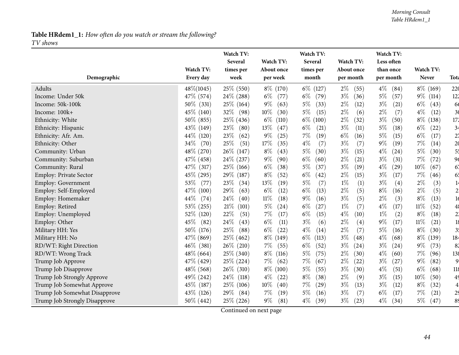|                               |                | Watch TV:<br>Several | Watch TV:      | Watch TV:<br>Several | Watch TV:     | Watch TV:<br>Less often     |                |                |
|-------------------------------|----------------|----------------------|----------------|----------------------|---------------|-----------------------------|----------------|----------------|
|                               | Watch TV:      | times per            | About once     | times per            | About once    | than once                   | Watch TV:      |                |
| Demographic                   | Every day      | week                 | per week       | month                | per month     | per month                   | Never          | Tota           |
| Adults                        | $48\% (1045)$  | 25\% (550)           | $8\%$ (170)    | $6\%$ (127)          | $2\%$<br>(55) | $4\%$<br>(84)               | $8\%$ (169)    | 220            |
| Income: Under 50k             | 47\% (574)     | 24\% (288)           | $6\%$<br>(77)  | $6\%$<br>(79)        | $3\%$<br>(36) | $5\%$<br>(57)               | $9\%$<br>(114) | 122            |
| Income: 50k-100k              | $50\%$ (331)   | 25\% (164)           | $9\%$<br>(63)  | $5\%$<br>(33)        | $2\%$<br>(12) | $3\%$<br>(21)               | $6\%$<br>(43)  | 66             |
| Income: 100k+                 | 45\% (140)     | 32\%<br>(98)         | $10\%$<br>(30) | $5\%$<br>(15)        | $2\%$<br>(6)  | $2\%$<br>(7)                | $4\%$<br>(12)  | 3 <sub>0</sub> |
| Ethnicity: White              | 50\% (855)     | $25\%$ (436)         | $6\%$<br>(110) | $6\%$<br>(100)       | $2\%$<br>(32) | $3\%$<br>(50)               | $8\%$<br>(138) | 172            |
| Ethnicity: Hispanic           | 43\% (149)     | 23\%<br>(80)         | $13\%$<br>(47) | $6\%$<br>(21)        | $3\%$<br>(11) | $5\%$<br>(18)               | $6\%$<br>(22)  | 34             |
| Ethnicity: Afr. Am.           | 44\% (120)     | 23\%<br>(62)         | $9\%$<br>(25)  | $7\%$<br>(19)        | $6\%$<br>(16) | $5\%$<br>(15)               | $6\%$<br>(17)  | 2 <sub>1</sub> |
| Ethnicity: Other              | $34\%$<br>(70) | 25%<br>(51)          | 17%<br>(35)    | $4\%$<br>(7)         | $3\%$<br>(7)  | $9\%$<br>(19)               | 7%<br>(14)     | 2 <sub>0</sub> |
| Community: Urban              | 48% (270)      | $26\%$ (147)         | $8\%$<br>(43)  | $5\%$<br>(30)        | $3\%$<br>(15) | $4\%$<br>(24)               | $5\%$<br>(30)  | 5 <sup>t</sup> |
| Community: Suburban           | 47\% (458)     | 24\% (237)           | $9\%$<br>(90)  | $6\%$<br>(60)        | $2\%$<br>(21) | $3\%$<br>(31)               | 7%<br>(72)     | 96             |
| Community: Rural              | 47\% (317)     | $25\%$ (166)         | $6\%$<br>(38)  | $5\%$<br>(37)        | $3\%$<br>(19) | $4\%$<br>$\left( 29\right)$ | 10%<br>(67)    | 67             |
| <b>Employ: Private Sector</b> | $45\%$ (295)   | 29\% (187)           | $8\%$<br>(52)  | $6\%$<br>(42)        | $2\%$<br>(15) | $3\%$<br>(17)               | 7%<br>(46)     | 65             |
| <b>Employ: Government</b>     | 53%<br>(77)    | 23%<br>(34)          | 13%<br>(19)    | $5\%$<br>(7)         | $1\%$<br>(1)  | $3\%$<br>(4)                | $2\%$<br>(3)   | 14             |
| Employ: Self-Employed         | 47\% (100)     | 29%<br>(63)          | $6\%$<br>(12)  | $6\%$<br>(13)        | $2\%$<br>(5)  | $8\%$<br>(16)               | $2\%$<br>(5)   | 2 <sup>1</sup> |
| Employ: Homemaker             | $44\%$<br>(74) | 24\%<br>(40)         | $11\%$<br>(18) | $9\%$<br>(16)        | $3\%$<br>(5)  | $2\%$<br>(3)                | $8\%$<br>(13)  | 16             |
| Employ: Retired               | 53% (255)      | 21%<br>(101)         | $5\%$<br>(24)  | $6\%$<br>(27)        | $1\%$<br>(7)  | $4\%$<br>(17)               | $11\%$<br>(52) | 48             |
| Employ: Unemployed            | 52\% (120)     | 22%<br>(51)          | $7\%$<br>(17)  | $6\%$<br>(15)        | $4\%$<br>(10) | $1\%$<br>(2)                | $8\%$<br>(18)  | 2 <sup>1</sup> |
| Employ: Other                 | 45\%<br>(82)   | 24%<br>(43)          | $6\%$<br>(11)  | $3\%$<br>(6)         | $2\%$<br>(4)  | $9\%$<br>(17)               | $11\%$<br>(21) | 18             |
| Military HH: Yes              | 50\% (176)     | 25\%<br>(88)         | $6\%$<br>(22)  | $4\%$<br>(14)        | $2\%$<br>(7)  | $5\%$<br>(16)               | $8\%$<br>(30)  | 3 <sup>1</sup> |
| Military HH: No               | 47\% (869)     | $25\%$ (462)         | $8\%$ (149)    | $6\%$<br>(113)       | $3\%$<br>(48) | $4\%$<br>(68)               | $8\%$<br>(139) | 184            |
| RD/WT: Right Direction        | $46\%$ (381)   | $26\%$ (210)         | $7\%$<br>(55)  | $6\%$<br>(52)        | $3\%$<br>(24) | $3\%$<br>(24)               | $9\%$<br>(73)  | 82             |
| RD/WT: Wrong Track            | $48\%$ (664)   | 25\% (340)           | $8\%$<br>(116) | $5\%$<br>(75)        | $2\%$<br>(30) | $4\%$<br>(60)               | $7\%$<br>(96)  | 138            |
| Trump Job Approve             | 47\% (429)     | 25% (224)            | $7\%$<br>(62)  | $7\%$<br>(67)        | $2\%$<br>(22) | $3\%$<br>(27)               | $9\%$<br>(82)  | 9              |
| Trump Job Disapprove          | 48\% (568)     | $26\%$ (310)         | $8\%$ (100)    | $5\%$<br>(55)        | $3\%$<br>(30) | $4\%$<br>(51)               | $6\%$<br>(68)  | 118            |
| Trump Job Strongly Approve    | 49% (242)      | $24\%$ (118)         | $4\%$<br>(22)  | $8\%$<br>(38)        | $2\%$<br>(9)  | $3\%$<br>(15)               | $10\%$<br>(50) | 49             |
| Trump Job Somewhat Approve    | 45\% (187)     | $25\%$ (106)         | $10\%$<br>(40) | $7\%$<br>(29)        | $3\%$<br>(13) | $3\%$<br>(12)               | $8\%$<br>(32)  | $\overline{4}$ |
| Trump Job Somewhat Disapprove | 43\% (126)     | $29\%$ (84)          | $7\%$<br>(19)  | $5\%$<br>(16)        | $3\%$<br>(7)  | $6\%$<br>(17)               | 7%<br>(21)     | 2 <sup>c</sup> |
| Trump Job Strongly Disapprove | $50\%$ (442)   | 25\% (226)           | $9\%$<br>(81)  | $4\%$<br>(39)        | $3\%$<br>(23) | $4\%$<br>(34)               | $5\%$<br>(47)  | 89             |

Continued on next page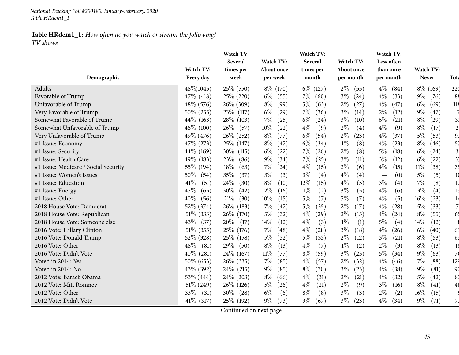*TV shows*

|                                      |                | Watch TV:<br><b>Several</b> | Watch TV:      | Watch TV:<br>Several | Watch TV:     | Watch TV:<br>Less often     |                |                |
|--------------------------------------|----------------|-----------------------------|----------------|----------------------|---------------|-----------------------------|----------------|----------------|
|                                      | Watch TV:      | times per                   | About once     | times per            | About once    | than once                   | Watch TV:      |                |
| Demographic                          | Every day      | week                        | per week       | month                | per month     | per month                   | Never          | <b>Tota</b>    |
| Adults                               | 48\%(1045)     | 25\% (550)                  | $8\%$ (170)    | $6\%$ (127)          | $2\%$<br>(55) | $4\%$<br>(84)               | $8\%$ (169)    | 220            |
| Favorable of Trump                   | 47\% (418)     | 25\% (220)                  | $6\%$<br>(55)  | $7\%$<br>(60)        | $3\%$<br>(24) | $4\%$<br>(33)               | $9\%$<br>(76)  | 88             |
| Unfavorable of Trump                 | 48\% (576)     | 26\% (309)                  | $8\%$<br>(99)  | $5\%$<br>(63)        | $2\%$<br>(27) | $4\%$<br>(47)               | $6\%$<br>(69)  | 118            |
| Very Favorable of Trump              | $50\%$ (255)   | $23\%$ (117)                | $6\%$<br>(29)  | $7\%$<br>(36)        | $3\%$<br>(14) | $2\%$<br>(12)               | $9\%$<br>(47)  |                |
| Somewhat Favorable of Trump          | 44\% (163)     | 28\% (103)                  | $7\%$<br>(25)  | $6\%$<br>(24)        | $3\%$<br>(10) | $6\%$<br>(21)               | $8\%$<br>(29)  | 3 <sub>1</sub> |
| Somewhat Unfavorable of Trump        | $46\%$ (100)   | $26\%$<br>(57)              | $10\%$<br>(22) | $4\%$<br>(9)         | $2\%$<br>(4)  | $4\%$<br>(9)                | $8\%$<br>(17)  | $\overline{2}$ |
| Very Unfavorable of Trump            | 49\% (476)     | 26\% (252)                  | $8\%$<br>(77)  | $6\%$<br>(54)        | $2\%$<br>(23) | $4\%$<br>(37)               | 5%<br>(53)     | 97             |
| #1 Issue: Economy                    | 47\% (273)     | 25\% (147)                  | $8\%$<br>(47)  | $6\%$<br>(34)        | $1\%$<br>(8)  | $4\%$<br>(23)               | $8\%$<br>(46)  | 57             |
| #1 Issue: Security                   | 44\% (169)     | 30\%<br>(115)               | $6\%$<br>(22)  | 7%<br>(26)           | $2\%$<br>(8)  | $5\%$<br>(18)               | $6\%$<br>(24)  | 3 <sub>l</sub> |
| #1 Issue: Health Care                | 49\% (183)     | 23\%<br>(86)                | $9\%$<br>(34)  | 7%<br>(25)           | $3\%$<br>(11) | $3\%$<br>(12)               | $6\%$<br>(22)  | 3 <sup>1</sup> |
| #1 Issue: Medicare / Social Security | 55% (194)      | 18\%<br>(63)                | $7\%$<br>(24)  | $4\%$<br>(15)        | $2\%$<br>(6)  | $4\%$<br>(15)               | $11\%$<br>(38) | 35             |
| #1 Issue: Women's Issues             | $50\%$<br>(54) | 35%<br>(37)                 | $3\%$<br>(3)   | $3\%$<br>(4)         | $4\%$<br>(4)  | (0)                         | $5\%$<br>(5)   | 10             |
| #1 Issue: Education                  | 41\%<br>(51)   | 24\%<br>(30)                | $8\%$<br>(10)  | 12%<br>(15)          | $4\%$<br>(5)  | $3\%$<br>(4)                | $7\%$<br>(8)   | 12             |
| #1 Issue: Energy                     | 47\%<br>(65)   | $30\%$<br>(42)              | $12\%$<br>(16) | (2)<br>$1\%$         | $3\%$<br>(5)  | $4\%$<br>(6)                | $3\%$<br>(4)   | 13             |
| #1 Issue: Other                      | $40\%$<br>(56) | 21%<br>(30)                 | $10\%$<br>(15) | $5\%$<br>(7)         | 5%<br>(7)     | $4\%$<br>(5)                | $16\%$<br>(23) | 1 <sup>2</sup> |
| 2018 House Vote: Democrat            | 52% (374)      | 26\% (183)                  | $7\%$<br>(47)  | $5\%$<br>(35)        | $2\%$<br>(17) | $4\%$<br>(28)               | $5\%$<br>(33)  | $\overline{7}$ |
| 2018 House Vote: Republican          | 51\% (333)     | 26\% (170)                  | $5\%$<br>(32)  | $4\%$<br>(29)        | $2\%$<br>(15) | $4\%$<br>(24)               | $8\%$<br>(55)  | 65             |
| 2018 House Vote: Someone else        | $43\%$<br>(37) | 20%<br>(17)                 | 14\%<br>(12)   | $4\%$<br>(3)         | $1\%$<br>(1)  | $5\%$<br>(4)                | 14%<br>(12)    |                |
| 2016 Vote: Hillary Clinton           | $51\%$ (355)   | 25\% (176)                  | $7\%$<br>(48)  | $4\%$<br>(28)        | $3\%$<br>(18) | $4\%$<br>(26)               | $6\%$<br>(40)  | 69             |
| 2016 Vote: Donald Trump              | 52% (328)      | 25\% (158)                  | $5\%$<br>(32)  | $5\%$<br>(33)        | $2\%$<br>(12) | $3\%$<br>$\left( 21\right)$ | $8\%$<br>(53)  | 63             |
| 2016 Vote: Other                     | $48\%$<br>(81) | 29\%<br>(50)                | $8\%$<br>(13)  | $4\%$<br>(7)         | $1\%$<br>(2)  | $2\%$<br>(3)                | $8\%$<br>(13)  | 16             |
| 2016 Vote: Didn't Vote               | $40\%$ (281)   | 24\% (167)                  | $11\%$<br>(77) | $8\%$<br>(59)        | $3\%$<br>(23) | $5\%$<br>(34)               | $9\%$<br>(63)  | 7 <sub>0</sub> |
| Voted in 2014: Yes                   | 50\% (653)     | 26\% (335)                  | $7\%$<br>(85)  | $4\%$<br>(57)        | $2\%$<br>(32) | $4\%$<br>(46)               | $7\%$<br>(88)  | 129            |
| Voted in 2014: No                    | 43\% (392)     | $24\%$ (215)                | $9\%$<br>(85)  | $8\%$<br>(70)        | $3\%$<br>(23) | $4\%$<br>(38)               | $9\%$<br>(81)  | 90             |
| 2012 Vote: Barack Obama              | 53\% (444)     | $24\%$ (203)                | $8\%$<br>(66)  | $4\%$<br>(31)        | $2\%$<br>(21) | $4\%$<br>(32)               | $5\%$<br>(42)  | 83             |
| 2012 Vote: Mitt Romney               | $51\%$ (249)   | 26\% (126)                  | $5\%$<br>(26)  | $4\%$<br>(21)        | $2\%$<br>(9)  | $3\%$<br>(16)               | $8\%$<br>(41)  | 48             |
| 2012 Vote: Other                     | 33\%<br>(31)   | $30\%$<br>(28)              | $6\%$<br>(6)   | $8\%$<br>(8)         | $3\%$<br>(3)  | $2\%$<br>(2)                | 16%<br>(15)    |                |
| 2012 Vote: Didn't Vote               | $41\%$ (317)   | 25\% (192)                  | $9\%$<br>(73)  | $9\%$<br>(67)        | $3\%$<br>(23) | $4\%$<br>(34)               | $9\%$<br>(71)  | 71             |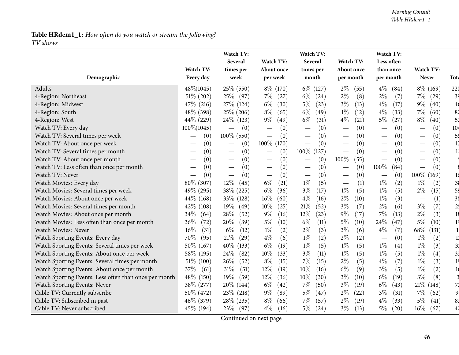*TV shows*

|                                                       |                | Watch TV:                              |                                        | Watch TV:                       |               | Watch TV:                                |                                 |                 |
|-------------------------------------------------------|----------------|----------------------------------------|----------------------------------------|---------------------------------|---------------|------------------------------------------|---------------------------------|-----------------|
|                                                       |                | Several                                | Watch TV:                              | Several                         | Watch TV:     | Less often                               |                                 |                 |
|                                                       | Watch TV:      | times per                              | About once                             | times per                       | About once    | than once                                | Watch TV:                       |                 |
| Demographic                                           | Every day      | week                                   | per week                               | month                           | per month     | per month                                | <b>Never</b>                    | Tota            |
| Adults                                                | 48\%(1045)     | 25\% (550)                             | 8% (170)                               | $6\%$ (127)                     | $2\%$<br>(55) | $4\%$<br>(84)                            | $8\%$ (169)                     | 220             |
| 4-Region: Northeast                                   | $51\%$ (202)   | 25% (97)                               | $7\%$<br>(27)                          | $6\%$<br>(24)                   | $2\%$<br>(8)  | $2\%$<br>(7)                             | 7%<br>(29)                      | 39              |
| 4-Region: Midwest                                     | 47\% (216)     | 27\% (124)                             | $6\%$<br>(30)                          | $5\%$<br>(23)                   | $3\%$<br>(13) | $4\%$<br>(17)                            | $9\%$<br>(40)                   | 4 <sub>6</sub>  |
| 4-Region: South                                       | 48% (398)      | $25\%$ (206)                           | $8\%$<br>(65)                          | $6\%$<br>(49)                   | $1\%$<br>(12) | $4\%$<br>(33)                            | $7\%$<br>(60)                   | 8 <sup>2</sup>  |
| 4-Region: West                                        | 44\% (229)     | 24\% (123)                             | $9\%$<br>(49)                          | $6\%$<br>(31)                   | $4\%$<br>(21) | $5\%$<br>(27)                            | $8\%$<br>(40)                   | 52              |
| Watch TV: Every day                                   | $100\% (1045)$ | (0)<br>$\overline{\phantom{0}}$        | (0)                                    | (0)                             | (0)           | (0)                                      | (0)                             | 10 <sub>4</sub> |
| Watch TV: Several times per week                      | (0)            | $100\%$ (550)                          | (0)<br>$\overline{\phantom{m}}$        | (0)                             | (0)           | (0)                                      | (0)                             | 5 <sup>1</sup>  |
| Watch TV: About once per week                         | (0)            | (0)<br>$\qquad \qquad$                 | 100\% (170)                            | (0)                             | (0)           | (0)                                      | (0)                             | 17              |
| Watch TV: Several times per month                     | (0)            | (0)                                    | (0)                                    | $100\%$ (127)                   | (0)           | (0)                                      | (0)                             | 11              |
| Watch TV: About once per month                        | (0)            | (0)<br>$\hspace{0.1mm}-\hspace{0.1mm}$ | (0)<br>$\hspace{0.1mm}-\hspace{0.1mm}$ | (0)                             | 100%<br>(55)  | (0)<br>$\overline{\phantom{m}}$          | (0)                             |                 |
| Watch TV: Less often than once per month              | (0)            | (0)                                    | (0)<br>$\overline{\phantom{m}}$        | (0)                             | (0)           | $100\%$<br>(84)                          | (0)<br>$\overline{\phantom{0}}$ |                 |
| Watch TV: Never                                       | (0)            | (0)<br>$\overbrace{\phantom{12333}}$   | (0)<br>$\overline{\phantom{m}}$        | (0)<br>$\overline{\phantom{m}}$ | (0)           | (0)                                      | $100\%$ (<br>(169)              | 16              |
| Watch Movies: Every day                               | 80\% (307)     | 12%<br>(45)                            | $6\%$<br>(21)                          | $1\%$<br>(5)                    | (1)           | $1\%$<br>(2)                             | $1\%$<br>(2)                    | 3 <sub>6</sub>  |
| Watch Movies: Several times per week                  | 49% (295)      | 38\% (225)                             | $6\%$<br>(36)                          | $3\%$<br>(17)                   | $1\%$<br>(5)  | $1\%$<br>(5)                             | $2\%$<br>(15)                   | 59              |
| Watch Movies: About once per week                     | 44\% (168)     | 33\% (128)                             | $16\%$<br>(60)                         | $4\%$<br>(16)                   | $2\%$<br>(10) | $1\%$<br>(3)                             | (1)<br>$\overline{\phantom{m}}$ | 38              |
| Watch Movies: Several times per month                 | 42\% (108)     | 19%<br>(49)                            | 10%<br>(25)                            | 21%<br>(52)                     | $3\%$<br>(7)  | $2\%$<br>(6)                             | $3\%$<br>(7)                    | 2!              |
| Watch Movies: About once per month                    | 34\%<br>(64)   | 28\%<br>(52)                           | $9\%$<br>(16)                          | 12%<br>(23)                     | 9%<br>(17)    | 7%<br>(13)                               | $2\%$<br>(3)                    | 18              |
| Watch Movies: Less often than once per month          | $36\%$<br>(72) | 20%<br>(39)                            | $5\%$<br>(10)                          | $6\%$<br>(11)                   | $5\%$<br>(10) | 24%<br>(47)                              | $5\%$<br>(10)                   | 19              |
| Watch Movies: Never                                   | 16\%<br>(31)   | $6\%$<br>(12)                          | $1\%$<br>(2)                           | $2\%$<br>(3)                    | $3\%$<br>(6)  | $4\%$<br>(7)                             | $68\%$<br>(131)                 |                 |
| Watch Sporting Events: Every day                      | 70\%<br>(95)   | 21%<br>(29)                            | $4\%$<br>(6)                           | (2)<br>$1\%$                    | $2\%$<br>(2)  | (0)<br>$\overbrace{\phantom{123221111}}$ | $1\%$<br>(2)                    | 1.              |
| Watch Sporting Events: Several times per week         | 50\% (167)     | 40%<br>(133)                           | $6\%$<br>(19)                          | (5)<br>$1\%$                    | $1\%$<br>(5)  | $1\%$<br>(4)                             | $1\%$<br>(3)                    | 31              |
| Watch Sporting Events: About once per week            | 58\% (195)     | 24\%<br>(82)                           | 10%<br>(33)                            | $3\%$<br>(11)                   | $1\%$<br>(5)  | $1\%$<br>(5)                             | $1\%$<br>(4)                    | 3 <sub>1</sub>  |
| Watch Sporting Events: Several times per month        | $51\%$ (100)   | 26%<br>(52)                            | $8\%$<br>(15)                          | $7\%$<br>(15)                   | $2\%$<br>(5)  | $4\%$<br>(7)                             | (3)<br>$1\%$                    | 19              |
| Watch Sporting Events: About once per month           | 37\%<br>(61)   | $31\%$<br>(51)                         | $12\%$<br>(19)                         | 10%<br>(16)                     | $6\%$<br>(9)  | $3\%$<br>(5)                             | $1\%$<br>(2)                    |                 |
| Watch Sporting Events: Less often than once per month | 48\% (150)     | 19%<br>(59)                            | 12\%<br>(36)                           | 10%<br>(30)                     | $3\%$<br>(10) | $6\%$<br>(19)                            | $3\%$<br>(8)                    |                 |
| Watch Sporting Events: Never                          | 38\% (277)     | $20\%$ (144)                           | $6\%$<br>(42)                          | $7\%$<br>(50)                   | $3\%$<br>(19) | $6\%$<br>(43)                            | $21\%$ (148)                    | 7 <sup>′</sup>  |
| Cable TV: Currently subscribe                         | 50\% (472)     | $23\%$ (218)                           | $9\%$<br>(89)                          | $5\%$<br>(47)                   | $2\%$<br>(22) | $3\%$<br>(31)                            | $7\%$<br>(62)                   | 9.              |
| Cable TV: Subscribed in past                          | 46\% (379)     | $28\%$ (235)                           | $8\%$<br>(66)                          | 7%<br>(57)                      | $2\%$<br>(19) | $4\%$<br>(33)                            | $5\%$<br>(41)                   | 83              |
| Cable TV: Never subscribed                            | 45\% (194)     | 23\%<br>(97)                           | $4\%$<br>(16)                          | $5\%$<br>(24)                   | $3\%$<br>(13) | $5\%$<br>(20)                            | $16\%$<br>(67)                  |                 |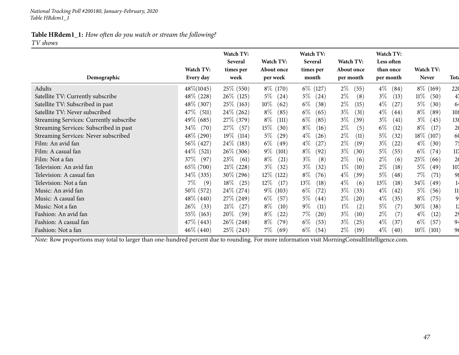*TV shows*

|                                         |                        | Watch TV:<br>Several | Watch TV:              | Watch TV:<br>Several | Watch TV:               | Watch TV:<br>Less often |                           |                |
|-----------------------------------------|------------------------|----------------------|------------------------|----------------------|-------------------------|-------------------------|---------------------------|----------------|
| Demographic                             | Watch TV:<br>Every day | times per<br>week    | About once<br>per week | times per<br>month   | About once<br>per month | than once<br>per month  | Watch TV:<br><b>Never</b> | Tota           |
| Adults                                  | 48\%(1045)             | $25\%$ (550)         | $8\%$ (170)            | $6\%$ (127)          | $2\%$<br>(55)           | $4\%$<br>(84)           | $8\%$ (169)               | 220            |
| Satellite TV: Currently subscribe       | 48\% (228)             | $26\%$ (125)         | $5\%$<br>(24)          | $5\%$<br>(24)        | $2\%$<br>(8)            | $3\%$<br>(13)           | $11\%$<br>(50)            | 4,             |
| Satellite TV: Subscribed in past        | 48\% (307)             | $25\%$ (163)         | $10\%$<br>(62)         | $6\%$<br>(38)        | $2\%$<br>(15)           | $4\%$<br>(27)           | 5%<br>(30)                | 64             |
| Satellite TV: Never subscribed          | 47\% (511)             | $24\%$ (262)         | $8\%$<br>(85)          | $6\%$<br>(65)        | $3\%$<br>(31)           | $4\%$<br>(44)           | $8\%$<br>(89)             | 108            |
| Streaming Services: Currently subscribe | 49\% (685)             | 27\% (379)           | $8\%$<br>(111)         | $6\%$<br>(85)        | $3\%$<br>(39)           | $3\%$<br>(41)           | $3\%$<br>(45)             | 138            |
| Streaming Services: Subscribed in past  | $34\%$ (70)            | 27\% (57)            | $15\%$<br>(30)         | $8\%$<br>(16)        | $2\%$<br>(5)            | $6\%$<br>(12)           | $8\%$<br>(17)             | 20             |
| Streaming Services: Never subscribed    | 48\% (290)             | $19\%$ (114)         | $5\%$<br>(29)          | $4\%$<br>(26)        | $2\%$<br>(11)           | $5\%$<br>(32)           | 18\% (107)                | 60             |
| Film: An avid fan                       | 56\% (427)             | 24\% (183)           | $6\%$<br>(49)          | $4\%$<br>(27)        | $2\%$<br>(19)           | $3\%$<br>(22)           | $4\%$<br>(30)             | 75             |
| Film: A casual fan                      | 44\% (521)             | $26\%$ (306)         | $9\%$ (101)            | $8\%$<br>(92)        | $3\%$<br>(30)           | $5\%$<br>(55)           | $6\%$<br>(74)             | 117            |
| Film: Not a fan                         | 37\% (97)              | $23\%$ (61)          | $8\%$<br>(21)          | $3\%$<br>(8)         | $2\%$<br>(6)            | $2\%$<br>(6)            | 25%<br>(66)               | 26             |
| Television: An avid fan                 | 65\% (700)             | $21\%$ (228)         | $3\%$<br>(32)          | $3\%$<br>(32)        | $1\%$<br>(10)           | $2\%$<br>(18)           | $5\%$<br>(49)             | 107            |
| Television: A casual fan                | 34\% (335)             | 30\% (296)           | $12\%$ (122)           | $8\%$<br>(76)        | $4\%$<br>(39)           | $5\%$<br>(48)           | $7\%$<br>(71)             | 98             |
| Television: Not a fan                   | $7\%$<br>(9)           | $18\%$ (25)          | $12\%$<br>(17)         | 13\%<br>(18)         | $4\%$<br>(6)            | $13\%$<br>(18)          | 34\%<br>(49)              | 14             |
| Music: An avid fan                      | 50\% (572)             | $24\%$ (274)         | $9\%$ (103)            | $6\%$<br>(72)        | $3\%$<br>(33)           | $4\%$<br>(42)           | $5\%$<br>(56)             | 11             |
| Music: A casual fan                     | 48\% (440)             | 27\% (249)           | $6\%$<br>(57)          | $5\%$<br>(44)        | $2\%$<br>(20)           | $4\%$<br>(35)           | $8\%$<br>(75)             | 9.             |
| Music: Not a fan                        | $26\%$ (33)            | $21\%$<br>(27)       | $8\%$<br>(10)          | $9\%$<br>(11)        | $1\%$<br>(2)            | $5\%$<br>(7)            | 30\%<br>(38)              |                |
| Fashion: An avid fan                    | 55\% (163)             | $20\%$<br>(59)       | $8\%$<br>(22)          | $7\%$<br>(20)        | $3\%$<br>(10)           | $2\%$<br>(7)            | $4\%$<br>(12)             | 2 <sup>5</sup> |
| Fashion: A casual fan                   | $47\%$ (443)           | $26\% (248)$         | $8\%$<br>(79)          | $6\%$<br>(53)        | $3\%$<br>(25)           | $4\%$<br>(37)           | $6\%$<br>(57)             | 94             |
| Fashion: Not a fan                      | $46\% (440)$           | $25\% (243)$         | $7\%$<br>(69)          | $6\%$<br>(54)        | $2\%$<br>(19)           | $4\%$<br>(40)           | $10\%$<br>(101)           | 96             |

*Note:* Row proportions may total to larger than one-hundred percen<sup>t</sup> due to rounding. For more information visit [MorningConsultIntelligence.com](https://morningconsultintelligence.com).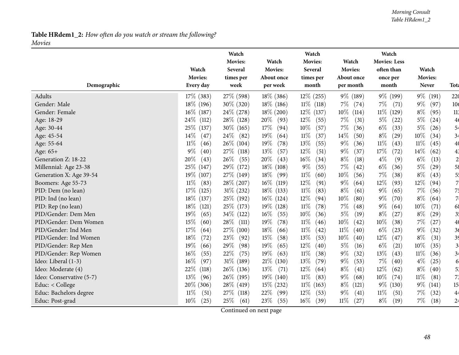#### *Morning Consult Table HRdem1\_2*

## **Table HRdem1\_2:** *How often do you watch or stream the following? Movies*

|                          |                 | Watch<br><b>Movies:</b> | Watch          | Watch<br>Movies: | Watch           | Watch<br><b>Movies: Less</b> |                |                 |
|--------------------------|-----------------|-------------------------|----------------|------------------|-----------------|------------------------------|----------------|-----------------|
|                          | Watch           | Several                 | Movies:        | Several          | Movies:         | often than                   | Watch          |                 |
|                          | Movies:         | times per               | About once     | times per        | About once      | once per                     | Movies:        |                 |
| Demographic              | Every day       | week                    | per week       | month            | per month       | month                        | <b>Never</b>   | <b>Tota</b>     |
| Adults                   | 17\% (383)      | 27% (598)               | $18\%$ (386)   | $12\%$ (255)     | 9% (189)        | 9\% (199)                    | $9\%$<br>(191) | 220             |
| Gender: Male             | $18\%$ (196)    | $30\%$ (320)            | $18\%$ (186)   | $11\%$<br>(118)  | $7\%$<br>(74)   | $7\%$<br>(71)                | $9\%$<br>(97)  | 10 <sub>6</sub> |
| Gender: Female           | $16\%$ (187)    | $24\%$ (278)            | $18\%$ (200)   | 12\% (137)       | $10\%$<br>(114) | $11\%$ (129)                 | $8\%$<br>(95)  | 113             |
| Age: 18-29               | 24\% (112)      | 28\% (128)              | $20\%$<br>(93) | $12\%$<br>(55)   | $7\%$<br>(31)   | $5\%$<br>(22)                | $5\%$<br>(24)  | 4 <sub>6</sub>  |
| Age: 30-44               | 25\% (137)      | 30\% (165)              | 17%<br>(94)    | 10%<br>(57)      | $7\%$<br>(36)   | $6\%$<br>(33)                | $5\%$<br>(26)  | 54              |
| Age: 45-54               | $14\%$<br>(47)  | $24\%$<br>(82)          | $19\%$<br>(64) | $11\%$<br>(37)   | 14%<br>(50)     | $8\%$<br>(29)                | 10%<br>(34)    | 34              |
| Age: 55-64               | $11\%$<br>(46)  | $26\%$ (104)            | 19%<br>(78)    | 13%<br>(55)      | $9\%$<br>(36)   | $11\%$<br>(43)               | 11%<br>(45)    | 4 <sub>0</sub>  |
| Age: 65+                 | $9\%$<br>(40)   | 27\% (118)              | 13%<br>(57)    | 12%<br>(51)      | $9\%$<br>(37)   | 17%<br>(72)                  | 14%<br>(62)    | 4 <sup>3</sup>  |
| Generation Z: 18-22      | 20%<br>(43)     | 26\%<br>(55)            | 20%<br>(43)    | 16%<br>(34)      | $8\%$<br>(18)   | $4\%$<br>(9)                 | $6\%$<br>(13)  | $\overline{c}$  |
| Millennial: Age 23-38    | 25\% (147)      | 29\% (172)              | $18\%$ (108)   | $9\%$<br>(55)    | $7\%$<br>(42)   | $6\%$<br>(36)                | $5\%$<br>(29)  | 58              |
| Generation X: Age 39-54  | 19\% (107)      | 27\% (149)              | $18\%$<br>(99) | 11%<br>(60)      | $10\%$<br>(56)  | $7\%$<br>(38)                | $8\%$<br>(43)  | 5 <sup>1</sup>  |
| Boomers: Age 55-73       | $11\%$<br>(83)  | 28\% (207)              | $16\%$ (119)   | 12%<br>(91)      | $9\%$<br>(64)   | 12%<br>(93)                  | 12%<br>(94)    | 7.              |
| PID: Dem (no lean)       | 17%<br>(125)    | $31\%$ (232)            | $18\%$ (133)   | $11\%$<br>(83)   | $8\%$<br>(61)   | $9\%$<br>(65)                | $7\%$<br>(56)  | 75              |
| PID: Ind (no lean)       | $18\%$<br>(137) | 25\% (192)              | $16\%$ (124)   | 12%<br>(94)      | $10\%$<br>(80)  | $9\%$<br>(70)                | $8\%$<br>(64)  | 7               |
| PID: Rep (no lean)       | $18\%$<br>(121) | 25\% (173)              | $19\%$ (128)   | 11%<br>(78)      | $7\%$<br>(48)   | $9\%$<br>(64)                | $10\%$<br>(71) | 68              |
| PID/Gender: Dem Men      | 19%<br>(65)     | 34\% (122)              | 16%<br>(55)    | 10%<br>(36)      | $5\%$<br>(19)   | $8\%$<br>(27)                | $8\%$<br>(29)  | 3 <sup>1</sup>  |
| PID/Gender: Dem Women    | 15%<br>(60)     | 28\%<br>(111)           | 19%<br>(78)    | $11\%$<br>(46)   | 10%<br>(42)     | 10%<br>(38)                  | $7\%$<br>(27)  | 4 <sub>0</sub>  |
| PID/Gender: Ind Men      | 17%<br>(64)     | 27\% (100)              | $18\%$<br>(66) | $11\%$<br>(42)   | $11\%$<br>(40)  | $6\%$<br>(23)                | $9\%$<br>(32)  | 36              |
| PID/Gender: Ind Women    | 18%<br>(72)     | 23\%<br>(92)            | 15%<br>(58)    | 13%<br>(53)      | $10\%$<br>(40)  | $12\%$<br>(47)               | $8\%$<br>(31)  | 39              |
| PID/Gender: Rep Men      | 19%<br>(66)     | 29%<br>(98)             | $19\%$<br>(65) | 12%<br>(40)      | $5\%$<br>(16)   | $6\%$<br>(21)                | 10%<br>(35)    | 3 <sup>1</sup>  |
| PID/Gender: Rep Women    | $16\%$<br>(55)  | 22%<br>(75)             | $19\%$<br>(63) | $11\%$<br>(38)   | $9\%$<br>(32)   | 13%<br>(43)                  | $11\%$<br>(36) | 3 <sup>2</sup>  |
| Ideo: Liberal (1-3)      | $16\%$<br>(97)  | $31\%$ (189)            | $21\%$ (130)   | 13%<br>(79)      | $9\%$<br>(53)   | $7\%$<br>(40)                | $4\%$<br>(25)  | 6               |
| Ideo: Moderate (4)       | 22%<br>(118)    | 26\% (136)              | 13\%<br>(71)   | 12%<br>(64)      | $8\%$<br>(41)   | 12%<br>(62)                  | $8\%$<br>(40)  | 5.              |
| Ideo: Conservative (5-7) | $13\%$<br>(96)  | 26\% (195)              | $19\%$ (140)   | 11%<br>(83)      | $9\%$<br>(68)   | 10%<br>(74)                  | $11\%$<br>(81) | 7 <sup>2</sup>  |
| Educ: < College          | 20\% (306)      | 28\% (419)              | $15\%$ (232)   | $11\%$<br>(163)  | $8\%$<br>(121)  | $9\%$ (130)                  | $9\%$<br>(141) | 15 <sup>1</sup> |
| Educ: Bachelors degree   | $11\%$<br>(51)  | 27%<br>(118)            | 22%<br>(99)    | 12%<br>(53)      | $9\%$<br>(41)   | $11\%$<br>(51)               | 7%<br>(32)     | 44              |
| Educ: Post-grad          | $10\%$<br>(25)  | 25\%<br>(61)            | 23\%<br>(55)   | $16\%$<br>(39)   | $11\%$<br>(27)  | $8\%$<br>(19)                | 7%<br>(18)     | 24              |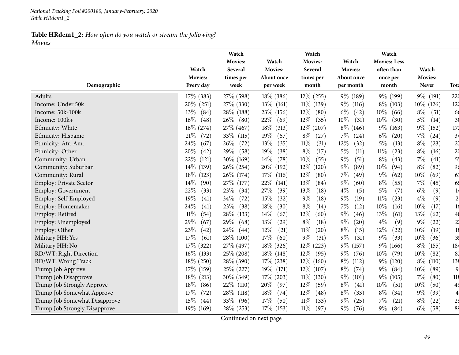*National Tracking Poll #200180, January-February, <sup>2020</sup> Table HRdem1\_2*

## **Table HRdem1\_2:** *How often do you watch or stream the following? Movies*

|                               |                             | Watch<br><b>Movies:</b> | Watch                  | Watch<br>Movies:   | Watch                   | Watch<br><b>Movies: Less</b> |                         |                |
|-------------------------------|-----------------------------|-------------------------|------------------------|--------------------|-------------------------|------------------------------|-------------------------|----------------|
|                               | Watch                       | Several                 | <b>Movies:</b>         | Several            | Movies:                 | often than                   | Watch                   |                |
| Demographic                   | <b>Movies:</b><br>Every day | times per<br>week       | About once<br>per week | times per<br>month | About once<br>per month | once per<br>month            | <b>Movies:</b><br>Never | <b>Tota</b>    |
| Adults                        | $17\%$ (383)                | 27\% (598)              | $18\%$ (386)           | $12\%$ (255)       | 9% (189)                | 9\% (199)                    | 9% (191)                | 220            |
| Income: Under 50k             | 20% (251)                   | 27\% (330)              | $13\%$ (161)           | $11\%$ (139)       | $9\%$<br>(116)          | 8% (103)                     | $10\%$ (126)            | 122            |
| Income: 50k-100k              | 13%<br>(84)                 | 28\% (188)              | 23\% (156)             | 12%<br>(80)        | $6\%$<br>(42)           | $10\%$<br>(66)               | $8\%$<br>(51)           | 66             |
| Income: 100k+                 | $16\%$<br>(48)              | $26\%$ (80)             | 22\%<br>(69)           | 12%<br>(35)        | $10\%$<br>(31)          | $10\%$<br>(30)               | $5\%$<br>(14)           | 3 <sub>0</sub> |
| Ethnicity: White              | $16\% (274)$                | 27\% (467)              | $18\%$ (313)           | $12\%$ (207)       | $8\%$ (146)             | $9\%$<br>(163)               | $9\%$<br>(152)          | 172            |
| Ethnicity: Hispanic           | 21%<br>(72)                 | 33\% (115)              | 19%<br>(67)            | $8\%$<br>(27)      | $7\%$<br>(24)           | $6\%$<br>(20)                | $7\%$<br>(24)           | 34             |
| Ethnicity: Afr. Am.           | 24\%<br>(67)                | $26\%$<br>(72)          | 13%<br>(35)            | 11%<br>(31)        | $12\%$<br>(32)          | $5\%$<br>(13)                | $8\%$<br>(23)           | 2 <sub>7</sub> |
| Ethnicity: Other              | 20%<br>(42)                 | 29%<br>(58)             | $19\%$<br>(38)         | $8\%$<br>(17)      | $5\%$<br>(11)           | $11\%$<br>(23)               | $8\%$<br>(16)           | 2 <sub>0</sub> |
| Community: Urban              | 22\%<br>(121)               | 30\% (169)              | $14\%$<br>(78)         | $10\%$<br>(55)     | $9\%$<br>(51)           | $8\%$<br>(43)                | $7\%$<br>(41)           | 5 <sup>t</sup> |
| Community: Suburban           | 14\%<br>(139)               | $26\%$ (254)            | 20\% (192)             | $12\%$<br>(120)    | $9\%$<br>(89)           | 10%<br>(94)                  | $8\%$<br>(82)           | 96             |
| Community: Rural              | $18\%$<br>(123)             | 26\% (174)              | $17\%$<br>(116)        | 12%<br>(80)        | 7%<br>(49)              | $9\%$<br>(62)                | 10%<br>(69)             | 67             |
| Employ: Private Sector        | 14\%<br>(90)                | 27\% (177)              | 22\%<br>(141)          | 13%<br>(84)        | $9\%$<br>(60)           | $8\%$<br>(55)                | $7\%$<br>(45)           | 65             |
| Employ: Government            | $22\%$<br>(33)              | 23%<br>(34)             | 27\%<br>(39)           | 13%<br>(18)        | $4\%$<br>(5)            | $5\%$<br>(7)                 | $6\%$<br>(9)            | 1 <sup>2</sup> |
| Employ: Self-Employed         | 19%<br>(41)                 | 34\%<br>(72)            | 15%<br>(32)            | $9\%$<br>(18)      | $9\%$<br>(19)           | $11\%$<br>(23)               | $4\%$<br>(9)            | 2 <sub>i</sub> |
| Employ: Homemaker             | 24%<br>(41)                 | 23%<br>(38)             | 18%<br>(30)            | $8\%$<br>(14)      | 7%<br>(12)              | 10%<br>(16)                  | 10%<br>(17)             | 16             |
| Employ: Retired               | $11\%$<br>(54)              | 28\% (133)              | 14\%<br>(67)           | 12%<br>(60)        | $9\%$<br>(46)           | 13%<br>(61)                  | 13%<br>(62)             | 48             |
| Employ: Unemployed            | 29%<br>(67)                 | 29%<br>(68)             | $13\%$<br>(29)         | $8\%$<br>(18)      | $9\%$<br>(20)           | $4\%$<br>(9)                 | $9\%$<br>(22)           | 2 <sup>1</sup> |
| Employ: Other                 | 23%<br>(42)                 | $24\%$ (44)             | $12\%$<br>(21)         | $11\%$<br>(20)     | $8\%$<br>(15)           | $12\%$<br>(22)               | 10%<br>(19)             | 18             |
| Military HH: Yes              | 17%<br>(61)                 | 28\% (100)              | $17\%$<br>(60)         | $9\%$<br>(31)      | $9\%$<br>(31)           | $9\%$<br>(33)                | $10\%$<br>(36)          | 3 <sup>1</sup> |
| Military HH: No               | $17\%$ (322)                | 27\% (497)              | $18\%$ (326)           | 12\% (223)         | $9\%$<br>(157)          | $9\%$ (166)                  | $8\%$<br>(155)          | 184            |
| RD/WT: Right Direction        | $16\%$ (133)                | $25\%$ (208)            | $18\%$ (148)           | $12\%$<br>(95)     | $9\%$<br>(76)           | $10\%$<br>(79)               | $10\%$<br>(82)          | 82             |
| RD/WT: Wrong Track            | 18\% (250)                  | 28\% (390)              | $17\%$ (238)           | $12\%$<br>(160)    | $8\%$<br>(112)          | $9\%$ (120)                  | $8\%$<br>(110)          | 138            |
| Trump Job Approve             | 17%<br>(159)                | $25\%$ (227)            | $19\%$ (171)           | $12\%$ (107)       | $8\%$<br>(74)           | $9\%$<br>(84)                | 10%<br>(89)             | 9              |
| Trump Job Disapprove          | $18\%$ (213)                | $30\%$ (349)            | $17\%$ (203)           | $11\%$ (130)       | $9\%$<br>(101)          | $9\%$<br>(105)               | $7\%$<br>(80)           | 118            |
| Trump Job Strongly Approve    | $18\%$<br>(86)              | $22\%$ (110)            | $20\%$<br>(97)         | 12%<br>(59)        | $8\%$<br>(41)           | $10\%$<br>(51)               | 10%<br>(50)             | 49             |
| Trump Job Somewhat Approve    | 17%<br>(72)                 | $28\%$ (118)            | 18%<br>(74)            | $12\%$<br>(48)     | $8\%$<br>(33)           | $8\%$<br>(34)                | $9\%$<br>(39)           | $\overline{4}$ |
| Trump Job Somewhat Disapprove | 15%<br>(44)                 | 33\%<br>(96)            | 17%<br>(50)            | 11%<br>(33)        | $9\%$<br>(25)           | $7\%$<br>(21)                | $8\%$<br>(22)           | 2 <sup>5</sup> |
| Trump Job Strongly Disapprove | $19\%$ (169)                | 28% (253)               | $17\%$ (153)           | $11\%$<br>(97)     | $9\%$<br>(76)           | $9\%$<br>(84)                | $6\%$<br>(58)           | 89             |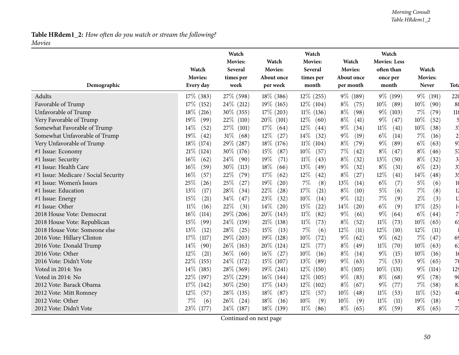#### *Morning Consult Table HRdem1\_2*

## **Table HRdem1\_2:** *How often do you watch or stream the following? Movies*

|                                      |                 | Watch<br><b>Movies:</b> | Watch           | Watch<br><b>Movies:</b> | Watch          | Watch<br><b>Movies: Less</b> |                |                         |
|--------------------------------------|-----------------|-------------------------|-----------------|-------------------------|----------------|------------------------------|----------------|-------------------------|
|                                      | Watch           | Several                 | <b>Movies:</b>  | Several                 | <b>Movies:</b> | often than                   | Watch          |                         |
|                                      | Movies:         | times per               | About once      | times per               | About once     | once per                     | <b>Movies:</b> |                         |
| Demographic                          | Every day       | week                    | per week        | month                   | per month      | month                        | Never          | Tota                    |
| Adults                               | $17\%$ (383)    | 27\% (598)              | $18\%$ (386)    | $12\%$ (255)            | 9% (189)       | $9\%$ (199)                  | $9\%$<br>(191) | 220                     |
| Favorable of Trump                   | 17\% (152)      | $24\%$ (212)            | $19\%$ (165)    | $12\%$ (104)            | $8\%$<br>(75)  | $10\%$ (89)                  | 10%<br>(90)    | 88                      |
| Unfavorable of Trump                 | $18\%$ (216)    | $30\%$ (355)            | $17\%$ (203)    | $11\%$ (136)            | $8\%$<br>(98)  | $9\%$ (103)                  | $7\%$<br>(79)  | 118                     |
| Very Favorable of Trump              | 19%<br>(99)     | $22\%$ (110)            | $20\%$<br>(101) | $12\%$<br>(60)          | $8\%$<br>(41)  | $9\%$<br>(47)                | 10%<br>(52)    |                         |
| Somewhat Favorable of Trump          | $14\%$<br>(52)  | 27\% (101)              | $17\%$<br>(64)  | $12\%$<br>(44)          | $9\%$<br>(34)  | $11\%$<br>(41)               | 10%<br>(38)    | 3 <sup>7</sup>          |
| Somewhat Unfavorable of Trump        | 19%<br>(42)     | $31\%$<br>(68)          | $12\%$<br>(27)  | 14\%<br>(32)            | $9\%$<br>(19)  | $6\%$<br>(14)                | $7\%$<br>(16)  | $\overline{2}$          |
| Very Unfavorable of Trump            | 18\% (174)      | 29\% (287)              | 18\% (176)      | $11\%$ (104)            | $8\%$<br>(79)  | $9\%$<br>(89)                | $6\%$<br>(63)  | 97                      |
| #1 Issue: Economy                    | $21\%$ (124)    | $30\%$ (176)            | 15%<br>(87)     | $10\%$<br>(57)          | 7%<br>(42)     | $8\%$<br>(47)                | $8\%$<br>(46)  | 57                      |
| #1 Issue: Security                   | 16\%<br>(62)    | $24\%$<br>(90)          | 19%<br>(71)     | $11\%$<br>(43)          | $8\%$<br>(32)  | 13%<br>(50)                  | $8\%$<br>(32)  | $\overline{\mathbf{3}}$ |
| #1 Issue: Health Care                | $16\%$<br>(59)  | $30\%$<br>(113)         | 18\%<br>(66)    | $13\%$<br>(49)          | $9\%$<br>(32)  | $8\%$<br>(31)                | $6\%$<br>(23)  | 3 <sup>1</sup>          |
| #1 Issue: Medicare / Social Security | $16\%$<br>(57)  | 22%<br>(79)             | 17%<br>(62)     | $12\%$<br>(42)          | $8\%$<br>(27)  | $12\%$<br>$\left( 41\right)$ | 14%<br>(48)    | 35                      |
| #1 Issue: Women's Issues             | 25%<br>(26)     | 25%<br>(27)             | 19%<br>(20)     | 7%<br>(8)               | 13%<br>(14)    | $6\%$<br>(7)                 | $5\%$<br>(6)   | 10                      |
| #1 Issue: Education                  | 13%<br>(17)     | 28%<br>(34)             | 22%<br>(28)     | 17%<br>(21)             | $8\%$<br>(10)  | $5\%$<br>(6)                 | 7%<br>(8)      | $\overline{12}$         |
| #1 Issue: Energy                     | 15%<br>(21)     | 34\%<br>(47)            | 23%<br>(32)     | 10%<br>(14)             | $9\%$<br>(12)  | $7\%$<br>(9)                 | $2\%$<br>(3)   | 1 <sub>1</sub>          |
| #1 Issue: Other                      | $11\%$<br>(16)  | 22%<br>(31)             | $14\%$<br>(20)  | 15%<br>(22)             | 14%<br>(20)    | $6\%$<br>(9)                 | $17\%$<br>(25) | 1 <sup>2</sup>          |
| 2018 House Vote: Democrat            | $16\%$<br>(114) | 29\% (206)              | $20\%$ (143)    | $11\%$<br>(82)          | $9\%$<br>(61)  | $9\%$<br>(64)                | $6\%$<br>(44)  | $\overline{7}$          |
| 2018 House Vote: Republican          | 15%<br>(99)     | 24\% (159)              | $21\%$ (138)    | $11\%$<br>(73)          | $8\%$<br>(52)  | $11\%$<br>(73)               | 10%<br>(65)    | 65                      |
| 2018 House Vote: Someone else        | 13%<br>(12)     | $28\%$<br>(25)          | 15%<br>(13)     | 7%<br>(6)               | 12%<br>(11)    | 12%<br>(10)                  | 12%<br>(11)    |                         |
| 2016 Vote: Hillary Clinton           | 17%<br>(117)    | 29% (203)               | $19\%$ (128)    | $10\%$<br>(72)          | $9\%$<br>(62)  | $9\%$<br>(62)                | $7\%$<br>(47)  | 69                      |
| 2016 Vote: Donald Trump              | 14\%<br>(90)    | $26\%$ (163)            | $20\%$ (124)    | 12\%<br>(77)            | $8\%$<br>(49)  | $11\%$<br>(70)               | 10%<br>(63)    | 63                      |
| 2016 Vote: Other                     | 12%<br>(21)     | $36\%$ (60)             | $16\%$<br>(27)  | 10%<br>(16)             | $8\%$<br>(14)  | $9\%$<br>(15)                | 10%<br>(16)    | 16                      |
| 2016 Vote: Didn't Vote               | 22\%<br>(155)   | 24\% (172)              | $15\%$ (107)    | 13%<br>(89)             | $9\%$<br>(63)  | $7\%$<br>(53)                | $9\%$<br>(65)  | 7 <sub>0</sub>          |
| Voted in 2014: Yes                   | $14\%$<br>(185) | 28% (369)               | $19\%$ (241)    | $12\%$<br>(150)         | $8\%$<br>(105) | 10%<br>(131)                 | $9\%$<br>(114) | 12 <sub>5</sub>         |
| Voted in 2014: No                    | 22\% (197)      | 25\% (229)              | $16\%$ (144)    | $12\%$<br>(105)         | $9\%$<br>(83)  | $8\%$<br>(68)                | $9\%$<br>(78)  | 90                      |
| 2012 Vote: Barack Obama              | $17\%$ (142)    | $30\% (250)$            | $17\%$ (143)    | $12\%$ (102)            | $8\%$<br>(67)  | $9\%$<br>(77)                | 7%<br>(58)     | 83                      |
| 2012 Vote: Mitt Romney               | 12%<br>(57)     | 28\% (135)              | $18\%$<br>(87)  | $12\%$<br>(57)          | $10\%$<br>(48) | $11\%$<br>(53)               | $11\%$<br>(52) | 48                      |
| 2012 Vote: Other                     | 7%<br>(6)       | $26\%$ (24)             | $18\%$<br>(16)  | 10%<br>(9)              | 10%<br>(9)     | $11\%$<br>(11)               | 19%<br>(18)    |                         |
| 2012 Vote: Didn't Vote               | 23\% (177)      | 24\% (187)              | $18\%$ (139)    | $11\%$<br>(86)          | $8\%$<br>(65)  | $8\%$<br>(59)                | $8\%$<br>(65)  | 71                      |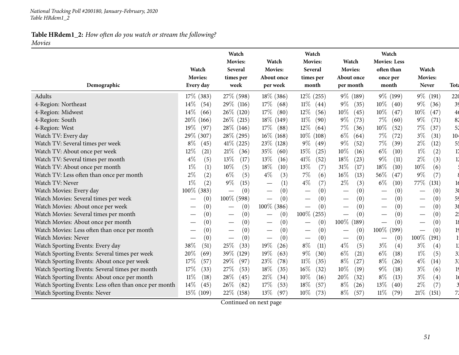|                                                       | Watch                       | Watch<br>Movies:<br>Several              | Watch<br>Movies:                | Watch<br>Movies:<br>Several              | Watch<br>Movies:                     | Watch<br><b>Movies: Less</b><br>often than | Watch                                  |                 |
|-------------------------------------------------------|-----------------------------|------------------------------------------|---------------------------------|------------------------------------------|--------------------------------------|--------------------------------------------|----------------------------------------|-----------------|
| Demographic                                           | <b>Movies:</b><br>Every day | times per<br>week                        | About once<br>per week          | times per<br>month                       | About once<br>per month              | once per<br>month                          | <b>Movies:</b><br><b>Never</b>         | <b>Tota</b>     |
| Adults                                                | $17\%$ (383)                | 27\% (598)                               | $18\%$ (386)                    | $12\%$ (255)                             | 9% (189)                             | $9\%$ (199)                                | $9\%$<br>(191)                         | 220             |
| 4-Region: Northeast                                   | $14\%$<br>(54)              | 29\% (116)                               | $17\%$<br>(68)                  | $11\%$<br>(44)                           | $9\%$<br>(35)                        | $10\%$<br>(40)                             | $9\%$<br>(36)                          | 39              |
| 4-Region: Midwest                                     | 14%<br>(66)                 | 26\% (120)                               | $17\%$<br>(80)                  | 12%<br>(56)                              | $10\%$<br>(45)                       | $10\%$<br>(47)                             | $10\%$<br>(47)                         | 4 <sub>6</sub>  |
| 4-Region: South                                       | $20\%$ (166)                | $26\%$ (215)                             | $18\%$ (149)                    | $11\%$<br>(90)                           | $9\%$<br>(73)                        | $7\%$<br>(60)                              | $9\%$<br>(71)                          | 82              |
| 4-Region: West                                        | 19%<br>(97)                 | 28\% (146)                               | $17\%$<br>(88)                  | 12%<br>(64)                              | 7%<br>(36)                           | 10%<br>(52)                                | 7%<br>(37)                             | 52              |
| Watch TV: Every day                                   | 29\% (307)                  | 28\% (295)                               | $16\%$ (168)                    | $10\%$<br>(108)                          | $6\%$<br>(64)                        | $7\%$<br>(72)                              | $3\%$<br>(31)                          | 10 <sub>4</sub> |
| Watch TV: Several times per week                      | $8\%$<br>(45)               | $41\%$ (225)                             | $23\%$ (128)                    | $9\%$<br>(49)                            | $9\%$<br>(52)                        | 7%<br>(39)                                 | $2\%$<br>(12)                          | 55              |
| Watch TV: About once per week                         | 12%<br>(21)                 | $21\%$<br>(36)                           | 35%<br>(60)                     | 15%<br>(25)                              | 10%<br>(16)                          | $6\%$<br>(10)                              | $1\%$<br>(2)                           | 17              |
| Watch TV: Several times per month                     | (5)<br>$4\%$                | 13%<br>(17)                              | 13%<br>(16)                     | 41\%<br>(52)                             | 18%<br>(23)                          | $9\%$<br>(11)                              | (3)<br>$2\%$                           | $\overline{11}$ |
| Watch TV: About once per month                        | $1\%$<br>(1)                | 10%<br>(5)                               | 18%<br>(10)                     | 13%<br>(7)                               | 31%<br>(17)                          | 18%<br>(10)                                | $10\%$<br>(6)                          |                 |
| Watch TV: Less often than once per month              | $2\%$<br>(2)                | $6\%$<br>(5)                             | $4\%$<br>(3)                    | $7\%$<br>(6)                             | $16\%$<br>(13)                       | 56%<br>(47)                                | $9\%$<br>(7)                           |                 |
| Watch TV: Never                                       | $1\%$<br>(2)                | $9\%$<br>(15)                            | (1)                             | (7)<br>$4\%$                             | $2\%$<br>(3)                         | $6\%$<br>(10)                              | $77\%$<br>(131)                        | 16              |
| Watch Movies: Every day                               | 100% (383)                  | (0)                                      | (0)                             | (0)                                      | (0)                                  | (0)                                        | (0)                                    | 3 <sub>6</sub>  |
| Watch Movies: Several times per week                  | (0)                         | $100\%$ (598)                            | (0)<br>$\overline{\phantom{m}}$ | (0)                                      | (0)                                  | (0)                                        | (0)                                    | 59              |
| Watch Movies: About once per week                     | (0)                         | (0)<br>$\overbrace{\phantom{123221111}}$ | 100\% (386)                     | (0)                                      | (0)                                  | (0)                                        | (0)                                    | 38              |
| Watch Movies: Several times per month                 | (0)                         | (0)<br>$\hspace{0.1mm}-\hspace{0.1mm}$   | (0)                             | $100\%$ (255)                            | (0)                                  | (0)                                        | (0)                                    | 2 <sup>1</sup>  |
| Watch Movies: About once per month                    | (0)                         | (0)                                      | (0)                             | (0)                                      | 100\% (189)                          | (0)                                        | (0)                                    | 18              |
| Watch Movies: Less often than once per month          | (0)                         | (0)                                      | (0)                             | (0)<br>$\overline{\phantom{0}}$          | (0)<br>$\overbrace{\phantom{13333}}$ | $100\%$ (<br>(199)                         | (0)<br>$\hspace{0.1mm}-\hspace{0.1mm}$ | 19              |
| Watch Movies: Never                                   | (0)                         | (0)<br>$\overline{\phantom{m}}$          | (0)<br>$\overline{\phantom{m}}$ | (0)<br>$\overbrace{\phantom{123221111}}$ | (0)                                  | (0)                                        | 100%<br>(191)                          |                 |
| Watch Sporting Events: Every day                      | 38%<br>(51)                 | 25%<br>(33)                              | 19%<br>(26)                     | $8\%$<br>(11)                            | $4\%$<br>(5)                         | $3\%$<br>(4)                               | $3\%$<br>(4)                           |                 |
| Watch Sporting Events: Several times per week         | 20%<br>(69)                 | 39\% (129)                               | 19%<br>(63)                     | $9\%$<br>(30)                            | $6\%$<br>(21)                        | $6\%$<br>(18)                              | $1\%$<br>(5)                           | 3 <sup>2</sup>  |
| Watch Sporting Events: About once per week            | 17%<br>(57)                 | 29%<br>(97)                              | 23%<br>(78)                     | $11\%$<br>(35)                           | $8\%$<br>(27)                        | $8\%$<br>(26)                              | $4\%$<br>(14)                          | 3 <sup>1</sup>  |
| Watch Sporting Events: Several times per month        | 17%<br>(33)                 | 27%<br>(53)                              | 18%<br>(35)                     | 16%<br>(32)                              | 10%<br>(19)                          | $9\%$<br>(18)                              | $3\%$<br>(6)                           | 19              |
| Watch Sporting Events: About once per month           | $11\%$<br>(18)              | 28\%<br>(45)                             | $21\%$<br>(34)                  | 10%<br>(16)                              | 20%<br>(32)                          | $8\%$<br>(13)                              | $3\%$<br>(4)                           |                 |
| Watch Sporting Events: Less often than once per month | $14\%$<br>(45)              | 26\%<br>(82)                             | 17%<br>(53)                     | 18%<br>(57)                              | $8\%$<br>(26)                        | 13\%<br>(40)                               | $2\%$<br>(7)                           |                 |
| Watch Sporting Events: Never                          | 15\% (109)                  | 22\% (158)                               | 13\%<br>(97)                    | 10%<br>(73)                              | $8\%$<br>(57)                        | $11\%$<br>(79)                             | 21%<br>(151)                           | 71              |

Continued on next page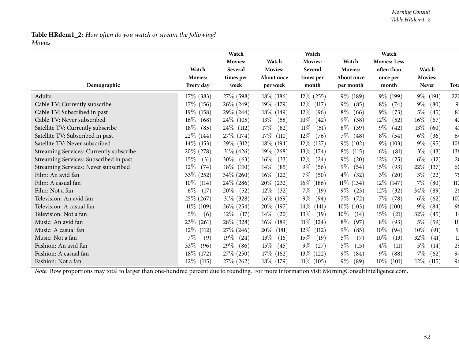#### *Morning Consult Table HRdem1\_2*

## **Table HRdem1\_2:** *How often do you watch or stream the following? Movies*

| Demographic                             | Watch<br><b>Movies:</b><br>Every day | Watch<br><b>Movies:</b><br>Several<br>times per<br>week | Watch<br><b>Movies:</b><br>About once<br>per week | Watch<br>Movies:<br>Several<br>times per<br>month | Watch<br><b>Movies:</b><br>About once<br>per month | Watch<br><b>Movies: Less</b><br>often than<br>once per<br>month | Watch<br><b>Movies:</b><br><b>Never</b> | <b>Tota</b>    |
|-----------------------------------------|--------------------------------------|---------------------------------------------------------|---------------------------------------------------|---------------------------------------------------|----------------------------------------------------|-----------------------------------------------------------------|-----------------------------------------|----------------|
| Adults                                  | $17\%$ (383)                         | 27\% (598)                                              | $18\%$ (386)                                      | $12\%$ (255)                                      | 9% (189)                                           | $9\%$ (199)                                                     | $9\%$<br>(191)                          | 220            |
| Cable TV: Currently subscribe           | $17\%$ (156)                         | $26\% (249)$                                            | 19\% (179)                                        | $12\%$ (117)                                      | $9\%$<br>(85)                                      | $8\%$<br>(74)                                                   | $9\%$<br>(80)                           | 9.             |
| Cable TV: Subscribed in past            | 19% (158)                            | $29\% (244)$                                            | $18\%$ (149)                                      | $12\%$<br>(96)                                    | $8\%$<br>(66)                                      | $9\%$<br>(73)                                                   | $5\%$<br>(45)                           | 83             |
| Cable TV: Never subscribed              | $16\%$<br>(68)                       | $24\%$ (105)                                            | $13\%$<br>(58)                                    | $10\%$<br>(42)                                    | $9\%$<br>(38)                                      | $12\%$<br>(52)                                                  | $16\%$<br>(67)                          | 42             |
| Satellite TV: Currently subscribe       | $18\%$<br>(85)                       | $24\%$ (112)                                            | $17\%$<br>(82)                                    | $11\%$<br>(51)                                    | $8\%$<br>(39)                                      | $9\%$<br>(42)                                                   | 13\%<br>(60)                            | 47             |
| Satellite TV: Subscribed in past        | 22\% (144)                           | 27\% (174)                                              | $17\%$ (<br>(110)                                 | $12\%$<br>(76)                                    | $7\%$<br>(48)                                      | $8\%$<br>(54)                                                   | $6\%$<br>(36)                           | 64             |
| Satellite TV: Never subscribed          | $14\%$ (153)                         | 29\% (312)                                              | $18\%$ (194)                                      | $12\%$ (127)                                      | 9% (102)                                           | $9\%$ (103)                                                     | $9\%$<br>(95)                           | 108            |
| Streaming Services: Currently subscribe | $20\% (278)$                         | $31\% (426)$                                            | $19\%$ (268)                                      | $13\%$ (174)                                      | $8\%$<br>(115)                                     | $6\%$<br>(81)                                                   | $3\%$<br>(43)                           | 138            |
| Streaming Services: Subscribed in past  | 15%<br>(31)                          | $30\%$ (63)                                             | $16\%$<br>(33)                                    | $12\%$<br>(24)                                    | $9\%$<br>(20)                                      | $12\%$<br>(25)                                                  | $6\%$<br>(12)                           | 2 <sub>0</sub> |
| Streaming Services: Never subscribed    | $12\%$<br>(74)                       | $18\%$ (110)                                            | $14\%$<br>(85)                                    | $9\%$<br>(56)                                     | $9\%$<br>(54)                                      | $15\%$<br>(93)                                                  | 22\%<br>(137)                           | 60             |
| Film: An avid fan                       | 33\% (252)                           | $34\% (260)$                                            | $16\%$ (122)                                      | $7\%$<br>(50)                                     | $4\%$<br>(32)                                      | $3\%$<br>(20)                                                   | $3\%$<br>(22)                           | 75             |
| Film: A casual fan                      | $10\%$ (114)                         | $24\%$ (286)                                            | 20\% (232)                                        | $16\%$ (186)                                      | $11\%$ (134)                                       | 12\% (147)                                                      | $7\%$<br>(80)                           | 117            |
| Film: Not a fan                         | $6\%$<br>(17)                        | $20\%$ (52)                                             | $12\%$<br>(32)                                    | $7\%$<br>(19)                                     | $9\%$<br>(23)                                      | $12\%$<br>(32)                                                  | 34%<br>(89)                             | 26             |
| Television: An avid fan                 | 25\% (267)                           | $31\%$ (328)                                            | $16\%$ (169)                                      | $9\%$<br>(94)                                     | $7\%$<br>(72)                                      | $7\%$<br>(78)                                                   | $6\%$<br>(62)                           | 107            |
| Television: A casual fan                | $11\%$ (109)                         | $26\%$ (254)                                            | 20\% (197)                                        | $14\%$ (141)                                      | $10\%$ (103)                                       | $10\%$ (100)                                                    | $9\%$<br>(84)                           | 98             |
| Television: Not a fan                   | $5\%$<br>(6)                         | $12\%$<br>(17)                                          | $14\%$<br>(20)                                    | 13\%<br>(19)                                      | $10\%$<br>(14)                                     | $15\%$<br>(21)                                                  | 32\%<br>(45)                            | 14             |
| Music: An avid fan                      | $23\%$ (261)                         | 28\% (328)                                              | $16\%$ (189)                                      | $11\%$<br>(124)                                   | $8\%$<br>(97)                                      | $8\%$<br>(93)                                                   | $5\%$<br>(59)                           | 11             |
| Music: A casual fan                     | $12\%$<br>(112)                      | $27\%$ (246)                                            | $20\%$ (181)                                      | $12\%$ (112)                                      | $9\%$<br>(85)                                      | $10\%$<br>(94)                                                  | $10\%$<br>(91)                          | 9              |
| Music: Not a fan                        | 7%<br>(9)                            | $19\%$<br>(24)                                          | $13\%$<br>(16)                                    | 15%<br>(19)                                       | $5\%$<br>(7)                                       | $10\%$<br>(13)                                                  | 32\%<br>(41)                            | 12             |
| Fashion: An avid fan                    | 33\%<br>(96)                         | 29\%<br>(86)                                            | $15\%$<br>(45)                                    | $9\%$<br>(27)                                     | $5\%$<br>(15)                                      | $4\%$<br>(11)                                                   | 5%<br>(14)                              | 2 <sup>5</sup> |
| Fashion: A casual fan                   | 18\% (172)                           | 27\% (250)                                              | $17\%$ (162)                                      | $13\%$ (122)                                      | $9\%$<br>(84)                                      | $9\%$<br>(88)                                                   | $7\%$<br>(62)                           | 94             |
| Fashion: Not a fan                      | $12\%$<br>(115)                      | 27\% (262)                                              | 18\% (179)                                        | $11\%$ (105)                                      | $9\%$<br>(89)                                      | $10\%$ (101)                                                    | $12\%$<br>(115)                         | 96             |

*Note:* Row proportions may total to larger than one-hundred percen<sup>t</sup> due to rounding. For more information visit [MorningConsultIntelligence.com](https://morningconsultintelligence.com).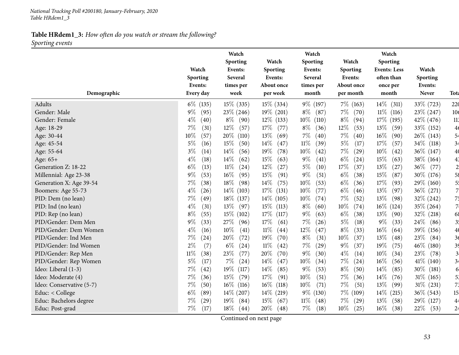**Table HRdem1\_3:** *How often do you watch or stream the following? Sporting events*

|                          |                | Watch<br>Sporting | Watch           | Watch<br>Sporting | Watch          | Watch<br>Sporting   |              |                 |
|--------------------------|----------------|-------------------|-----------------|-------------------|----------------|---------------------|--------------|-----------------|
|                          | Watch          | Events:           | Sporting        | Events:           | Sporting       | <b>Events: Less</b> | Watch        |                 |
|                          | Sporting       | <b>Several</b>    | Events:         | Several           | Events:        | often than          | Sporting     |                 |
|                          | Events:        | times per         | About once      | times per         | About once     | once per            | Events:      |                 |
| Demographic              | Every day      | week              | per week        | month             | per month      | month               | <b>Never</b> | Tota            |
| Adults                   | $6\%$ (135)    | $15\%$ (335)      | $15\%$ (334)    | 9% (197)          | $7\%$ (163)    | $14\%$ (311)        | 33\% (723)   | 220             |
| Gender: Male             | $9\%$<br>(95)  | $23\%$ (246)      | $19\%$ (201)    | $8\%$<br>(87)     | $7\%$<br>(70)  | $11\%$ (116)        | $23\% (247)$ | 10 <sub>6</sub> |
| Gender: Female           | $4\%$<br>(40)  | $8\%$<br>(90)     | $12\%$ (133)    | $10\%$<br>(110)   | $8\%$<br>(94)  | 17\% (195)          | $42\%$ (476) | 113             |
| Age: 18-29               | 7%<br>(31)     | $12\%$<br>(57)    | 17%<br>(77)     | $8\%$<br>(36)     | 12%<br>(53)    | 13\%<br>(59)        | 33\% (152)   | 4 <sub>6</sub>  |
| Age: 30-44               | 10%<br>(57)    | 20%<br>(110)      | 13%<br>(69)     | $7\%$<br>(40)     | $7\%$<br>(40)  | $16\%$<br>(90)      | 26\% (143)   | 54              |
| Age: 45-54               | $5\%$<br>(16)  | 15%<br>(50)       | 14\%<br>(47)    | $11\%$<br>(39)    | $5\%$<br>(17)  | 17%<br>(57)         | 34\% (118)   | 34              |
| Age: 55-64               | $3\%$<br>(14)  | $14\%$<br>(56)    | $19\%$<br>(78)  | 10%<br>(42)       | 7%<br>(29)     | 10%<br>(42)         | $36\%$ (147) | 40              |
| Age: 65+                 | $4\%$<br>(18)  | $14\%$<br>(62)    | 15%<br>(63)     | $9\%$<br>(41)     | $6\%$<br>(24)  | 15%<br>(63)         | $38\%$ (164) | 4 <sup>3</sup>  |
| Generation Z: 18-22      | $6\%$<br>(13)  | $11\%$<br>(24)    | $12\%$<br>(27)  | $5\%$<br>(10)     | 17%<br>(37)    | $13\%$<br>(27)      | 36\%<br>(77) | $\overline{c}$  |
| Millennial: Age 23-38    | $9\%$<br>(53)  | $16\%$<br>(95)    | 15\%<br>(91)    | $9\%$<br>(51)     | $6\%$<br>(38)  | $15\%$<br>(87)      | 30\% (176)   | 58              |
| Generation X: Age 39-54  | 7%<br>(38)     | 18%<br>(98)       | 14\%<br>(75)    | 10%<br>(53)       | $6\%$<br>(36)  | 17%<br>(93)         | 29\% (160)   | 5 <sup>1</sup>  |
| Boomers: Age 55-73       | $4\%$<br>(26)  | $14\%$<br>(103)   | 17%<br>(131)    | 10%<br>(77)       | $6\%$<br>(46)  | 13%<br>(97)         | 36\% (271)   | 7.              |
| PID: Dem (no lean)       | $7\%$<br>(49)  | $18\%$ (137)      | $14\%$ (105)    | $10\%$<br>(74)    | 7%<br>(52)     | $13\%$<br>(98)      | 32% (242)    | 75              |
| PID: Ind (no lean)       | $4\%$<br>(31)  | $13\%$<br>(97)    | $15\%$<br>(113) | $8\%$<br>(60)     | $10\%$<br>(74) | $16\%$ (124)        | 35% (264)    | $\overline{7}$  |
| PID: Rep (no lean)       | $8\%$<br>(55)  | $15\%$ (102)      | $17\%$<br>(117) | $9\%$<br>(63)     | $6\%$<br>(38)  | 13\%<br>(90)        | 32\% (218)   | 68              |
| PID/Gender: Dem Men      | $9\%$<br>(33)  | 27\%<br>(96)      | 17%<br>(61)     | $7\%$<br>(26)     | $5\%$<br>(18)  | $9\%$<br>(33)       | 24\%<br>(86) | 3 <sup>1</sup>  |
| PID/Gender: Dem Women    | $4\%$<br>(16)  | $10\%$<br>(41)    | $11\%$<br>(44)  | 12%<br>(47)       | $8\%$<br>(33)  | $16\%$<br>(64)      | 39% (156)    | 40              |
| PID/Gender: Ind Men      | 7%<br>(24)     | $20\%$<br>(72)    | 19%<br>(70)     | $8\%$<br>(31)     | 10%<br>(37)    | 13%<br>(48)         | 23\%<br>(84) | 36              |
| PID/Gender: Ind Women    | $2\%$<br>(7)   | $6\%$<br>(24)     | $11\%$<br>(42)  | $7\%$<br>(29)     | $9\%$<br>(37)  | 19%<br>(75)         | 46\% (180)   | 3 <sup>5</sup>  |
| PID/Gender: Rep Men      | $11\%$<br>(38) | 23\%<br>(77)      | 20%<br>(70)     | $9\%$<br>(30)     | $4\%$<br>(14)  | $10\%$<br>(34)      | 23\%<br>(78) | 3 <sub>1</sub>  |
| PID/Gender: Rep Women    | 5%<br>(17)     | $7\%$<br>(24)     | 14\%<br>(47)    | 10%<br>(34)       | 7%<br>(24)     | 16%<br>(56)         | $41\%$ (140) | 34              |
| Ideo: Liberal (1-3)      | 7%<br>(42)     | 19%<br>(117)      | $14\%$<br>(85)  | $9\%$<br>(53)     | $8\%$<br>(50)  | 14\%<br>(85)        | $30\%$ (181) | 6               |
| Ideo: Moderate (4)       | 7%<br>(36)     | 15\%<br>(79)      | $17\%$<br>(91)  | 10%<br>(51)       | 7%<br>(36)     | $14\%$<br>(76)      | $31\%$ (165) | 5.              |
| Ideo: Conservative (5-7) | 7%<br>(50)     | $16\%$<br>(116)   | $16\%$<br>(118) | 10%<br>(71)       | 7%<br>(51)     | 13%<br>(99)         | $31\%$ (231) | 7 <sub>3</sub>  |
| Educ: < College          | $6\%$<br>(89)  | $14\%$ (207)      | $14\%$ (219)    | $9\%$ (130)       | $7\%$ (109)    | $14\%$<br>(215)     | 36\% (543)   | 15 <sub>l</sub> |
| Educ: Bachelors degree   | $7\%$<br>(29)  | 19%<br>(84)       | 15%<br>(67)     | $11\%$<br>(48)    | 7%<br>(29)     | $13\%$<br>(58)      | 29\% (127)   | 44              |
| Educ: Post-grad          | 7%<br>(17)     | 18\%<br>(44)      | 20\%<br>(48)    | $7\%$<br>(18)     | $10\%$<br>(25) | $16\%$<br>(38)      | 22\%<br>(53) | 24              |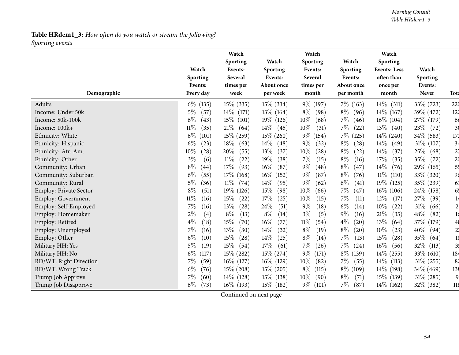#### *Morning Consult Table HRdem1\_3*

# **Table HRdem1\_3:** *How often do you watch or stream the following? Sporting events*

|                               | Watch<br>Sporting           | Watch<br>Sporting<br>Events:<br>Several | Watch<br>Sporting<br>Events: | Watch<br>Sporting<br>Events:<br>Several | Watch<br><b>Sporting</b><br>Events: | Watch<br><b>Sporting</b><br><b>Events: Less</b><br>often than | Watch<br>Sporting       |                |
|-------------------------------|-----------------------------|-----------------------------------------|------------------------------|-----------------------------------------|-------------------------------------|---------------------------------------------------------------|-------------------------|----------------|
| Demographic                   | Events:<br>Every day        | times per<br>week                       | About once<br>per week       | times per<br>month                      | About once<br>per month             | once per<br>month                                             | Events:<br><b>Never</b> | Tota           |
|                               |                             |                                         |                              |                                         |                                     |                                                               |                         |                |
| Adults                        | $6\%$ (135)                 | $15\%$ (335)                            | $15\%$ (334)                 | 9\% (197)                               | 7\% (163)                           | $14\%$ (311)                                                  | 33\% (723)              | 220            |
| Income: Under 50k             | $5\%$<br>(57)               | $14\%$ (171)                            | $13\%$ (164)                 | $8\%$<br>(98)                           | $8\%$<br>(96)                       | $14\%$ (167)                                                  | 39\% (472)              | 122            |
| Income: 50k-100k              | $6\%$<br>(43)               | $15\%$ (101)                            | 19% (126)                    | $10\%$<br>(68)                          | $7\%$<br>(46)                       | $16\%$ (104)                                                  | 27\% (179)              | 66             |
| Income: 100k+                 | $11\%$<br>(35)              | 21%<br>(64)                             | $14\%$<br>(45)               | $10\%$<br>(31)                          | $7\%$<br>(22)                       | $13\%$<br>(40)                                                | 23\%<br>(72)            | 3 <sub>0</sub> |
| Ethnicity: White              | $6\%$<br>(101)              | $15\%$ (259)                            | $15\%$ (260)                 | $9\%$<br>(154)                          | $7\%$<br>(125)                      | $14\%$ (240)                                                  | 34\% (583)              | 172            |
| Ethnicity: Hispanic           | $6\%$<br>(23)               | $18\%$<br>(63)                          | $14\%$<br>(48)               | $9\%$<br>(32)                           | $8\%$<br>(28)                       | $14\%$<br>(49)                                                | $31\%$ (107)            | 34             |
| Ethnicity: Afr. Am.           | 10%<br>$\left( 28\right)$   | 20%<br>(55)                             | 13%<br>(37)                  | 10%<br>(28)                             | $8\%$<br>(22)                       | 14%<br>(37)                                                   | 25%<br>(68)             | 2 <sub>1</sub> |
| Ethnicity: Other              | $3\%$<br>(6)                | $11\%$<br>(22)                          | 19%<br>(38)                  | $7\%$<br>(15)                           | $8\%$<br>(16)                       | 17%<br>(35)                                                   | 35%<br>(72)             | 2 <sub>0</sub> |
| Community: Urban              | $8\%$<br>$\left( 44\right)$ | $17\%$<br>(93)                          | 16%<br>(87)                  | $9\%$<br>(48)                           | $8\%$<br>(47)                       | 14\%<br>(76)                                                  | 29\% (165)              | 5 <sup>1</sup> |
| Community: Suburban           | $6\%$<br>(55)               | $17\%$ (168)                            | $16\%$ (152)                 | $9\%$<br>(87)                           | $8\%$<br>(76)                       | $11\%$<br>(110)                                               | 33% (320)               | 96             |
| Community: Rural              | $5\%$<br>(36)               | $11\%$<br>(74)                          | $14\%$<br>(95)               | $9\%$<br>(62)                           | $6\%$<br>(41)                       | $19\%$ (125)                                                  | 35% (239)               | 67             |
| <b>Employ: Private Sector</b> | $8\%$<br>(51)               | 19% (126)                               | 15%<br>(98)                  | 10%<br>(66)                             | 7%<br>(47)                          | $16\%$ (106)                                                  | 24\% (158)              | 65             |
| Employ: Government            | $11\%$<br>(16)              | $15\%$<br>(22)                          | 17%<br>(25)                  | 10%<br>(15)                             | $7\%$<br>(11)                       | 12%<br>(17)                                                   | 27%<br>(39)             | 14             |
| Employ: Self-Employed         | $7\%$<br>(16)               | 13\%<br>(28)                            | 24%<br>(51)                  | $9\%$<br>(18)                           | $6\%$<br>(14)                       | $10\%$<br>(22)                                                | $31\%$<br>(66)          | 2 <sub>i</sub> |
| Employ: Homemaker             | $2\%$<br>(4)                | $8\%$<br>(13)                           | $8\%$<br>(14)                | (5)<br>$3\%$                            | $9\%$<br>(16)                       | $21\%$<br>(35)                                                | 48%<br>(82)             | 1 <sub>d</sub> |
| Employ: Retired               | $4\%$<br>(18)               | $15\%$<br>(70)                          | $16\%$<br>(77)               | $11\%$<br>(54)                          | $4\%$<br>(20)                       | 13%<br>(64)                                                   | 37\% (179)              | 48             |
| Employ: Unemployed            | $7\%$<br>(16)               | 13%<br>(30)                             | $14\%$<br>(32)               | $8\%$<br>(19)                           | $8\%$<br>(20)                       | 10%<br>(23)                                                   | 40%<br>(94)             | 2 <sup>1</sup> |
| Employ: Other                 | $6\%$<br>(10)               | 15\%<br>(28)                            | $14\%$<br>(25)               | $8\%$<br>(14)                           | $7\%$<br>(13)                       | 15%<br>(28)                                                   | 35%<br>(64)             | 18             |
| Military HH: Yes              | 5%<br>(19)                  | $15\%$<br>(54)                          | 17%<br>(61)                  | $7\%$<br>(26)                           | $7\%$<br>(24)                       | 16%<br>(56)                                                   | 32\%<br>(113)           | 3 <sup>1</sup> |
| Military HH: No               | $6\%$<br>(117)              | $15\%$ (282)                            | $15\%$ (274)                 | $9\%$<br>(171)                          | $8\%$<br>(139)                      | $14\%$ (255)                                                  | $33\%$ (610)            | 184            |
| RD/WT: Right Direction        | 7%<br>(59)                  | $16\%$ (127)                            | $16\%$ (129)                 | $10\%$<br>(82)                          | $7\%$<br>(55)                       | $14\%$ (113)                                                  | 31% (255)               | 82             |
| RD/WT: Wrong Track            | $6\%$<br>(76)               | $15\%$ (208)                            | $15\%$ (205)                 | $8\%$<br>(115)                          | $8\%$ (109)                         | $14\%$ (198)                                                  | $34\%$ (469)            | 138            |
| Trump Job Approve             | 7%<br>(60)                  | $14\%$ (128)                            | $15\%$ (138)                 | $10\%$<br>(90)                          | $8\%$<br>(71)                       | 15\% (139)                                                    | $31\%$ (285)            | $\overline{9}$ |
| Trump Job Disapprove          | $6\%$<br>(73)               | $16\%$ (193)                            | 15\% (182)                   | 9% (101)                                | $7\%$<br>(87)                       | $14\%$ (162)                                                  | 32\% (382)              | 118            |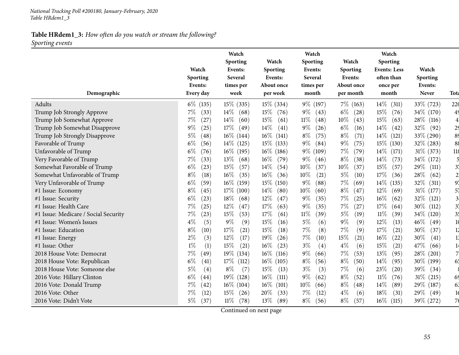**Table HRdem1\_3:** *How often do you watch or stream the following? Sporting events*

|                                      | Watch<br>Sporting | Watch<br>Sporting<br>Events:<br>Several | Watch<br>Sporting<br>Events: | Watch<br>Sporting<br>Events:<br>Several | Watch<br>Sporting<br>Events: | Watch<br>Sporting<br><b>Events: Less</b><br>often than | Watch<br>Sporting |                |
|--------------------------------------|-------------------|-----------------------------------------|------------------------------|-----------------------------------------|------------------------------|--------------------------------------------------------|-------------------|----------------|
|                                      | Events:           | times per                               | About once                   | times per                               | About once                   | once per                                               | Events:           |                |
| Demographic                          | Every day         | week                                    | per week                     | month                                   | per month                    | month                                                  | <b>Never</b>      | <b>Tota</b>    |
| Adults                               | $6\%$ (135)       | $15\%$ (335)                            | $15\%$ (334)                 | 9\% (197)                               | $7\%$ (163)                  | $14\%$<br>(311)                                        | 33\% (723)        | 220            |
| Trump Job Strongly Approve           | $7\%$<br>(33)     | $14\%$<br>(68)                          | $15\%$<br>(76)               | $9\%$<br>(43)                           | $6\%$<br>(28)                | 15%<br>(76)                                            | 34\% (170)        | 49             |
| Trump Job Somewhat Approve           | 7%<br>(27)        | $14\%$<br>(60)                          | 15%<br>(61)                  | $11\%$<br>(48)                          | 10%<br>(43)                  | $15\%$<br>(63)                                         | $28\%$ (116)      | 4              |
| Trump Job Somewhat Disapprove        | $9\%$<br>(25)     | 17\%<br>(49)                            | 14\%<br>(41)                 | $9\%$<br>(26)                           | $6\%$<br>(16)                | 14%<br>(42)                                            | 32%<br>(92)       | 2 <sub>5</sub> |
| Trump Job Strongly Disapprove        | $5\%$<br>(48)     | $16\%$ (144)                            | $16\%$ (141)                 | $8\%$<br>(75)                           | $8\%$<br>(71)                | $14\%$<br>(121)                                        | 33% (290)         | 89             |
| Favorable of Trump                   | $6\%$<br>(56)     | $14\%$ (125)                            | $15\%$ (133)                 | $9\%$<br>(84)                           | $9\%$<br>(75)                | 15\% (130)                                             | $32\%$ (283)      | 88             |
| Unfavorable of Trump                 | $6\%$<br>(76)     | $16\%$ (195)                            | $16\%$ (186)                 | $9\%$<br>(109)                          | $7\%$<br>(79)                | $14\%$<br>(171)                                        | $31\%$ (373)      | 118            |
| Very Favorable of Trump              | 7%<br>(33)        | $13\%$<br>(68)                          | $16\%$<br>(79)               | $9\%$<br>(46)                           | $8\%$<br>(38)                | 14%<br>(73)                                            | 34\% (172)        |                |
| Somewhat Favorable of Trump          | $6\%$<br>(23)     | 15\%<br>(57)                            | $14\%$<br>(54)               | 10%<br>(37)                             | 10%<br>(37)                  | 15%<br>(57)                                            | 29%<br>(111)      | 37             |
| Somewhat Unfavorable of Trump        | $8\%$<br>(18)     | $16\%$<br>(35)                          | $16\%$<br>(36)               | 10%<br>(21)                             | $5\%$<br>(10)                | 17%<br>(36)                                            | 28\%<br>(62)      | $\overline{2}$ |
| Very Unfavorable of Trump            | $6\%$<br>(59)     | $16\%$ (159)                            | 15% (150)                    | $9\%$<br>(88)                           | $7\%$<br>(69)                | $14\%$<br>(135)                                        | 32\%<br>(311)     | 97             |
| #1 Issue: Economy                    | $8\%$<br>(45)     | $17\%$ (100)                            | $14\%$<br>(80)               | $10\%$<br>(60)                          | $8\%$<br>(47)                | $12\%$<br>(69)                                         | 31\% (177)        | 57             |
| #1 Issue: Security                   | $6\%$<br>(23)     | 18%<br>(68)                             | 12%<br>(47)                  | $9\%$<br>(35)                           | $7\%$<br>(25)                | 16%<br>(62)                                            | 32\%<br>(121)     | $\mathfrak{Z}$ |
| #1 Issue: Health Care                | $7\%$<br>(25)     | 12%<br>(47)                             | 17%<br>(63)                  | $9\%$<br>(35)                           | $7\%$<br>(27)                | 17%<br>(64)                                            | $30\%$<br>(112)   | 3 <sup>1</sup> |
| #1 Issue: Medicare / Social Security | 7%<br>(23)        | 15%<br>(53)                             | 17%<br>(61)                  | $11\%$<br>(39)                          | $5\%$<br>(19)                | $11\%$<br>(39)                                         | 34\% (120)        | 3 <sup>1</sup> |
| #1 Issue: Women's Issues             | $4\%$<br>(5)      | $9\%$<br>(9)                            | $15\%$<br>(16)               | $5\%$<br>(6)                            | $9\%$<br>(9)                 | 12%<br>(13)                                            | 46\%<br>(49)      | 10             |
| #1 Issue: Education                  | $8\%$<br>(10)     | 17%<br>(21)                             | 15%<br>(18)                  | $7\%$<br>(8)                            | $7\%$<br>(9)                 | 17\%<br>$\left( 21\right)$                             | 30%<br>(37)       | 12             |
| #1 Issue: Energy                     | $2\%$<br>(3)      | 12%<br>(17)                             | 19%<br>(26)                  | 7%<br>(10)                              | 15%<br>(21)                  | $16\%$<br>(22)                                         | 30%<br>(41)       | 13             |
| #1 Issue: Other                      | $1\%$<br>(1)      | 15%<br>(21)                             | 16%<br>(23)                  | $3\%$<br>(4)                            | 4%<br>(6)                    | 15%<br>(21)                                            | 47%<br>(66)       | 14             |
| 2018 House Vote: Democrat            | $7\%$<br>(49)     | $19\%$ (134)                            | $16\%$ (116)                 | $9\%$<br>(66)                           | $7\%$<br>(53)                | 13%<br>(95)                                            | 28\% (201)        | $\overline{7}$ |
| 2018 House Vote: Republican          | $6\%$<br>(41)     | 17%<br>(112)                            | $16\%$ (105)                 | $8\%$<br>(56)                           | $8\%$<br>(50)                | 14\%<br>(95)                                           | 30\% (199)        | 65             |
| 2018 House Vote: Someone else        | $5\%$<br>(4)      | $8\%$<br>(7)                            | 15%<br>(13)                  | $3\%$<br>(3)                            | 7%<br>(6)                    | 23%<br>(20)                                            | 39%<br>(34)       |                |
| 2016 Vote: Hillary Clinton           | $6\%$<br>(44)     | 19\% (128)                              | $16\%$<br>(111)              | $9\%$<br>(62)                           | $8\%$<br>(52)                | $11\%$<br>(76)                                         | $31\%$ (215)      | 69             |
| 2016 Vote: Donald Trump              | $7\%$<br>(42)     | $16\%$ (104)                            | $16\%$<br>(101)              | 10%<br>(66)                             | $8\%$<br>(48)                | $14\%$<br>(89)                                         | 29\% (187)        | 63             |
| 2016 Vote: Other                     | $7\%$<br>(12)     | 15%<br>(26)                             | 20%<br>(33)                  | $7\%$<br>(12)                           | $4\%$<br>(6)                 | 18\%<br>(31)                                           | $29\%$ (49)       | 16             |
| 2016 Vote: Didn't Vote               | $5\%$<br>(37)     | $11\%$<br>(78)                          | $13\%$<br>(89)               | $8\%$<br>(56)                           | $8\%$<br>(57)                | $16\%$<br>(115)                                        | 39% (272)         | 7 <sub>0</sub> |

Continued on next page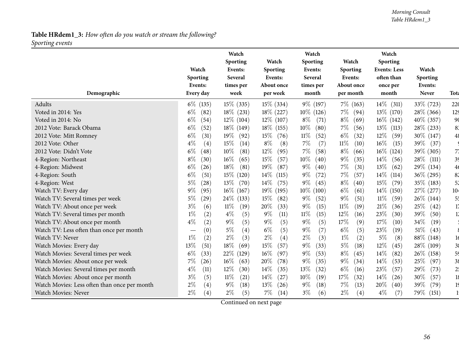#### *Morning Consult Table HRdem1\_3*

# **Table HRdem1\_3:** *How often do you watch or stream the following? Sporting events*

|                                              |               | Watch<br>Sporting | Watch           | Watch<br>Sporting | Watch          | Watch<br>Sporting   |              |                 |
|----------------------------------------------|---------------|-------------------|-----------------|-------------------|----------------|---------------------|--------------|-----------------|
|                                              | Watch         | Events:           | Sporting        | Events:           | Sporting       | <b>Events: Less</b> | Watch        |                 |
|                                              | Sporting      | <b>Several</b>    | Events:         | Several           | Events:        | often than          | Sporting     |                 |
|                                              | Events:       | times per         | About once      | times per         | About once     | once per            | Events:      |                 |
| Demographic                                  | Every day     | week              | per week        | month             | per month      | month               | Never        | <b>Tota</b>     |
| <b>Adults</b>                                | $6\%$ (135)   | $15\%$ (335)      | $15\%$ (334)    | 9\% (197)         | $7\%$ (163)    | $14\%$ (311)        | 33\% (723)   | 220             |
| Voted in 2014: Yes                           | $6\%$<br>(82) | $18\%$ (231)      | $18\%$ (227)    | $10\%$ (126)      | $7\%$<br>(94)  | 13\% (170)          | 28\% (366)   | 12 <sub>5</sub> |
| Voted in 2014: No                            | $6\%$<br>(54) | $12\%$ (104)      | $12\%$ (107)    | $8\%$<br>(71)     | $8\%$<br>(69)  | $16\%$ (142)        | $40\%$ (357) | 90              |
| 2012 Vote: Barack Obama                      | $6\%$<br>(52) | 18\% (149)        | $18\%$ (155)    | 10%<br>(80)       | $7\%$<br>(56)  | $13\%$<br>(113)     | 28% (233)    | 83              |
| 2012 Vote: Mitt Romney                       | $6\%$<br>(31) | 19%<br>(92)       | $15\%$<br>(76)  | $11\%$<br>(52)    | $6\%$<br>(32)  | 12%<br>(59)         | 30\% (147)   | 48              |
| 2012 Vote: Other                             | $4\%$<br>(4)  | 15%<br>(14)       | $8\%$<br>(8)    | $7\%$<br>(7)      | $11\%$<br>(10) | $16\%$<br>(15)      | 39\%<br>(37) |                 |
| 2012 Vote: Didn't Vote                       | $6\%$<br>(48) | 10%<br>(81)       | $12\%$<br>(95)  | 7%<br>(58)        | $8\%$<br>(66)  | $16\%$ (124)        | 39% (305)    | 71              |
| 4-Region: Northeast                          | $8\%$<br>(30) | 16%<br>(65)       | 15%<br>(57)     | 10%<br>(40)       | $9\%$<br>(35)  | $14\%$<br>(56)      | $28\%$ (111) | 39              |
| 4-Region: Midwest                            | $6\%$<br>(26) | 18%<br>(81)       | $19\%$<br>(87)  | $9\%$<br>(40)     | $7\%$<br>(31)  | $13\%$<br>(62)      | 29\% (134)   | 4 <sub>6</sub>  |
| 4-Region: South                              | 6%<br>(51)    | $15\%$<br>(120)   | $14\%$<br>(115) | $9\%$<br>(72)     | 7%<br>(57)     | $14\%$<br>(114)     | 36\% (295)   | 82              |
| 4-Region: West                               | $5\%$<br>(28) | $13\%$<br>(70)    | $14\%$<br>(75)  | $9\%$<br>(45)     | $8\%$<br>(40)  | $15\%$<br>(79)      | $35\%$ (183) | 52              |
| Watch TV: Every day                          | $9\%$<br>(95) | $16\%$ (167)      | 19\% (195)      | $10\%$ (100)      | $6\%$<br>(61)  | $14\%$ (150)        | 27\% (277)   | 10 <sup>2</sup> |
| Watch TV: Several times per week             | 5%<br>(29)    | $24\%$ (133)      | 15%<br>(82)     | $9\%$<br>(52)     | $9\%$<br>(51)  | $11\%$<br>(59)      | $26\%$ (144) | 5 <sup>t</sup>  |
| Watch TV: About once per week                | $3\%$<br>(6)  | $11\%$<br>(19)    | 20%<br>(33)     | $9\%$<br>(15)     | $11\%$<br>(19) | $21\%$<br>(36)      | 25\%<br>(42) | 17              |
| Watch TV: Several times per month            | $1\%$<br>(2)  | $4\%$<br>(5)      | $9\%$<br>(11)   | $11\%$<br>(15)    | 12%<br>(16)    | 23%<br>(30)         | 39%<br>(50)  | 12              |
| Watch TV: About once per month               | $4\%$<br>(2)  | $9\%$<br>(5)      | $9\%$<br>(5)    | (5)<br>$9\%$      | 17%<br>(9)     | 17%<br>(10)         | 34%<br>(19)  |                 |
| Watch TV: Less often than once per month     | (0)           | $5\%$<br>(4)      | $6\%$<br>(5)    | $9\%$<br>(7)      | $6\%$<br>(5)   | 23%<br>(19)         | 51\%<br>(43) |                 |
| Watch TV: Never                              | $1\%$<br>(2)  | $2\%$<br>(3)      | $2\%$<br>(4)    | $2\%$<br>(3)      | $1\%$<br>(2)   | $5\%$<br>(8)        | 88\% (148)   | 16              |
| Watch Movies: Every day                      | 13%<br>(51)   | $18\%$<br>(69)    | 15%<br>(57)     | 9%<br>(33)        | $5\%$<br>(18)  | 12%<br>(45)         | 28\% (109)   | 3 <sub>6</sub>  |
| Watch Movies: Several times per week         | $6\%$<br>(33) | 22\%<br>(129)     | $16\%$<br>(97)  | $9\%$<br>(53)     | $8\%$<br>(45)  | 14\%<br>(82)        | $26\%$ (158) | 59              |
| Watch Movies: About once per week            | 7%<br>(26)    | $16\%$<br>(63)    | 20%<br>(78)     | $9\%$<br>(35)     | $9\%$<br>(34)  | 14\%<br>(53)        | 25%<br>(97)  | 38              |
| Watch Movies: Several times per month        | $4\%$<br>(11) | 12%<br>(30)       | 14\%<br>(35)    | 13%<br>(32)       | $6\%$<br>(16)  | 23%<br>(57)         | 29%<br>(73)  | 2 <sup>t</sup>  |
| Watch Movies: About once per month           | $3\%$<br>(5)  | 11%<br>(21)       | $14\%$<br>(27)  | 10%<br>(19)       | 17%<br>(32)    | 14%<br>(26)         | 30%<br>(57)  | 18              |
| Watch Movies: Less often than once per month | $2\%$<br>(4)  | $9\%$<br>(18)     | 13\%<br>(26)    | $9\%$<br>(18)     | $7\%$<br>(13)  | 20%<br>(40)         | 39%<br>(79)  | 19              |
| <b>Watch Movies: Never</b>                   | $2\%$<br>(4)  | $2\%$<br>(5)      | $7\%$<br>(14)   | $3\%$<br>(6)      | $2\%$<br>(4)   | $4\%$<br>(7)        | 79%<br>(151) |                 |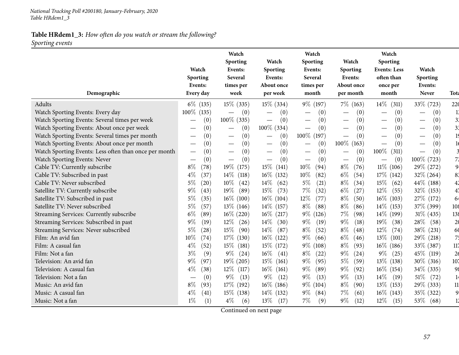# **Table HRdem1\_3:** *How often do you watch or stream the following? Sporting events*

|                                                       | Watch<br>Sporting<br>Events:           | Watch<br>Sporting<br>Events:<br>Several<br>times per | Watch<br>Sporting<br>Events:<br>About once | Watch<br>Sporting<br>Events:<br>Several<br>times per | Watch<br><b>Sporting</b><br>Events:<br>About once | Watch<br>Sporting<br><b>Events: Less</b><br>often than<br>once per | Watch<br>Sporting<br>Events: |                 |
|-------------------------------------------------------|----------------------------------------|------------------------------------------------------|--------------------------------------------|------------------------------------------------------|---------------------------------------------------|--------------------------------------------------------------------|------------------------------|-----------------|
| Demographic                                           | Every day                              | week                                                 | per week                                   | month                                                | per month                                         | month                                                              | Never                        | <b>Tota</b>     |
| Adults                                                | $6\%$ (135)                            | $15\%$ (335)                                         | $15\%$ (334)                               | 9\% (197)                                            | $7\%$ (163)                                       | $14\%$<br>(311)                                                    | 33\% (723)                   | 220             |
| Watch Sporting Events: Every day                      | $100\%$ (135)                          | (0)<br>$\overbrace{\phantom{aaaaa}}^{}$              | (0)                                        | (0)                                                  | (0)                                               | (0)                                                                | (0)                          | 13              |
| Watch Sporting Events: Several times per week         | (0)                                    | 100\% (335)                                          | (0)<br>$\overline{\phantom{m}}$            | (0)<br>$\overline{\phantom{0}}$                      | (0)<br>$\overline{\phantom{0}}$                   | (0)                                                                | (0)                          | 3 <sup>1</sup>  |
| Watch Sporting Events: About once per week            | (0)                                    | (0)<br>$\overbrace{\phantom{123221111}}$             | 100\% (334)                                | (0)                                                  | (0)                                               | (0)<br>$\hspace{0.1mm}-\hspace{0.1mm}$                             | (0)                          | 3 <sup>2</sup>  |
| Watch Sporting Events: Several times per month        | (0)                                    | (0)                                                  | (0)<br>$\overline{\phantom{m}}$            | $100\%$ (197)                                        | (0)                                               | (0)                                                                | (0)                          | 19              |
| Watch Sporting Events: About once per month           | (0)                                    | (0)<br>$\overbrace{\phantom{aaaaa}}$                 | (0)<br>$\overline{\phantom{m}}$            | (0)                                                  | $100\%$ (163)                                     | (0)                                                                | (0)                          |                 |
| Watch Sporting Events: Less often than once per month | (0)<br>$\hspace{0.1mm}-\hspace{0.1mm}$ | (0)                                                  | (0)<br>$\hspace{0.1mm}-\hspace{0.1mm}$     | (0)                                                  | (0)                                               | 100%<br>(311)                                                      | (0)                          |                 |
| Watch Sporting Events: Never                          | (0)                                    | (0)<br>$\hspace{0.1mm}-\hspace{0.1mm}$               | (0)                                        | (0)                                                  | (0)                                               | (0)                                                                | 100\% (723)                  | 7 <sup>′</sup>  |
| Cable TV: Currently subscribe                         | $8\%$<br>(78)                          | 19% (175)                                            | $15\%$ (<br>(141)                          | $10\%$<br>(94)                                       | $8\%$<br>(76)                                     | $11\%$ (106)                                                       | 29% (272)                    | 9.              |
| Cable TV: Subscribed in past                          | $4\%$<br>(37)                          | $14\%$<br>(118)                                      | $16\%$ (132)                               | 10%<br>(82)                                          | $6\%$<br>(54)                                     | 17\% (142)                                                         | $32\%$ (264)                 | 83              |
| Cable TV: Never subscribed                            | $5\%$<br>(20)                          | $10\%$<br>(42)                                       | $14\%$<br>(62)                             | $5\%$<br>(21)                                        | $8\%$<br>(34)                                     | 15%<br>(62)                                                        | 44\% (188)                   | 4 <sub>2</sub>  |
| Satellite TV: Currently subscribe                     | $9\%$<br>(43)                          | 19%<br>(89)                                          | $15\%$<br>(73)                             | $7\%$<br>(32)                                        | $6\%$<br>(27)                                     | $12\%$<br>(55)                                                     | $32\%$ (153)                 | 4 <sub>1</sub>  |
| Satellite TV: Subscribed in past                      | 5%<br>(35)                             | $16\%$ (100)                                         | $16\%$ (104)                               | 12\%<br>(77)                                         | $8\%$<br>(50)                                     | $16\%$ (103)                                                       | 27\% (172)                   | 64              |
| Satellite TV: Never subscribed                        | $5\%$<br>(57)                          | $13\%$ (146)                                         | $14\%$ (157)                               | $8\%$<br>(88)                                        | $8\%$<br>(86)                                     | $14\%$ (153)                                                       | 37% (399)                    | 108             |
| Streaming Services: Currently subscribe               | $6\%$<br>(89)                          | $16\%$ (220)                                         | $16\%$ (217)                               | $9\%$<br>(126)                                       | 7%<br>(98)                                        | $14\%$ (199)                                                       | $31\%$ (435)                 | 138             |
| Streaming Services: Subscribed in past                | $9\%$<br>(19)                          | $12\%$<br>(26)                                       | $14\%$<br>(30)                             | $9\%$<br>(19)                                        | $9\%$<br>(18)                                     | $19\%$<br>(38)                                                     | 28\%<br>(58)                 | 2 <sub>0</sub>  |
| Streaming Services: Never subscribed                  | $5\%$<br>(28)                          | $15\%$<br>(90)                                       | $14\%$<br>(87)                             | $8\%$<br>(52)                                        | $8\%$<br>(48)                                     | $12\%$<br>(74)                                                     | 38\% (231)                   | 60              |
| Film: An avid fan                                     | 10%<br>(74)                            | 17\% (130)                                           | $16\%$ (122)                               | $9\%$<br>(66)                                        | $6\%$<br>(46)                                     | 13\%<br>(101)                                                      | 29\% (218)                   | 75              |
| Film: A casual fan                                    | $4\%$<br>(52)                          | $15\%$ (181)                                         | $15\%$ (172)                               | $9\%$<br>(108)                                       | $8\%$<br>(93)                                     | $16\%$ (186)                                                       | 33% (387)                    | 117             |
| Film: Not a fan                                       | $3\%$<br>(9)                           | $9\%$<br>(24)                                        | $16\%$<br>(41)                             | $8\%$<br>(22)                                        | $9\%$<br>(24)                                     | $9\%$<br>(25)                                                      | 45\% (119)                   | 2 <sub>6</sub>  |
| Television: An avid fan                               | $9\%$<br>(97)                          | 19% (205)                                            | $15\%$<br>(161)                            | $9\%$<br>(95)                                        | $5\%$<br>(59)                                     | $13\%$ (138)                                                       | $30\%$ (316)                 | 10 <sub>7</sub> |
| Television: A casual fan                              | $4\%$<br>(38)                          | $12\%$<br>(117)                                      | $16\%$<br>(161)                            | $9\%$<br>(89)                                        | $9\%$<br>(92)                                     | $16\%$ (154)                                                       | 34\% (335)                   | 98              |
| Television: Not a fan                                 | (0)                                    | $9\%$<br>(13)                                        | $9\%$<br>(12)                              | $9\%$<br>(13)                                        | $9\%$<br>(13)                                     | $14\%$<br>(19)                                                     | $51\%$<br>(72)               | 14              |
| Music: An avid fan                                    | $8\%$<br>(93)                          | 17\% (192)                                           | $16\%$ (186)                               | $9\%$ (104)                                          | $8\%$<br>(90)                                     | $13\%$ (153)                                                       | 29\% (333)                   | 11              |
| Music: A casual fan                                   | $4\%$<br>(41)                          | $15\%$ (138)                                         | $14\%$ (132)                               | $9\%$<br>(84)                                        | 7%<br>(61)                                        | $16\%$ (143)                                                       | 35\% (322)                   | 9               |
| Music: Not a fan                                      | (1)<br>$1\%$                           | $4\%$<br>(6)                                         | 13\%<br>(17)                               | $7\%$<br>(9)                                         | $9\%$<br>(12)                                     | $12\%$<br>(15)                                                     | $53\%$ (68)                  | 11              |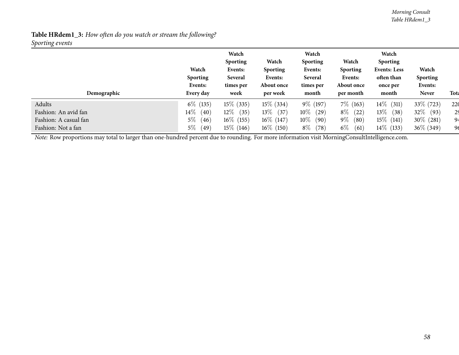*Morning Consult Table HRdem1\_3*

## **Table HRdem1\_3:** *How often do you watch or stream the following? Sporting events*

| Demographic           | Watch<br><b>Sporting</b><br>Events:<br>Every day | Watch<br><b>Sporting</b><br>Events:<br>Several<br>times per<br>week | Watch<br><b>Sporting</b><br>Events:<br>About once<br>per week | Watch<br><b>Sporting</b><br>Events:<br>Several<br>times per<br>month | Watch<br><b>Sporting</b><br>Events:<br>About once<br>per month | Watch<br><b>Sporting</b><br><b>Events: Less</b><br>often than<br>once per<br>month | Watch<br><b>Sporting</b><br>Events:<br><b>Never</b> | <b>Tota</b> |
|-----------------------|--------------------------------------------------|---------------------------------------------------------------------|---------------------------------------------------------------|----------------------------------------------------------------------|----------------------------------------------------------------|------------------------------------------------------------------------------------|-----------------------------------------------------|-------------|
| Adults                | $6\%$ (135)                                      | $15\%$ (335)                                                        | $15\%$ (334)                                                  | $9\%$ (197)                                                          | $7\%$ (163)                                                    | 14 $\%$<br>(311)                                                                   | 33\% (723)                                          | 220         |
| Fashion: An avid fan  | 14 $\%$<br>(40)                                  | $12\%$<br>(35)                                                      | $13\%$<br>(37)                                                | $10\%$<br>(29)                                                       | $8\%$<br>(22)                                                  | $13\%$<br>(38)                                                                     | $32\%$<br>(93)                                      | 29          |
| Fashion: A casual fan | $5\%$<br>(46)                                    | $16\%$ (155)                                                        | $16\%$ (147)                                                  | $10\%$<br>(90)                                                       | $9\%$<br>(80)                                                  | $15\%$ (141)                                                                       | $30\%$ (281)                                        | 94          |
| Fashion: Not a fan    | $5\%$<br>(49)                                    | $15\%$ (146)                                                        | $16\%$ (150)                                                  | $8\%$<br>(78)                                                        | $6\%$<br>(61)                                                  | $14\%$ (133)                                                                       | $36\%$ (349)                                        | 96          |

*Note:* Row proportions may total to larger than one-hundred percen<sup>t</sup> due to rounding. For more information visit [MorningConsultIntelligence.com](https://morningconsultintelligence.com).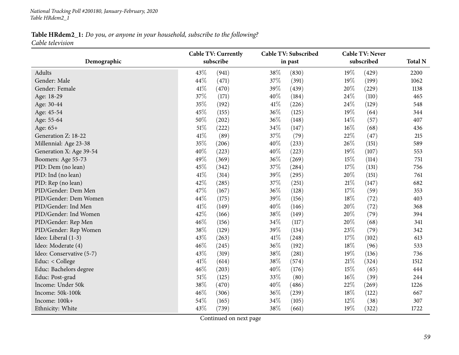#### *National Tracking Poll #200180, January-February, <sup>2020</sup> Table HRdem2\_1*

## Table HRdem2\_1: Do you, or anyone in your household, subscribe to the following? *Cable television*

|                          | <b>Cable TV: Currently</b> |           |        | <b>Cable TV: Subscribed</b> |        | <b>Cable TV: Never</b> |                |  |
|--------------------------|----------------------------|-----------|--------|-----------------------------|--------|------------------------|----------------|--|
| Demographic              |                            | subscribe |        | in past                     |        | subscribed             | <b>Total N</b> |  |
| Adults                   | 43%                        | (941)     | 38%    | (830)                       | 19%    | (429)                  | 2200           |  |
| Gender: Male             | 44%                        | (471)     | 37%    | (391)                       | 19%    | (199)                  | 1062           |  |
| Gender: Female           | 41\%                       | (470)     | 39%    | (439)                       | 20%    | (229)                  | 1138           |  |
| Age: 18-29               | 37%                        | (171)     | 40%    | (184)                       | 24%    | (110)                  | 465            |  |
| Age: 30-44               | 35%                        | (192)     | $41\%$ | (226)                       | 24%    | (129)                  | 548            |  |
| Age: 45-54               | 45%                        | (155)     | 36%    | (125)                       | 19%    | (64)                   | 344            |  |
| Age: 55-64               | 50%                        | (202)     | 36%    | (148)                       | 14%    | (57)                   | 407            |  |
| Age: 65+                 | 51%                        | (222)     | 34%    | (147)                       | 16%    | (68)                   | 436            |  |
| Generation Z: 18-22      | 41\%                       | (89)      | 37%    | (79)                        | 22%    | (47)                   | 215            |  |
| Millennial: Age 23-38    | 35%                        | (206)     | 40%    | (233)                       | 26%    | (151)                  | 589            |  |
| Generation X: Age 39-54  | 40%                        | (223)     | 40%    | (223)                       | 19%    | (107)                  | 553            |  |
| Boomers: Age 55-73       | 49%                        | (369)     | 36%    | (269)                       | 15%    | (114)                  | 751            |  |
| PID: Dem (no lean)       | 45%                        | (342)     | 37%    | $\left( 284\right)$         | 17%    | (131)                  | 756            |  |
| PID: Ind (no lean)       | 41%                        | (314)     | 39%    | (295)                       | 20%    | (151)                  | 761            |  |
| PID: Rep (no lean)       | 42%                        | (285)     | 37%    | (251)                       | 21%    | (147)                  | 682            |  |
| PID/Gender: Dem Men      | 47%                        | (167)     | 36%    | (128)                       | 17%    | (59)                   | 353            |  |
| PID/Gender: Dem Women    | 44%                        | (175)     | 39%    | (156)                       | $18\%$ | (72)                   | 403            |  |
| PID/Gender: Ind Men      | 41%                        | (149)     | 40%    | (146)                       | 20%    | (72)                   | 368            |  |
| PID/Gender: Ind Women    | 42%                        | (166)     | 38%    | (149)                       | 20%    | (79)                   | 394            |  |
| PID/Gender: Rep Men      | 46%                        | (156)     | 34%    | (117)                       | 20%    | (68)                   | 341            |  |
| PID/Gender: Rep Women    | 38%                        | (129)     | 39%    | (134)                       | 23%    | (79)                   | 342            |  |
| Ideo: Liberal (1-3)      | 43%                        | (263)     | 41\%   | (248)                       | 17%    | (102)                  | 613            |  |
| Ideo: Moderate (4)       | 46%                        | (245)     | 36%    | (192)                       | 18%    | (96)                   | 533            |  |
| Ideo: Conservative (5-7) | 43%                        | (319)     | 38%    | (281)                       | 19%    | (136)                  | 736            |  |
| Educ: < College          | 41%                        | (614)     | 38%    | (574)                       | 21%    | (324)                  | 1512           |  |
| Educ: Bachelors degree   | 46%                        | (203)     | 40%    | (176)                       | 15%    | (65)                   | 444            |  |
| Educ: Post-grad          | $51\%$                     | (125)     | 33%    | (80)                        | $16\%$ | (39)                   | 244            |  |
| Income: Under 50k        | 38%                        | (470)     | 40%    | (486)                       | 22%    | (269)                  | 1226           |  |
| Income: 50k-100k         | 46%                        | (306)     | 36%    | (239)                       | 18%    | (122)                  | 667            |  |
| Income: 100k+            | 54%                        | (165)     | 34%    | (105)                       | 12%    | (38)                   | 307            |  |
| Ethnicity: White         | 43%                        | (739)     | 38%    | (661)                       | 19%    | (322)                  | 1722           |  |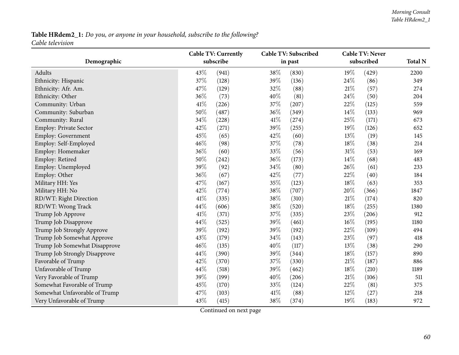# Table HRdem2\_1: Do you, or anyone in your household, subscribe to the following? *Cable television*

|                               | <b>Cable TV: Currently</b> |           |      | Cable TV: Subscribed | <b>Cable TV: Never</b> |            |                |  |
|-------------------------------|----------------------------|-----------|------|----------------------|------------------------|------------|----------------|--|
| Demographic                   |                            | subscribe |      | in past              |                        | subscribed | <b>Total N</b> |  |
| Adults                        | 43%                        | (941)     | 38%  | (830)                | 19%                    | (429)      | 2200           |  |
| Ethnicity: Hispanic           | 37%                        | (128)     | 39%  | (136)                | 24%                    | (86)       | 349            |  |
| Ethnicity: Afr. Am.           | 47%                        | (129)     | 32%  | (88)                 | 21\%                   | (57)       | 274            |  |
| Ethnicity: Other              | 36%                        | (73)      | 40%  | (81)                 | 24%                    | (50)       | 204            |  |
| Community: Urban              | 41%                        | (226)     | 37%  | (207)                | 22%                    | (125)      | 559            |  |
| Community: Suburban           | 50%                        | (487)     | 36%  | (349)                | 14%                    | (133)      | 969            |  |
| Community: Rural              | 34%                        | (228)     | 41%  | (274)                | 25%                    | (171)      | 673            |  |
| Employ: Private Sector        | 42%                        | (271)     | 39%  | (255)                | 19%                    | (126)      | 652            |  |
| Employ: Government            | 45%                        | (65)      | 42%  | (60)                 | 13%                    | (19)       | 145            |  |
| Employ: Self-Employed         | 46%                        | (98)      | 37%  | (78)                 | 18%                    | (38)       | 214            |  |
| Employ: Homemaker             | 36%                        | (60)      | 33%  | (56)                 | 31%                    | (53)       | 169            |  |
| Employ: Retired               | 50%                        | (242)     | 36%  | (173)                | 14%                    | (68)       | 483            |  |
| Employ: Unemployed            | 39%                        | (92)      | 34%  | (80)                 | 26%                    | (61)       | 233            |  |
| Employ: Other                 | 36%                        | (67)      | 42%  | (77)                 | 22%                    | (40)       | 184            |  |
| Military HH: Yes              | 47%                        | (167)     | 35%  | (123)                | 18%                    | (63)       | 353            |  |
| Military HH: No               | 42%                        | (774)     | 38%  | (707)                | 20%                    | (366)      | 1847           |  |
| RD/WT: Right Direction        | 41%                        | (335)     | 38%  | (310)                | 21\%                   | (174)      | 820            |  |
| RD/WT: Wrong Track            | 44%                        | (606)     | 38%  | (520)                | 18%                    | (255)      | 1380           |  |
| Trump Job Approve             | 41%                        | (371)     | 37%  | (335)                | 23%                    | (206)      | 912            |  |
| Trump Job Disapprove          | 44%                        | (525)     | 39%  | (461)                | 16%                    | (195)      | 1180           |  |
| Trump Job Strongly Approve    | 39%                        | (192)     | 39%  | (192)                | 22%                    | (109)      | 494            |  |
| Trump Job Somewhat Approve    | 43%                        | (179)     | 34%  | (143)                | 23%                    | (97)       | 418            |  |
| Trump Job Somewhat Disapprove | 46%                        | (135)     | 40%  | (117)                | 13%                    | (38)       | 290            |  |
| Trump Job Strongly Disapprove | 44%                        | (390)     | 39%  | (344)                | 18%                    | (157)      | 890            |  |
| Favorable of Trump            | 42%                        | (370)     | 37%  | (330)                | 21\%                   | (187)      | 886            |  |
| Unfavorable of Trump          | 44%                        | (518)     | 39%  | (462)                | 18%                    | (210)      | 1189           |  |
| Very Favorable of Trump       | 39%                        | (199)     | 40%  | (206)                | 21%                    | (106)      | 511            |  |
| Somewhat Favorable of Trump   | 45%                        | (170)     | 33%  | (124)                | 22%                    | (81)       | 375            |  |
| Somewhat Unfavorable of Trump | 47%                        | (103)     | 41\% | (88)                 | 12%                    | (27)       | 218            |  |
| Very Unfavorable of Trump     | 43%                        | (415)     | 38%  | (374)                | 19%                    | (183)      | 972            |  |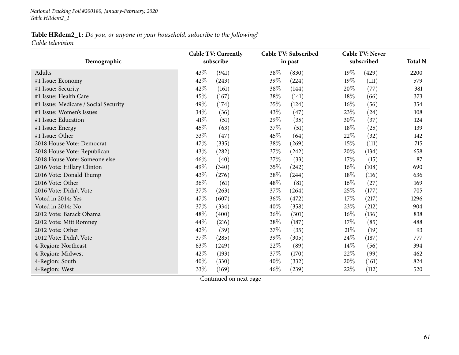#### Table HRdem2\_1: Do you, or anyone in your household, subscribe to the following? *Cable television*

**DemographicCable TV: Currently subscribeCable TV: Subscribedin pas<sup>t</sup> Cable TV: Never subscribed Total <sup>N</sup>**Adultss  $43\%$  (941)  $(38\% \quad (830) \quad 19\% \quad (429)$  2200 579 #1 Issue: Economy <sup>42</sup>% (243) <sup>39</sup>% (224) <sup>19</sup>% (111) <sup>579</sup> #1 Issue: Security  $42\%$   $(161)$   $38\%$   $(144)$   $20\%$   $(77)$   $381$ #1 Issue: Health Care  $45\%$   $(167)$   $38\%$   $(141)$   $18\%$   $(66)$   $373$ 41 Issue: Medicare / Social Security  $49\%$  (174)  $35\%$  (124)  $16\%$  (56)  $354$ <br>
49% (36)  $43\%$  (47)  $23\%$  (24)  $108$ #1 Issue: Women's Issues <sup>34</sup>% (36) <sup>43</sup>% (47) <sup>23</sup>% (24) <sup>108</sup> #1 Issue: Education**n**  $41\%$  (51)  $29\%$  (35)  $30\%$  (37)  $124$ #1 Issue: Energy  $45\%$   $(63)$   $37\%$   $(51)$   $18\%$   $(25)$   $139$ #1 Issue: Other  $33\%$   $(47)$   $45\%$   $(64)$   $22\%$   $(32)$   $142$  $2018$  House Vote: Democrat  $47\%$  (335)  $38\%$  (269)  $15\%$  (111) 715<br> $2018$  House Vote: Republican  $43\%$  (282)  $37\%$  (242)  $20\%$  (134) 658 <sup>2018</sup> House Vote: Republicann  $43\%$   $(282)$   $37\%$   $(242)$   $20\%$   $(134)$  658  $2018$  House Vote: Someone else  $46\%$   $40)$   $37\%$   $33)$   $17\%$   $15)$   $87$ <br> $2016$  Vote: Hillary Clinton  $49\%$   $340)$   $35\%$   $(242)$   $16\%$   $(108)$   $690$ <sup>2016</sup> Vote: Hillary Clintonn  $49\%$   $(340)$   $35\%$   $(242)$   $16\%$   $(108)$   $690$ <sup>2016</sup> Vote: Donald Trump $P$  and  $43\%$   $(276)$  and  $38\%$   $(244)$  and  $18\%$   $(116)$  636 2016 Vote: Other 2016 Vote: Other 36% (61)  $36\%$  (61)  $48\%$  (81)  $16\%$  (27)  $169\%$ <sup>2016</sup> Vote: Didn't Vote <sup>37</sup>% (263) <sup>37</sup>% (264) <sup>25</sup>% (177) <sup>705</sup> Voted in 2014: Yes  $47\%$   $(607)$   $36\%$   $(472)$   $17\%$   $(217)$   $1296$ Voted in 2014: No $37\%$   $(334)$   $40\%$   $(358)$   $23\%$   $(212)$   $904$  $2012 \text{ Vote: Barack Obama}$ <br>  $2012 \text{ Vote: Hart Romney}$   $2012 \text{ Vote: Mit Romney}$   $2012 \text{ Vote: Mit Romney}$   $44\%$   $(216)$   $38\%$   $(187)$   $17\%$   $(85)$   $488$ 2012 Vote: Mitt Romney  $44\%$   $(216)$   $38\%$   $(187)$   $17\%$   $(85)$   $488$ <br>2012 Vote: Other  $42\%$   $(39)$   $37\%$   $(35)$   $21\%$   $(19)$   $93$ 2012 Vote: Other 2012 Vote: Other 2012 Vote: Other 2012 Vote: Other 2012 Vote: Other 2013 <sup>2012</sup> Vote: Didn't Vote <sup>37</sup>% (285) <sup>39</sup>% (305) <sup>24</sup>% (187) <sup>777</sup> 4-Region: Northeast 63% (249)  $63\%$  (249)  $22\%$  (89)  $14\%$  (56)  $394$ 4-Region: Midwest 22% (193)  $42\%$  (193)  $37\%$  (170)  $22\%$  (99)  $462$ 4-Region: Southh  $40\%$  (330)  $40\%$  (332)  $20\%$  (161) 824 4-Region: West  $33\%$   $(169)$   $46\%$   $(239)$   $22\%$   $(112)$  520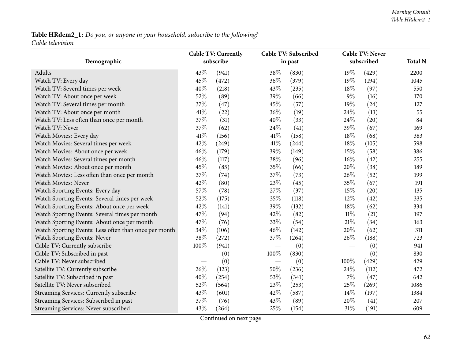## Table HRdem2\_1: Do you, or anyone in your household, subscribe to the following? *Cable television*

|                                                       |      | <b>Cable TV: Currently</b> |      | <b>Cable TV: Subscribed</b> |        | <b>Cable TV: Never</b> |                |
|-------------------------------------------------------|------|----------------------------|------|-----------------------------|--------|------------------------|----------------|
| Demographic                                           |      | subscribe                  |      | in past                     |        | subscribed             | <b>Total N</b> |
| Adults                                                | 43%  | (941)                      | 38%  | (830)                       | 19%    | (429)                  | 2200           |
| Watch TV: Every day                                   | 45%  | (472)                      | 36%  | (379)                       | 19%    | (194)                  | 1045           |
| Watch TV: Several times per week                      | 40%  | (218)                      | 43%  | (235)                       | 18%    | (97)                   | 550            |
| Watch TV: About once per week                         | 52%  | (89)                       | 39%  | (66)                        | $9\%$  | (16)                   | 170            |
| Watch TV: Several times per month                     | 37%  | (47)                       | 45%  | (57)                        | 19%    | (24)                   | 127            |
| Watch TV: About once per month                        | 41\% | (22)                       | 36%  | (19)                        | 24%    | (13)                   | 55             |
| Watch TV: Less often than once per month              | 37%  | (31)                       | 40%  | (33)                        | 24%    | (20)                   | 84             |
| Watch TV: Never                                       | 37%  | (62)                       | 24%  | (41)                        | 39%    | (67)                   | 169            |
| Watch Movies: Every day                               | 41\% | (156)                      | 41\% | (158)                       | 18%    | (68)                   | 383            |
| Watch Movies: Several times per week                  | 42%  | (249)                      | 41%  | (244)                       | 18%    | (105)                  | 598            |
| Watch Movies: About once per week                     | 46%  | (179)                      | 39%  | (149)                       | 15%    | (58)                   | 386            |
| Watch Movies: Several times per month                 | 46%  | (117)                      | 38%  | (96)                        | 16%    | (42)                   | 255            |
| Watch Movies: About once per month                    | 45%  | (85)                       | 35%  | (66)                        | 20%    | (38)                   | 189            |
| Watch Movies: Less often than once per month          | 37%  | (74)                       | 37%  | (73)                        | 26%    | (52)                   | 199            |
| Watch Movies: Never                                   | 42%  | (80)                       | 23%  | (45)                        | 35%    | (67)                   | 191            |
| Watch Sporting Events: Every day                      | 57%  | (78)                       | 27%  | (37)                        | 15%    | (20)                   | 135            |
| Watch Sporting Events: Several times per week         | 52%  | (175)                      | 35%  | (118)                       | 12%    | (42)                   | 335            |
| Watch Sporting Events: About once per week            | 42%  | (141)                      | 39%  | (132)                       | 18%    | (62)                   | 334            |
| Watch Sporting Events: Several times per month        | 47%  | (94)                       | 42%  | (82)                        | $11\%$ | (21)                   | 197            |
| Watch Sporting Events: About once per month           | 47%  | (76)                       | 33%  | (54)                        | 21\%   | (34)                   | 163            |
| Watch Sporting Events: Less often than once per month | 34%  | (106)                      | 46%  | (142)                       | 20%    | (62)                   | 311            |
| Watch Sporting Events: Never                          | 38%  | (272)                      | 37%  | (264)                       | 26%    | (188)                  | 723            |
| Cable TV: Currently subscribe                         | 100% | (941)                      |      | (0)                         |        | (0)                    | 941            |
| Cable TV: Subscribed in past                          |      | (0)                        | 100% | (830)                       |        | (0)                    | 830            |
| Cable TV: Never subscribed                            |      | (0)                        |      | (0)                         | 100%   | (429)                  | 429            |
| Satellite TV: Currently subscribe                     | 26%  | (123)                      | 50%  | (236)                       | 24%    | (112)                  | 472            |
| Satellite TV: Subscribed in past                      | 40%  | (254)                      | 53%  | (341)                       | $7\%$  | (47)                   | 642            |
| Satellite TV: Never subscribed                        | 52%  | (564)                      | 23%  | (253)                       | 25%    | (269)                  | 1086           |
| Streaming Services: Currently subscribe               | 43%  | (601)                      | 42%  | (587)                       | 14%    | (197)                  | 1384           |
| Streaming Services: Subscribed in past                | 37%  | (76)                       | 43%  | (89)                        | 20%    | (41)                   | 207            |
| Streaming Services: Never subscribed                  | 43%  | (264)                      | 25%  | (154)                       | 31%    | (191)                  | 609            |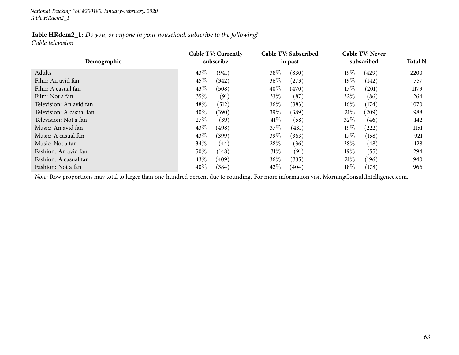| <b>Table HRdem2_1:</b> Do you, or anyone in your household, subscribe to the following? |  |  |  |
|-----------------------------------------------------------------------------------------|--|--|--|
| Cable television                                                                        |  |  |  |

| Demographic              | <b>Cable TV: Currently</b><br>subscribe | Cable TV: Subscribed<br>in past | <b>Cable TV: Never</b><br>subscribed | <b>Total N</b> |
|--------------------------|-----------------------------------------|---------------------------------|--------------------------------------|----------------|
| Adults                   | 43\%<br>(941)                           | 38%<br>(830)                    | 19%<br>(429)                         | 2200           |
| Film: An avid fan        | 45%<br>(342)                            | 36\%<br>(273)                   | 19%<br>(142)                         | 757            |
| Film: A casual fan       | 43\%<br>(508)                           | 40%<br>(470)                    | 17%<br>(201)                         | 1179           |
| Film: Not a fan          | 35%<br>(91)                             | 33\%<br>(87)                    | 32\%<br>(86)                         | 264            |
| Television: An avid fan  | 48\%<br>(512)                           | 36\%<br>(383)                   | $16\%$<br>(174)                      | 1070           |
| Television: A casual fan | 40\%<br>(390)                           | 39%<br>(389)                    | 21%<br>(209)                         | 988            |
| Television: Not a fan    | 27\%<br>(39)                            | 41\%<br>(58)                    | 32%<br>(46)                          | 142            |
| Music: An avid fan       | 43\%<br>(498)                           | 37\%<br>(431)                   | 19%<br>(222)                         | 1151           |
| Music: A casual fan      | 43\%<br>(399)                           | 39%<br>(363)                    | 17%<br>(158)                         | 921            |
| Music: Not a fan         | $34\%$<br>$\left( 44\right)$            | 28\%<br>(36)                    | 38\%<br>(48)                         | 128            |
| Fashion: An avid fan     | 50%<br>(148)                            | 31%<br>(91)                     | $19\%$<br>(55)                       | 294            |
| Fashion: A casual fan    | 43\%<br>(409)                           | 36%<br>(335)                    | 21%<br>(196)                         | 940            |
| Fashion: Not a fan       | 40\%<br>(384)                           | 42\%<br>(404)                   | $18\%$<br>(178)                      | 966            |

*Note:* Row proportions may total to larger than one-hundred percen<sup>t</sup> due to rounding. For more information visit [MorningConsultIntelligence.com](https://morningconsultintelligence.com).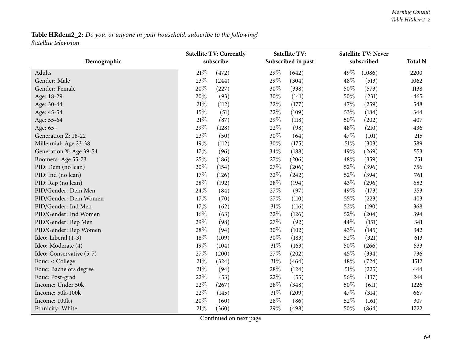# Table HRdem2\_2: Do you, or anyone in your household, subscribe to the following? *Satellite television*

|                          | <b>Satellite TV: Currently</b> |           |     | <b>Satellite TV:</b> |        | <b>Satellite TV: Never</b> |      |  |
|--------------------------|--------------------------------|-----------|-----|----------------------|--------|----------------------------|------|--|
| Demographic              |                                | subscribe |     | Subscribed in past   |        | subscribed                 |      |  |
| Adults                   | $21\%$                         | (472)     | 29% | (642)                | 49%    | (1086)                     | 2200 |  |
| Gender: Male             | 23%                            | (244)     | 29% | (304)                | 48%    | (513)                      | 1062 |  |
| Gender: Female           | 20%                            | (227)     | 30% | (338)                | 50%    | (573)                      | 1138 |  |
| Age: 18-29               | 20%                            | (93)      | 30% | (141)                | 50%    | (231)                      | 465  |  |
| Age: 30-44               | 21%                            | (112)     | 32% | (177)                | 47%    | (259)                      | 548  |  |
| Age: 45-54               | 15%                            | (51)      | 32% | (109)                | 53%    | (184)                      | 344  |  |
| Age: 55-64               | 21%                            | (87)      | 29% | (118)                | 50%    | (202)                      | 407  |  |
| Age: 65+                 | 29%                            | (128)     | 22% | (98)                 | 48%    | (210)                      | 436  |  |
| Generation Z: 18-22      | 23%                            | (50)      | 30% | (64)                 | 47%    | (101)                      | 215  |  |
| Millennial: Age 23-38    | 19%                            | (112)     | 30% | (175)                | 51%    | (303)                      | 589  |  |
| Generation X: Age 39-54  | 17%                            | (96)      | 34% | (188)                | 49%    | (269)                      | 553  |  |
| Boomers: Age 55-73       | 25%                            | (186)     | 27% | (206)                | 48%    | (359)                      | 751  |  |
| PID: Dem (no lean)       | 20%                            | (154)     | 27% | (206)                | 52%    | (396)                      | 756  |  |
| PID: Ind (no lean)       | 17%                            | (126)     | 32% | (242)                | 52%    | (394)                      | 761  |  |
| PID: Rep (no lean)       | 28%                            | (192)     | 28% | (194)                | 43%    | (296)                      | 682  |  |
| PID/Gender: Dem Men      | 24%                            | (84)      | 27% | (97)                 | 49%    | (173)                      | 353  |  |
| PID/Gender: Dem Women    | 17%                            | (70)      | 27% | (110)                | 55%    | (223)                      | 403  |  |
| PID/Gender: Ind Men      | 17%                            | (62)      | 31% | (116)                | 52%    | (190)                      | 368  |  |
| PID/Gender: Ind Women    | 16%                            | (63)      | 32% | (126)                | 52%    | (204)                      | 394  |  |
| PID/Gender: Rep Men      | 29%                            | (98)      | 27% | (92)                 | 44%    | (151)                      | 341  |  |
| PID/Gender: Rep Women    | 28%                            | (94)      | 30% | (102)                | 43%    | (145)                      | 342  |  |
| Ideo: Liberal (1-3)      | 18%                            | (109)     | 30% | (183)                | 52%    | (321)                      | 613  |  |
| Ideo: Moderate (4)       | 19%                            | (104)     | 31% | (163)                | 50%    | (266)                      | 533  |  |
| Ideo: Conservative (5-7) | 27%                            | (200)     | 27% | (202)                | 45%    | (334)                      | 736  |  |
| Educ: < College          | 21%                            | (324)     | 31% | (464)                | 48%    | (724)                      | 1512 |  |
| Educ: Bachelors degree   | 21%                            | (94)      | 28% | (124)                | $51\%$ | (225)                      | 444  |  |
| Educ: Post-grad          | 22%                            | (53)      | 22% | (55)                 | 56%    | (137)                      | 244  |  |
| Income: Under 50k        | 22%                            | (267)     | 28% | (348)                | 50%    | (611)                      | 1226 |  |
| Income: 50k-100k         | 22%                            | (145)     | 31% | (209)                | 47%    | (314)                      | 667  |  |
| Income: 100k+            | 20%                            | (60)      | 28% | (86)                 | 52%    | (161)                      | 307  |  |
| Ethnicity: White         | 21%                            | (360)     | 29% | (498)                | 50%    | (864)                      | 1722 |  |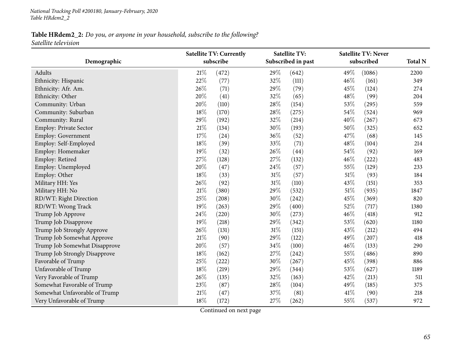*National Tracking Poll #200180, January-February, <sup>2020</sup> Table HRdem2\_2*

## Table HRdem2\_2: Do you, or anyone in your household, subscribe to the following? *Satellite television*

|                               | <b>Satellite TV: Currently</b> |           | <b>Satellite TV:</b> |                    | <b>Satellite TV: Never</b> |            |                |
|-------------------------------|--------------------------------|-----------|----------------------|--------------------|----------------------------|------------|----------------|
| Demographic                   |                                | subscribe |                      | Subscribed in past |                            | subscribed | <b>Total N</b> |
| Adults                        | 21%                            | (472)     | 29%                  | (642)              | 49\%                       | (1086)     | 2200           |
| Ethnicity: Hispanic           | 22%                            | (77)      | 32%                  | (111)              | 46%                        | (161)      | 349            |
| Ethnicity: Afr. Am.           | 26%                            | (71)      | 29%                  | (79)               | 45%                        | (124)      | 274            |
| Ethnicity: Other              | 20%                            | (41)      | 32%                  | (65)               | 48%                        | (99)       | 204            |
| Community: Urban              | 20%                            | (110)     | 28\%                 | (154)              | 53%                        | (295)      | 559            |
| Community: Suburban           | 18%                            | (170)     | 28\%                 | (275)              | 54%                        | (524)      | 969            |
| Community: Rural              | 29%                            | (192)     | 32%                  | (214)              | 40%                        | (267)      | 673            |
| Employ: Private Sector        | 21\%                           | (134)     | 30%                  | (193)              | 50%                        | (325)      | 652            |
| Employ: Government            | 17%                            | (24)      | 36%                  | (52)               | 47%                        | (68)       | 145            |
| Employ: Self-Employed         | 18%                            | (39)      | 33%                  | (71)               | 48%                        | (104)      | 214            |
| Employ: Homemaker             | 19%                            | (32)      | 26%                  | (44)               | 54%                        | (92)       | 169            |
| Employ: Retired               | 27%                            | (128)     | 27%                  | (132)              | 46%                        | (222)      | 483            |
| Employ: Unemployed            | 20%                            | (47)      | 24\%                 | (57)               | 55%                        | (129)      | 233            |
| Employ: Other                 | 18%                            | (33)      | $31\%$               | (57)               | 51%                        | (93)       | 184            |
| Military HH: Yes              | 26%                            | (92)      | $31\%$               | (110)              | 43%                        | (151)      | 353            |
| Military HH: No               | 21%                            | (380)     | 29%                  | (532)              | $51\%$                     | (935)      | 1847           |
| RD/WT: Right Direction        | 25%                            | (208)     | 30%                  | (242)              | 45%                        | (369)      | 820            |
| RD/WT: Wrong Track            | 19%                            | (263)     | 29%                  | (400)              | 52%                        | (717)      | 1380           |
| Trump Job Approve             | 24%                            | (220)     | 30%                  | (273)              | 46%                        | (418)      | 912            |
| Trump Job Disapprove          | 19%                            | (218)     | 29%                  | (342)              | 53%                        | (620)      | 1180           |
| Trump Job Strongly Approve    | 26%                            | (131)     | $31\%$               | (151)              | 43%                        | (212)      | 494            |
| Trump Job Somewhat Approve    | 21\%                           | (90)      | 29%                  | (122)              | 49%                        | (207)      | 418            |
| Trump Job Somewhat Disapprove | 20%                            | (57)      | 34%                  | (100)              | 46%                        | (133)      | 290            |
| Trump Job Strongly Disapprove | 18%                            | (162)     | 27%                  | (242)              | 55%                        | (486)      | 890            |
| Favorable of Trump            | 25%                            | (222)     | 30%                  | (267)              | 45%                        | (398)      | 886            |
| Unfavorable of Trump          | 18%                            | (219)     | 29%                  | (344)              | 53%                        | (627)      | 1189           |
| Very Favorable of Trump       | 26%                            | (135)     | 32%                  | (163)              | 42%                        | (213)      | 511            |
| Somewhat Favorable of Trump   | 23%                            | (87)      | 28\%                 | (104)              | 49%                        | (185)      | 375            |
| Somewhat Unfavorable of Trump | 21%                            | (47)      | 37%                  | (81)               | 41\%                       | (90)       | 218            |
| Very Unfavorable of Trump     | 18%                            | (172)     | 27\%                 | (262)              | 55%                        | (537)      | 972            |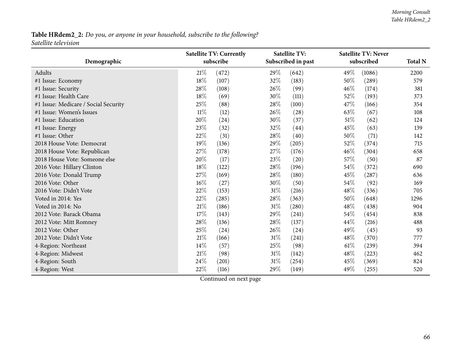# Table HRdem2\_2: Do you, or anyone in your household, subscribe to the following? *Satellite television*

|                                      |        | <b>Satellite TV: Currently</b> |        | <b>Satellite TV:</b> |        | <b>Satellite TV: Never</b> |      |
|--------------------------------------|--------|--------------------------------|--------|----------------------|--------|----------------------------|------|
| Demographic                          |        | subscribe                      |        | Subscribed in past   |        | subscribed                 |      |
| Adults                               | 21%    | (472)                          | 29%    | (642)                | 49%    | (1086)                     | 2200 |
| #1 Issue: Economy                    | 18%    | (107)                          | 32%    | (183)                | 50%    | (289)                      | 579  |
| #1 Issue: Security                   | 28%    | (108)                          | 26%    | (99)                 | 46%    | (174)                      | 381  |
| #1 Issue: Health Care                | 18%    | (69)                           | 30%    | (111)                | 52%    | (193)                      | 373  |
| #1 Issue: Medicare / Social Security | 25\%   | (88)                           | 28\%   | (100)                | 47%    | (166)                      | 354  |
| #1 Issue: Women's Issues             | $11\%$ | (12)                           | 26%    | (28)                 | 63%    | (67)                       | 108  |
| #1 Issue: Education                  | 20%    | (24)                           | 30%    | (37)                 | 51%    | (62)                       | 124  |
| #1 Issue: Energy                     | 23\%   | (32)                           | 32%    | (44)                 | 45%    | (63)                       | 139  |
| #1 Issue: Other                      | 22%    | (31)                           | 28%    | (40)                 | 50%    | (71)                       | 142  |
| 2018 House Vote: Democrat            | 19%    | (136)                          | 29%    | (205)                | 52\%   | (374)                      | 715  |
| 2018 House Vote: Republican          | 27%    | (178)                          | 27%    | (176)                | 46%    | (304)                      | 658  |
| 2018 House Vote: Someone else        | 20%    | (17)                           | 23%    | (20)                 | 57%    | (50)                       | 87   |
| 2016 Vote: Hillary Clinton           | 18%    | (122)                          | 28%    | (196)                | $54\%$ | (372)                      | 690  |
| 2016 Vote: Donald Trump              | 27%    | (169)                          | 28%    | (180)                | 45%    | (287)                      | 636  |
| 2016 Vote: Other                     | 16%    | (27)                           | 30%    | (50)                 | 54%    | (92)                       | 169  |
| 2016 Vote: Didn't Vote               | 22%    | (153)                          | 31%    | (216)                | 48%    | (336)                      | 705  |
| Voted in 2014: Yes                   | 22%    | (285)                          | 28%    | (363)                | 50\%   | (648)                      | 1296 |
| Voted in 2014: No                    | 21%    | (186)                          | $31\%$ | (280)                | 48%    | (438)                      | 904  |
| 2012 Vote: Barack Obama              | 17%    | (143)                          | 29%    | (241)                | 54%    | (454)                      | 838  |
| 2012 Vote: Mitt Romney               | $28\%$ | (136)                          | 28%    | (137)                | 44\%   | (216)                      | 488  |
| 2012 Vote: Other                     | 25%    | (24)                           | 26%    | (24)                 | 49%    | (45)                       | 93   |
| 2012 Vote: Didn't Vote               | $21\%$ | (166)                          | $31\%$ | (241)                | 48%    | (370)                      | 777  |
| 4-Region: Northeast                  | $14\%$ | (57)                           | 25%    | (98)                 | 61%    | (239)                      | 394  |
| 4-Region: Midwest                    | $21\%$ | (98)                           | $31\%$ | (142)                | 48\%   | (223)                      | 462  |
| 4-Region: South                      | 24\%   | (201)                          | $31\%$ | (254)                | 45\%   | (369)                      | 824  |
| 4-Region: West                       | 22%    | (116)                          | 29%    | (149)                | 49%    | (255)                      | 520  |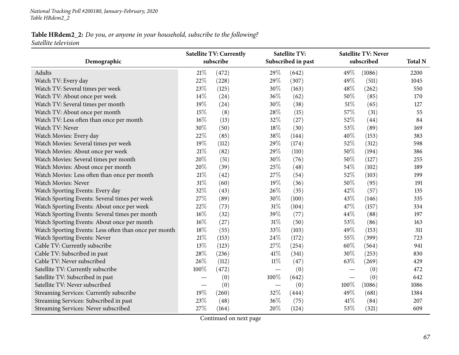## Table HRdem2\_2: Do you, or anyone in your household, subscribe to the following? *Satellite television*

|                                                       |        | <b>Satellite TV: Currently</b> |        | <b>Satellite TV:</b> |                                 | <b>Satellite TV: Never</b> |                |
|-------------------------------------------------------|--------|--------------------------------|--------|----------------------|---------------------------------|----------------------------|----------------|
| Demographic                                           |        | subscribe                      |        | Subscribed in past   |                                 | subscribed                 | <b>Total N</b> |
| Adults                                                | $21\%$ | (472)                          | 29%    | (642)                | 49%                             | (1086)                     | 2200           |
| Watch TV: Every day                                   | 22%    | (228)                          | 29%    | (307)                | 49%                             | (511)                      | 1045           |
| Watch TV: Several times per week                      | 23%    | (125)                          | 30%    | (163)                | 48%                             | (262)                      | 550            |
| Watch TV: About once per week                         | 14\%   | (24)                           | 36%    | (62)                 | 50%                             | (85)                       | 170            |
| Watch TV: Several times per month                     | 19%    | (24)                           | 30%    | (38)                 | $51\%$                          | (65)                       | 127            |
| Watch TV: About once per month                        | 15%    | (8)                            | 28%    | (15)                 | 57%                             | (31)                       | 55             |
| Watch TV: Less often than once per month              | $16\%$ | (13)                           | 32%    | (27)                 | 52%                             | (44)                       | 84             |
| Watch TV: Never                                       | 30%    | (50)                           | 18%    | (30)                 | 53%                             | (89)                       | 169            |
| Watch Movies: Every day                               | 22%    | (85)                           | 38%    | (144)                | 40%                             | (153)                      | 383            |
| Watch Movies: Several times per week                  | 19%    | (112)                          | 29%    | (174)                | 52%                             | (312)                      | 598            |
| Watch Movies: About once per week                     | $21\%$ | (82)                           | 29%    | (110)                | 50%                             | (194)                      | 386            |
| Watch Movies: Several times per month                 | 20%    | (51)                           | 30%    | (76)                 | 50%                             | (127)                      | 255            |
| Watch Movies: About once per month                    | 20%    | (39)                           | 25%    | (48)                 | 54%                             | (102)                      | 189            |
| Watch Movies: Less often than once per month          | $21\%$ | (42)                           | 27%    | (54)                 | 52%                             | (103)                      | 199            |
| Watch Movies: Never                                   | 31%    | (60)                           | 19%    | (36)                 | 50%                             | (95)                       | 191            |
| Watch Sporting Events: Every day                      | 32%    | (43)                           | 26%    | (35)                 | 42%                             | (57)                       | 135            |
| Watch Sporting Events: Several times per week         | 27%    | (89)                           | 30%    | (100)                | 43%                             | (146)                      | 335            |
| Watch Sporting Events: About once per week            | 22%    | (73)                           | 31%    | (104)                | 47%                             | (157)                      | 334            |
| Watch Sporting Events: Several times per month        | $16\%$ | (32)                           | 39%    | (77)                 | 44%                             | (88)                       | 197            |
| Watch Sporting Events: About once per month           | 16%    | (27)                           | $31\%$ | (50)                 | 53%                             | (86)                       | 163            |
| Watch Sporting Events: Less often than once per month | $18\%$ | (55)                           | 33%    | (103)                | 49%                             | (153)                      | 311            |
| Watch Sporting Events: Never                          | $21\%$ | (153)                          | 24\%   | (172)                | 55%                             | (399)                      | 723            |
| Cable TV: Currently subscribe                         | 13%    | (123)                          | 27%    | (254)                | 60%                             | (564)                      | 941            |
| Cable TV: Subscribed in past                          | 28%    | (236)                          | 41\%   | (341)                | 30%                             | (253)                      | 830            |
| Cable TV: Never subscribed                            | 26%    | (112)                          | $11\%$ | (47)                 | 63%                             | (269)                      | 429            |
| Satellite TV: Currently subscribe                     | 100%   | (472)                          |        | (0)                  |                                 | (0)                        | 472            |
| Satellite TV: Subscribed in past                      |        | (0)                            | 100%   | (642)                | $\hspace{0.1mm}-\hspace{0.1mm}$ | (0)                        | 642            |
| Satellite TV: Never subscribed                        |        | (0)                            |        | (0)                  | 100%                            | (1086)                     | 1086           |
| Streaming Services: Currently subscribe               | 19%    | (260)                          | 32%    | (444)                | 49%                             | (681)                      | 1384           |
| Streaming Services: Subscribed in past                | 23%    | (48)                           | 36%    | (75)                 | 41\%                            | (84)                       | 207            |
| Streaming Services: Never subscribed                  | 27%    | (164)                          | 20%    | (124)                | 53%                             | (321)                      | 609            |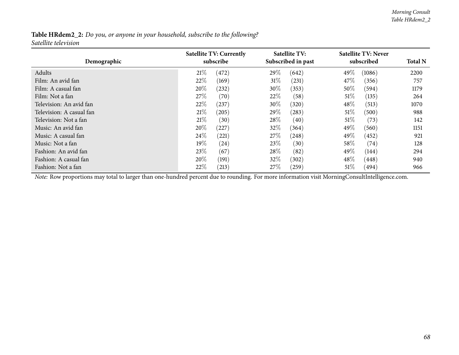| Table HRdem2_2: Do you, or anyone in your household, subscribe to the following? |  |
|----------------------------------------------------------------------------------|--|
| Satellite television                                                             |  |

| Demographic              | <b>Satellite TV: Currently</b><br>subscribe |       | Satellite TV:<br>Subscribed in past |            | <b>Satellite TV: Never</b><br>subscribed | <b>Total N</b> |      |
|--------------------------|---------------------------------------------|-------|-------------------------------------|------------|------------------------------------------|----------------|------|
| Adults                   | 21%                                         | (472) | 29\%                                | (642)      | 49%                                      | (1086)         | 2200 |
| Film: An avid fan        | $22\%$                                      | (169) | $31\%$                              | (231)      | 47\%                                     | (356)          | 757  |
| Film: A casual fan       | 20%                                         | (232) | $30\%$                              | (353)      | $50\%$                                   | (594)          | 1179 |
| Film: Not a fan          | 27%                                         | (70)  | 22\%                                | (58)       | $51\%$                                   | (135)          | 264  |
| Television: An avid fan  | 22%                                         | (237) | 30\%                                | (320)      | $48\%$                                   | (513)          | 1070 |
| Television: A casual fan | 21%                                         | (205) | 29\%                                | (283)      | $51\%$                                   | (500)          | 988  |
| Television: Not a fan    | 21%                                         | (30)  | 28\%                                | (40)       | $51\%$                                   | (73)           | 142  |
| Music: An avid fan       | 20%                                         | (227) | 32%                                 | (364)      | 49\%                                     | (560)          | 1151 |
| Music: A casual fan      | 24\%                                        | (221) | 27\%                                | (248)      | 49\%                                     | (452)          | 921  |
| Music: Not a fan         | $19\%$                                      | (24)  | 23\%                                | (30)       | 58\%                                     | (74)           | 128  |
| Fashion: An avid fan     | 23\%                                        | (67)  | 28\%                                | (82)       | 49\%                                     | (144)          | 294  |
| Fashion: A casual fan    | 20%                                         | (191) | 32%                                 | (302)      | 48\%                                     | (448)          | 940  |
| Fashion: Not a fan       | $22\%$                                      | (213) | 27%                                 | $^{'}259)$ | $51\%$                                   | (494)          | 966  |

*Note:* Row proportions may total to larger than one-hundred percen<sup>t</sup> due to rounding. For more information visit [MorningConsultIntelligence.com](https://morningconsultintelligence.com).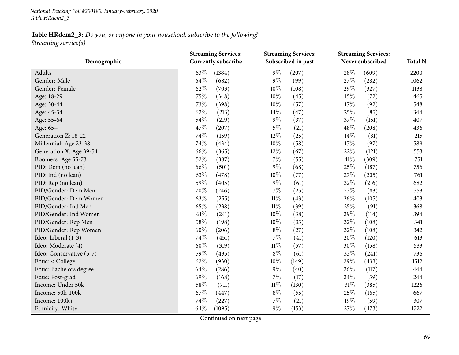*National Tracking Poll #200180, January-February, <sup>2020</sup> Table HRdem2\_3*

Table HRdem2\_3: Do you, or anyone in your household, subscribe to the following? *Streaming service(s)*

| Demographic              | <b>Streaming Services:</b><br><b>Currently subscribe</b> |        | <b>Streaming Services:</b><br>Subscribed in past |       | <b>Streaming Services:</b><br>Never subscribed |       | <b>Total N</b> |
|--------------------------|----------------------------------------------------------|--------|--------------------------------------------------|-------|------------------------------------------------|-------|----------------|
| Adults                   | 63%                                                      | (1384) | 9%                                               | (207) | 28%                                            | (609) | 2200           |
| Gender: Male             | 64%                                                      | (682)  | 9%                                               | (99)  | 27%                                            | (282) | 1062           |
| Gender: Female           | 62%                                                      | (703)  | 10%                                              | (108) | 29%                                            | (327) | 1138           |
| Age: 18-29               | 75%                                                      | (348)  | 10%                                              | (45)  | 15%                                            | (72)  | 465            |
| Age: 30-44               | 73%                                                      | (398)  | 10%                                              | (57)  | 17%                                            | (92)  | 548            |
| Age: 45-54               | 62%                                                      | (213)  | 14\%                                             | (47)  | 25%                                            | (85)  | 344            |
| Age: 55-64               | 54%                                                      | (219)  | $9\%$                                            | (37)  | 37%                                            | (151) | 407            |
| Age: 65+                 | 47%                                                      | (207)  | $5\%$                                            | (21)  | 48%                                            | (208) | 436            |
| Generation Z: 18-22      | 74%                                                      | (159)  | 12%                                              | (25)  | 14%                                            | (31)  | 215            |
| Millennial: Age 23-38    | 74%                                                      | (434)  | 10%                                              | (58)  | 17%                                            | (97)  | 589            |
| Generation X: Age 39-54  | 66%                                                      | (365)  | 12%                                              | (67)  | 22%                                            | (121) | 553            |
| Boomers: Age 55-73       | 52%                                                      | (387)  | $7\%$                                            | (55)  | 41\%                                           | (309) | 751            |
| PID: Dem (no lean)       | 66%                                                      | (501)  | $9\%$                                            | (68)  | 25%                                            | (187) | 756            |
| PID: Ind (no lean)       | 63%                                                      | (478)  | 10%                                              | (77)  | 27%                                            | (205) | 761            |
| PID: Rep (no lean)       | 59%                                                      | (405)  | $9\%$                                            | (61)  | 32%                                            | (216) | 682            |
| PID/Gender: Dem Men      | 70%                                                      | (246)  | 7%                                               | (25)  | 23%                                            | (83)  | 353            |
| PID/Gender: Dem Women    | 63%                                                      | (255)  | $11\%$                                           | (43)  | 26%                                            | (105) | 403            |
| PID/Gender: Ind Men      | 65%                                                      | (238)  | $11\%$                                           | (39)  | 25%                                            | (91)  | 368            |
| PID/Gender: Ind Women    | 61\%                                                     | (241)  | 10%                                              | (38)  | 29%                                            | (114) | 394            |
| PID/Gender: Rep Men      | 58%                                                      | (198)  | 10%                                              | (35)  | 32%                                            | (108) | 341            |
| PID/Gender: Rep Women    | 60%                                                      | (206)  | $8\%$                                            | (27)  | 32%                                            | (108) | 342            |
| Ideo: Liberal (1-3)      | 74%                                                      | (451)  | 7%                                               | (41)  | 20%                                            | (120) | 613            |
| Ideo: Moderate (4)       | 60%                                                      | (319)  | $11\%$                                           | (57)  | 30%                                            | (158) | 533            |
| Ideo: Conservative (5-7) | 59%                                                      | (435)  | $8\%$                                            | (61)  | 33%                                            | (241) | 736            |
| Educ: < College          | 62%                                                      | (930)  | $10\%$                                           | (149) | 29%                                            | (433) | 1512           |
| Educ: Bachelors degree   | 64%                                                      | (286)  | $9\%$                                            | (40)  | 26%                                            | (117) | 444            |
| Educ: Post-grad          | 69%                                                      | (168)  | 7%                                               | (17)  | 24%                                            | (59)  | 244            |
| Income: Under 50k        | 58%                                                      | (711)  | $11\%$                                           | (130) | 31%                                            | (385) | 1226           |
| Income: 50k-100k         | 67%                                                      | (447)  | $8\%$                                            | (55)  | 25%                                            | (165) | 667            |
| Income: 100k+            | 74%                                                      | (227)  | 7%                                               | (21)  | 19%                                            | (59)  | 307            |
| Ethnicity: White         | 64%                                                      | (1095) | 9%                                               | (153) | 27%                                            | (473) | 1722           |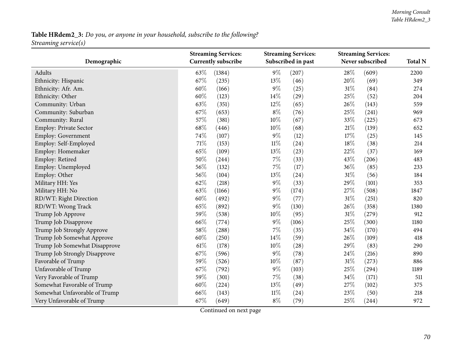# Table HRdem2\_3: Do you, or anyone in your household, subscribe to the following? *Streaming service(s)*

| Demographic                   | <b>Streaming Services:</b><br><b>Currently subscribe</b> | <b>Streaming Services:</b><br>Subscribed in past | <b>Streaming Services:</b><br>Never subscribed | <b>Total N</b> |
|-------------------------------|----------------------------------------------------------|--------------------------------------------------|------------------------------------------------|----------------|
|                               |                                                          |                                                  |                                                |                |
| Adults                        | 63%<br>(1384)<br>67%                                     | $9\%$<br>(207)                                   | 28%<br>(609)                                   | 2200           |
| Ethnicity: Hispanic           | (235)                                                    | 13%<br>(46)                                      | 20%<br>(69)                                    | 349            |
| Ethnicity: Afr. Am.           | 60%<br>(166)                                             | $9\%$<br>(25)                                    | 31%<br>(84)                                    | 274            |
| Ethnicity: Other              | 60%<br>(123)                                             | 14\%<br>(29)                                     | 25%<br>(52)                                    | 204            |
| Community: Urban              | 63%<br>(351)                                             | $12\%$<br>(65)                                   | 26%<br>(143)                                   | 559            |
| Community: Suburban           | 67%<br>(653)                                             | $8\%$<br>(76)                                    | 25%<br>(241)                                   | 969            |
| Community: Rural              | 57%<br>(381)                                             | $10\%$<br>(67)                                   | 33%<br>(225)                                   | 673            |
| Employ: Private Sector        | 68%<br>(446)                                             | 10%<br>(68)                                      | 21%<br>(139)                                   | 652            |
| Employ: Government            | 74%<br>(107)                                             | $9\%$<br>(12)                                    | 17%<br>(25)                                    | 145            |
| Employ: Self-Employed         | 71%<br>(153)                                             | $11\%$<br>(24)                                   | 18%<br>(38)                                    | 214            |
| Employ: Homemaker             | 65%<br>(109)                                             | 13%<br>(23)                                      | $22\%$<br>(37)                                 | 169            |
| Employ: Retired               | 50%<br>(244)                                             | $7\%$<br>(33)                                    | 43%<br>(206)                                   | 483            |
| Employ: Unemployed            | 56%<br>(132)                                             | $7\%$<br>(17)                                    | 36%<br>(85)                                    | 233            |
| Employ: Other                 | 56%<br>(104)                                             | 13%<br>(24)                                      | 31%<br>(56)                                    | 184            |
| Military HH: Yes              | 62%<br>(218)                                             | $9\%$<br>(33)                                    | 29%<br>(101)                                   | 353            |
| Military HH: No               | 63%<br>(1166)                                            | $9\%$<br>(174)                                   | 27%<br>(508)                                   | 1847           |
| RD/WT: Right Direction        | 60%<br>(492)                                             | $9\%$<br>(77)                                    | 31%<br>(251)                                   | 820            |
| RD/WT: Wrong Track            | 65%<br>(892)                                             | $9\%$<br>(130)                                   | 26%<br>(358)                                   | 1380           |
| Trump Job Approve             | 59%<br>(538)                                             | 10%<br>(95)                                      | 31%<br>(279)                                   | 912            |
| Trump Job Disapprove          | 66%<br>(774)                                             | $9\%$<br>(106)                                   | 25%<br>(300)                                   | 1180           |
| Trump Job Strongly Approve    | 58%<br>(288)                                             | $7\%$<br>(35)                                    | 34%<br>(170)                                   | 494            |
| Trump Job Somewhat Approve    | 60%<br>(250)                                             | $14\%$<br>(59)                                   | 26%<br>(109)                                   | 418            |
| Trump Job Somewhat Disapprove | 61\%<br>(178)                                            | $10\%$<br>(28)                                   | 29%<br>(83)                                    | 290            |
| Trump Job Strongly Disapprove | 67%<br>(596)                                             | $9\%$<br>(78)                                    | 24%<br>(216)                                   | 890            |
| Favorable of Trump            | 59%<br>(526)                                             | 10%<br>(87)                                      | 31%<br>(273)                                   | 886            |
| Unfavorable of Trump          | 67%<br>(792)                                             | $9\%$<br>(103)                                   | 25%<br>(294)                                   | 1189           |
| Very Favorable of Trump       | 59%<br>(301)                                             | $7\%$<br>(38)                                    | 34%<br>(171)                                   | 511            |
| Somewhat Favorable of Trump   | 60%<br>(224)                                             | $13\%$<br>(49)                                   | 27%<br>(102)                                   | 375            |
| Somewhat Unfavorable of Trump | 66%<br>(143)                                             | $11\%$<br>(24)                                   | 23%<br>(50)                                    | 218            |
| Very Unfavorable of Trump     | 67%<br>(649)                                             | $8\%$<br>(79)                                    | 25%<br>(244)                                   | 972            |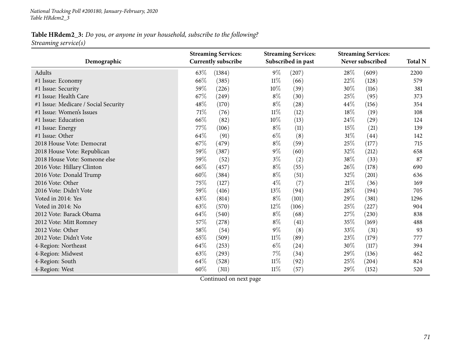*National Tracking Poll #200180, January-February, <sup>2020</sup> Table HRdem2\_3*

# Table HRdem2\_3: Do you, or anyone in your household, subscribe to the following? *Streaming service(s)*

| Demographic                          | <b>Streaming Services:</b><br><b>Currently subscribe</b> |        |        | <b>Streaming Services:</b><br>Subscribed in past |        | <b>Streaming Services:</b><br>Never subscribed |      |
|--------------------------------------|----------------------------------------------------------|--------|--------|--------------------------------------------------|--------|------------------------------------------------|------|
| Adults                               | 63\%                                                     | (1384) | $9\%$  | (207)                                            | 28%    | (609)                                          | 2200 |
| #1 Issue: Economy                    | 66\%                                                     | (385)  | $11\%$ | (66)                                             | 22\%   | (128)                                          | 579  |
| #1 Issue: Security                   | 59%                                                      | (226)  | 10%    | (39)                                             | 30%    | (116)                                          | 381  |
| #1 Issue: Health Care                | 67%                                                      | (249)  | $8\%$  | (30)                                             | 25%    | (95)                                           | 373  |
| #1 Issue: Medicare / Social Security | 48%                                                      | (170)  | $8\%$  | (28)                                             | 44%    | (156)                                          | 354  |
| #1 Issue: Women's Issues             | 71\%                                                     | (76)   | $11\%$ | (12)                                             | 18%    | (19)                                           | 108  |
| #1 Issue: Education                  | 66%                                                      | (82)   | $10\%$ | (13)                                             | 24%    | (29)                                           | 124  |
| #1 Issue: Energy                     | 77%                                                      | (106)  | $8\%$  | (11)                                             | 15%    | (21)                                           | 139  |
| #1 Issue: Other                      | 64%                                                      | (91)   | $6\%$  | (8)                                              | 31%    | (44)                                           | 142  |
| 2018 House Vote: Democrat            | 67\%                                                     | (479)  | $8\%$  | (59)                                             | 25%    | (177)                                          | 715  |
| 2018 House Vote: Republican          | 59%                                                      | (387)  | $9\%$  | (60)                                             | 32%    | (212)                                          | 658  |
| 2018 House Vote: Someone else        | 59%                                                      | (52)   | $3\%$  | (2)                                              | 38%    | (33)                                           | 87   |
| 2016 Vote: Hillary Clinton           | 66\%                                                     | (457)  | $8\%$  | (55)                                             | $26\%$ | (178)                                          | 690  |
| 2016 Vote: Donald Trump              | 60%                                                      | (384)  | $8\%$  | (51)                                             | 32%    | (201)                                          | 636  |
| 2016 Vote: Other                     | 75%                                                      | (127)  | $4\%$  | (7)                                              | $21\%$ | (36)                                           | 169  |
| 2016 Vote: Didn't Vote               | 59%                                                      | (416)  | 13%    | (94)                                             | 28%    | (194)                                          | 705  |
| Voted in 2014: Yes                   | 63%                                                      | (814)  | $8\%$  | (101)                                            | 29%    | (381)                                          | 1296 |
| Voted in 2014: No                    | 63%                                                      | (570)  | $12\%$ | (106)                                            | 25%    | (227)                                          | 904  |
| 2012 Vote: Barack Obama              | 64%                                                      | (540)  | $8\%$  | (68)                                             | 27%    | (230)                                          | 838  |
| 2012 Vote: Mitt Romney               | 57%                                                      | (278)  | $8\%$  | (41)                                             | 35%    | (169)                                          | 488  |
| 2012 Vote: Other                     | 58%                                                      | (54)   | $9\%$  | (8)                                              | 33%    | (31)                                           | 93   |
| 2012 Vote: Didn't Vote               | 65%                                                      | (509)  | $11\%$ | (89)                                             | 23%    | (179)                                          | 777  |
| 4-Region: Northeast                  | $64\%$                                                   | (253)  | $6\%$  | (24)                                             | 30%    | (117)                                          | 394  |
| 4-Region: Midwest                    | 63%                                                      | (293)  | $7\%$  | (34)                                             | 29%    | (136)                                          | 462  |
| 4-Region: South                      | 64%                                                      | (528)  | $11\%$ | (92)                                             | 25%    | (204)                                          | 824  |
| 4-Region: West                       | 60%                                                      | (311)  | $11\%$ | (57)                                             | 29%    | (152)                                          | 520  |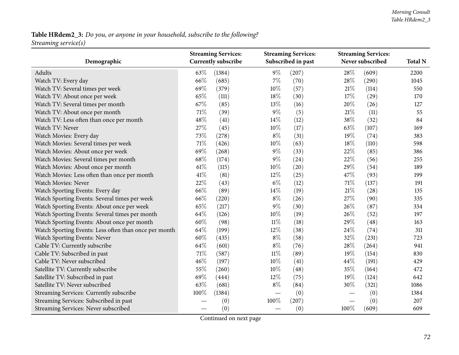# Table HRdem2\_3: Do you, or anyone in your household, subscribe to the following? *Streaming service(s)*

| Demographic                                           | <b>Streaming Services:</b><br><b>Currently subscribe</b> |        |        | <b>Streaming Services:</b><br>Subscribed in past |        | <b>Streaming Services:</b><br>Never subscribed |      |
|-------------------------------------------------------|----------------------------------------------------------|--------|--------|--------------------------------------------------|--------|------------------------------------------------|------|
| Adults                                                | 63%                                                      | (1384) | $9\%$  | (207)                                            | 28%    | (609)                                          | 2200 |
| Watch TV: Every day                                   | 66%                                                      | (685)  | $7\%$  | (70)                                             | 28%    | (290)                                          | 1045 |
| Watch TV: Several times per week                      | 69%                                                      | (379)  | 10%    | (57)                                             | $21\%$ | (114)                                          | 550  |
| Watch TV: About once per week                         | 65%                                                      | (111)  | 18%    | (30)                                             | 17%    | (29)                                           | 170  |
| Watch TV: Several times per month                     | 67%                                                      | (85)   | 13%    | (16)                                             | 20%    | (26)                                           | 127  |
| Watch TV: About once per month                        | 71%                                                      | (39)   | $9\%$  | (5)                                              | $21\%$ | (11)                                           | 55   |
| Watch TV: Less often than once per month              | 48%                                                      | (41)   | 14%    | (12)                                             | 38%    | (32)                                           | 84   |
| Watch TV: Never                                       | 27%                                                      | (45)   | 10%    | (17)                                             | 63%    | (107)                                          | 169  |
| Watch Movies: Every day                               | 73%                                                      | (278)  | $8\%$  | (31)                                             | 19%    | (74)                                           | 383  |
| Watch Movies: Several times per week                  | 71%                                                      | (426)  | 10%    | (63)                                             | 18%    | (110)                                          | 598  |
| Watch Movies: About once per week                     | 69%                                                      | (268)  | 9%     | (33)                                             | 22%    | (85)                                           | 386  |
| Watch Movies: Several times per month                 | 68%                                                      | (174)  | $9\%$  | (24)                                             | 22%    | (56)                                           | 255  |
| Watch Movies: About once per month                    | 61%                                                      | (115)  | 10%    | (20)                                             | 29%    | (54)                                           | 189  |
| Watch Movies: Less often than once per month          | 41\%                                                     | (81)   | 12%    | (25)                                             | 47%    | (93)                                           | 199  |
| Watch Movies: Never                                   | 22%                                                      | (43)   | $6\%$  | (12)                                             | 71%    | (137)                                          | 191  |
| Watch Sporting Events: Every day                      | 66%                                                      | (89)   | 14%    | (19)                                             | 21\%   | (28)                                           | 135  |
| Watch Sporting Events: Several times per week         | 66%                                                      | (220)  | $8\%$  | (26)                                             | 27%    | (90)                                           | 335  |
| Watch Sporting Events: About once per week            | 65%                                                      | (217)  | $9\%$  | (30)                                             | 26%    | (87)                                           | 334  |
| Watch Sporting Events: Several times per month        | 64%                                                      | (126)  | 10%    | (19)                                             | 26%    | (52)                                           | 197  |
| Watch Sporting Events: About once per month           | 60%                                                      | (98)   | $11\%$ | (18)                                             | 29%    | (48)                                           | 163  |
| Watch Sporting Events: Less often than once per month | 64%                                                      | (199)  | $12\%$ | (38)                                             | 24%    | (74)                                           | 311  |
| Watch Sporting Events: Never                          | 60%                                                      | (435)  | $8\%$  | (58)                                             | 32%    | (231)                                          | 723  |
| Cable TV: Currently subscribe                         | 64%                                                      | (601)  | $8\%$  | (76)                                             | 28%    | (264)                                          | 941  |
| Cable TV: Subscribed in past                          | 71%                                                      | (587)  | $11\%$ | (89)                                             | 19%    | (154)                                          | 830  |
| Cable TV: Never subscribed                            | 46%                                                      | (197)  | 10%    | (41)                                             | 44%    | (191)                                          | 429  |
| Satellite TV: Currently subscribe                     | 55%                                                      | (260)  | 10%    | (48)                                             | 35%    | (164)                                          | 472  |
| Satellite TV: Subscribed in past                      | 69%                                                      | (444)  | 12%    | (75)                                             | 19%    | (124)                                          | 642  |
| Satellite TV: Never subscribed                        | 63%                                                      | (681)  | $8\%$  | (84)                                             | 30%    | (321)                                          | 1086 |
| Streaming Services: Currently subscribe               | 100%                                                     | (1384) |        | (0)                                              |        | (0)                                            | 1384 |
| Streaming Services: Subscribed in past                |                                                          | (0)    | 100%   | (207)                                            |        | (0)                                            | 207  |
| Streaming Services: Never subscribed                  |                                                          | (0)    |        | (0)                                              | 100%   | (609)                                          | 609  |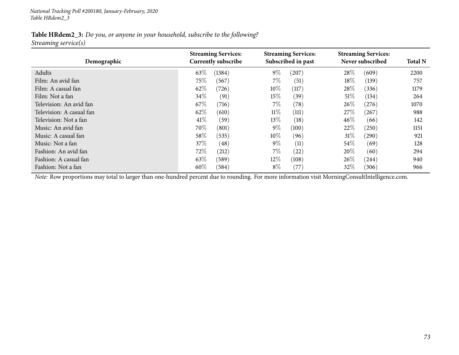*National Tracking Poll #200180, January-February, <sup>2020</sup> Table HRdem2\_3*

#### Table HRdem2\_3: Do you, or anyone in your household, subscribe to the following? *Streaming service(s)*

| Demographic              | <b>Streaming Services:</b><br><b>Currently subscribe</b> | <b>Streaming Services:</b><br>Subscribed in past | <b>Streaming Services:</b><br>Never subscribed | <b>Total N</b> |
|--------------------------|----------------------------------------------------------|--------------------------------------------------|------------------------------------------------|----------------|
| Adults                   | 63%<br>(1384)                                            | $9\%$<br>(207)                                   | 28%<br>(609)                                   | 2200           |
| Film: An avid fan        | 75\%<br>(567)                                            | $7\%$<br>(51)                                    | 18%<br>(139)                                   | 757            |
| Film: A casual fan       | 62\%<br>(726)                                            | 10%<br>(117)                                     | 28\%<br>(336)                                  | 1179           |
| Film: Not a fan          | 34\%<br>(91)                                             | 15%<br>(39)                                      | 51%<br>(134)                                   | 264            |
| Television: An avid fan  | 67\%<br>(716)                                            | $7\%$<br>(78)                                    | 26\%<br>(276)                                  | 1070           |
| Television: A casual fan | 62\%<br>(610)                                            | $11\%$<br>(111)                                  | 27\%<br>(267)                                  | 988            |
| Television: Not a fan    | 41\%<br>(59)                                             | 13\%<br>(18)                                     | $46\%$<br>(66)                                 | 142            |
| Music: An avid fan       | 70%<br>(801)                                             | $9\%$<br>(100)                                   | 22%<br>(250)                                   | 1151           |
| Music: A casual fan      | 58\%<br>(535)                                            | $10\%$<br>(96)                                   | 31%<br>(290)                                   | 921            |
| Music: Not a fan         | 37\%<br>(48)                                             | $9\%$<br>(11)                                    | $54\%$<br>(69)                                 | 128            |
| Fashion: An avid fan     | 72\%<br>(212)                                            | $7\%$<br>(22)                                    | 20%<br>(60)                                    | 294            |
| Fashion: A casual fan    | 63\%<br>(589)                                            | 12%<br>(108)                                     | 26\%<br>(244)                                  | 940            |
| Fashion: Not a fan       | $60\%$<br>(584)                                          | $8\%$<br>(77)                                    | 32\%<br>(306)                                  | 966            |

*Note:* Row proportions may total to larger than one-hundred percen<sup>t</sup> due to rounding. For more information visit [MorningConsultIntelligence.com](https://morningconsultintelligence.com).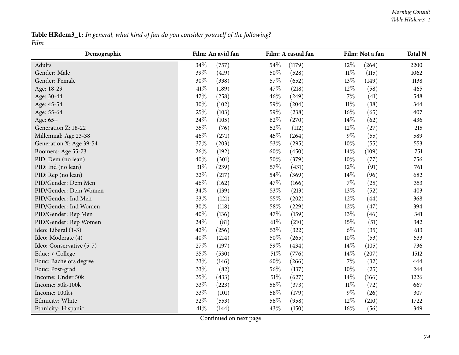Table HRdem3\_1: In general, what kind of fan do you consider yourself of the following? *Film*

| Demographic              | Film: An avid fan | Film: A casual fan | Film: Not a fan | <b>Total N</b> |
|--------------------------|-------------------|--------------------|-----------------|----------------|
| Adults                   | 34%<br>(757)      | 54%<br>(1179)      | 12%<br>(264)    | 2200           |
| Gender: Male             | 39%<br>(419)      | 50%<br>(528)       | $11\%$<br>(115) | 1062           |
| Gender: Female           | 30%<br>(338)      | 57%<br>(652)       | 13%<br>(149)    | 1138           |
| Age: 18-29               | 41%<br>(189)      | 47%<br>(218)       | 12%<br>(58)     | 465            |
| Age: 30-44               | 47%<br>(258)      | 46%<br>(249)       | $7\%$<br>(41)   | 548            |
| Age: 45-54               | 30%<br>(102)      | 59%<br>(204)       | $11\%$<br>(38)  | 344            |
| Age: 55-64               | 25%<br>(103)      | 59%<br>(238)       | 16%<br>(65)     | 407            |
| Age: 65+                 | 24%<br>(105)      | 62%<br>(270)       | 14%<br>(62)     | 436            |
| Generation Z: 18-22      | 35%<br>(76)       | 52%<br>(112)       | 12%<br>(27)     | 215            |
| Millennial: Age 23-38    | 46%<br>(271)      | 45%<br>(264)       | $9\%$<br>(55)   | 589            |
| Generation X: Age 39-54  | 37%<br>(203)      | 53%<br>(295)       | 10%<br>(55)     | 553            |
| Boomers: Age 55-73       | 26%<br>(192)      | 60%<br>(450)       | 14%<br>(109)    | 751            |
| PID: Dem (no lean)       | 40%<br>(301)      | 50%<br>(379)       | 10%<br>(77)     | 756            |
| PID: Ind (no lean)       | 31%<br>(239)      | 57%<br>(431)       | 12%<br>(91)     | 761            |
| PID: Rep (no lean)       | 32%<br>(217)      | 54%<br>(369)       | 14%<br>(96)     | 682            |
| PID/Gender: Dem Men      | 46%<br>(162)      | 47%<br>(166)       | $7\%$<br>(25)   | 353            |
| PID/Gender: Dem Women    | 34%<br>(139)      | 53%<br>(213)       | 13%<br>(52)     | 403            |
| PID/Gender: Ind Men      | 33%<br>(121)      | 55%<br>(202)       | 12%<br>(44)     | 368            |
| PID/Gender: Ind Women    | 30%<br>(118)      | 58%<br>(229)       | 12%<br>(47)     | 394            |
| PID/Gender: Rep Men      | 40%<br>(136)      | 47%<br>(159)       | 13%<br>(46)     | 341            |
| PID/Gender: Rep Women    | 24%<br>(81)       | $61\%$<br>(210)    | 15%<br>(51)     | 342            |
| Ideo: Liberal (1-3)      | 42%<br>(256)      | 53%<br>(322)       | $6\%$<br>(35)   | 613            |
| Ideo: Moderate (4)       | 40%<br>(214)      | 50%<br>(265)       | 10%<br>(53)     | 533            |
| Ideo: Conservative (5-7) | 27%<br>(197)      | 59%<br>(434)       | 14\%<br>(105)   | 736            |
| Educ: < College          | 35%<br>(530)      | 51%<br>(776)       | 14%<br>(207)    | 1512           |
| Educ: Bachelors degree   | 33%<br>(146)      | 60%<br>(266)       | $7\%$<br>(32)   | 444            |
| Educ: Post-grad          | 33%<br>(82)       | 56%<br>(137)       | 10%<br>(25)     | 244            |
| Income: Under 50k        | 35%<br>(433)      | 51%<br>(627)       | 14%<br>(166)    | 1226           |
| Income: 50k-100k         | 33%<br>(223)      | 56%<br>(373)       | $11\%$<br>(72)  | 667            |
| Income: 100k+            | 33%<br>(101)      | 58%<br>(179)       | $9\%$<br>(26)   | 307            |
| Ethnicity: White         | 32%<br>(553)      | 56%<br>(958)       | 12%<br>(210)    | 1722           |
| Ethnicity: Hispanic      | 41\%<br>(144)     | 43%<br>(150)       | 16%<br>(56)     | 349            |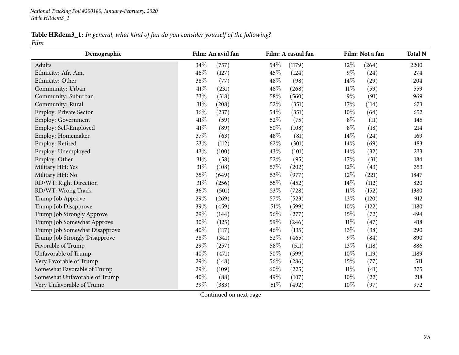#### Table HRdem3\_1: In general, what kind of fan do you consider yourself of the following? *Film*

| Demographic                   | Film: An avid fan | Film: A casual fan | Film: Not a fan | <b>Total N</b> |
|-------------------------------|-------------------|--------------------|-----------------|----------------|
| Adults                        | 34%<br>(757)      | 54\%<br>(1179)     | 12%<br>(264)    | 2200           |
| Ethnicity: Afr. Am.           | 46%<br>(127)      | 45%<br>(124)       | $9\%$<br>(24)   | 274            |
| Ethnicity: Other              | 38%<br>(77)       | 48%<br>(98)        | $14\%$<br>(29)  | 204            |
| Community: Urban              | 41\%<br>(231)     | 48%<br>(268)       | $11\%$<br>(59)  | 559            |
| Community: Suburban           | 33%<br>(318)      | 58%<br>(560)       | $9\%$<br>(91)   | 969            |
| Community: Rural              | 31%<br>(208)      | 52%<br>(351)       | 17%<br>(114)    | 673            |
| Employ: Private Sector        | 36%<br>(237)      | 54%<br>(351)       | 10%<br>(64)     | 652            |
| Employ: Government            | 41%<br>(59)       | 52%<br>(75)        | $8\%$<br>(11)   | 145            |
| Employ: Self-Employed         | 41\%<br>(89)      | 50%<br>(108)       | $8\%$<br>(18)   | 214            |
| Employ: Homemaker             | 37%<br>(63)       | 48%<br>(81)        | 14%<br>(24)     | 169            |
| Employ: Retired               | 23%<br>(112)      | 62%<br>(301)       | 14%<br>(69)     | 483            |
| Employ: Unemployed            | 43%<br>(100)      | 43%<br>(101)       | 14%<br>(32)     | 233            |
| Employ: Other                 | 31%<br>(58)       | 52%<br>(95)        | 17%<br>(31)     | 184            |
| Military HH: Yes              | $31\%$<br>(108)   | 57%<br>(202)       | 12%<br>(43)     | 353            |
| Military HH: No               | 35%<br>(649)      | 53%<br>(977)       | $12\%$<br>(221) | 1847           |
| RD/WT: Right Direction        | $31\%$<br>(256)   | 55%<br>(452)       | 14%<br>(112)    | 820            |
| RD/WT: Wrong Track            | $36\%$<br>(501)   | 53%<br>(728)       | $11\%$<br>(152) | 1380           |
| Trump Job Approve             | 29%<br>(269)      | 57%<br>(523)       | 13%<br>(120)    | 912            |
| Trump Job Disapprove          | 39%<br>(459)      | 51%<br>(599)       | 10%<br>(122)    | 1180           |
| Trump Job Strongly Approve    | 29%<br>(144)      | $56\%$<br>(277)    | 15%<br>(72)     | 494            |
| Trump Job Somewhat Approve    | 30%<br>(125)      | 59%<br>(246)       | $11\%$<br>(47)  | 418            |
| Trump Job Somewhat Disapprove | 40%<br>(117)      | 46%<br>(135)       | 13%<br>(38)     | 290            |
| Trump Job Strongly Disapprove | 38%<br>(341)      | 52%<br>(465)       | $9\%$<br>(84)   | 890            |
| Favorable of Trump            | 29%<br>(257)      | 58%<br>(511)       | 13%<br>(118)    | 886            |
| Unfavorable of Trump          | 40%<br>(471)      | 50%<br>(599)       | 10%<br>(119)    | 1189           |
| Very Favorable of Trump       | 29%<br>(148)      | 56%<br>(286)       | 15%<br>(77)     | 511            |
| Somewhat Favorable of Trump   | 29%<br>(109)      | 60%<br>(225)       | $11\%$<br>(41)  | 375            |
| Somewhat Unfavorable of Trump | 40%<br>(88)       | 49%<br>(107)       | 10%<br>(22)     | 218            |
| Very Unfavorable of Trump     | 39%<br>(383)      | 51%<br>(492)       | 10%<br>(97)     | 972            |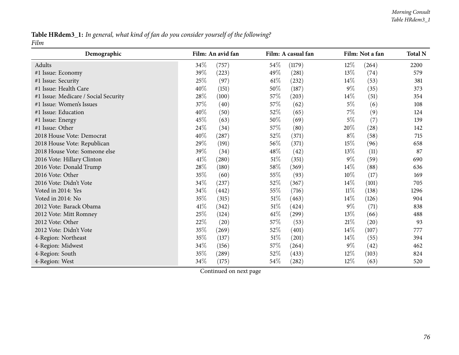#### Table HRdem3\_1: In general, what kind of fan do you consider yourself of the following? *Film*

| Demographic                          | Film: An avid fan | Film: A casual fan | Film: Not a fan | <b>Total N</b> |
|--------------------------------------|-------------------|--------------------|-----------------|----------------|
| Adults                               | 34\%<br>(757)     | 54\%<br>(1179)     | 12\%<br>(264)   | 2200           |
| #1 Issue: Economy                    | 39%<br>(223)      | 49%<br>(281)       | 13%<br>(74)     | 579            |
| #1 Issue: Security                   | 25\%<br>(97)      | 61%<br>(232)       | $14\%$<br>(53)  | 381            |
| #1 Issue: Health Care                | 40%<br>(151)      | 50%<br>(187)       | $9\%$<br>(35)   | 373            |
| #1 Issue: Medicare / Social Security | 28%<br>(100)      | 57%<br>(203)       | $14\%$<br>(51)  | 354            |
| #1 Issue: Women's Issues             | 37\%<br>(40)      | 57%<br>(62)        | $5\%$<br>(6)    | 108            |
| #1 Issue: Education                  | 40%<br>(50)       | 52%<br>(65)        | $7\%$<br>(9)    | 124            |
| #1 Issue: Energy                     | 45%<br>(63)       | 50%<br>(69)        | $5\%$<br>(7)    | 139            |
| #1 Issue: Other                      | 24\%<br>(34)      | 57%<br>(80)        | 20%<br>(28)     | 142            |
| 2018 House Vote: Democrat            | 40%<br>(287)      | 52%<br>(371)       | $8\%$<br>(58)   | 715            |
| 2018 House Vote: Republican          | 29%<br>(191)      | 56\%<br>(371)      | 15\%<br>(96)    | 658            |
| 2018 House Vote: Someone else        | 39%<br>(34)       | 48\%<br>(42)       | $13\%$<br>(11)  | 87             |
| 2016 Vote: Hillary Clinton           | 41\%<br>(280)     | 51\%<br>(351)      | $9\%$<br>(59)   | 690            |
| 2016 Vote: Donald Trump              | 28\%<br>(180)     | 58%<br>(369)       | $14\%$<br>(88)  | 636            |
| 2016 Vote: Other                     | 35%<br>(60)       | 55%<br>(93)        | (17)<br>$10\%$  | 169            |
| 2016 Vote: Didn't Vote               | 34%<br>(237)      | 52\%<br>(367)      | $14\%$<br>(101) | 705            |
| Voted in 2014: Yes                   | 34\%<br>(442)     | 55%<br>(716)       | $11\%$<br>(138) | 1296           |
| Voted in 2014: No                    | 35%<br>(315)      | $51\%$<br>(463)    | $14\%$<br>(126) | 904            |
| 2012 Vote: Barack Obama              | 41\%<br>(342)     | $51\%$<br>(424)    | $9\%$<br>(71)   | 838            |
| 2012 Vote: Mitt Romney               | 25%<br>(124)      | 61%<br>(299)       | 13\%<br>(66)    | 488            |
| 2012 Vote: Other                     | 22%<br>(20)       | 57%<br>(53)        | 21%<br>(20)     | 93             |
| 2012 Vote: Didn't Vote               | 35%<br>(269)      | 52%<br>(401)       | $14\%$<br>(107) | 777            |
| 4-Region: Northeast                  | 35%<br>(137)      | 51%<br>(201)       | $14\%$<br>(55)  | 394            |
| 4-Region: Midwest                    | 34\%<br>(156)     | 57\%<br>(264)      | $9\%$<br>(42)   | 462            |
| 4-Region: South                      | 35%<br>(289)      | 52%<br>(433)       | $12\%$<br>(103) | 824            |
| 4-Region: West                       | 34%<br>(175)      | 54\%<br>(282)      | 12%<br>(63)     | 520            |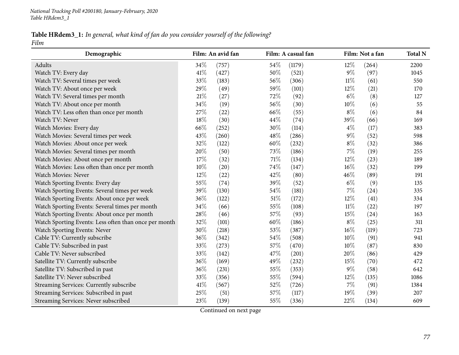#### Table HRdem3\_1: In general, what kind of fan do you consider yourself of the following? *Film*

| Demographic                                           |      | Film: An avid fan |     | Film: A casual fan |        | Film: Not a fan | <b>Total N</b> |
|-------------------------------------------------------|------|-------------------|-----|--------------------|--------|-----------------|----------------|
| Adults                                                | 34%  | (757)             | 54% | (1179)             | 12%    | (264)           | 2200           |
| Watch TV: Every day                                   | 41\% | (427)             | 50% | (521)              | $9\%$  | (97)            | 1045           |
| Watch TV: Several times per week                      | 33%  | (183)             | 56% | (306)              | $11\%$ | (61)            | 550            |
| Watch TV: About once per week                         | 29%  | (49)              | 59% | (101)              | 12%    | (21)            | 170            |
| Watch TV: Several times per month                     | 21%  | (27)              | 72% | (92)               | $6\%$  | (8)             | 127            |
| Watch TV: About once per month                        | 34%  | (19)              | 56% | (30)               | 10%    | (6)             | 55             |
| Watch TV: Less often than once per month              | 27%  | (22)              | 66% | (55)               | $8\%$  | (6)             | 84             |
| Watch TV: Never                                       | 18%  | (30)              | 44% | (74)               | 39%    | (66)            | 169            |
| Watch Movies: Every day                               | 66%  | (252)             | 30% | (114)              | $4\%$  | (17)            | 383            |
| Watch Movies: Several times per week                  | 43%  | (260)             | 48% | (286)              | $9\%$  | (52)            | 598            |
| Watch Movies: About once per week                     | 32%  | (122)             | 60% | (232)              | $8\%$  | (32)            | 386            |
| Watch Movies: Several times per month                 | 20%  | (50)              | 73% | (186)              | $7\%$  | (19)            | 255            |
| Watch Movies: About once per month                    | 17%  | (32)              | 71% | (134)              | 12%    | (23)            | 189            |
| Watch Movies: Less often than once per month          | 10%  | (20)              | 74% | (147)              | 16%    | (32)            | 199            |
| Watch Movies: Never                                   | 12%  | (22)              | 42% | (80)               | 46%    | (89)            | 191            |
| Watch Sporting Events: Every day                      | 55%  | (74)              | 39% | (52)               | $6\%$  | (9)             | 135            |
| Watch Sporting Events: Several times per week         | 39%  | (130)             | 54% | (181)              | $7\%$  | (24)            | 335            |
| Watch Sporting Events: About once per week            | 36%  | (122)             | 51% | (172)              | 12%    | (41)            | 334            |
| Watch Sporting Events: Several times per month        | 34%  | (66)              | 55% | (108)              | $11\%$ | (22)            | 197            |
| Watch Sporting Events: About once per month           | 28%  | (46)              | 57% | (93)               | 15%    | (24)            | 163            |
| Watch Sporting Events: Less often than once per month | 32%  | (101)             | 60% | (186)              | $8\%$  | (25)            | 311            |
| Watch Sporting Events: Never                          | 30%  | (218)             | 53% | (387)              | 16%    | (119)           | 723            |
| Cable TV: Currently subscribe                         | 36%  | (342)             | 54% | (508)              | 10%    | (91)            | 941            |
| Cable TV: Subscribed in past                          | 33%  | (273)             | 57% | (470)              | 10%    | (87)            | 830            |
| Cable TV: Never subscribed                            | 33%  | (142)             | 47% | (201)              | 20%    | (86)            | 429            |
| Satellite TV: Currently subscribe                     | 36%  | (169)             | 49% | (232)              | 15%    | (70)            | 472            |
| Satellite TV: Subscribed in past                      | 36%  | (231)             | 55% | (353)              | $9\%$  | (58)            | 642            |
| Satellite TV: Never subscribed                        | 33%  | (356)             | 55% | (594)              | 12%    | (135)           | 1086           |
| Streaming Services: Currently subscribe               | 41%  | (567)             | 52% | (726)              | $7\%$  | (91)            | 1384           |
| Streaming Services: Subscribed in past                | 25%  | (51)              | 57% | (117)              | 19%    | (39)            | 207            |
| Streaming Services: Never subscribed                  | 23%  | (139)             | 55% | (336)              | 22%    | (134)           | 609            |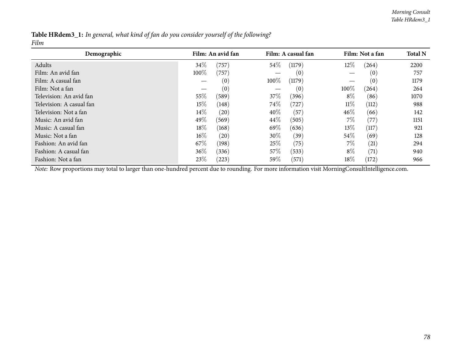|      |  |  | Table HRdem3_1: In general, what kind of fan do you consider yourself of the following? |
|------|--|--|-----------------------------------------------------------------------------------------|
| Film |  |  |                                                                                         |

| Demographic              |        | Film: An avid fan |        | Film: A casual fan |        | Film: Not a fan  | <b>Total N</b> |
|--------------------------|--------|-------------------|--------|--------------------|--------|------------------|----------------|
| Adults                   | 34\%   | (757)             | 54\%   | (1179)             | 12\%   | (264)            | 2200           |
| Film: An avid fan        | 100%   | (757)             |        | (0)                |        | $\left(0\right)$ | 757            |
| Film: A casual fan       |        | (0)               | 100%   | (1179)             |        | (0)              | 1179           |
| Film: Not a fan          |        | (0)               |        | (0)                | 100%   | (264)            | 264            |
| Television: An avid fan  | 55%    | (589)             | 37\%   | (396)              | $8\%$  | (86)             | 1070           |
| Television: A casual fan | 15%    | (148)             | 74\%   | (727)              | $11\%$ | (112)            | 988            |
| Television: Not a fan    | $14\%$ | (20)              | 40%    | (57)               | $46\%$ | (66)             | 142            |
| Music: An avid fan       | 49%    | (569)             | $44\%$ | (505)              | $7\%$  | (77)             | 1151           |
| Music: A casual fan      | 18%    | (168)             | 69\%   | (636)              | 13\%   | (117)            | 921            |
| Music: Not a fan         | $16\%$ | (20)              | $30\%$ | (39)               | $54\%$ | (69)             | 128            |
| Fashion: An avid fan     | 67\%   | (198)             | 25%    | (75)               | $7\%$  | (21)             | 294            |
| Fashion: A casual fan    | $36\%$ | (336)             | 57\%   | (533)              | $8\%$  | (71)             | 940            |
| Fashion: Not a fan       | 23%    | (223)             | 59\%   | (571)              | 18%    | (172)            | 966            |

*Note:* Row proportions may total to larger than one-hundred percen<sup>t</sup> due to rounding. For more information visit [MorningConsultIntelligence.com](https://morningconsultintelligence.com).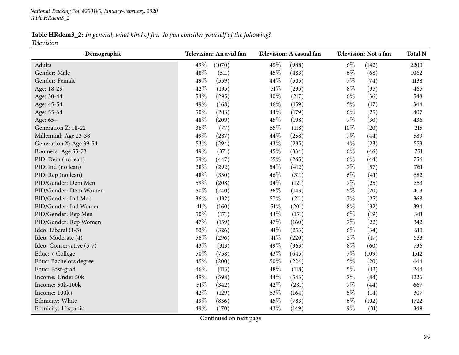Table HRdem3\_2: In general, what kind of fan do you consider yourself of the following?

*Television*

| Demographic              |     | Television: An avid fan |      | Television: A casual fan |       | Television: Not a fan | <b>Total N</b> |
|--------------------------|-----|-------------------------|------|--------------------------|-------|-----------------------|----------------|
| Adults                   | 49% | (1070)                  | 45%  | (988)                    | $6\%$ | (142)                 | 2200           |
| Gender: Male             | 48% | (511)                   | 45%  | (483)                    | $6\%$ | (68)                  | 1062           |
| Gender: Female           | 49% | (559)                   | 44%  | (505)                    | $7\%$ | (74)                  | 1138           |
| Age: 18-29               | 42% | (195)                   | 51%  | (235)                    | $8\%$ | (35)                  | 465            |
| Age: 30-44               | 54% | (295)                   | 40%  | (217)                    | $6\%$ | (36)                  | 548            |
| Age: 45-54               | 49% | (168)                   | 46%  | (159)                    | $5\%$ | (17)                  | 344            |
| Age: 55-64               | 50% | (203)                   | 44%  | (179)                    | $6\%$ | (25)                  | 407            |
| Age: 65+                 | 48% | (209)                   | 45%  | (198)                    | $7\%$ | (30)                  | 436            |
| Generation Z: 18-22      | 36% | (77)                    | 55%  | (118)                    | 10%   | (20)                  | 215            |
| Millennial: Age 23-38    | 49% | (287)                   | 44%  | (258)                    | $7\%$ | (44)                  | 589            |
| Generation X: Age 39-54  | 53% | (294)                   | 43%  | (235)                    | $4\%$ | (23)                  | 553            |
| Boomers: Age 55-73       | 49% | (371)                   | 45%  | (334)                    | $6\%$ | (46)                  | 751            |
| PID: Dem (no lean)       | 59% | (447)                   | 35%  | (265)                    | $6\%$ | (44)                  | 756            |
| PID: Ind (no lean)       | 38% | (292)                   | 54%  | (412)                    | $7\%$ | (57)                  | 761            |
| PID: Rep (no lean)       | 48% | (330)                   | 46%  | (311)                    | $6\%$ | (41)                  | 682            |
| PID/Gender: Dem Men      | 59% | (208)                   | 34%  | (121)                    | $7\%$ | (25)                  | 353            |
| PID/Gender: Dem Women    | 60% | (240)                   | 36%  | (143)                    | $5\%$ | (20)                  | 403            |
| PID/Gender: Ind Men      | 36% | (132)                   | 57%  | (211)                    | $7\%$ | (25)                  | 368            |
| PID/Gender: Ind Women    | 41% | (160)                   | 51%  | (201)                    | $8\%$ | (32)                  | 394            |
| PID/Gender: Rep Men      | 50% | (171)                   | 44%  | (151)                    | $6\%$ | (19)                  | 341            |
| PID/Gender: Rep Women    | 47% | (159)                   | 47%  | (160)                    | $7\%$ | (22)                  | 342            |
| Ideo: Liberal (1-3)      | 53% | (326)                   | 41\% | (253)                    | $6\%$ | (34)                  | 613            |
| Ideo: Moderate (4)       | 56% | (296)                   | 41\% | (220)                    | $3\%$ | (17)                  | 533            |
| Ideo: Conservative (5-7) | 43% | (313)                   | 49%  | (363)                    | $8\%$ | (60)                  | 736            |
| Educ: < College          | 50% | (758)                   | 43%  | (645)                    | $7\%$ | (109)                 | 1512           |
| Educ: Bachelors degree   | 45% | (200)                   | 50%  | (224)                    | $5\%$ | (20)                  | 444            |
| Educ: Post-grad          | 46% | (113)                   | 48%  | (118)                    | $5\%$ | (13)                  | 244            |
| Income: Under 50k        | 49% | (598)                   | 44%  | (543)                    | $7\%$ | (84)                  | 1226           |
| Income: 50k-100k         | 51% | (342)                   | 42%  | (281)                    | $7\%$ | (44)                  | 667            |
| Income: 100k+            | 42% | (129)                   | 53%  | (164)                    | $5\%$ | (14)                  | 307            |
| Ethnicity: White         | 49% | (836)                   | 45%  | (783)                    | $6\%$ | (102)                 | 1722           |
| Ethnicity: Hispanic      | 49% | (170)                   | 43%  | (149)                    | $9\%$ | (31)                  | 349            |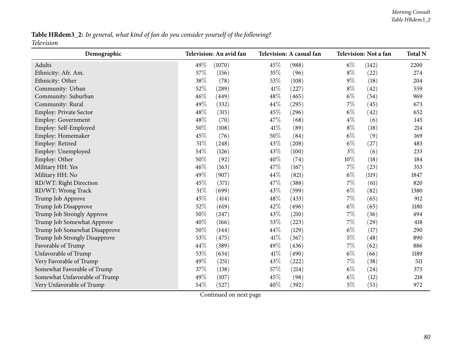#### Table HRdem3\_2: In general, what kind of fan do you consider yourself of the following? *Television*

| Demographic                   |        | Television: An avid fan |      | Television: A casual fan |        | Television: Not a fan | <b>Total N</b> |
|-------------------------------|--------|-------------------------|------|--------------------------|--------|-----------------------|----------------|
| Adults                        | 49%    | (1070)                  | 45%  | (988)                    | $6\%$  | (142)                 | 2200           |
| Ethnicity: Afr. Am.           | 57%    | (156)                   | 35%  | (96)                     | $8\%$  | (22)                  | 274            |
| Ethnicity: Other              | 38%    | (78)                    | 53%  | (108)                    | $9\%$  | (18)                  | 204            |
| Community: Urban              | 52%    | (289)                   | 41%  | (227)                    | $8\%$  | (42)                  | 559            |
| Community: Suburban           | 46%    | (449)                   | 48%  | (465)                    | $6\%$  | (54)                  | 969            |
| Community: Rural              | 49%    | (332)                   | 44%  | (295)                    | $7\%$  | (45)                  | 673            |
| Employ: Private Sector        | 48%    | (315)                   | 45%  | (296)                    | $6\%$  | (42)                  | 652            |
| Employ: Government            | 48%    | (70)                    | 47%  | (68)                     | $4\%$  | (6)                   | 145            |
| Employ: Self-Employed         | 50%    | (108)                   | 41\% | (89)                     | $8\%$  | (18)                  | 214            |
| Employ: Homemaker             | 45%    | (76)                    | 50%  | (84)                     | $6\%$  | (9)                   | 169            |
| Employ: Retired               | 51%    | (248)                   | 43%  | (208)                    | $6\%$  | (27)                  | 483            |
| Employ: Unemployed            | 54\%   | (126)                   | 43\% | (100)                    | $3\%$  | (6)                   | 233            |
| Employ: Other                 | 50%    | (92)                    | 40%  | (74)                     | $10\%$ | (18)                  | 184            |
| Military HH: Yes              | 46%    | (163)                   | 47%  | (167)                    | $7\%$  | (23)                  | 353            |
| Military HH: No               | 49%    | (907)                   | 44%  | (821)                    | $6\%$  | (119)                 | 1847           |
| RD/WT: Right Direction        | 45%    | (371)                   | 47%  | (388)                    | $7\%$  | (61)                  | 820            |
| RD/WT: Wrong Track            | 51%    | (699)                   | 43%  | (599)                    | $6\%$  | (82)                  | 1380           |
| Trump Job Approve             | 45%    | (414)                   | 48%  | (433)                    | $7\%$  | (65)                  | 912            |
| Trump Job Disapprove          | 52%    | (619)                   | 42%  | (496)                    | $6\%$  | (65)                  | 1180           |
| Trump Job Strongly Approve    | 50%    | (247)                   | 43%  | (210)                    | $7\%$  | (36)                  | 494            |
| Trump Job Somewhat Approve    | 40%    | (166)                   | 53%  | (223)                    | $7\%$  | (29)                  | 418            |
| Trump Job Somewhat Disapprove | 50%    | (144)                   | 44%  | (129)                    | $6\%$  | (17)                  | 290            |
| Trump Job Strongly Disapprove | 53%    | (475)                   | 41%  | (367)                    | $5\%$  | (48)                  | 890            |
| Favorable of Trump            | 44%    | (389)                   | 49%  | (436)                    | $7\%$  | (62)                  | 886            |
| Unfavorable of Trump          | 53%    | (634)                   | 41\% | (490)                    | $6\%$  | (66)                  | 1189           |
| Very Favorable of Trump       | 49%    | (251)                   | 43%  | (222)                    | $7\%$  | (38)                  | 511            |
| Somewhat Favorable of Trump   | 37%    | (138)                   | 57%  | (214)                    | $6\%$  | (24)                  | 375            |
| Somewhat Unfavorable of Trump | 49%    | (107)                   | 45%  | (98)                     | $6\%$  | (12)                  | 218            |
| Very Unfavorable of Trump     | $54\%$ | (527)                   | 40%  | (392)                    | $5\%$  | (53)                  | 972            |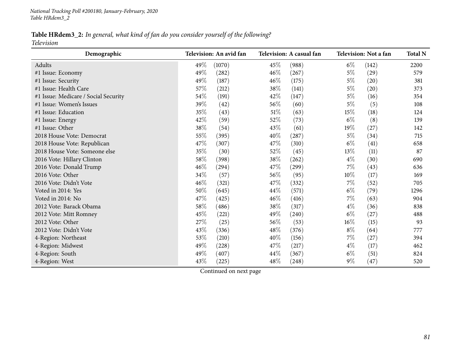#### Table HRdem3\_2: In general, what kind of fan do you consider yourself of the following?

*Television*

| Demographic                          | Television: An avid fan | Television: A casual fan | Television: Not a fan | <b>Total N</b> |
|--------------------------------------|-------------------------|--------------------------|-----------------------|----------------|
| Adults                               | 49%<br>(1070)           | $45\%$<br>(988)          | $6\%$<br>(142)        | 2200           |
| #1 Issue: Economy                    | 49%<br>(282)            | 46%<br>(267)             | $5\%$<br>(29)         | 579            |
| #1 Issue: Security                   | 49%<br>(187)            | 46%<br>(175)             | $5\%$<br>(20)         | 381            |
| #1 Issue: Health Care                | 57%<br>(212)            | 38%<br>(141)             | $5\%$<br>(20)         | 373            |
| #1 Issue: Medicare / Social Security | $54\%$<br>(191)         | 42%<br>(147)             | $5\%$<br>(16)         | 354            |
| #1 Issue: Women's Issues             | 39%<br>(42)             | 56%<br>(60)              | (5)<br>$5\%$          | 108            |
| #1 Issue: Education                  | 35%<br>(43)             | 51\%<br>(63)             | 15\%<br>(18)          | 124            |
| #1 Issue: Energy                     | 42%<br>(59)             | 52%<br>(73)              | $6\%$<br>(8)          | 139            |
| #1 Issue: Other                      | 38%<br>(54)             | (61)<br>43\%             | (27)<br>19%           | 142            |
| 2018 House Vote: Democrat            | 55%<br>(395)            | 40%<br>(287)             | $5\%$<br>(34)         | 715            |
| 2018 House Vote: Republican          | 47%<br>(307)            | 47\%<br>(310)            | $6\%$<br>(41)         | 658            |
| 2018 House Vote: Someone else        | 35%<br>(30)             | 52\%<br>(45)             | (11)<br>13%           | 87             |
| 2016 Vote: Hillary Clinton           | 58\%<br>(398)           | 38%<br>(262)             | $4\%$<br>(30)         | 690            |
| 2016 Vote: Donald Trump              | 46%<br>(294)            | 47\%<br>(299)            | $7\%$<br>(43)         | 636            |
| 2016 Vote: Other                     | 34%<br>(57)             | 56%<br>(95)              | 10%<br>(17)           | 169            |
| 2016 Vote: Didn't Vote               | 46%<br>(321)            | 47\%<br>(332)            | $7\%$<br>(52)         | 705            |
| Voted in 2014: Yes                   | 50%<br>(645)            | 44\%<br>(571)            | $6\%$<br>(79)         | 1296           |
| Voted in 2014: No                    | 47%<br>(425)            | 46%<br>(416)             | $7\%$<br>(63)         | 904            |
| 2012 Vote: Barack Obama              | 58\%<br>(486)           | 38%<br>(317)             | $4\%$<br>(36)         | 838            |
| 2012 Vote: Mitt Romney               | 45%<br>(221)            | 49%<br>(240)             | $6\%$<br>(27)         | 488            |
| 2012 Vote: Other                     | 27%<br>(25)             | 56%<br>(53)              | (15)<br>$16\%$        | 93             |
| 2012 Vote: Didn't Vote               | 43%<br>(336)            | 48\%<br>(376)            | $8\%$<br>(64)         | 777            |
| 4-Region: Northeast                  | 53%<br>(210)            | 40%<br>(156)             | $7\%$<br>(27)         | 394            |
| 4-Region: Midwest                    | 49%<br>(228)            | 47\%<br>(217)            | $4\%$<br>(17)         | 462            |
| 4-Region: South                      | 49%<br>(407)            | 44\%<br>(367)            | $6\%$<br>(51)         | 824            |
| 4-Region: West                       | 43%<br>(225)            | 48\%<br>(248)            | $9\%$<br>(47)         | 520            |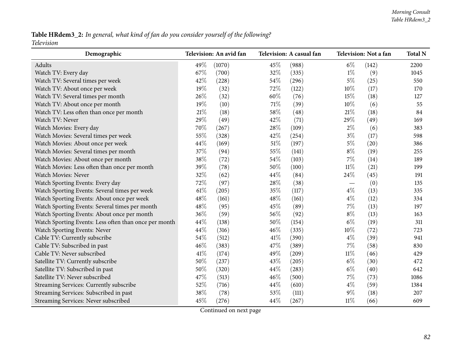## Table HRdem3\_2: In general, what kind of fan do you consider yourself of the following?

*Television*

| Demographic                                           |      | Television: An avid fan |        | Television: A casual fan |        | Television: Not a fan | <b>Total N</b> |
|-------------------------------------------------------|------|-------------------------|--------|--------------------------|--------|-----------------------|----------------|
| Adults                                                | 49%  | (1070)                  | 45%    | (988)                    | $6\%$  | (142)                 | 2200           |
| Watch TV: Every day                                   | 67%  | (700)                   | 32%    | (335)                    | $1\%$  | (9)                   | 1045           |
| Watch TV: Several times per week                      | 42%  | (228)                   | 54%    | (296)                    | $5\%$  | (25)                  | 550            |
| Watch TV: About once per week                         | 19%  | (32)                    | 72%    | (122)                    | 10%    | (17)                  | 170            |
| Watch TV: Several times per month                     | 26%  | (32)                    | 60%    | (76)                     | 15%    | (18)                  | 127            |
| Watch TV: About once per month                        | 19%  | (10)                    | 71%    | (39)                     | 10%    | (6)                   | 55             |
| Watch TV: Less often than once per month              | 21\% | (18)                    | 58%    | (48)                     | 21\%   | (18)                  | 84             |
| Watch TV: Never                                       | 29%  | (49)                    | 42%    | (71)                     | 29%    | (49)                  | 169            |
| Watch Movies: Every day                               | 70%  | (267)                   | 28%    | (109)                    | $2\%$  | (6)                   | 383            |
| Watch Movies: Several times per week                  | 55%  | (328)                   | 42%    | (254)                    | $3\%$  | (17)                  | 598            |
| Watch Movies: About once per week                     | 44%  | (169)                   | $51\%$ | (197)                    | $5\%$  | (20)                  | 386            |
| Watch Movies: Several times per month                 | 37%  | (94)                    | 55%    | (141)                    | $8\%$  | (19)                  | 255            |
| Watch Movies: About once per month                    | 38%  | (72)                    | 54%    | (103)                    | $7\%$  | (14)                  | 189            |
| Watch Movies: Less often than once per month          | 39%  | (78)                    | 50%    | (100)                    | $11\%$ | (21)                  | 199            |
| Watch Movies: Never                                   | 32%  | (62)                    | 44%    | (84)                     | 24%    | (45)                  | 191            |
| Watch Sporting Events: Every day                      | 72%  | (97)                    | 28%    | (38)                     |        | (0)                   | 135            |
| Watch Sporting Events: Several times per week         | 61%  | (205)                   | 35%    | (117)                    | $4\%$  | (13)                  | 335            |
| Watch Sporting Events: About once per week            | 48%  | (161)                   | 48%    | (161)                    | $4\%$  | (12)                  | 334            |
| Watch Sporting Events: Several times per month        | 48%  | (95)                    | 45%    | (89)                     | 7%     | (13)                  | 197            |
| Watch Sporting Events: About once per month           | 36%  | (59)                    | 56%    | (92)                     | $8\%$  | (13)                  | 163            |
| Watch Sporting Events: Less often than once per month | 44%  | (138)                   | 50%    | (154)                    | $6\%$  | (19)                  | 311            |
| Watch Sporting Events: Never                          | 44%  | (316)                   | 46%    | (335)                    | $10\%$ | (72)                  | 723            |
| Cable TV: Currently subscribe                         | 54%  | (512)                   | 41\%   | (390)                    | $4\%$  | (39)                  | 941            |
| Cable TV: Subscribed in past                          | 46%  | (383)                   | 47%    | (389)                    | $7\%$  | (58)                  | 830            |
| Cable TV: Never subscribed                            | 41\% | (174)                   | 49%    | (209)                    | $11\%$ | (46)                  | 429            |
| Satellite TV: Currently subscribe                     | 50%  | (237)                   | 43%    | (205)                    | $6\%$  | (30)                  | 472            |
| Satellite TV: Subscribed in past                      | 50%  | (320)                   | 44%    | (283)                    | $6\%$  | (40)                  | 642            |
| Satellite TV: Never subscribed                        | 47%  | (513)                   | 46%    | (500)                    | $7\%$  | (73)                  | 1086           |
| Streaming Services: Currently subscribe               | 52%  | (716)                   | 44%    | (610)                    | $4\%$  | (59)                  | 1384           |
| Streaming Services: Subscribed in past                | 38%  | (78)                    | 53%    | (111)                    | $9\%$  | (18)                  | 207            |
| Streaming Services: Never subscribed                  | 45%  | (276)                   | 44%    | (267)                    | $11\%$ | (66)                  | 609            |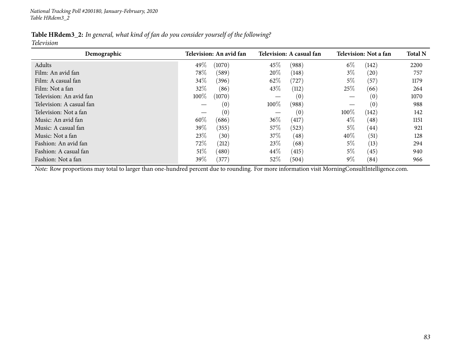| Table HRdem3_2: In general, what kind of fan do you consider yourself of the following? |  |  |  |
|-----------------------------------------------------------------------------------------|--|--|--|
|                                                                                         |  |  |  |

*Television*

| Demographic              | Television: An avid fan |        |        | Television: A casual fan |        | Television: Not a fan |      |  |
|--------------------------|-------------------------|--------|--------|--------------------------|--------|-----------------------|------|--|
| Adults                   | 49%                     | (1070) | 45%    | (988)                    | $6\%$  | (142)                 | 2200 |  |
| Film: An avid fan        | 78\%                    | (589)  | 20%    | (148)                    | $3\%$  | $\left( 20\right)$    | 757  |  |
| Film: A casual fan       | 34\%                    | (396)  | 62\%   | (727)                    | $5\%$  | (57)                  | 1179 |  |
| Film: Not a fan          | 32%                     | (86)   | 43\%   | (112)                    | 25%    | (66)                  | 264  |  |
| Television: An avid fan  | 100%                    | (1070) |        | (0)                      |        | (0)                   | 1070 |  |
| Television: A casual fan |                         | (0)    | 100%   | (988)                    |        | (0)                   | 988  |  |
| Television: Not a fan    |                         | (0)    |        | (0)                      | 100%   | (142)                 | 142  |  |
| Music: An avid fan       | 60%                     | (686)  | $36\%$ | (417)                    | $4\%$  | $\left( 48\right)$    | 1151 |  |
| Music: A casual fan      | 39%                     | (355)  | 57\%   | (523)                    | $5\%$  | $\left( 44\right)$    | 921  |  |
| Music: Not a fan         | 23%                     | (30)   | 37\%   | (48)                     | $40\%$ | (51)                  | 128  |  |
| Fashion: An avid fan     | 72%                     | (212)  | 23%    | (68)                     | $5\%$  | (13)                  | 294  |  |
| Fashion: A casual fan    | 51%                     | (480)  | 44\%   | (415)                    | $5\%$  | (45)                  | 940  |  |
| Fashion: Not a fan       | 39%                     | (377)  | $52\%$ | (504)                    | $9\%$  | (84)                  | 966  |  |

*Note:* Row proportions may total to larger than one-hundred percen<sup>t</sup> due to rounding. For more information visit [MorningConsultIntelligence.com](https://morningconsultintelligence.com).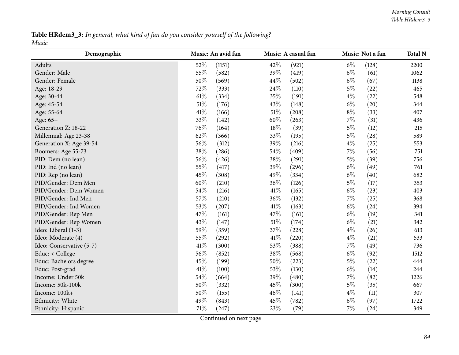#### Table HRdem3\_3: In general, what kind of fan do you consider yourself of the following? *Music*

| Demographic              |      | Music: An avid fan |        | Music: A casual fan |       | Music: Not a fan | <b>Total N</b> |
|--------------------------|------|--------------------|--------|---------------------|-------|------------------|----------------|
| Adults                   | 52%  | (1151)             | 42%    | (921)               | $6\%$ | (128)            | 2200           |
| Gender: Male             | 55%  | (582)              | 39%    | (419)               | $6\%$ | (61)             | 1062           |
| Gender: Female           | 50%  | (569)              | 44%    | (502)               | $6\%$ | (67)             | 1138           |
| Age: 18-29               | 72%  | (333)              | 24%    | (110)               | $5\%$ | (22)             | 465            |
| Age: 30-44               | 61%  | (334)              | 35%    | (191)               | $4\%$ | (22)             | 548            |
| Age: 45-54               | 51%  | (176)              | 43%    | (148)               | $6\%$ | (20)             | 344            |
| Age: 55-64               | 41%  | (166)              | $51\%$ | (208)               | $8\%$ | (33)             | 407            |
| Age: 65+                 | 33%  | (142)              | 60%    | (263)               | $7\%$ | (31)             | 436            |
| Generation Z: 18-22      | 76%  | (164)              | 18%    | (39)                | $5\%$ | (12)             | 215            |
| Millennial: Age 23-38    | 62%  | (366)              | 33%    | (195)               | $5\%$ | (28)             | 589            |
| Generation X: Age 39-54  | 56%  | (312)              | 39%    | (216)               | $4\%$ | (25)             | 553            |
| Boomers: Age 55-73       | 38%  | (286)              | 54%    | (409)               | $7\%$ | (56)             | 751            |
| PID: Dem (no lean)       | 56%  | (426)              | 38%    | (291)               | $5\%$ | (39)             | 756            |
| PID: Ind (no lean)       | 55%  | (417)              | 39%    | (296)               | $6\%$ | (49)             | 761            |
| PID: Rep (no lean)       | 45%  | (308)              | 49%    | (334)               | $6\%$ | (40)             | 682            |
| PID/Gender: Dem Men      | 60%  | (210)              | 36%    | (126)               | $5\%$ | (17)             | 353            |
| PID/Gender: Dem Women    | 54%  | (216)              | $41\%$ | (165)               | $6\%$ | (23)             | 403            |
| PID/Gender: Ind Men      | 57%  | (210)              | 36%    | (132)               | $7\%$ | (25)             | 368            |
| PID/Gender: Ind Women    | 53%  | (207)              | 41\%   | (163)               | $6\%$ | (24)             | 394            |
| PID/Gender: Rep Men      | 47%  | (161)              | 47%    | (161)               | $6\%$ | (19)             | 341            |
| PID/Gender: Rep Women    | 43%  | (147)              | 51\%   | (174)               | $6\%$ | (21)             | 342            |
| Ideo: Liberal (1-3)      | 59%  | (359)              | 37%    | (228)               | $4\%$ | (26)             | 613            |
| Ideo: Moderate (4)       | 55%  | (292)              | 41\%   | (220)               | $4\%$ | (21)             | 533            |
| Ideo: Conservative (5-7) | 41%  | (300)              | 53%    | (388)               | $7\%$ | (49)             | 736            |
| Educ: < College          | 56%  | (852)              | 38%    | (568)               | $6\%$ | (92)             | 1512           |
| Educ: Bachelors degree   | 45%  | (199)              | 50%    | (223)               | $5\%$ | (22)             | 444            |
| Educ: Post-grad          | 41\% | (100)              | 53%    | (130)               | $6\%$ | (14)             | 244            |
| Income: Under 50k        | 54%  | (664)              | 39%    | (480)               | $7\%$ | (82)             | 1226           |
| Income: 50k-100k         | 50%  | (332)              | 45%    | (300)               | $5\%$ | (35)             | 667            |
| Income: 100k+            | 50%  | (155)              | 46%    | (141)               | $4\%$ | (11)             | 307            |
| Ethnicity: White         | 49%  | (843)              | 45%    | (782)               | $6\%$ | (97)             | 1722           |
| Ethnicity: Hispanic      | 71%  | (247)              | 23\%   | (79)                | $7\%$ | (24)             | 349            |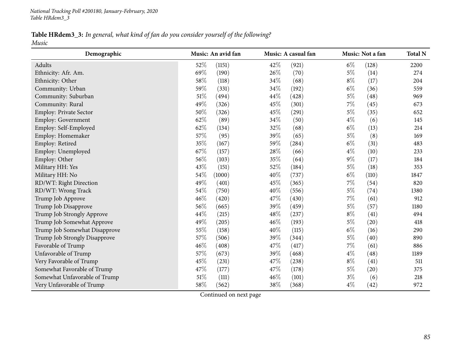Table HRdem3\_3: In general, what kind of fan do you consider yourself of the following? *Music*

| Demographic                   | Music: An avid fan | Music: A casual fan | Music: Not a fan | <b>Total N</b> |
|-------------------------------|--------------------|---------------------|------------------|----------------|
| Adults                        | 52%<br>(1151)      | 42%<br>(921)        | $6\%$<br>(128)   | 2200           |
| Ethnicity: Afr. Am.           | 69%<br>(190)       | 26%<br>(70)         | $5\%$<br>(14)    | 274            |
| Ethnicity: Other              | 58%<br>(118)       | 34%<br>(68)         | $8\%$<br>(17)    | 204            |
| Community: Urban              | 59%<br>(331)       | 34%<br>(192)        | $6\%$<br>(36)    | 559            |
| Community: Suburban           | $51\%$<br>(494)    | 44%<br>(428)        | $5\%$<br>(48)    | 969            |
| Community: Rural              | 49%<br>(326)       | 45%<br>(301)        | $7\%$<br>(45)    | 673            |
| <b>Employ: Private Sector</b> | 50%<br>(326)       | 45%<br>(291)        | $5\%$<br>(35)    | 652            |
| Employ: Government            | 62%<br>(89)        | 34%<br>(50)         | $4\%$<br>(6)     | 145            |
| Employ: Self-Employed         | 62%<br>(134)       | 32%<br>(68)         | $6\%$<br>(13)    | 214            |
| Employ: Homemaker             | 57%<br>(95)        | 39%<br>(65)         | $5\%$<br>(8)     | 169            |
| Employ: Retired               | 35%<br>(167)       | 59%<br>(284)        | $6\%$<br>(31)    | 483            |
| Employ: Unemployed            | 67%<br>(157)       | 28\%<br>(66)        | $4\%$<br>(10)    | 233            |
| Employ: Other                 | 56%<br>(103)       | 35%<br>(64)         | $9\%$<br>(17)    | 184            |
| Military HH: Yes              | 43%<br>(151)       | 52%<br>(184)        | $5\%$<br>(18)    | 353            |
| Military HH: No               | 54%<br>(1000)      | 40%<br>(737)        | $6\%$<br>(110)   | 1847           |
| RD/WT: Right Direction        | 49%<br>(401)       | 45%<br>(365)        | $7\%$<br>(54)    | 820            |
| RD/WT: Wrong Track            | 54%<br>(750)       | 40%<br>(556)        | $5\%$<br>(74)    | 1380           |
| Trump Job Approve             | 46%<br>(420)       | 47%<br>(430)        | $7\%$<br>(61)    | 912            |
| Trump Job Disapprove          | 56%<br>(665)       | 39%<br>(459)        | $5\%$<br>(57)    | 1180           |
| Trump Job Strongly Approve    | 44%<br>(215)       | 48%<br>(237)        | $8\%$<br>(41)    | 494            |
| Trump Job Somewhat Approve    | 49%<br>(205)       | 46%<br>(193)        | $5\%$<br>(20)    | 418            |
| Trump Job Somewhat Disapprove | 55%<br>(158)       | 40%<br>(115)        | $6\%$<br>(16)    | 290            |
| Trump Job Strongly Disapprove | 57%<br>(506)       | 39%<br>(344)        | $5\%$<br>(40)    | 890            |
| Favorable of Trump            | 46%<br>(408)       | 47%<br>(417)        | $7\%$<br>(61)    | 886            |
| Unfavorable of Trump          | 57%<br>(673)       | 39%<br>(468)        | $4\%$<br>(48)    | 1189           |
| Very Favorable of Trump       | 45%<br>(231)       | 47%<br>(238)        | $8\%$<br>(41)    | 511            |
| Somewhat Favorable of Trump   | 47%<br>(177)       | 47%<br>(178)        | $5\%$<br>(20)    | 375            |
| Somewhat Unfavorable of Trump | 51%<br>(111)       | 46%<br>(101)        | $3\%$<br>(6)     | 218            |
| Very Unfavorable of Trump     | 58%<br>(562)       | 38%<br>(368)        | $4\%$<br>(42)    | 972            |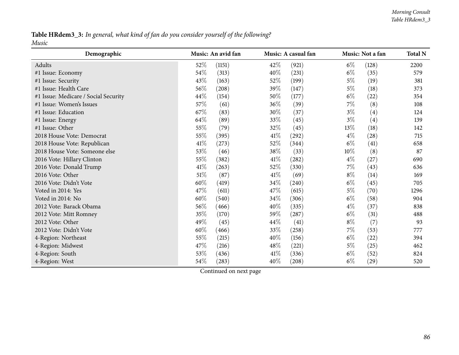#### Table HRdem3\_3: In general, what kind of fan do you consider yourself of the following? *Music*

| Demographic                          | Music: An avid fan | Music: A casual fan         | Music: Not a fan | <b>Total N</b> |
|--------------------------------------|--------------------|-----------------------------|------------------|----------------|
| Adults                               | 52%<br>(1151)      | 42\%<br>(921)               | $6\%$<br>(128)   | 2200           |
| #1 Issue: Economy                    | 54%<br>(313)       | 40%<br>(231)                | $6\%$<br>(35)    | 579            |
| #1 Issue: Security                   | 43\%<br>(163)      | 52%<br>(199)                | $5\%$<br>(19)    | 381            |
| #1 Issue: Health Care                | 56%<br>(208)       | 39%<br>(147)                | $5\%$<br>(18)    | 373            |
| #1 Issue: Medicare / Social Security | 44%<br>(154)       | 50%<br>(177)                | $6\%$<br>(22)    | 354            |
| #1 Issue: Women's Issues             | 57\%<br>(61)       | $36\%$<br>(39)              | 7%<br>(8)        | 108            |
| #1 Issue: Education                  | 67\%<br>(83)       | 30%<br>(37)                 | $3\%$<br>(4)     | 124            |
| #1 Issue: Energy                     | 64\%<br>(89)       | 33\%<br>(45)                | $3\%$<br>(4)     | 139            |
| #1 Issue: Other                      | 55%<br>(79)        | 32%<br>(45)                 | (18)<br>13%      | 142            |
| 2018 House Vote: Democrat            | 55%<br>(395)       | $41\%$<br>(292)             | $4\%$<br>(28)    | 715            |
| 2018 House Vote: Republican          | 41\%<br>(273)      | 52%<br>(344)                | $6\%$<br>(41)    | 658            |
| 2018 House Vote: Someone else        | 53%<br>(46)        | 38\%<br>(33)                | (8)<br>10%       | 87             |
| 2016 Vote: Hillary Clinton           | 55%<br>(382)       | $41\%$<br>(282)             | $4\%$<br>(27)    | 690            |
| 2016 Vote: Donald Trump              | 41\%<br>(263)      | 52\%<br>(330)               | $7\%$<br>(43)    | 636            |
| 2016 Vote: Other                     | 51\%<br>(87)       | 41%<br>(69)                 | $8\%$<br>(14)    | 169            |
| 2016 Vote: Didn't Vote               | 60%<br>(419)       | 34\%<br>(240)               | $6\%$<br>(45)    | 705            |
| Voted in 2014: Yes                   | 47%<br>(611)       | 47%<br>(615)                | $5\%$<br>(70)    | 1296           |
| Voted in 2014: No                    | 60%<br>(540)       | 34\%<br>(306)               | $6\%$<br>(58)    | 904            |
| 2012 Vote: Barack Obama              | 56%<br>(466)       | 40%<br>(335)                | $4\%$<br>(37)    | 838            |
| 2012 Vote: Mitt Romney               | 35%<br>(170)       | 59%<br>(287)                | $6\%$<br>(31)    | 488            |
| 2012 Vote: Other                     | 49%<br>(45)        | 44%<br>(41)                 | $8\%$<br>(7)     | 93             |
| 2012 Vote: Didn't Vote               | 60%<br>(466)       | 33%<br>(258)                | $7\%$<br>(53)    | 777            |
| 4-Region: Northeast                  | 55%<br>(215)       | 40%<br>(156)                | $6\%$<br>(22)    | 394            |
| 4-Region: Midwest                    | 47%<br>(216)       | 48%<br>(221)                | $5\%$<br>(25)    | 462            |
| 4-Region: South                      | 53%<br>(436)       | 41\%<br>(336)               | $6\%$<br>(52)    | 824            |
| 4-Region: West                       | 54%<br>(283)       | 40\%<br>$\left( 208\right)$ | $6\%$<br>(29)    | 520            |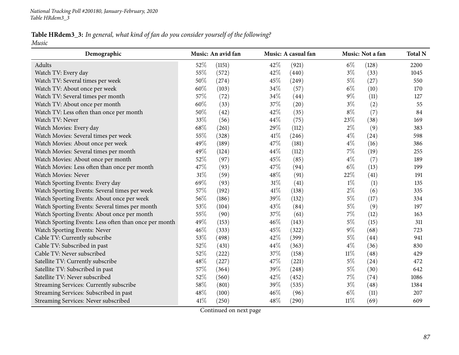### Table HRdem3\_3: In general, what kind of fan do you consider yourself of the following?

*Music*

| Demographic                                           |        | Music: An avid fan |      | Music: A casual fan |        | Music: Not a fan | <b>Total N</b> |
|-------------------------------------------------------|--------|--------------------|------|---------------------|--------|------------------|----------------|
| Adults                                                | 52%    | (1151)             | 42%  | (921)               | $6\%$  | (128)            | 2200           |
| Watch TV: Every day                                   | 55%    | (572)              | 42%  | (440)               | $3\%$  | (33)             | 1045           |
| Watch TV: Several times per week                      | 50%    | (274)              | 45%  | (249)               | $5\%$  | (27)             | 550            |
| Watch TV: About once per week                         | 60%    | (103)              | 34%  | (57)                | $6\%$  | (10)             | 170            |
| Watch TV: Several times per month                     | 57%    | (72)               | 34\% | (44)                | $9\%$  | (11)             | 127            |
| Watch TV: About once per month                        | 60%    | (33)               | 37%  | (20)                | $3\%$  | (2)              | 55             |
| Watch TV: Less often than once per month              | 50%    | (42)               | 42%  | (35)                | $8\%$  | (7)              | 84             |
| Watch TV: Never                                       | 33%    | (56)               | 44%  | (75)                | 23%    | (38)             | 169            |
| Watch Movies: Every day                               | 68%    | (261)              | 29%  | (112)               | $2\%$  | (9)              | 383            |
| Watch Movies: Several times per week                  | 55%    | (328)              | 41\% | (246)               | $4\%$  | (24)             | 598            |
| Watch Movies: About once per week                     | 49%    | (189)              | 47%  | (181)               | $4\%$  | (16)             | 386            |
| Watch Movies: Several times per month                 | 49%    | (124)              | 44%  | (112)               | $7\%$  | (19)             | 255            |
| Watch Movies: About once per month                    | 52%    | (97)               | 45%  | (85)                | $4\%$  | (7)              | 189            |
| Watch Movies: Less often than once per month          | 47\%   | (93)               | 47%  | (94)                | $6\%$  | (13)             | 199            |
| Watch Movies: Never                                   | 31%    | (59)               | 48%  | (91)                | 22%    | (41)             | 191            |
| Watch Sporting Events: Every day                      | 69%    | (93)               | 31%  | (41)                | $1\%$  | (1)              | 135            |
| Watch Sporting Events: Several times per week         | 57%    | (192)              | 41%  | (138)               | $2\%$  | (6)              | 335            |
| Watch Sporting Events: About once per week            | 56%    | (186)              | 39%  | (132)               | $5\%$  | (17)             | 334            |
| Watch Sporting Events: Several times per month        | 53%    | (104)              | 43%  | (84)                | $5\%$  | (9)              | 197            |
| Watch Sporting Events: About once per month           | 55%    | (90)               | 37%  | (61)                | $7\%$  | (12)             | 163            |
| Watch Sporting Events: Less often than once per month | 49%    | (153)              | 46%  | (143)               | $5\%$  | (15)             | 311            |
| Watch Sporting Events: Never                          | $46\%$ | (333)              | 45%  | (322)               | $9\%$  | (68)             | 723            |
| Cable TV: Currently subscribe                         | 53%    | (498)              | 42\% | (399)               | $5\%$  | (44)             | 941            |
| Cable TV: Subscribed in past                          | 52%    | (431)              | 44%  | (363)               | $4\%$  | (36)             | 830            |
| Cable TV: Never subscribed                            | 52%    | (222)              | 37%  | (158)               | $11\%$ | (48)             | 429            |
| Satellite TV: Currently subscribe                     | 48%    | (227)              | 47%  | (221)               | $5\%$  | (24)             | 472            |
| Satellite TV: Subscribed in past                      | 57%    | (364)              | 39%  | (248)               | $5\%$  | (30)             | 642            |
| Satellite TV: Never subscribed                        | 52%    | (560)              | 42%  | (452)               | $7\%$  | (74)             | 1086           |
| Streaming Services: Currently subscribe               | 58%    | (801)              | 39%  | (535)               | $3\%$  | (48)             | 1384           |
| Streaming Services: Subscribed in past                | 48%    | (100)              | 46\% | (96)                | $6\%$  | (11)             | 207            |
| Streaming Services: Never subscribed                  | 41\%   | (250)              | 48\% | (290)               | $11\%$ | (69)             | 609            |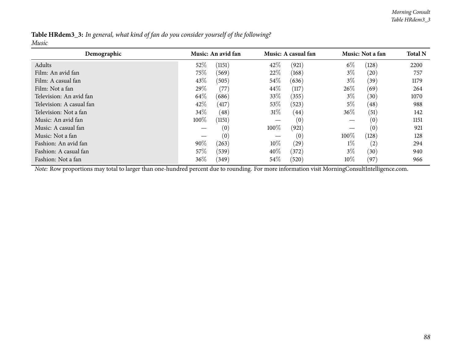|       |  |  | <b>Table HRdem3_3:</b> In general, what kind of fan do you consider yourself of the following? |  |
|-------|--|--|------------------------------------------------------------------------------------------------|--|
| Music |  |  |                                                                                                |  |

| Demographic              | Music: An avid fan |        |        | Music: A casual fan |        | Music: Not a fan   |      |
|--------------------------|--------------------|--------|--------|---------------------|--------|--------------------|------|
| Adults                   | 52%                | (1151) | 42\%   | (921)               | $6\%$  | (128)              | 2200 |
| Film: An avid fan        | 75%                | (569)  | 22%    | (168)               | $3\%$  | (20)               | 757  |
| Film: A casual fan       | 43%                | (505)  | 54\%   | (636)               | $3\%$  | (39)               | 1179 |
| Film: Not a fan          | 29%                | (77)   | $44\%$ | (117)               | 26%    | (69)               | 264  |
| Television: An avid fan  | 64\%               | (686)  | $33\%$ | (355)               | $3\%$  | (30)               | 1070 |
| Television: A casual fan | 42\%               | (417)  | $53\%$ | (523)               | $5\%$  | $\left( 48\right)$ | 988  |
| Television: Not a fan    | $34\%$             | (48)   | 31%    | $\left( 44\right)$  | $36\%$ | (51)               | 142  |
| Music: An avid fan       | 100%               | (1151) |        | (0)                 |        | $\left(0\right)$   | 1151 |
| Music: A casual fan      |                    | (0)    | 100%   | (921)               |        | $\left( 0\right)$  | 921  |
| Music: Not a fan         |                    | (0)    |        | (0)                 | 100\%  | (128)              | 128  |
| Fashion: An avid fan     | 90%                | (263)  | $10\%$ | $\left( 29\right)$  | $1\%$  | (2)                | 294  |
| Fashion: A casual fan    | 57\%               | (539)  | $40\%$ | (372)               | $3\%$  | (30)               | 940  |
| Fashion: Not a fan       | $36\%$             | (349)  | $54\%$ | (520)               | $10\%$ | (97)               | 966  |

*Note:* Row proportions may total to larger than one-hundred percen<sup>t</sup> due to rounding. For more information visit [MorningConsultIntelligence.com](https://morningconsultintelligence.com).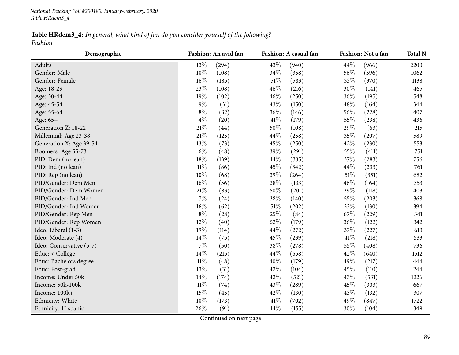Table HRdem3\_4: In general, what kind of fan do you consider yourself of the following? *Fashion*

| Demographic              |        | Fashion: An avid fan |        | Fashion: A casual fan |        | Fashion: Not a fan | <b>Total N</b> |
|--------------------------|--------|----------------------|--------|-----------------------|--------|--------------------|----------------|
| Adults                   | 13%    | (294)                | 43%    | (940)                 | 44%    | (966)              | 2200           |
| Gender: Male             | $10\%$ | (108)                | 34%    | (358)                 | 56%    | (596)              | 1062           |
| Gender: Female           | 16%    | (185)                | 51%    | (583)                 | 33%    | (370)              | 1138           |
| Age: 18-29               | 23%    | (108)                | 46%    | (216)                 | 30%    | (141)              | 465            |
| Age: 30-44               | 19%    | (102)                | 46%    | (250)                 | 36%    | (195)              | 548            |
| Age: 45-54               | $9\%$  | (31)                 | 43%    | (150)                 | 48%    | (164)              | 344            |
| Age: 55-64               | $8\%$  | (32)                 | 36%    | (146)                 | 56%    | (228)              | 407            |
| Age: 65+                 | $4\%$  | (20)                 | 41\%   | (179)                 | 55%    | (238)              | 436            |
| Generation Z: 18-22      | $21\%$ | (44)                 | 50%    | (108)                 | 29%    | (63)               | 215            |
| Millennial: Age 23-38    | 21%    | (125)                | 44%    | (258)                 | 35%    | (207)              | 589            |
| Generation X: Age 39-54  | 13%    | (73)                 | 45%    | (250)                 | 42%    | (230)              | 553            |
| Boomers: Age 55-73       | $6\%$  | (48)                 | 39%    | (291)                 | 55%    | (411)              | 751            |
| PID: Dem (no lean)       | 18%    | (139)                | 44%    | (335)                 | 37%    | (283)              | 756            |
| PID: Ind (no lean)       | $11\%$ | (86)                 | 45%    | (342)                 | 44%    | (333)              | 761            |
| PID: Rep (no lean)       | $10\%$ | (68)                 | 39%    | (264)                 | $51\%$ | (351)              | 682            |
| PID/Gender: Dem Men      | $16\%$ | (56)                 | 38%    | (133)                 | 46%    | (164)              | 353            |
| PID/Gender: Dem Women    | $21\%$ | (83)                 | $50\%$ | (201)                 | 29%    | (118)              | 403            |
| PID/Gender: Ind Men      | $7\%$  | (24)                 | 38%    | (140)                 | 55%    | (203)              | 368            |
| PID/Gender: Ind Women    | 16%    | (62)                 | 51%    | (202)                 | 33%    | (130)              | 394            |
| PID/Gender: Rep Men      | $8\%$  | (28)                 | 25%    | (84)                  | 67%    | (229)              | 341            |
| PID/Gender: Rep Women    | 12%    | (40)                 | 52%    | (179)                 | 36%    | (122)              | 342            |
| Ideo: Liberal (1-3)      | 19%    | (114)                | 44%    | (272)                 | 37%    | (227)              | 613            |
| Ideo: Moderate (4)       | 14%    | (75)                 | 45%    | (239)                 | 41\%   | (218)              | 533            |
| Ideo: Conservative (5-7) | 7%     | (50)                 | 38%    | (278)                 | 55%    | (408)              | 736            |
| Educ: < College          | 14%    | (215)                | 44%    | (658)                 | 42%    | (640)              | 1512           |
| Educ: Bachelors degree   | $11\%$ | (48)                 | 40%    | (179)                 | 49%    | (217)              | 444            |
| Educ: Post-grad          | 13%    | (31)                 | 42%    | (104)                 | 45%    | (110)              | 244            |
| Income: Under 50k        | 14%    | (174)                | 42%    | (521)                 | 43%    | (531)              | 1226           |
| Income: 50k-100k         | $11\%$ | (74)                 | 43%    | (289)                 | 45%    | (303)              | 667            |
| Income: 100k+            | 15%    | (45)                 | 42%    | (130)                 | 43%    | (132)              | 307            |
| Ethnicity: White         | 10%    | (173)                | 41\%   | (702)                 | 49%    | (847)              | 1722           |
| Ethnicity: Hispanic      | 26%    | (91)                 | 44%    | (155)                 | 30%    | (104)              | 349            |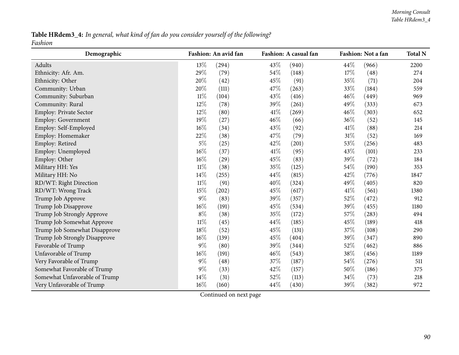Table HRdem3\_4: In general, what kind of fan do you consider yourself of the following? *Fashion*

| Demographic                   |        | Fashion: An avid fan |        | Fashion: A casual fan |      | Fashion: Not a fan | <b>Total N</b> |
|-------------------------------|--------|----------------------|--------|-----------------------|------|--------------------|----------------|
| Adults                        | 13%    | (294)                | 43%    | (940)                 | 44%  | (966)              | 2200           |
| Ethnicity: Afr. Am.           | 29%    | (79)                 | 54%    | (148)                 | 17\% | (48)               | 274            |
| Ethnicity: Other              | 20%    | (42)                 | 45%    | (91)                  | 35%  | (71)               | 204            |
| Community: Urban              | 20%    | (111)                | 47%    | (263)                 | 33%  | (184)              | 559            |
| Community: Suburban           | $11\%$ | (104)                | 43%    | (416)                 | 46%  | (449)              | 969            |
| Community: Rural              | $12\%$ | (78)                 | 39%    | (261)                 | 49%  | (333)              | 673            |
| Employ: Private Sector        | 12%    | (80)                 | 41\%   | (269)                 | 46%  | (303)              | 652            |
| Employ: Government            | 19%    | (27)                 | 46%    | (66)                  | 36%  | (52)               | 145            |
| Employ: Self-Employed         | 16%    | (34)                 | 43%    | (92)                  | 41\% | (88)               | 214            |
| Employ: Homemaker             | 22%    | (38)                 | 47\%   | (79)                  | 31%  | (52)               | 169            |
| Employ: Retired               | $5\%$  | (25)                 | 42%    | (201)                 | 53%  | (256)              | 483            |
| Employ: Unemployed            | 16%    | (37)                 | $41\%$ | (95)                  | 43%  | (101)              | 233            |
| Employ: Other                 | 16%    | (29)                 | 45%    | (83)                  | 39%  | (72)               | 184            |
| Military HH: Yes              | $11\%$ | (38)                 | 35%    | (125)                 | 54%  | (190)              | 353            |
| Military HH: No               | 14%    | (255)                | 44%    | (815)                 | 42%  | (776)              | 1847           |
| RD/WT: Right Direction        | $11\%$ | (91)                 | 40%    | (324)                 | 49%  | (405)              | 820            |
| RD/WT: Wrong Track            | 15%    | (202)                | 45%    | (617)                 | 41\% | (561)              | 1380           |
| Trump Job Approve             | $9\%$  | (83)                 | 39%    | (357)                 | 52%  | (472)              | 912            |
| Trump Job Disapprove          | 16%    | (191)                | 45%    | (534)                 | 39%  | (455)              | 1180           |
| Trump Job Strongly Approve    | $8\%$  | (38)                 | 35%    | (172)                 | 57%  | (283)              | 494            |
| Trump Job Somewhat Approve    | $11\%$ | (45)                 | 44%    | (185)                 | 45%  | (189)              | 418            |
| Trump Job Somewhat Disapprove | $18\%$ | (52)                 | 45%    | (131)                 | 37%  | (108)              | 290            |
| Trump Job Strongly Disapprove | 16%    | (139)                | 45%    | (404)                 | 39%  | (347)              | 890            |
| Favorable of Trump            | $9\%$  | (80)                 | 39%    | (344)                 | 52%  | (462)              | 886            |
| Unfavorable of Trump          | $16\%$ | (191)                | 46%    | (543)                 | 38%  | (456)              | 1189           |
| Very Favorable of Trump       | $9\%$  | (48)                 | 37%    | (187)                 | 54%  | (276)              | 511            |
| Somewhat Favorable of Trump   | $9\%$  | (33)                 | 42%    | (157)                 | 50%  | (186)              | 375            |
| Somewhat Unfavorable of Trump | 14%    | (31)                 | 52%    | (113)                 | 34%  | (73)               | 218            |
| Very Unfavorable of Trump     | 16%    | (160)                | 44%    | (430)                 | 39%  | (382)              | 972            |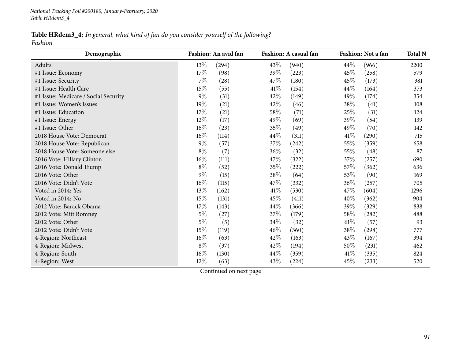#### Table HRdem3\_4: In general, what kind of fan do you consider yourself of the following? *Fashion*

| Demographic                          |        | Fashion: An avid fan |      | Fashion: A casual fan |      | Fashion: Not a fan | <b>Total N</b> |
|--------------------------------------|--------|----------------------|------|-----------------------|------|--------------------|----------------|
| Adults                               | 13\%   | (294)                | 43%  | (940)                 | 44\% | (966)              | 2200           |
| #1 Issue: Economy                    | 17%    | (98)                 | 39%  | (223)                 | 45%  | (258)              | 579            |
| #1 Issue: Security                   | 7%     | (28)                 | 47%  | (180)                 | 45%  | (173)              | 381            |
| #1 Issue: Health Care                | 15%    | (55)                 | 41\% | (154)                 | 44%  | (164)              | 373            |
| #1 Issue: Medicare / Social Security | $9\%$  | (31)                 | 42%  | (149)                 | 49%  | (174)              | 354            |
| #1 Issue: Women's Issues             | 19%    | (21)                 | 42%  | (46)                  | 38%  | (41)               | 108            |
| #1 Issue: Education                  | 17%    | (21)                 | 58%  | (71)                  | 25%  | (31)               | 124            |
| #1 Issue: Energy                     | $12\%$ | (17)                 | 49%  | (69)                  | 39%  | (54)               | 139            |
| #1 Issue: Other                      | 16%    | (23)                 | 35%  | (49)                  | 49%  | (70)               | 142            |
| 2018 House Vote: Democrat            | 16%    | (114)                | 44%  | (311)                 | 41\% | (290)              | 715            |
| 2018 House Vote: Republican          | $9\%$  | (57)                 | 37%  | (242)                 | 55%  | (359)              | 658            |
| 2018 House Vote: Someone else        | $8\%$  | (7)                  | 36%  | (32)                  | 55%  | (48)               | 87             |
| 2016 Vote: Hillary Clinton           | 16%    | (111)                | 47%  | (322)                 | 37%  | (257)              | 690            |
| 2016 Vote: Donald Trump              | $8\%$  | (52)                 | 35%  | (222)                 | 57%  | (362)              | 636            |
| 2016 Vote: Other                     | $9\%$  | (15)                 | 38%  | (64)                  | 53%  | (90)               | 169            |
| 2016 Vote: Didn't Vote               | $16\%$ | (115)                | 47\% | (332)                 | 36%  | (257)              | 705            |
| Voted in 2014: Yes                   | 13%    | (162)                | 41\% | (530)                 | 47%  | (604)              | 1296           |
| Voted in 2014: No                    | 15%    | (131)                | 45%  | (411)                 | 40%  | (362)              | 904            |
| 2012 Vote: Barack Obama              | 17%    | (143)                | 44%  | (366)                 | 39%  | (329)              | 838            |
| 2012 Vote: Mitt Romney               | $5\%$  | (27)                 | 37%  | (179)                 | 58%  | (282)              | 488            |
| 2012 Vote: Other                     | $5\%$  | (5)                  | 34\% | (32)                  | 61%  | (57)               | 93             |
| 2012 Vote: Didn't Vote               | 15%    | (119)                | 46%  | (360)                 | 38%  | (298)              | 777            |
| 4-Region: Northeast                  | $16\%$ | (63)                 | 42%  | (163)                 | 43%  | (167)              | 394            |
| 4-Region: Midwest                    | $8\%$  | (37)                 | 42%  | (194)                 | 50%  | (231)              | 462            |
| 4-Region: South                      | $16\%$ | (130)                | 44\% | (359)                 | 41\% | (335)              | 824            |
| 4-Region: West                       | 12%    | (63)                 | 43%  | (224)                 | 45%  | (233)              | 520            |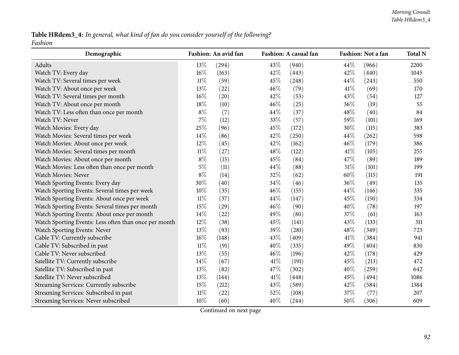#### Table HRdem3\_4: In general, what kind of fan do you consider yourself of the following? *Fashion*

| Demographic                                           |        | Fashion: An avid fan |      | Fashion: A casual fan |        | Fashion: Not a fan | <b>Total N</b> |
|-------------------------------------------------------|--------|----------------------|------|-----------------------|--------|--------------------|----------------|
| Adults                                                | 13%    | (294)                | 43%  | (940)                 | 44%    | (966)              | 2200           |
| Watch TV: Every day                                   | 16%    | (163)                | 42%  | (443)                 | 42%    | (440)              | 1045           |
| Watch TV: Several times per week                      | $11\%$ | (59)                 | 45%  | (248)                 | 44%    | (243)              | 550            |
| Watch TV: About once per week                         | 13%    | (22)                 | 46%  | (79)                  | 41%    | (69)               | 170            |
| Watch TV: Several times per month                     | 16%    | (20)                 | 42%  | (53)                  | 43%    | (54)               | 127            |
| Watch TV: About once per month                        | 18%    | (10)                 | 46%  | (25)                  | 36%    | (19)               | 55             |
| Watch TV: Less often than once per month              | $8\%$  | (7)                  | 44%  | (37)                  | 48%    | (40)               | 84             |
| Watch TV: Never                                       | $7\%$  | (12)                 | 33%  | (57)                  | 59%    | (101)              | 169            |
| Watch Movies: Every day                               | 25%    | (96)                 | 45%  | (172)                 | 30%    | (115)              | 383            |
| Watch Movies: Several times per week                  | 14%    | (86)                 | 42%  | (250)                 | 44\%   | (262)              | 598            |
| Watch Movies: About once per week                     | 12%    | (45)                 | 42%  | (162)                 | 46%    | (179)              | 386            |
| Watch Movies: Several times per month                 | $11\%$ | (27)                 | 48%  | (122)                 | 41%    | (105)              | 255            |
| Watch Movies: About once per month                    | $8\%$  | (15)                 | 45%  | (84)                  | 47%    | (89)               | 189            |
| Watch Movies: Less often than once per month          | $5\%$  | (11)                 | 44%  | (88)                  | 51%    | (101)              | 199            |
| Watch Movies: Never                                   | $8\%$  | (14)                 | 32%  | (62)                  | 60%    | (115)              | 191            |
| Watch Sporting Events: Every day                      | 30%    | (40)                 | 34%  | (46)                  | 36%    | (49)               | 135            |
| Watch Sporting Events: Several times per week         | 10%    | (35)                 | 46%  | (155)                 | 44%    | (146)              | 335            |
| Watch Sporting Events: About once per week            | $11\%$ | (37)                 | 44%  | (147)                 | 45%    | (150)              | 334            |
| Watch Sporting Events: Several times per month        | 15%    | (29)                 | 46%  | (90)                  | 40%    | (78)               | 197            |
| Watch Sporting Events: About once per month           | 14%    | (22)                 | 49%  | (80)                  | 37%    | (61)               | 163            |
| Watch Sporting Events: Less often than once per month | 12%    | (38)                 | 45%  | (141)                 | 43%    | (133)              | 311            |
| Watch Sporting Events: Never                          | 13%    | (93)                 | 39%  | (281)                 | 48%    | (349)              | 723            |
| Cable TV: Currently subscribe                         | 16%    | (148)                | 43%  | (409)                 | 41%    | (384)              | 941            |
| Cable TV: Subscribed in past                          | $11\%$ | (91)                 | 40%  | (335)                 | 49%    | (404)              | 830            |
| Cable TV: Never subscribed                            | 13%    | (55)                 | 46%  | (196)                 | 42%    | (178)              | 429            |
| Satellite TV: Currently subscribe                     | 14%    | (67)                 | 41\% | (191)                 | 45%    | (213)              | 472            |
| Satellite TV: Subscribed in past                      | 13%    | (82)                 | 47%  | (302)                 | 40%    | (259)              | 642            |
| Satellite TV: Never subscribed                        | 13%    | (144)                | 41\% | (448)                 | 45%    | (494)              | 1086           |
| Streaming Services: Currently subscribe               | 15%    | (212)                | 43%  | (589)                 | 42%    | (584)              | 1384           |
| Streaming Services: Subscribed in past                | $11\%$ | (22)                 | 52%  | (108)                 | 37%    | (77)               | 207            |
| Streaming Services: Never subscribed                  | 10%    | (60)                 | 40%  | (244)                 | $50\%$ | (306)              | 609            |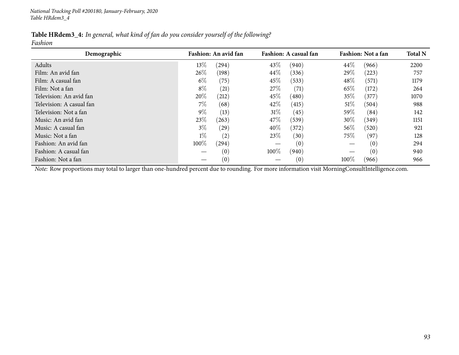|         | <b>Table HRdem3_4:</b> In general, what kind of fan do you consider yourself of the following? |  |
|---------|------------------------------------------------------------------------------------------------|--|
| Fashion |                                                                                                |  |

| Demographic                                                                                                                                    |       | Fashion: An avid fan |        | Fashion: A casual fan |        | Fashion: Not a fan | <b>Total N</b> |
|------------------------------------------------------------------------------------------------------------------------------------------------|-------|----------------------|--------|-----------------------|--------|--------------------|----------------|
| Adults                                                                                                                                         | 13\%  | (294)                | 43\%   | (940)                 | 44\%   | (966)              | 2200           |
| Film: An avid fan                                                                                                                              | 26\%  | (198)                | 44%    | (336)                 | 29%    | (223)              | 757            |
| Film: A casual fan                                                                                                                             | $6\%$ | (75)                 | $45\%$ | (533)                 | 48\%   | (571)              | 1179           |
| Film: Not a fan                                                                                                                                | $8\%$ | (21)                 | 27%    | $\left( 71\right)$    | 65\%   | (172)              | 264            |
| Television: An avid fan                                                                                                                        | 20%   | (212)                | 45%    | (480)                 | 35%    | (377)              | 1070           |
| Television: A casual fan                                                                                                                       | $7\%$ | (68)                 | 42\%   | (415)                 | $51\%$ | (504)              | 988            |
| Television: Not a fan                                                                                                                          | $9\%$ | (13)                 | 31%    | (45)                  | 59\%   | (84)               | 142            |
| Music: An avid fan                                                                                                                             | 23\%  | (263)                | 47\%   | (539)                 | 30\%   | (349)              | 1151           |
| Music: A casual fan                                                                                                                            | $3\%$ | (29)                 | 40%    | (372)                 | $56\%$ | (520)              | 921            |
| Music: Not a fan                                                                                                                               | $1\%$ | (2)                  | 23\%   | (30)                  | 75\%   | (97)               | 128            |
| Fashion: An avid fan                                                                                                                           | 100%  | (294)                |        | (0)                   |        | (0)                | 294            |
| Fashion: A casual fan                                                                                                                          |       | (0)                  | 100%   | (940)                 |        | (0)                | 940            |
| Fashion: Not a fan                                                                                                                             |       | (0)                  |        | (0)                   | 100%   | (966)              | 966            |
| Note: Row proportions may total to larger than one-hundred percent due to rounding. For more information visit MorningConsultIntelligence.com. |       |                      |        |                       |        |                    |                |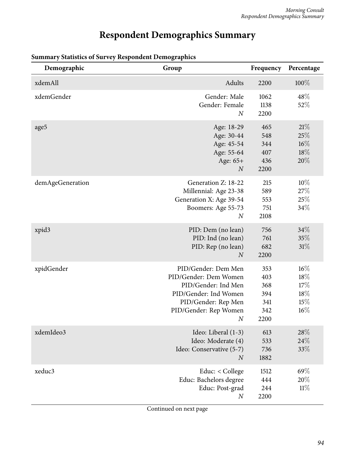# **Respondent Demographics Summary**

| Demographic      | Group                                                                                                                                                          | Frequency                                      | Percentage                                |
|------------------|----------------------------------------------------------------------------------------------------------------------------------------------------------------|------------------------------------------------|-------------------------------------------|
| xdemAll          | Adults                                                                                                                                                         | 2200                                           | 100%                                      |
| xdemGender       | Gender: Male<br>Gender: Female<br>$\boldsymbol{N}$                                                                                                             | 1062<br>1138<br>2200                           | 48\%<br>52%                               |
| age5             | Age: 18-29<br>Age: 30-44<br>Age: 45-54<br>Age: 55-64<br>Age: 65+<br>$\boldsymbol{N}$                                                                           | 465<br>548<br>344<br>407<br>436<br>2200        | 21%<br>25%<br>$16\%$<br>18%<br>20%        |
| demAgeGeneration | Generation Z: 18-22<br>Millennial: Age 23-38<br>Generation X: Age 39-54<br>Boomers: Age 55-73<br>$\boldsymbol{N}$                                              | 215<br>589<br>553<br>751<br>2108               | 10%<br>27\%<br>25%<br>34%                 |
| xpid3            | PID: Dem (no lean)<br>PID: Ind (no lean)<br>PID: Rep (no lean)<br>$\boldsymbol{N}$                                                                             | 756<br>761<br>682<br>2200                      | 34%<br>35%<br>31%                         |
| xpidGender       | PID/Gender: Dem Men<br>PID/Gender: Dem Women<br>PID/Gender: Ind Men<br>PID/Gender: Ind Women<br>PID/Gender: Rep Men<br>PID/Gender: Rep Women<br>$\overline{N}$ | 353<br>403<br>368<br>394<br>341<br>342<br>2200 | $16\%$<br>18%<br>17%<br>18%<br>15%<br>16% |
| xdemIdeo3        | Ideo: Liberal (1-3)<br>Ideo: Moderate (4)<br>Ideo: Conservative (5-7)<br>$\overline{N}$                                                                        | 613<br>533<br>736<br>1882                      | 28%<br>24%<br>33%                         |
| xeduc3           | Educ: < College<br>Educ: Bachelors degree<br>Educ: Post-grad<br>$\boldsymbol{N}$                                                                               | 1512<br>444<br>244<br>2200                     | 69%<br>20%<br>11%                         |

#### **Summary Statistics of Survey Respondent Demographics**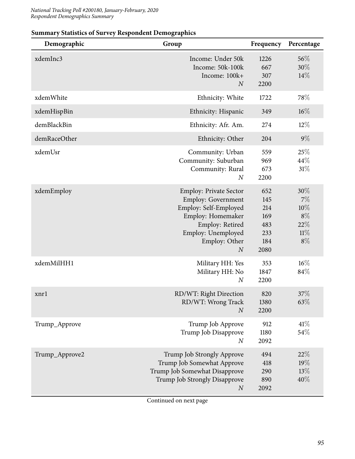| Demographic    | Group                                                                                                                                                                                  | Frequency                                             | Percentage                                             |
|----------------|----------------------------------------------------------------------------------------------------------------------------------------------------------------------------------------|-------------------------------------------------------|--------------------------------------------------------|
| xdemInc3       | Income: Under 50k<br>Income: 50k-100k<br>Income: 100k+<br>$\boldsymbol{N}$                                                                                                             | 1226<br>667<br>307<br>2200                            | 56%<br>30%<br>14%                                      |
| xdemWhite      | Ethnicity: White                                                                                                                                                                       | 1722                                                  | 78%                                                    |
| xdemHispBin    | Ethnicity: Hispanic                                                                                                                                                                    | 349                                                   | $16\%$                                                 |
| demBlackBin    | Ethnicity: Afr. Am.                                                                                                                                                                    | 274                                                   | $12\%$                                                 |
| demRaceOther   | Ethnicity: Other                                                                                                                                                                       | 204                                                   | $9\%$                                                  |
| xdemUsr        | Community: Urban<br>Community: Suburban<br>Community: Rural<br>$\boldsymbol{N}$                                                                                                        | 559<br>969<br>673<br>2200                             | 25%<br>44%<br>$31\%$                                   |
| xdemEmploy     | <b>Employ: Private Sector</b><br><b>Employ: Government</b><br>Employ: Self-Employed<br>Employ: Homemaker<br>Employ: Retired<br>Employ: Unemployed<br>Employ: Other<br>$\boldsymbol{N}$ | 652<br>145<br>214<br>169<br>483<br>233<br>184<br>2080 | 30%<br>$7\%$<br>10%<br>$8\%$<br>22%<br>$11\%$<br>$8\%$ |
| xdemMilHH1     | Military HH: Yes<br>Military HH: No<br>$\boldsymbol{N}$                                                                                                                                | 353<br>1847<br>2200                                   | $16\%$<br>84\%                                         |
| xnrl           | RD/WT: Right Direction<br>RD/WT: Wrong Track<br>$\boldsymbol{N}$                                                                                                                       | 820<br>1380<br>2200                                   | $37\%$<br>63%                                          |
| Trump_Approve  | Trump Job Approve<br>Trump Job Disapprove<br>$\boldsymbol{N}$                                                                                                                          | 912<br>1180<br>2092                                   | 41%<br>54%                                             |
| Trump_Approve2 | Trump Job Strongly Approve<br>Trump Job Somewhat Approve<br>Trump Job Somewhat Disapprove<br>Trump Job Strongly Disapprove<br>$\boldsymbol{N}$                                         | 494<br>418<br>290<br>890<br>2092                      | 22%<br>19%<br>13%<br>40%                               |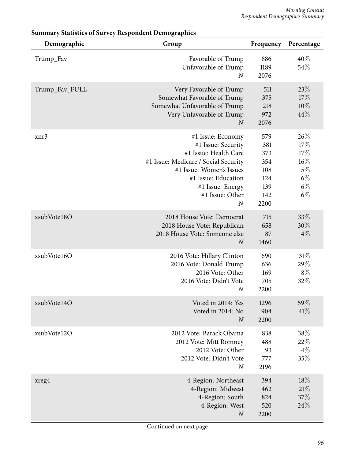| Demographic    | Group                                                                                                                                                                                                                  | Frequency                                                    | Percentage                                                      |
|----------------|------------------------------------------------------------------------------------------------------------------------------------------------------------------------------------------------------------------------|--------------------------------------------------------------|-----------------------------------------------------------------|
| Trump_Fav      | Favorable of Trump<br>Unfavorable of Trump<br>$\boldsymbol{N}$                                                                                                                                                         | 886<br>1189<br>2076                                          | 40%<br>54%                                                      |
| Trump_Fav_FULL | Very Favorable of Trump<br>Somewhat Favorable of Trump<br>Somewhat Unfavorable of Trump<br>Very Unfavorable of Trump<br>N                                                                                              | 511<br>375<br>218<br>972<br>2076                             | 23%<br>17%<br>10%<br>44%                                        |
| xnr3           | #1 Issue: Economy<br>#1 Issue: Security<br>#1 Issue: Health Care<br>#1 Issue: Medicare / Social Security<br>#1 Issue: Women's Issues<br>#1 Issue: Education<br>#1 Issue: Energy<br>#1 Issue: Other<br>$\boldsymbol{N}$ | 579<br>381<br>373<br>354<br>108<br>124<br>139<br>142<br>2200 | 26%<br>17%<br>17%<br>$16\%$<br>$5\%$<br>$6\%$<br>$6\%$<br>$6\%$ |
| xsubVote18O    | 2018 House Vote: Democrat<br>2018 House Vote: Republican<br>2018 House Vote: Someone else<br>$\boldsymbol{N}$                                                                                                          | 715<br>658<br>87<br>1460                                     | 33%<br>$30\%$<br>$4\%$                                          |
| xsubVote16O    | 2016 Vote: Hillary Clinton<br>2016 Vote: Donald Trump<br>2016 Vote: Other<br>2016 Vote: Didn't Vote<br>$\boldsymbol{N}$                                                                                                | 690<br>636<br>169<br>705<br>2200                             | 31%<br>29%<br>$8\%$<br>32%                                      |
| xsubVote14O    | Voted in 2014: Yes<br>Voted in 2014: No<br>$\overline{N}$                                                                                                                                                              | 1296<br>904<br>2200                                          | 59%<br>41%                                                      |
| xsubVote12O    | 2012 Vote: Barack Obama<br>2012 Vote: Mitt Romney<br>2012 Vote: Other<br>2012 Vote: Didn't Vote<br>$\boldsymbol{N}$                                                                                                    | 838<br>488<br>93<br>777<br>2196                              | 38\%<br>22%<br>$4\%$<br>35%                                     |
| xreg4          | 4-Region: Northeast<br>4-Region: Midwest<br>4-Region: South<br>4-Region: West<br>$\boldsymbol{N}$                                                                                                                      | 394<br>462<br>824<br>520<br>2200                             | 18%<br>21%<br>37%<br>24%                                        |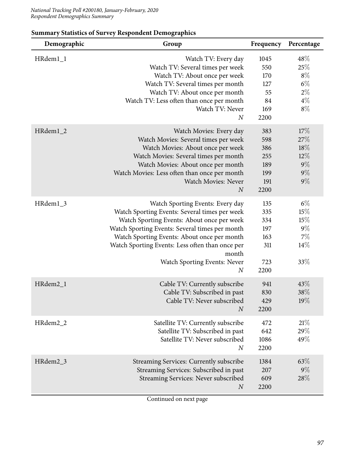| Demographic          | Group                                                                                                                                                                                                                                                                                                                                            | Frequency                                             | Percentage                                              |
|----------------------|--------------------------------------------------------------------------------------------------------------------------------------------------------------------------------------------------------------------------------------------------------------------------------------------------------------------------------------------------|-------------------------------------------------------|---------------------------------------------------------|
| HRdem1_1             | Watch TV: Every day<br>Watch TV: Several times per week<br>Watch TV: About once per week<br>Watch TV: Several times per month<br>Watch TV: About once per month<br>Watch TV: Less often than once per month<br>Watch TV: Never<br>$\boldsymbol{N}$                                                                                               | 1045<br>550<br>170<br>127<br>55<br>84<br>169<br>2200  | 48%<br>25%<br>$8\%$<br>$6\%$<br>$2\%$<br>$4\%$<br>$8\%$ |
| HRdem <sub>1_2</sub> | Watch Movies: Every day<br>Watch Movies: Several times per week<br>Watch Movies: About once per week<br>Watch Movies: Several times per month<br>Watch Movies: About once per month<br>Watch Movies: Less often than once per month<br>Watch Movies: Never<br>$\boldsymbol{N}$                                                                   | 383<br>598<br>386<br>255<br>189<br>199<br>191<br>2200 | 17%<br>27%<br>18%<br>$12\%$<br>$9\%$<br>$9\%$<br>$9\%$  |
| HRdem1_3             | Watch Sporting Events: Every day<br>Watch Sporting Events: Several times per week<br>Watch Sporting Events: About once per week<br>Watch Sporting Events: Several times per month<br>Watch Sporting Events: About once per month<br>Watch Sporting Events: Less often than once per<br>month<br>Watch Sporting Events: Never<br>$\boldsymbol{N}$ | 135<br>335<br>334<br>197<br>163<br>311<br>723<br>2200 | $6\%$<br>15%<br>15%<br>$9\%$<br>7%<br>14\%<br>33\%      |
| HRdem2_1             | Cable TV: Currently subscribe<br>Cable TV: Subscribed in past<br>Cable TV: Never subscribed<br>$\boldsymbol{N}$                                                                                                                                                                                                                                  | 941<br>830<br>429<br>2200                             | 43%<br>38\%<br>19%                                      |
| HRdem2_2             | Satellite TV: Currently subscribe<br>Satellite TV: Subscribed in past<br>Satellite TV: Never subscribed<br>$\boldsymbol{N}$                                                                                                                                                                                                                      | 472<br>642<br>1086<br>2200                            | 21%<br>29%<br>49%                                       |
| HRdem2_3             | Streaming Services: Currently subscribe<br>Streaming Services: Subscribed in past<br>Streaming Services: Never subscribed<br>$\boldsymbol{N}$                                                                                                                                                                                                    | 1384<br>207<br>609<br>2200                            | 63%<br>$9\%$<br>28%                                     |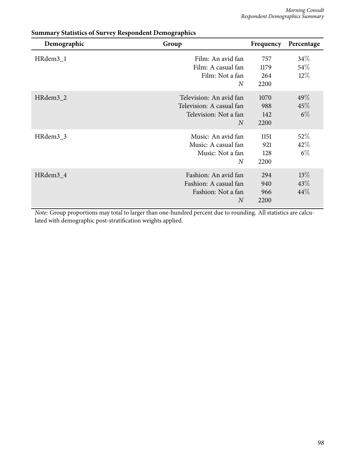| Demographic          | Group                                                                                          | Frequency                  | Percentage                 |
|----------------------|------------------------------------------------------------------------------------------------|----------------------------|----------------------------|
| HRdem3_1             | Film: An avid fan<br>Film: A casual fan<br>Film: Not a fan<br>$\overline{N}$                   | 757<br>1179<br>264<br>2200 | $34\%$<br>$54\%$<br>$12\%$ |
| HRdem3_2             | Television: An avid fan<br>Television: A casual fan<br>Television: Not a fan<br>$\overline{N}$ | 1070<br>988<br>142<br>2200 | $49\%$<br>45%<br>$6\%$     |
| HRdem3_3             | Music: An avid fan<br>Music: A casual fan<br>Music: Not a fan<br>$\overline{N}$                | 1151<br>921<br>128<br>2200 | $52\%$<br>42\%<br>$6\%$    |
| HRdem <sub>3</sub> 4 | Fashion: An avid fan<br>Fashion: A casual fan<br>Fashion: Not a fan<br>$\overline{N}$          | 294<br>940<br>966<br>2200  | $13\%$<br>43\%<br>44%      |

*Note:* Group proportions may total to larger than one-hundred percent due to rounding. All statistics are calculated with demographic post-stratification weights applied.